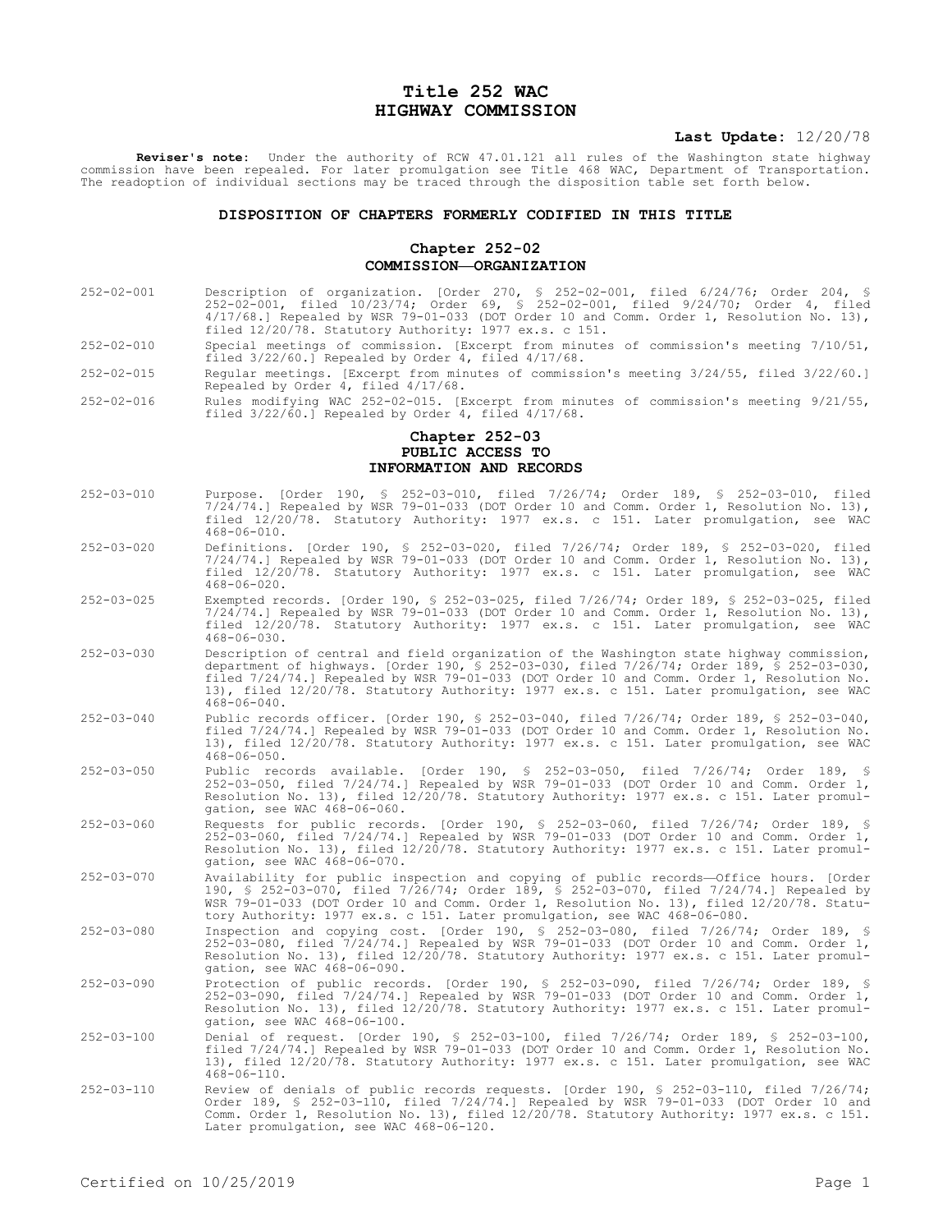# **Title 252 WAC HIGHWAY COMMISSION**

## **Last Update:** 12/20/78

**Reviser's note:** Under the authority of RCW 47.01.121 all rules of the Washington state highway commission have been repealed. For later promulgation see Title 468 WAC, Department of Transportation. The readoption of individual sections may be traced through the disposition table set forth below.

#### **DISPOSITION OF CHAPTERS FORMERLY CODIFIED IN THIS TITLE**

## **Chapter 252-02 COMMISSION—ORGANIZATION**

- 252-02-001 Description of organization. [Order 270, § 252-02-001, filed 6/24/76; Order 204, § 252-02-001, filed 10/23/74; Order 69, § 252-02-001, filed 9/24/70; Order 4, filed 4/17/68.] Repealed by WSR 79-01-033 (DOT Order 10 and Comm. Order 1, Resolution No. 13), filed 12/20/78. Statutory Authority: 1977 ex.s. c 151.
- 252-02-010 Special meetings of commission. [Excerpt from minutes of commission's meeting 7/10/51, filed 3/22/60.] Repealed by Order 4, filed 4/17/68.
- 252-02-015 Regular meetings. [Excerpt from minutes of commission's meeting 3/24/55, filed 3/22/60.] Repealed by Order 4, filed 4/17/68.
- 252-02-016 Rules modifying WAC 252-02-015. [Excerpt from minutes of commission's meeting 9/21/55, filed  $3/22/\dot{60}$ .] Repealed by Order 4, filed  $4/17/68$ .

## **Chapter 252-03 PUBLIC ACCESS TO INFORMATION AND RECORDS**

- 252-03-010 Purpose. [Order 190, § 252-03-010, filed 7/26/74; Order 189, § 252-03-010, filed 7/24/74.] Repealed by WSR 79-01-033 (DOT Order 10 and Comm. Order 1, Resolution No. 13), filed 12/20/78. Statutory Authority: 1977 ex.s. c 151. Later promulgation, see WAC 468-06-010.
- 252-03-020 Definitions. [Order 190, § 252-03-020, filed 7/26/74; Order 189, § 252-03-020, filed 7/24/74.] Repealed by WSR 79-01-033 (DOT Order 10 and Comm. Order 1, Resolution No. 13), filed 12/20/78. Statutory Authority: 1977 ex.s. c 151. Later promulgation, see WAC 468-06-020.
- 252-03-025 Exempted records. [Order 190, § 252-03-025, filed 7/26/74; Order 189, § 252-03-025, filed 7/24/74.] Repealed by WSR 79-01-033 (DOT Order 10 and Comm. Order 1, Resolution No. 13), filed 12/20/78. Statutory Authority: 1977 ex.s. c 151. Later promulgation, see WAC 468-06-030.
- 252-03-030 Description of central and field organization of the Washington state highway commission, department of highways. [Order 190, § 252-03-030, filed 7/26/74; Order 189, § 252-03-030, filed 7/24/74.] Repealed by WSR 79-01-033 (DOT Order 10 and Comm. Order 1, Resolution No. 13), filed 12/20/78. Statutory Authority: 1977 ex.s. c 151. Later promulgation, see WAC  $468 - 06 - 040$ .
- 252-03-040 Public records officer. [Order 190, § 252-03-040, filed 7/26/74; Order 189, § 252-03-040, filed 7/24/74.] Repealed by WSR 79-01-033 (DOT Order 10 and Comm. Order 1, Resolution No. 13), filed 12/20/78. Statutory Authority: 1977 ex.s. c 151. Later promulgation, see WAC 468-06-050.
- 252-03-050 Public records available. [Order 190, § 252-03-050, filed 7/26/74; Order 189, § 252-03-050, filed 7/24/74.] Repealed by WSR 79-01-033 (DOT Order 10 and Comm. Order 1, Resolution No. 13), filed 12/20/78. Statutory Authority: 1977 ex.s. c 151. Later promulgation, see WAC 468-06-060.
- 252-03-060 Requests for public records. [Order 190, § 252-03-060, filed 7/26/74; Order 189, § 252-03-060, filed 7/24/74.] Repealed by WSR 79-01-033 (DOT Order 10 and Comm. Order 1, Resolution No. 13), filed 12/20/78. Statutory Authority: 1977 ex.s. c 151. Later promulgation, see WAC 468-06-070.
- 252-03-070 Availability for public inspection and copying of public records—Office hours. [Order 190, § 252-03-070, filed 7/26/74; Order 189, § 252-03-070, filed 7/24/74.] Repealed by WSR 79-01-033 (DOT Order 10 and Comm. Order 1, Resolution No. 13), filed 12/20/78. Statutory Authority: 1977 ex.s. c 151. Later promulgation, see WAC 468-06-080.
- 252-03-080 Inspection and copying cost. [Order 190, § 252-03-080, filed 7/26/74; Order 189, § 252-03-080, filed 7/24/74.] Repealed by WSR 79-01-033 (DOT Order 10 and Comm. Order 1, Resolution No. 13), filed 12/20/78. Statutory Authority: 1977 ex.s. c 151. Later promulgation, see WAC 468-06-090.
- 252-03-090 Protection of public records. [Order 190, § 252-03-090, filed 7/26/74; Order 189, § 252-03-090, filed 7/24/74.] Repealed by WSR 79-01-033 (DOT Order 10 and Comm. Order 1, Resolution No. 13), filed 12/20/78. Statutory Authority: 1977 ex.s. c 151. Later promulgation, see WAC 468-06-100.
- 252-03-100 Denial of request. [Order 190, § 252-03-100, filed 7/26/74; Order 189, § 252-03-100, filed 7/24/74.] Repealed by WSR 79-01-033 (DOT Order 10 and Comm. Order 1, Resolution No. 13), filed 12/20/78. Statutory Authority: 1977 ex.s. c 151. Later promulgation, see WAC 468-06-110.
- 252-03-110 Review of denials of public records requests. [Order 190, § 252-03-110, filed 7/26/74; Order 189, § 252-03-110, filed 7/24/74.] Repealed by WSR 79-01-033 (DOT Order 10 and Comm. Order 1, Resolution No. 13), filed 12/20/78. Statutory Authority: 1977 ex.s. c 151. Later promulgation, see WAC 468-06-120.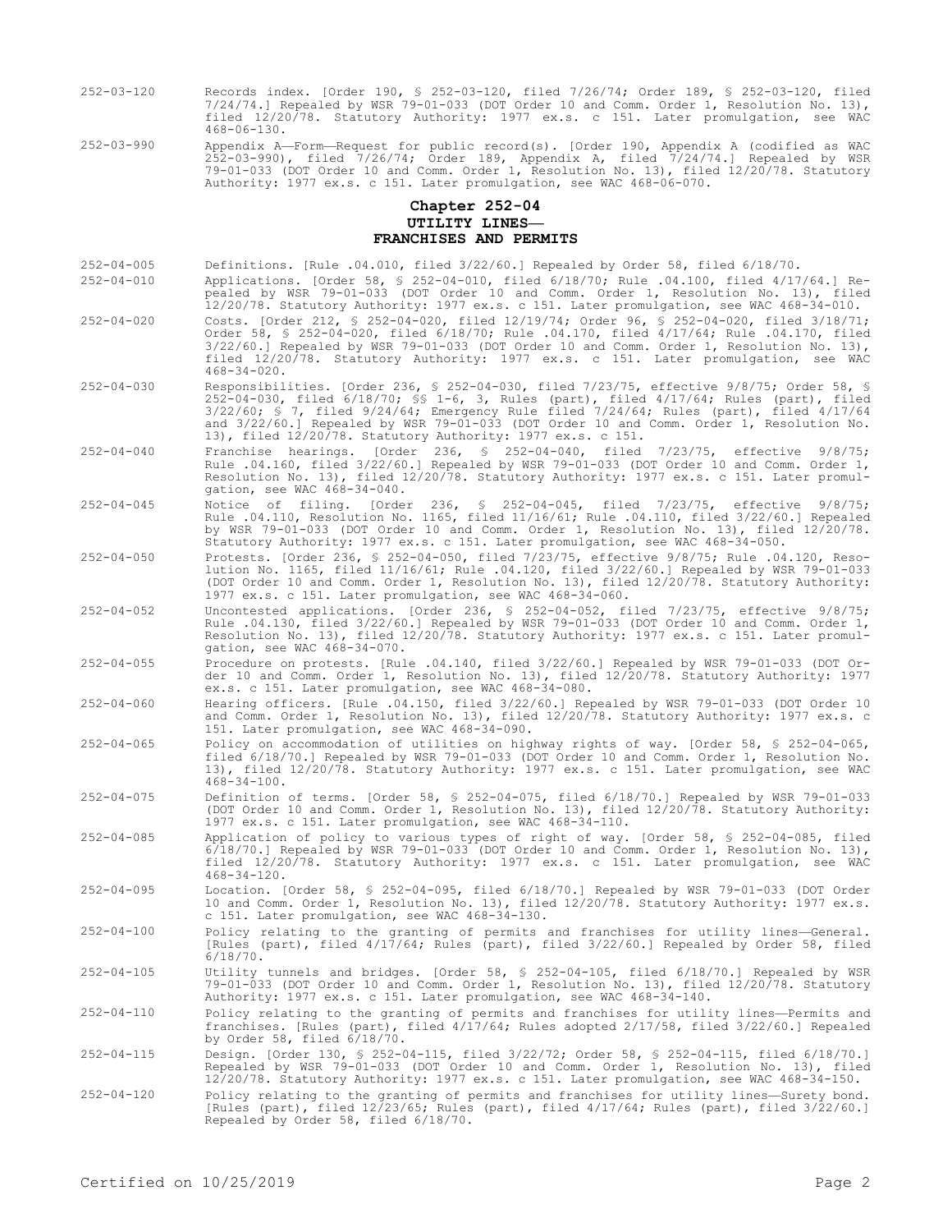- 252-03-120 Records index. [Order 190, § 252-03-120, filed 7/26/74; Order 189, § 252-03-120, filed 7/24/74.] Repealed by WSR 79-01-033 (DOT Order 10 and Comm. Order 1, Resolution No. 13), filed 12/20/78. Statutory Authority: 1977 ex.s. c 151. Later promulgation, see WAC 468-06-130.
- 252-03-990 Appendix A—Form—Request for public record(s). [Order 190, Appendix A (codified as WAC 252-03-990), filed 7/26/74; Order 189, Appendix A, filed 7/24/74.] Repealed by WSR 79-01-033 (DOT Order 10 and Comm. Order 1, Resolution No. 13), filed 12/20/78. Statutory Authority: 1977 ex.s. c 151. Later promulgation, see WAC 468-06-070.

## **Chapter 252-04 UTILITY LINES— FRANCHISES AND PERMITS**

- 252-04-005 Definitions. [Rule .04.010, filed 3/22/60.] Repealed by Order 58, filed 6/18/70.
- 252-04-010 Applications. [Order 58, § 252-04-010, filed 6/18/70; Rule .04.100, filed 4/17/64.] Repealed by WSR 79-01-033 (DOT Order 10 and Comm. Order 1, Resolution No. 13), filed 12/20/78. Statutory Authority: 1977 ex.s. c 151. Later promulgation, see WAC 468-34-010.
- 252-04-020 Costs. [Order 212, § 252-04-020, filed 12/19/74; Order 96, § 252-04-020, filed 3/18/71; Order 58, § 252-04-020, filed 6/18/70; Rule .04.170, filed 4/17/64; Rule .04.170, filed 3/22/60.] Repealed by WSR 79-01-033 (DOT Order 10 and Comm. Order 1, Resolution No. 13), filed 12/20/78. Statutory Authority: 1977 ex.s. c 151. Later promulgation, see WAC 468-34-020.
- 252-04-030 Responsibilities. [Order 236, § 252-04-030, filed 7/23/75, effective 9/8/75; Order 58, § 252-04-030, filed 6/18/70; §§ 1-6, 3, Rules (part), filed 4/17/64; Rules (part), filed 3/22/60; § 7, filed 9/24/64; Emergency Rule filed 7/24/64; Rules (part), filed 4/17/64 and 3/22/60.] Repealed by WSR 79-01-033 (DOT Order 10 and Comm. Order 1, Resolution No. 13), filed 12/20/78. Statutory Authority: 1977 ex.s. c 151.
- 252-04-040 Franchise hearings. [Order 236, § 252-04-040, filed 7/23/75, effective 9/8/75; Rule .04.160, filed 3/22/60.] Repealed by WSR 79-01-033 (DOT Order 10 and Comm. Order 1, Resolution No. 13), filed 12/20/78. Statutory Authority: 1977 ex.s. c 151. Later promulgation, see WAC 468-34-040.
- 252-04-045 Notice of filing. [Order 236, § 252-04-045, filed 7/23/75, effective 9/8/75; Rule .04.110, Resolution No. 1165, filed 11/16/61; Rule .04.110, filed 3/22/60.] Repealed by WSR 79-01-033 (DOT Order 10 and Comm. Order 1, Resolution No. 13), filed 12/20/78. Statutory Authority: 1977 ex.s. c 151. Later promulgation, see WAC 468-34-050.
- 252-04-050 Protests. [Order 236, § 252-04-050, filed 7/23/75, effective 9/8/75; Rule .04.120, Resolution No. 1165, filed 11/16/61; Rule .04.120, filed 3/22/60.] Repealed by WSR 79-01-033 (DOT Order 10 and Comm. Order 1, Resolution No. 13), filed 12/20/78. Statutory Authority: 1977 ex.s. c 151. Later promulgation, see WAC 468-34-060.
- 252-04-052 Uncontested applications. [Order 236, § 252-04-052, filed 7/23/75, effective 9/8/75; Rule .04.130, filed 3/22/60.] Repealed by WSR 79-01-033 (DOT Order 10 and Comm. Order 1, Resolution No. 13), filed 12/20/78. Statutory Authority: 1977 ex.s. c 151. Later promulgation, see WAC 468-34-070.
- 252-04-055 Procedure on protests. [Rule .04.140, filed 3/22/60.] Repealed by WSR 79-01-033 (DOT Order 10 and Comm. Order 1, Resolution No. 13), filed 12/20/78. Statutory Authority: 1977 ex.s. c 151. Later promulgation, see WAC 468-34-080.
- 252-04-060 Hearing officers. [Rule .04.150, filed 3/22/60.] Repealed by WSR 79-01-033 (DOT Order 10 and Comm. Order 1, Resolution No. 13), filed 12/20/78. Statutory Authority: 1977 ex.s. c 151. Later promulgation, see WAC 468-34-090.
- 252-04-065 Policy on accommodation of utilities on highway rights of way. [Order 58, § 252-04-065, filed 6/18/70.] Repealed by WSR 79-01-033 (DOT Order 10 and Comm. Order 1, Resolution No. 13), filed 12/20/78. Statutory Authority: 1977 ex.s. c 151. Later promulgation, see WAC 468-34-100.
- 252-04-075 Definition of terms. [Order 58, § 252-04-075, filed 6/18/70.] Repealed by WSR 79-01-033 (DOT Order 10 and Comm. Order 1, Resolution No. 13), filed 12/20/78. Statutory Authority: 1977 ex.s. c 151. Later promulgation, see WAC 468-34-110.
- 252-04-085 Application of policy to various types of right of way. [Order 58, § 252-04-085, filed  $6/18/70.$  Repealed by WSR 79-01-033 (DOT Order 10 and Comm. Order 1, Resolution No. 13), filed 12/20/78. Statutory Authority: 1977 ex.s. c 151. Later promulgation, see WAC 468-34-120.
- 252-04-095 Location. [Order 58, § 252-04-095, filed 6/18/70.] Repealed by WSR 79-01-033 (DOT Order 10 and Comm. Order 1, Resolution No. 13), filed 12/20/78. Statutory Authority: 1977 ex.s. c 151. Later promulgation, see WAC 468-34-130.
- 252-04-100 Policy relating to the granting of permits and franchises for utility lines—General. [Rules (part), filed 4/17/64; Rules (part), filed 3/22/60.] Repealed by Order 58, filed 6/18/70.
- 252-04-105 Utility tunnels and bridges. [Order 58, § 252-04-105, filed 6/18/70.] Repealed by WSR 79-01-033 (DOT Order 10 and Comm. Order 1, Resolution No. 13), filed 12/20/78. Statutory Authority: 1977 ex.s. c 151. Later promulgation, see WAC 468-34-140.
- 252-04-110 Policy relating to the granting of permits and franchises for utility lines—Permits and franchises. [Rules (part), filed 4/17/64; Rules adopted 2/17/58, filed 3/22/60.] Repealed by Order 58, filed 6/18/70.
- 252-04-115 Design. [Order 130, § 252-04-115, filed 3/22/72; Order 58, § 252-04-115, filed 6/18/70.] Repealed by WSR 79-01-033 (DOT Order 10 and Comm. Order 1, Resolution No. 13), filed 12/20/78. Statutory Authority: 1977 ex.s. c 151. Later promulgation, see WAC 468-34-150.
- 252-04-120 Policy relating to the granting of permits and franchises for utility lines—Surety bond. [Rules (part), filed 12/23/65; Rules (part), filed 4/17/64; Rules (part), filed 3/22/60.] Repealed by Order 58, filed 6/18/70.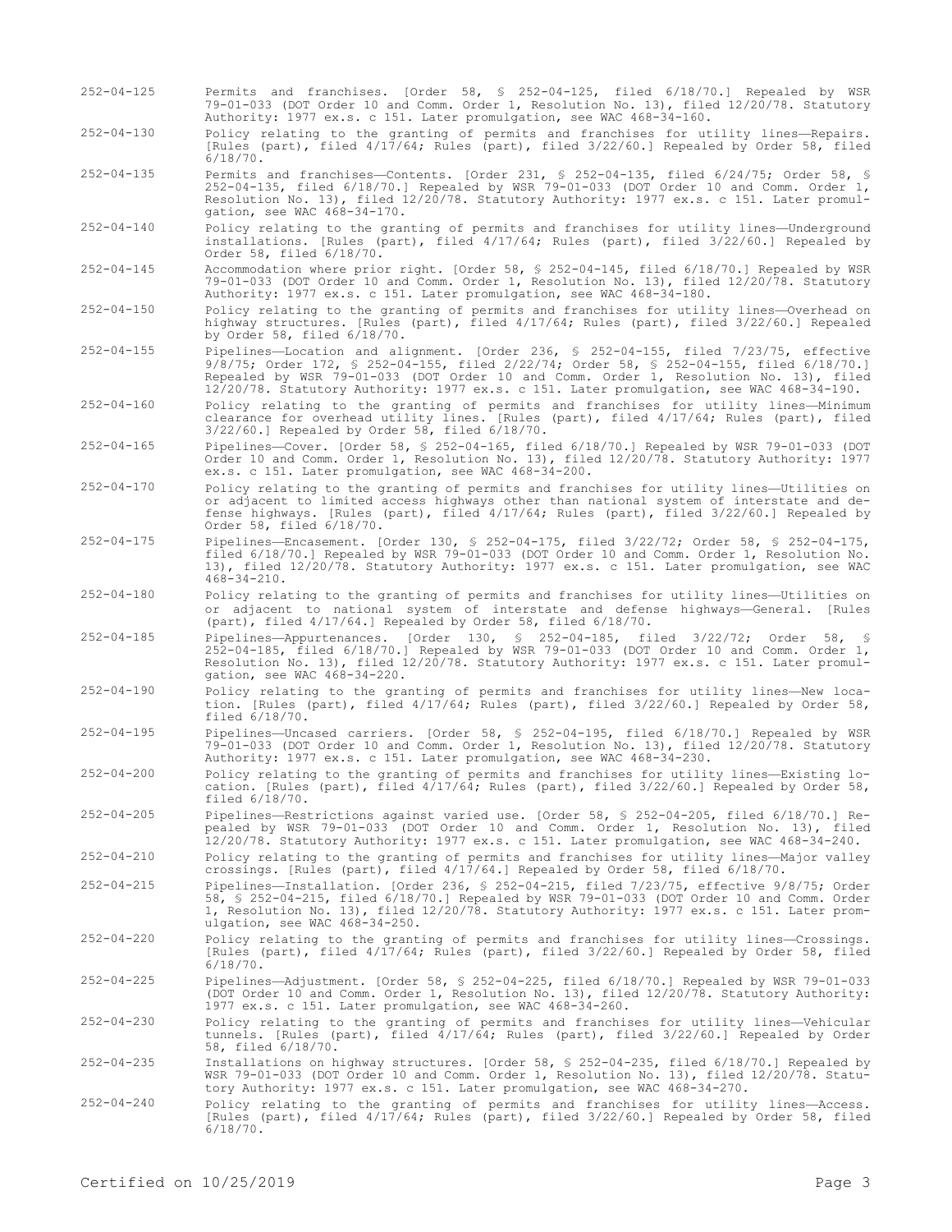- 252-04-125 Permits and franchises. [Order 58, § 252-04-125, filed 6/18/70.] Repealed by WSR 79-01-033 (DOT Order 10 and Comm. Order 1, Resolution No. 13), filed 12/20/78. Statutory Authority: 1977 ex.s. c 151. Later promulgation, see WAC 468-34-160.
- 252-04-130 Policy relating to the granting of permits and franchises for utility lines—Repairs. [Rules (part), filed 4/17/64; Rules (part), filed 3/22/60.] Repealed by Order 58, filed 6/18/70.
- 252-04-135 Permits and franchises—Contents. [Order 231, § 252-04-135, filed 6/24/75; Order 58, § 252-04-135, filed 6/18/70.] Repealed by WSR 79-01-033 (DOT Order 10 and Comm. Order 1, Resolution No. 13), filed 12/20/78. Statutory Authority: 1977 ex.s. c 151. Later promulgation, see WAC 468-34-170.
- 252-04-140 Policy relating to the granting of permits and franchises for utility lines—Underground installations. [Rules (part), filed 4/17/64; Rules (part), filed 3/22/60.] Repealed by Order 58, filed 6/18/70.
- 252-04-145 Accommodation where prior right. [Order 58, § 252-04-145, filed 6/18/70.] Repealed by WSR 79-01-033 (DOT Order 10 and Comm. Order 1, Resolution No. 13), filed 12/20/78. Statutory Authority: 1977 ex.s. c 151. Later promulgation, see WAC 468-34-180.
- 252-04-150 Policy relating to the granting of permits and franchises for utility lines—Overhead on highway structures. [Rules (part), filed 4/17/64; Rules (part), filed 3/22/60.] Repealed by Order 58, filed 6/18/70.
- 252-04-155 Pipelines—Location and alignment. [Order 236, § 252-04-155, filed 7/23/75, effective 9/8/75; Order 172, § 252-04-155, filed 2/22/74; Order 58, § 252-04-155, filed 6/18/70.] Repealed by WSR 79-01-033 (DOT Order 10 and Comm. Order 1, Resolution No. 13), filed 12/20/78. Statutory Authority: 1977 ex.s. c 151. Later promulgation, see WAC 468-34-190.
- 252-04-160 Policy relating to the granting of permits and franchises for utility lines—Minimum clearance for overhead utility lines. [Rules (part), filed 4/17/64; Rules (part), filed 3/22/60.] Repealed by Order 58, filed 6/18/70.
- 252-04-165 Pipelines—Cover. [Order 58, § 252-04-165, filed 6/18/70.] Repealed by WSR 79-01-033 (DOT Order 10 and Comm. Order 1, Resolution No. 13), filed 12/20/78. Statutory Authority: 1977 ex.s. c 151. Later promulgation, see WAC 468-34-200.
- 252-04-170 Policy relating to the granting of permits and franchises for utility lines—Utilities on or adjacent to limited access highways other than national system of interstate and defense highways. [Rules (part), filed 4/17/64; Rules (part), filed 3/22/60.] Repealed by Order 58, filed 6/18/70.
- 252-04-175 Pipelines—Encasement. [Order 130, § 252-04-175, filed 3/22/72; Order 58, § 252-04-175, filed 6/18/70.] Repealed by WSR 79-01-033 (DOT Order 10 and Comm. Order 1, Resolution No. 13), filed 12/20/78. Statutory Authority: 1977 ex.s. c 151. Later promulgation, see WAC 468-34-210.
- 252-04-180 Policy relating to the granting of permits and franchises for utility lines—Utilities on or adjacent to national system of interstate and defense highways—General. [Rules (part), filed 4/17/64.] Repealed by Order 58, filed 6/18/70.
- 252-04-185 Pipelines—Appurtenances. [Order 130, § 252-04-185, filed 3/22/72; Order 58, § 252-04-185, filed 6/18/70.] Repealed by WSR 79-01-033 (DOT Order 10 and Comm. Order 1, Resolution No. 13), filed 12/20/78. Statutory Authority: 1977 ex.s. c 151. Later promulgation, see WAC 468-34-220.
- 252-04-190 Policy relating to the granting of permits and franchises for utility lines—New location. [Rules (part), filed 4/17/64; Rules (part), filed 3/22/60.] Repealed by Order 58, filed 6/18/70.
- 252-04-195 Pipelines—Uncased carriers. [Order 58, § 252-04-195, filed 6/18/70.] Repealed by WSR 79-01-033 (DOT Order 10 and Comm. Order 1, Resolution No. 13), filed 12/20/78. Statutory Authority: 1977 ex.s. c 151. Later promulgation, see WAC 468-34-230.
- 252-04-200 Policy relating to the granting of permits and franchises for utility lines—Existing location. [Rules (part), filed 4/17/64; Rules (part), filed 3/22/60.] Repealed by Order 58, filed 6/18/70.
- 252-04-205 Pipelines—Restrictions against varied use. [Order 58, § 252-04-205, filed 6/18/70.] Repealed by WSR 79-01-033 (DOT Order 10 and Comm. Order 1, Resolution No. 13), filed 12/20/78. Statutory Authority: 1977 ex.s. c 151. Later promulgation, see WAC 468-34-240.
- 252-04-210 Policy relating to the granting of permits and franchises for utility lines—Major valley crossings. [Rules (part), filed 4/17/64.] Repealed by Order 58, filed 6/18/70.
- 252-04-215 Pipelines—Installation. [Order 236, § 252-04-215, filed 7/23/75, effective 9/8/75; Order 58, § 252-04-215, filed 6/18/70.] Repealed by WSR 79-01-033 (DOT Order 10 and Comm. Order 1, Resolution No. 13), filed 12/20/78. Statutory Authority: 1977 ex.s. c 151. Later promulgation, see WAC 468-34-250.
- 252-04-220 Policy relating to the granting of permits and franchises for utility lines—Crossings. [Rules (part), filed 4/17/64; Rules (part), filed 3/22/60.] Repealed by Order 58, filed 6/18/70.
- 252-04-225 Pipelines—Adjustment. [Order 58, § 252-04-225, filed 6/18/70.] Repealed by WSR 79-01-033 (DOT Order 10 and Comm. Order 1, Resolution No. 13), filed 12/20/78. Statutory Authority: 1977 ex.s. c 151. Later promulgation, see WAC 468-34-260.
- 252-04-230 Policy relating to the granting of permits and franchises for utility lines—Vehicular tunnels. [Rules (part), filed 4/17/64; Rules (part), filed 3/22/60.] Repealed by Order 58, filed 6/18/70.
- 252-04-235 Installations on highway structures. [Order 58, § 252-04-235, filed 6/18/70.] Repealed by WSR 79-01-033 (DOT Order 10 and Comm. Order 1, Resolution No. 13), filed 12/20/78. Statutory Authority: 1977 ex.s. c 151. Later promulgation, see WAC 468-34-270.
- 252-04-240 Policy relating to the granting of permits and franchises for utility lines—Access. [Rules (part), filed 4/17/64; Rules (part), filed 3/22/60.] Repealed by Order 58, filed  $6/18/70.$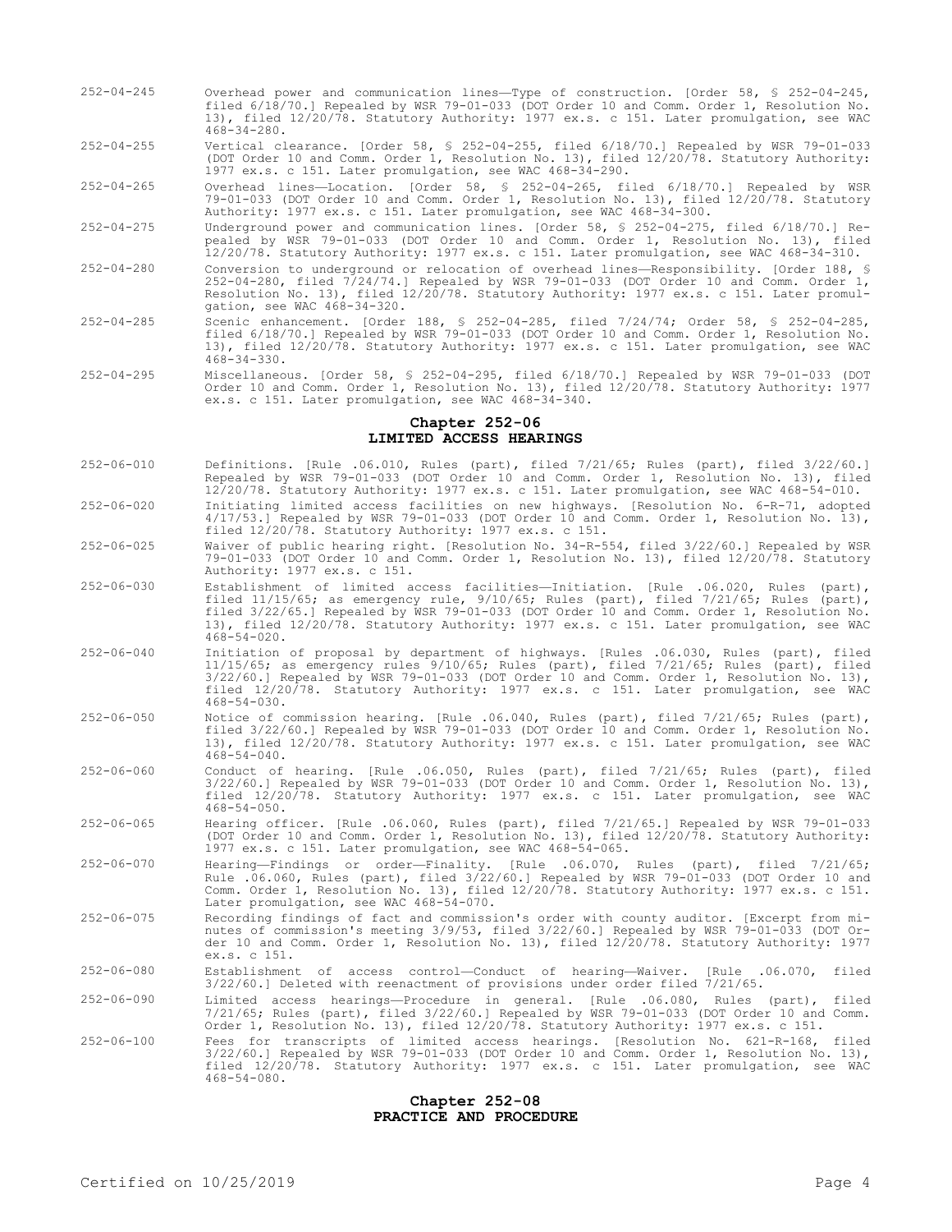252-04-245 Overhead power and communication lines—Type of construction. [Order 58, § 252-04-245, filed 6/18/70.] Repealed by WSR 79-01-033 (DOT Order 10 and Comm. Order 1, Resolution No. 13), filed 12/20/78. Statutory Authority: 1977 ex.s. c 151. Later promulgation, see WAC 468-34-280.

252-04-255 Vertical clearance. [Order 58, § 252-04-255, filed 6/18/70.] Repealed by WSR 79-01-033 (DOT Order 10 and Comm. Order 1, Resolution No. 13), filed 12/20/78. Statutory Authority: 1977 ex.s. c 151. Later promulgation, see WAC 468-34-290.

252-04-265 Overhead lines—Location. [Order 58, § 252-04-265, filed 6/18/70.] Repealed by WSR 79-01-033 (DOT Order 10 and Comm. Order 1, Resolution No. 13), filed 12/20/78. Statutory Authority: 1977 ex.s. c 151. Later promulgation, see WAC 468-34-300.

252-04-275 Underground power and communication lines. [Order 58, § 252-04-275, filed 6/18/70.] Repealed by WSR 79-01-033 (DOT Order 10 and Comm. Order 1, Resolution No. 13), filed 12/20/78. Statutory Authority: 1977 ex.s. c 151. Later promulgation, see WAC 468-34-310.

- 252-04-280 Conversion to underground or relocation of overhead lines—Responsibility. [Order 188, § 252-04-280, filed 7/24/74.] Repealed by WSR 79-01-033 (DOT Order 10 and Comm. Order 1, Resolution No. 13), filed 12/20/78. Statutory Authority: 1977 ex.s. c 151. Later promulgation, see WAC 468-34-320.
- 252-04-285 Scenic enhancement. [Order 188, § 252-04-285, filed 7/24/74; Order 58, § 252-04-285, filed 6/18/70.] Repealed by WSR 79-01-033 (DOT Order 10 and Comm. Order 1, Resolution No. 13), filed 12/20/78. Statutory Authority: 1977 ex.s. c 151. Later promulgation, see WAC 468-34-330.
- 252-04-295 Miscellaneous. [Order 58, § 252-04-295, filed 6/18/70.] Repealed by WSR 79-01-033 (DOT Order 10 and Comm. Order 1, Resolution No. 13), filed 12/20/78. Statutory Authority: 1977 ex.s. c 151. Later promulgation, see WAC 468-34-340.

#### **Chapter 252-06 LIMITED ACCESS HEARINGS**

- 252-06-010 Definitions. [Rule .06.010, Rules (part), filed 7/21/65; Rules (part), filed 3/22/60.] Repealed by WSR 79-01-033 (DOT Order 10 and Comm. Order 1, Resolution No. 13), filed 12/20/78. Statutory Authority: 1977 ex.s. c 151. Later promulgation, see WAC 468-54-010.
- 252-06-020 Initiating limited access facilities on new highways. [Resolution No. 6-R-71, adopted 4/17/53.] Repealed by WSR 79-01-033 (DOT Order 10 and Comm. Order 1, Resolution No. 13), filed 12/20/78. Statutory Authority: 1977 ex.s. c 151.
- 252-06-025 Waiver of public hearing right. [Resolution No. 34-R-554, filed 3/22/60.] Repealed by WSR 79-01-033 (DOT Order 10 and Comm. Order 1, Resolution No. 13), filed 12/20/78. Statutory Authority: 1977 ex.s. c 151.
- 252-06-030 Establishment of limited access facilities—Initiation. [Rule .06.020, Rules (part), filed  $11/15/65$ ; as emergency rule,  $9/10/65$ ; Rules (part), filed  $7/21/65$ ; Rules (part), filed 3/22/65.] Repealed by WSR 79-01-033 (DOT Order 10 and Comm. Order 1, Resolution No. 13), filed 12/20/78. Statutory Authority: 1977 ex.s. c 151. Later promulgation, see WAC 468-54-020.
- 252-06-040 Initiation of proposal by department of highways. [Rules .06.030, Rules (part), filed 11/15/65; as emergency rules 9/10/65; Rules (part), filed 7/21/65; Rules (part), filed 3/22/60.] Repealed by WSR 79-01-033 (DOT Order 10 and Comm. Order 1, Resolution No. 13), filed 12/20/78. Statutory Authority: 1977 ex.s. c 151. Later promulgation, see WAC 468-54-030.
- 252-06-050 Notice of commission hearing. [Rule .06.040, Rules (part), filed 7/21/65; Rules (part), filed 3/22/60.] Repealed by WSR 79-01-033 (DOT Order 10 and Comm. Order 1, Resolution No. 13), filed 12/20/78. Statutory Authority: 1977 ex.s. c 151. Later promulgation, see WAC  $468 - 54 - 040$ .
- 252-06-060 Conduct of hearing. [Rule .06.050, Rules (part), filed 7/21/65; Rules (part), filed 3/22/60.] Repealed by WSR 79-01-033 (DOT Order 10 and Comm. Order 1, Resolution No. 13), filed 12/20/78. Statutory Authority: 1977 ex.s. c 151. Later promulgation, see WAC 468-54-050.
- 252-06-065 Hearing officer. [Rule .06.060, Rules (part), filed 7/21/65.] Repealed by WSR 79-01-033 (DOT Order 10 and Comm. Order 1, Resolution No. 13), filed 12/20/78. Statutory Authority: 1977 ex.s. c 151. Later promulgation, see WAC 468-54-065.
- 252-06-070 Hearing—Findings or order—Finality. [Rule .06.070, Rules (part), filed 7/21/65; Rule .06.060, Rules (part), filed 3/22/60.] Repealed by WSR 79-01-033 (DOT Order 10 and Comm. Order 1, Resolution No. 13), filed 12/20/78. Statutory Authority: 1977 ex.s. c 151. Later promulgation, see WAC 468-54-070.
- 252-06-075 Recording findings of fact and commission's order with county auditor. [Excerpt from minutes of commission's meeting 3/9/53, filed 3/22/60.] Repealed by WSR 79-01-033 (DOT Order 10 and Comm. Order 1, Resolution No. 13), filed 12/20/78. Statutory Authority: 1977 ex.s. c 151.
- 252-06-080 Establishment of access control—Conduct of hearing—Waiver. [Rule .06.070, filed 3/22/60.] Deleted with reenactment of provisions under order filed 7/21/65.
- 252-06-090 Limited access hearings—Procedure in general. [Rule .06.080, Rules (part), filed 7/21/65; Rules (part), filed 3/22/60.] Repealed by WSR 79-01-033 (DOT Order 10 and Comm. Order 1, Resolution No. 13), filed 12/20/78. Statutory Authority: 1977 ex.s. c 151.
- 252-06-100 Fees for transcripts of limited access hearings. [Resolution No. 621-R-168, filed 3/22/60.] Repealed by WSR 79-01-033 (DOT Order 10 and Comm. Order 1, Resolution No. 13), filed 12/20/78. Statutory Authority: 1977 ex.s. c 151. Later promulgation, see WAC 468-54-080.

## **Chapter 252-08 PRACTICE AND PROCEDURE**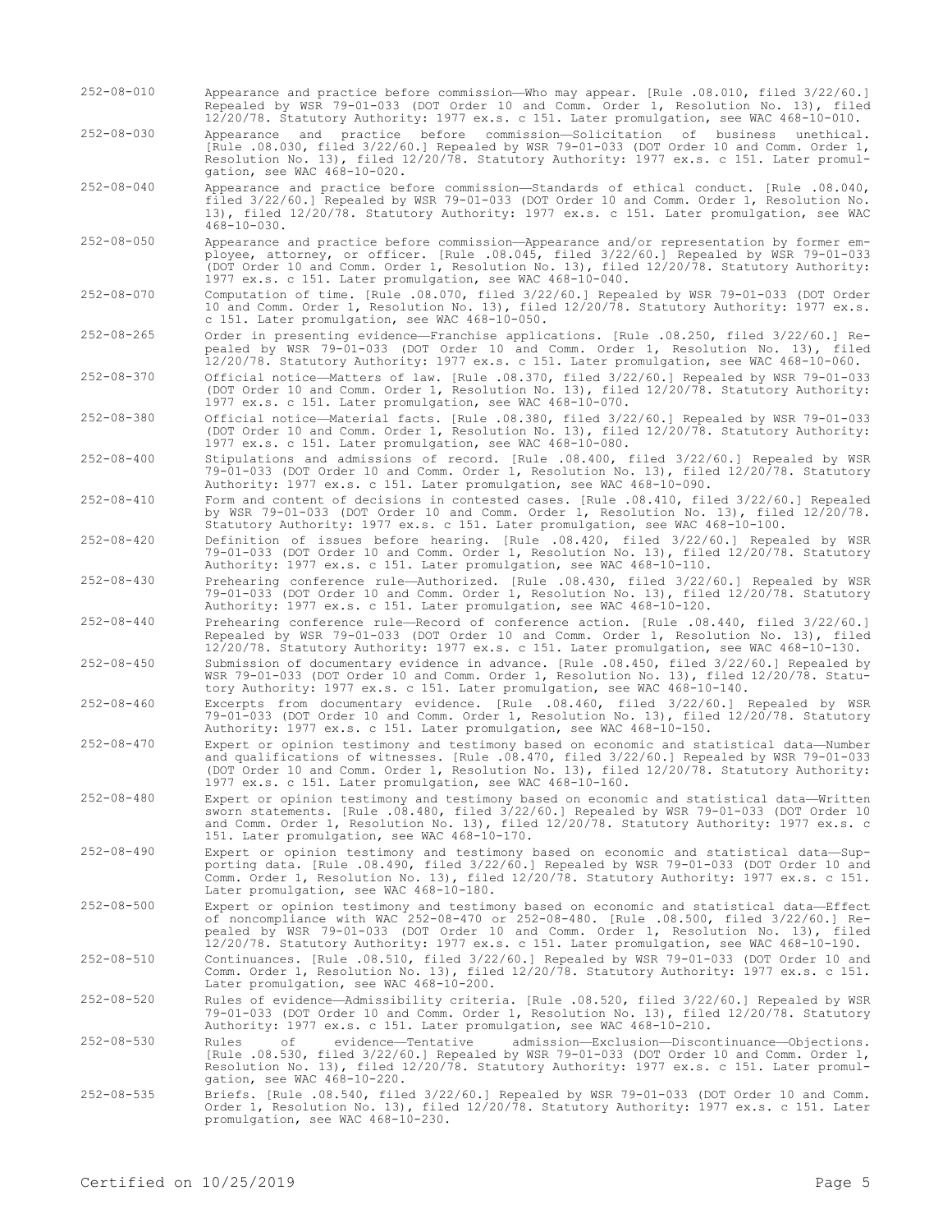- 252-08-010 Appearance and practice before commission—Who may appear. [Rule .08.010, filed 3/22/60.] Repealed by WSR 79-01-033 (DOT Order 10 and Comm. Order 1, Resolution No. 13), filed 12/20/78. Statutory Authority: 1977 ex.s. c 151. Later promulgation, see WAC 468-10-010.
- 252-08-030 Appearance and practice before commission—Solicitation of business unethical. [Rule .08.030, filed 3/22/60.] Repealed by WSR 79-01-033 (DOT Order 10 and Comm. Order 1, Resolution No. 13), filed 12/20/78. Statutory Authority: 1977 ex.s. c 151. Later promulgation, see WAC 468-10-020.
- 252-08-040 Appearance and practice before commission—Standards of ethical conduct. [Rule .08.040, filed 3/22/60.] Repealed by WSR 79-01-033 (DOT Order 10 and Comm. Order 1, Resolution No. 13), filed 12/20/78. Statutory Authority: 1977 ex.s. c 151. Later promulgation, see WAC 468-10-030.
- 252-08-050 Appearance and practice before commission—Appearance and/or representation by former employee, attorney, or officer. [Rule .08.045, filed 3/22/60.] Repealed by WSR 79-01-033 (DOT Order 10 and Comm. Order 1, Resolution No. 13), filed 12/20/78. Statutory Authority: 1977 ex.s. c 151. Later promulgation, see WAC 468-10-040.
- 252-08-070 Computation of time. [Rule .08.070, filed 3/22/60.] Repealed by WSR 79-01-033 (DOT Order 10 and Comm. Order 1, Resolution No. 13), filed 12/20/78. Statutory Authority: 1977 ex.s. c 151. Later promulgation, see WAC 468-10-050.
- 252-08-265 Order in presenting evidence—Franchise applications. [Rule .08.250, filed 3/22/60.] Repealed by WSR 79-01-033 (DOT Order 10 and Comm. Order 1, Resolution No. 13), filed 12/20/78. Statutory Authority: 1977 ex.s. c 151. Later promulgation, see WAC 468-10-060.
- 252-08-370 Official notice—Matters of law. [Rule .08.370, filed 3/22/60.] Repealed by WSR 79-01-033 (DOT Order 10 and Comm. Order 1, Resolution No. 13), filed 12/20/78. Statutory Authority: 1977 ex.s. c 151. Later promulgation, see WAC 468-10-070.
- 252-08-380 Official notice—Material facts. [Rule .08.380, filed 3/22/60.] Repealed by WSR 79-01-033 (DOT Order 10 and Comm. Order 1, Resolution No. 13), filed 12/20/78. Statutory Authority: 1977 ex.s. c 151. Later promulgation, see WAC 468-10-080.
- 252-08-400 Stipulations and admissions of record. [Rule .08.400, filed 3/22/60.] Repealed by WSR 79-01-033 (DOT Order 10 and Comm. Order 1, Resolution No. 13), filed 12/20/78. Statutory Authority: 1977 ex.s. c 151. Later promulgation, see WAC 468-10-090.
- 252-08-410 Form and content of decisions in contested cases. [Rule .08.410, filed 3/22/60.] Repealed by WSR 79-01-033 (DOT Order 10 and Comm. Order 1, Resolution No. 13), filed 12/20/78. Statutory Authority: 1977 ex.s. c 151. Later promulgation, see WAC 468-10-100.
- 252-08-420 Definition of issues before hearing. [Rule .08.420, filed 3/22/60.] Repealed by WSR 79-01-033 (DOT Order 10 and Comm. Order 1, Resolution No. 13), filed 12/20/78. Statutory Authority: 1977 ex.s. c 151. Later promulgation, see WAC 468-10-110.
- 252-08-430 Prehearing conference rule—Authorized. [Rule .08.430, filed 3/22/60.] Repealed by WSR 79-01-033 (DOT Order 10 and Comm. Order 1, Resolution No. 13), filed 12/20/78. Statutory Authority: 1977 ex.s. c 151. Later promulgation, see WAC 468-10-120.
- 252-08-440 Prehearing conference rule—Record of conference action. [Rule .08.440, filed 3/22/60.] Repealed by WSR 79-01-033 (DOT Order 10 and Comm. Order 1, Resolution No. 13), filed 12/20/78. Statutory Authority: 1977 ex.s. c 151. Later promulgation, see WAC 468-10-130.
- 252-08-450 Submission of documentary evidence in advance. [Rule .08.450, filed 3/22/60.] Repealed by WSR 79-01-033 (DOT Order 10 and Comm. Order 1, Resolution No. 13), filed 12/20/78. Statutory Authority: 1977 ex.s. c 151. Later promulgation, see WAC 468-10-140.
- 252-08-460 Excerpts from documentary evidence. [Rule .08.460, filed 3/22/60.] Repealed by WSR 79-01-033 (DOT Order 10 and Comm. Order 1, Resolution No. 13), filed 12/20/78. Statutory Authority: 1977 ex.s. c 151. Later promulgation, see WAC 468-10-150.
- 252-08-470 Expert or opinion testimony and testimony based on economic and statistical data—Number and qualifications of witnesses. [Rule .08.470, filed 3/22/60.] Repealed by WSR 79-01-033 (DOT Order 10 and Comm. Order 1, Resolution No. 13), filed 12/20/78. Statutory Authority: 1977 ex.s. c 151. Later promulgation, see WAC 468-10-160.
- 252-08-480 Expert or opinion testimony and testimony based on economic and statistical data—Written sworn statements. [Rule .08.480, filed 3/22/60.] Repealed by WSR 79-01-033 (DOT Order 10 and Comm. Order 1, Resolution No. 13), filed 12/20/78. Statutory Authority: 1977 ex.s. c 151. Later promulgation, see WAC 468-10-170.
- 252-08-490 Expert or opinion testimony and testimony based on economic and statistical data—Supporting data. [Rule .08.490, filed 3/22/60.] Repealed by WSR 79-01-033 (DOT Order 10 and Comm. Order 1, Resolution No. 13), filed 12/20/78. Statutory Authority: 1977 ex.s. c 151. Later promulgation, see WAC 468-10-180.
- 252-08-500 Expert or opinion testimony and testimony based on economic and statistical data—Effect of noncompliance with WAC 252-08-470 or 252-08-480. [Rule .08.500, filed 3/22/60.] Repealed by WSR 79-01-033 (DOT Order 10 and Comm. Order 1, Resolution No. 13), filed 12/20/78. Statutory Authority: 1977 ex.s. c 151. Later promulgation, see WAC 468-10-190.
- 252-08-510 Continuances. [Rule .08.510, filed 3/22/60.] Repealed by WSR 79-01-033 (DOT Order 10 and Comm. Order 1, Resolution No. 13), filed 12/20/78. Statutory Authority: 1977 ex.s. c 151. Later promulgation, see WAC 468-10-200.
- 252-08-520 Rules of evidence—Admissibility criteria. [Rule .08.520, filed 3/22/60.] Repealed by WSR 79-01-033 (DOT Order 10 and Comm. Order 1, Resolution No. 13), filed 12/20/78. Statutory Authority: 1977 ex.s. c 151. Later promulgation, see WAC 468-10-210.
- 252-08-530 Rules of evidence—Tentative admission—Exclusion—Discontinuance—Objections. [Rule .08.530, filed 3/22/60.] Repealed by WSR 79-01-033 (DOT Order 10 and Comm. Order 1, Resolution No. 13), filed 12/20/78. Statutory Authority: 1977 ex.s. c 151. Later promulgation, see WAC 468-10-220.
- 252-08-535 Briefs. [Rule .08.540, filed 3/22/60.] Repealed by WSR 79-01-033 (DOT Order 10 and Comm. Order 1, Resolution No. 13), filed 12/20/78. Statutory Authority: 1977 ex.s. c 151. Later promulgation, see WAC 468-10-230.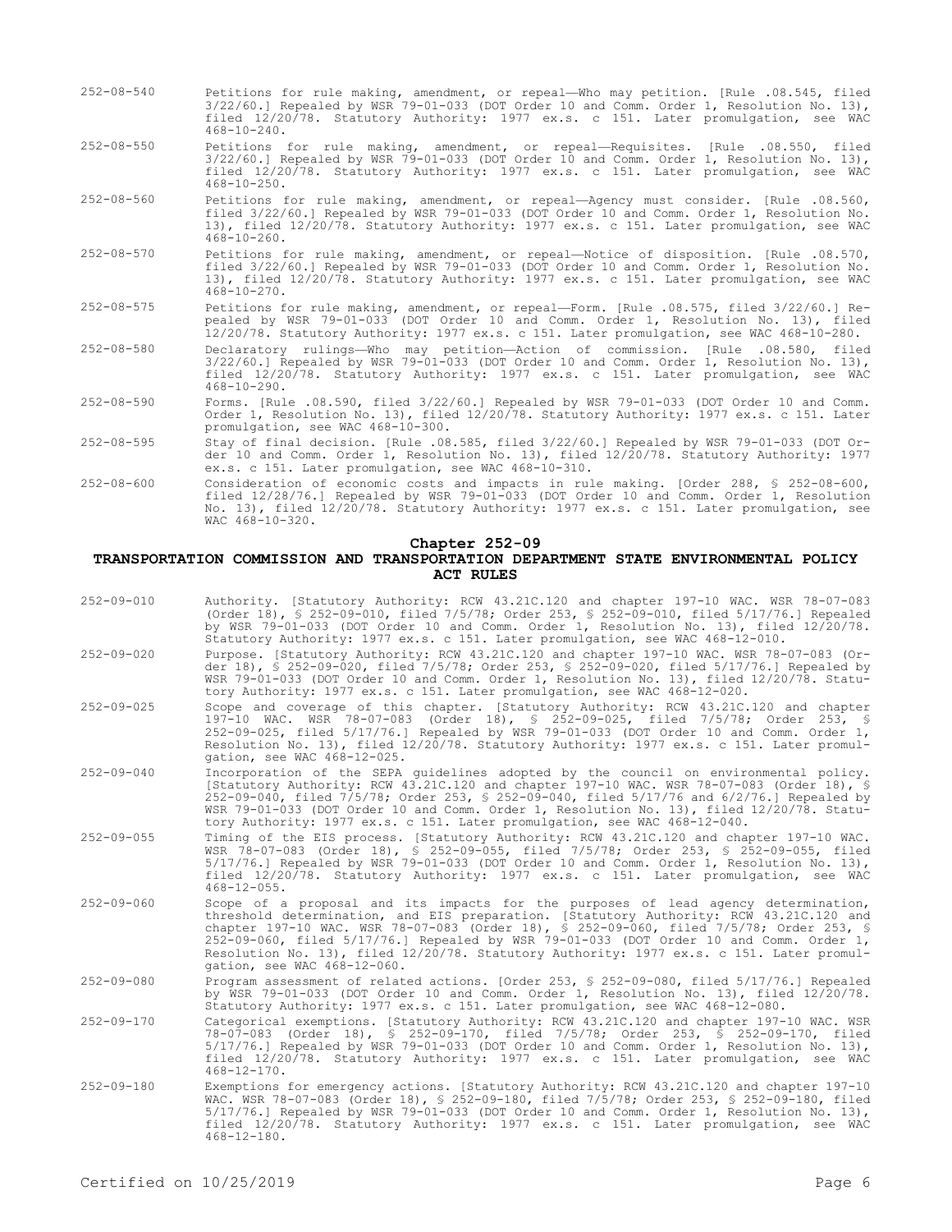| $252 - 08 - 540$ | Petitions for rule making, amendment, or repeal-Who may petition. [Rule .08.545, filed<br>3/22/60.] Repealed by WSR 79-01-033 (DOT Order 10 and Comm. Order 1, Resolution No. 13),<br>filed 12/20/78. Statutory Authority: 1977 ex.s. c 151. Later promulgation, see WAC<br>$468 - 10 - 240$ .      |
|------------------|-----------------------------------------------------------------------------------------------------------------------------------------------------------------------------------------------------------------------------------------------------------------------------------------------------|
| $252 - 08 - 550$ | Petitions for rule making, amendment, or repeal-Requisites. [Rule .08.550, filed<br>$3/22/60.$ ] Repealed by WSR 79-01-033 (DOT Order 10 and Comm. Order 1, Resolution No. 13),<br>filed 12/20/78. Statutory Authority: 1977 ex.s. c 151. Later promulgation, see WAC<br>$468 - 10 - 250$ .         |
| $252 - 08 - 560$ | Petitions for rule making, amendment, or repeal-Agency must consider. [Rule .08.560,<br>filed 3/22/60.1 Repealed by WSR 79-01-033 (DOT Order 10 and Comm. Order 1, Resolution No.<br>13), filed 12/20/78. Statutory Authority: 1977 ex.s. c 151. Later promulgation, see WAC<br>$468 - 10 - 260$ .  |
| $252 - 08 - 570$ | Petitions for rule making, amendment, or repeal-Notice of disposition. [Rule .08.570,<br>filed 3/22/60.1 Repealed by WSR 79-01-033 (DOT Order 10 and Comm. Order 1, Resolution No.<br>13), filed 12/20/78. Statutory Authority: 1977 ex.s. c 151. Later promulgation, see WAC<br>$468 - 10 - 270$ . |
| $252 - 08 - 575$ | Petitions for rule making, amendment, or repeal-Form. [Rule .08.575, filed 3/22/60.] Re-<br>pealed by WSR 79-01-033 (DOT Order 10 and Comm. Order 1, Resolution No. 13), filed<br>12/20/78. Statutory Authority: 1977 ex.s. c 151. Later promulgation, see WAC 468-10-280.                          |
| $252 - 08 - 580$ | Declaratory rulings-Who may petition-Action of commission. [Rule .08.580, filed<br>$3/22/60.$ Repealed by WSR 79-01-033 (DOT Order 10 and Comm. Order 1, Resolution No. 13),<br>filed 12/20/78. Statutory Authority: 1977 ex.s. c 151. Later promulgation, see WAC<br>$468 - 10 - 290$ .            |
| $252 - 08 - 590$ | Forms. [Rule .08.590, filed 3/22/60.] Repealed by WSR 79-01-033 (DOT Order 10 and Comm.<br>Order 1, Resolution No. 13), filed 12/20/78. Statutory Authority: 1977 ex.s. c 151. Later<br>promulgation, see WAC 468-10-300.                                                                           |
| $252 - 08 - 595$ | Stay of final decision. [Rule .08.585, filed 3/22/60.] Repealed by WSR 79-01-033 (DOT Or-<br>der 10 and Comm. Order 1, Resolution No. 13), filed 12/20/78. Statutory Authority: 1977<br>ex.s. c 151. Later promulgation, see WAC 468-10-310.                                                        |
| $252 - 08 - 600$ | Consideration of economic costs and impacts in rule making. [Order 288, § 252-08-600,<br>filed 12/28/76.] Repealed by WSR 79-01-033 (DOT Order 10 and Comm. Order 1, Resolution<br>No. 13), filed 12/20/78. Statutory Authority: 1977 ex.s. c 151. Later promulgation, see                          |

# **Chapter 252-09**

## **TRANSPORTATION COMMISSION AND TRANSPORTATION DEPARTMENT STATE ENVIRONMENTAL POLICY ACT RULES**

| $252 - 09 - 010$ | Authority. [Statutory Authority: RCW 43.21C.120 and chapter 197-10 WAC. WSR 78-07-083<br>(Order 18), § 252-09-010, filed 7/5/78; Order 253, § 252-09-010, filed 5/17/76.] Repealed<br>by WSR 79-01-033 (DOT Order 10 and Comm. Order 1, Resolution No. 13), filed 12/20/78.<br>Statutory Authority: 1977 ex.s. c 151. Later promulgation, see WAC 468-12-010.                                                                                                                               |
|------------------|---------------------------------------------------------------------------------------------------------------------------------------------------------------------------------------------------------------------------------------------------------------------------------------------------------------------------------------------------------------------------------------------------------------------------------------------------------------------------------------------|
| $252 - 09 - 020$ | Purpose. [Statutory Authority: RCW 43.21C.120 and chapter 197-10 WAC. WSR 78-07-083 (Or-<br>der 18), § 252-09-020, filed 7/5/78; Order 253, § 252-09-020, filed 5/17/76.] Repealed by<br>WSR 79-01-033 (DOT Order 10 and Comm. Order 1, Resolution No. 13), filed 12/20/78. Statu-<br>tory Authority: 1977 ex.s. c 151. Later promulgation, see WAC 468-12-020.                                                                                                                             |
| $252 - 09 - 025$ | Scope and coverage of this chapter. [Statutory Authority: RCW 43.21C.120 and chapter<br>197-10 WAC. WSR 78-07-083 (Order 18), § 252-09-025, filed 7/5/78; Order 253, §<br>252-09-025, filed 5/17/76.] Repealed by WSR 79-01-033 (DOT Order 10 and Comm. Order 1,<br>Resolution No. 13), filed 12/20/78. Statutory Authority: 1977 ex.s. c 151. Later promul-<br>gation, see WAC 468-12-025.                                                                                                 |
| $252 - 09 - 040$ | Incorporation of the SEPA quidelines adopted by the council on environmental policy.<br>[Statutory Authority: RCW 43.21C.120 and chapter 197-10 WAC. WSR 78-07-083 (Order 18), §<br>252-09-040, filed 7/5/78; Order 253, § 252-09-040, filed 5/17/76 and 6/2/76.1 Repealed by<br>WSR 79-01-033 (DOT Order 10 and Comm. Order 1, Resolution No. 13), filed 12/20/78. Statu-<br>tory Authority: 1977 ex.s. c 151. Later promulgation, see WAC 468-12-040.                                     |
| $252 - 09 - 055$ | Timing of the EIS process. [Statutory Authority: RCW 43.21C.120 and chapter 197-10 WAC.<br>WSR 78-07-083 (Order 18), § 252-09-055, filed 7/5/78; Order 253, § 252-09-055, filed<br>5/17/76.1 Repealed by WSR 79-01-033 (DOT Order 10 and Comm. Order 1, Resolution No. 13),<br>filed 12/20/78. Statutory Authority: 1977 ex.s. c 151. Later promulgation, see WAC<br>$468 - 12 - 055$ .                                                                                                     |
| $252 - 09 - 060$ | Scope of a proposal and its impacts for the purposes of lead agency determination,<br>threshold determination, and EIS preparation. [Statutory Authority: RCW 43.21C.120 and<br>chapter 197-10 WAC. WSR 78-07-083 (Order 18), § 252-09-060, filed 7/5/78; Order 253, §<br>252-09-060, filed 5/17/76.1 Repealed by WSR 79-01-033 (DOT Order 10 and Comm. Order 1,<br>Resolution No. 13), filed 12/20/78. Statutory Authority: 1977 ex.s. c 151. Later promul-<br>gation, see WAC 468-12-060. |
| $252 - 09 - 080$ | Program assessment of related actions. [Order 253, § 252-09-080, filed 5/17/76.] Repealed<br>by WSR 79-01-033 (DOT Order 10 and Comm. Order 1, Resolution No. 13), filed 12/20/78.<br>Statutory Authority: 1977 ex.s. c 151. Later promulgation, see WAC 468-12-080.                                                                                                                                                                                                                        |
| $252 - 09 - 170$ | Categorical exemptions. [Statutory Authority: RCW 43.21C.120 and chapter 197-10 WAC. WSR<br>78-07-083 (Order 18), § 252-09-170, filed 7/5/78; Order 253, § 252-09-170, filed<br>5/17/76.] Repealed by WSR 79-01-033 (DOT Order 10 and Comm. Order 1, Resolution No. 13),<br>filed 12/20/78. Statutory Authority: 1977 ex.s. c 151. Later promulgation, see WAC<br>$468 - 12 - 170$ .                                                                                                        |
| $252 - 09 - 180$ | Exemptions for emergency actions. [Statutory Authority: RCW 43.21C.120 and chapter 197-10<br>WAC. WSR 78-07-083 (Order 18), § 252-09-180, filed 7/5/78; Order 253, § 252-09-180, filed<br>5/17/76.] Repealed by WSR 79-01-033 (DOT Order 10 and Comm. Order 1, Resolution No. 13),<br>filed 12/20/78. Statutory Authority: 1977 ex.s. c 151. Later promulgation, see WAC                                                                                                                    |

468-12-180.

WAC 468-10-320.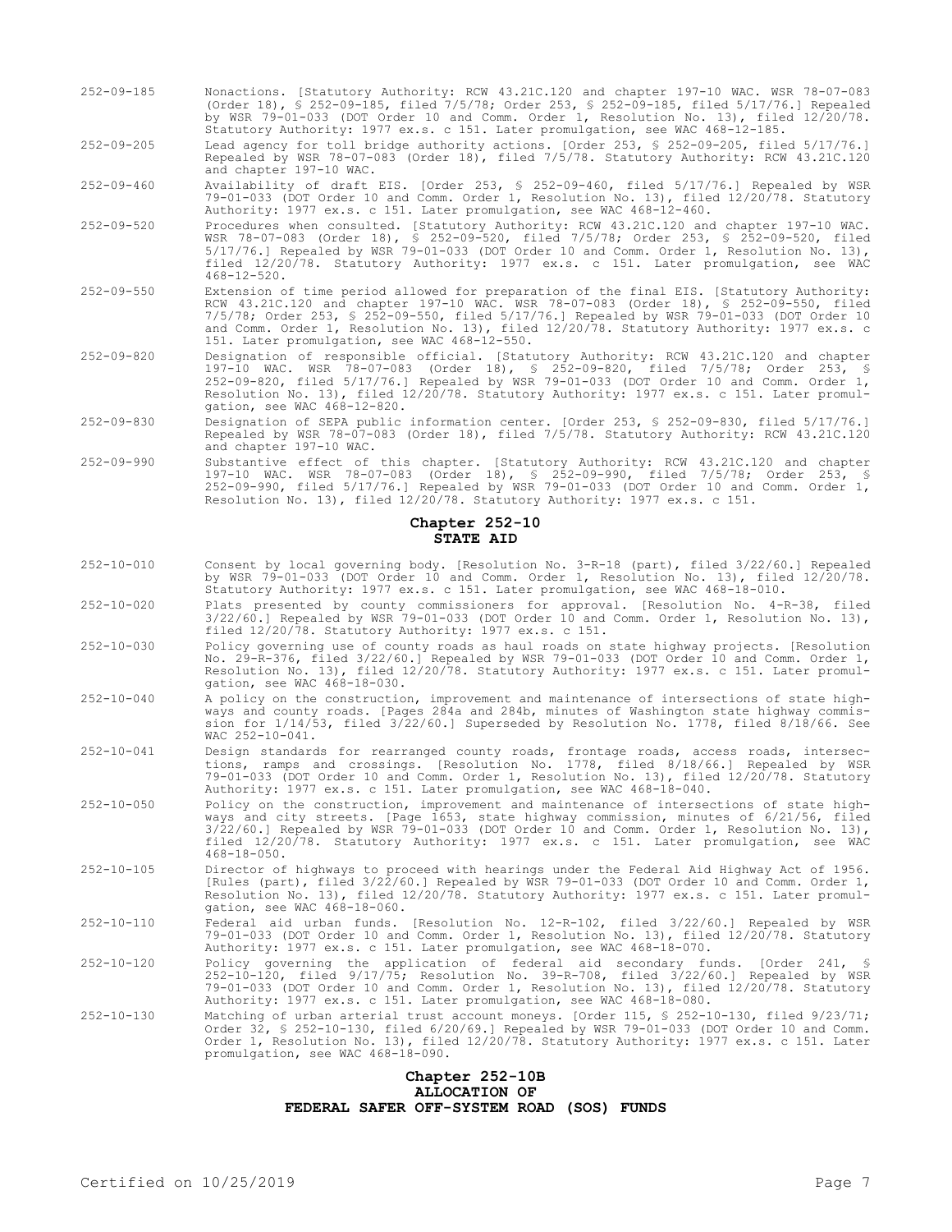- 252-09-185 Nonactions. [Statutory Authority: RCW 43.21C.120 and chapter 197-10 WAC. WSR 78-07-083 (Order 18), § 252-09-185, filed 7/5/78; Order 253, § 252-09-185, filed 5/17/76.] Repealed by WSR 79-01-033 (DOT Order 10 and Comm. Order 1, Resolution No. 13), filed 12/20/78. Statutory Authority: 1977 ex.s. c 151. Later promulgation, see WAC 468-12-185.
- 252-09-205 Lead agency for toll bridge authority actions. [Order 253, § 252-09-205, filed 5/17/76.] Repealed by WSR 78-07-083 (Order 18), filed 7/5/78. Statutory Authority: RCW 43.21C.120 and chapter 197-10 WAC.

252-09-460 Availability of draft EIS. [Order 253, § 252-09-460, filed 5/17/76.] Repealed by WSR 79-01-033 (DOT Order 10 and Comm. Order 1, Resolution No. 13), filed 12/20/78. Statutory Authority: 1977 ex.s. c 151. Later promulgation, see WAC 468-12-460.

- 252-09-520 Procedures when consulted. [Statutory Authority: RCW 43.21C.120 and chapter 197-10 WAC. WSR 78-07-083 (Order 18), § 252-09-520, filed 7/5/78; Order 253, § 252-09-520, filed 5/17/76.] Repealed by WSR 79-01-033 (DOT Order 10 and Comm. Order 1, Resolution No. 13), filed 12/20/78. Statutory Authority: 1977 ex.s. c 151. Later promulgation, see WAC 468-12-520.
- 252-09-550 Extension of time period allowed for preparation of the final EIS. [Statutory Authority: RCW 43.21C.120 and chapter 197-10 WAC. WSR 78-07-083 (Order 18), § 252-09-550, filed 7/5/78; Order 253, § 252-09-550, filed 5/17/76.] Repealed by WSR 79-01-033 (DOT Order 10 and Comm. Order 1, Resolution No. 13), filed 12/20/78. Statutory Authority: 1977 ex.s. c 151. Later promulgation, see WAC 468-12-550.
- 252-09-820 Designation of responsible official. [Statutory Authority: RCW 43.21C.120 and chapter 197-10 WAC. WSR 78-07-083 (Order 18), § 252-09-820, filed 7/5/78; Order 253, § 252-09-820, filed 5/17/76.] Repealed by WSR 79-01-033 (DOT Order 10 and Comm. Order 1, Resolution No. 13), filed 12/20/78. Statutory Authority: 1977 ex.s. c 151. Later promul-<br>gation, see WAC 468-12-820. gation, see WAC 468-12-820.
- 252-09-830 Designation of SEPA public information center. [Order 253, § 252-09-830, filed 5/17/76.] Repealed by WSR 78-07-083 (Order 18), filed 7/5/78. Statutory Authority: RCW 43.21C.120 and chapter 197-10 WAC.
- 252-09-990 Substantive effect of this chapter. [Statutory Authority: RCW 43.21C.120 and chapter 197-10 WAC. WSR 78-07-083 (Order 18), § 252-09-990, filed 7/5/78; Order 253, § 252-09-990, filed 5/17/76.] Repealed by WSR 79-01-033 (DOT Order 10 and Comm. Order 1, Resolution No. 13), filed 12/20/78. Statutory Authority: 1977 ex.s. c 151.

#### **Chapter 252-10 STATE AID**

- 252-10-010 Consent by local governing body. [Resolution No. 3-R-18 (part), filed 3/22/60.] Repealed by WSR 79-01-033 (DOT Order 10 and Comm. Order 1, Resolution No. 13), filed 12/20/78. Statutory Authority: 1977 ex.s. c 151. Later promulgation, see WAC 468-18-010.
- 252-10-020 Plats presented by county commissioners for approval. [Resolution No. 4-R-38, filed 3/22/60.] Repealed by WSR 79-01-033 (DOT Order 10 and Comm. Order 1, Resolution No. 13), filed 12/20/78. Statutory Authority: 1977 ex.s. c 151.
- 252-10-030 Policy governing use of county roads as haul roads on state highway projects. [Resolution No. 29-R-376, filed 3/22/60.] Repealed by WSR 79-01-033 (DOT Order 10 and Comm. Order 1, Resolution No. 13), filed 12/20/78. Statutory Authority: 1977 ex.s. c 151. Later promulgation, see WAC 468-18-030.
- 252-10-040 A policy on the construction, improvement and maintenance of intersections of state highways and county roads. [Pages 284a and 284b, minutes of Washington state highway commission for 1/14/53, filed 3/22/60.] Superseded by Resolution No. 1778, filed 8/18/66. See WAC 252-10-041.
- 252-10-041 Design standards for rearranged county roads, frontage roads, access roads, intersections, ramps and crossings. [Resolution No. 1778, filed 8/18/66.] Repealed by WSR 79-01-033 (DOT Order 10 and Comm. Order 1, Resolution No. 13), filed 12/20/78. Statutory Authority: 1977 ex.s. c 151. Later promulgation, see WAC 468-18-040.
- 252-10-050 Policy on the construction, improvement and maintenance of intersections of state highways and city streets. [Page 1653, state highway commission, minutes of 6/21/56, filed 3/22/60.] Repealed by WSR 79-01-033 (DOT Order 10 and Comm. Order 1, Resolution No. 13), filed 12/20/78. Statutory Authority: 1977 ex.s. c 151. Later promulgation, see WAC 468-18-050.
- 252-10-105 Director of highways to proceed with hearings under the Federal Aid Highway Act of 1956. [Rules (part), filed 3/22/60.] Repealed by WSR 79-01-033 (DOT Order 10 and Comm. Order 1, Resolution No. 13), filed 12/20/78. Statutory Authority: 1977 ex.s. c 151. Later promulgation, see WAC 468-18-060.
- 252-10-110 Federal aid urban funds. [Resolution No. 12-R-102, filed 3/22/60.] Repealed by WSR 79-01-033 (DOT Order 10 and Comm. Order 1, Resolution No. 13), filed 12/20/78. Statutory Authority: 1977 ex.s. c 151. Later promulgation, see WAC 468-18-070.
- 252-10-120 Policy governing the application of federal aid secondary funds. [Order 241, § 252-10-120, filed 9/17/75; Resolution No. 39-R-708, filed 3/22/60.] Repealed by WSR 79-01-033 (DOT Order 10 and Comm. Order 1, Resolution No. 13), filed 12/20/78. Statutory Authority: 1977 ex.s. c 151. Later promulgation, see WAC 468-18-080.
- Matching of urban arterial trust account moneys. [Order 115, § 252-10-130, filed 9/23/71;<br>Order 32, § 252-10-130, filed 6/20/69.] Repealed by WSR 79-01-033 (DOT Order 10 and Comm.<br>Order 1, Resolution No. 13), filed 12/20/7 promulgation, see WAC 468-18-090.

#### **Chapter 252-10B ALLOCATION OF FEDERAL SAFER OFF-SYSTEM ROAD (SOS) FUNDS**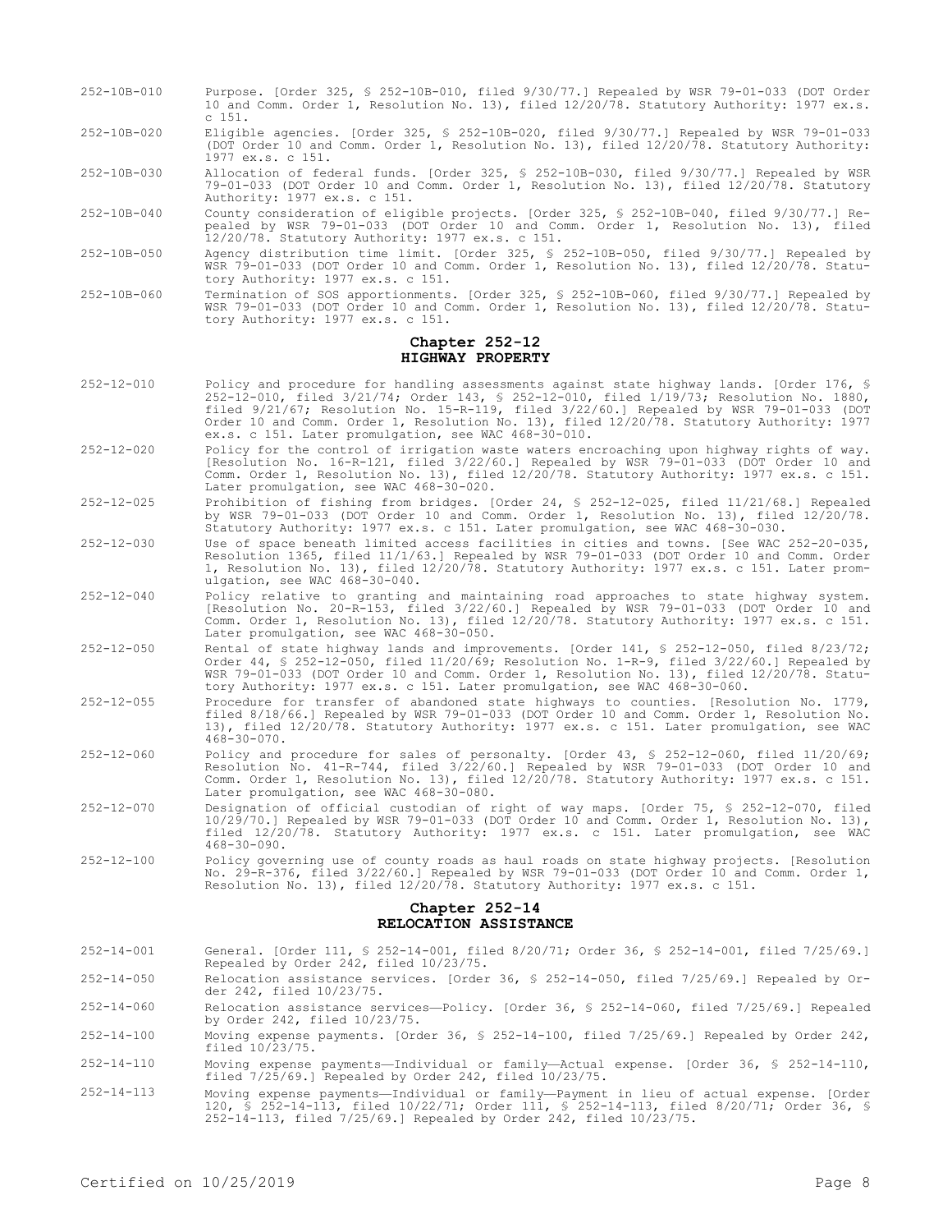- 252-10B-010 Purpose. [Order 325, § 252-10B-010, filed 9/30/77.] Repealed by WSR 79-01-033 (DOT Order 10 and Comm. Order 1, Resolution No. 13), filed 12/20/78. Statutory Authority: 1977 ex.s. c 151.
- 252-10B-020 Eligible agencies. [Order 325, § 252-10B-020, filed 9/30/77.] Repealed by WSR 79-01-033 (DOT Order 10 and Comm. Order 1, Resolution No. 13), filed 12/20/78. Statutory Authority: 1977 ex.s. c 151.
- 252-10B-030 Allocation of federal funds. [Order 325, § 252-10B-030, filed 9/30/77.] Repealed by WSR 79-01-033 (DOT Order 10 and Comm. Order 1, Resolution No. 13), filed 12/20/78. Statutory Authority: 1977 ex.s. c 151.
- 252-10B-040 County consideration of eligible projects. [Order 325, § 252-10B-040, filed 9/30/77.] Repealed by WSR 79-01-033 (DOT Order 10 and Comm. Order 1, Resolution No. 13), filed 12/20/78. Statutory Authority: 1977 ex.s. c 151.
- 252-10B-050 Agency distribution time limit. [Order 325, § 252-10B-050, filed 9/30/77.] Repealed by WSR 79-01-033 (DOT Order 10 and Comm. Order 1, Resolution No. 13), filed 12/20/78. Statutory Authority: 1977 ex.s. c 151.
- 252-10B-060 Termination of SOS apportionments. [Order 325, § 252-10B-060, filed 9/30/77.] Repealed by WSR 79-01-033 (DOT Order 10 and Comm. Order 1, Resolution No. 13), filed 12/20/78. Statutory Authority: 1977 ex.s. c 151.

### **Chapter 252-12 HIGHWAY PROPERTY**

- 252-12-010 Policy and procedure for handling assessments against state highway lands. [Order 176, § 252-12-010, filed 3/21/74; Order 143, § 252-12-010, filed 1/19/73; Resolution No. 1880, filed 9/21/67; Resolution No. 15-R-119, filed 3/22/60.] Repealed by WSR 79-01-033 (DOT Order 10 and Comm. Order 1, Resolution No. 13), filed 12/20/78. Statutory Authority: 1977 ex.s. c 151. Later promulgation, see WAC 468-30-010.
- 252-12-020 Policy for the control of irrigation waste waters encroaching upon highway rights of way. [Resolution No. 16-R-121, filed 3/22/60.] Repealed by WSR 79-01-033 (DOT Order 10 and Comm. Order 1, Resolution No. 13), filed 12/20/78. Statutory Authority: 1977 ex.s. c 151. Later promulgation, see WAC 468-30-020.
- 252-12-025 Prohibition of fishing from bridges. [Order 24, § 252-12-025, filed 11/21/68.] Repealed by WSR 79-01-033 (DOT Order 10 and Comm. Order 1, Resolution No. 13), filed 12/20/78. Statutory Authority: 1977 ex.s. c 151. Later promulgation, see WAC 468-30-030.
- 252-12-030 Use of space beneath limited access facilities in cities and towns. [See WAC 252-20-035, Resolution 1365, filed 11/1/63.] Repealed by WSR 79-01-033 (DOT Order 10 and Comm. Order 1, Resolution No. 13), filed 12/20/78. Statutory Authority: 1977 ex.s. c 151. Later promulgation, see WAC 468-30-040.
- 252-12-040 Policy relative to granting and maintaining road approaches to state highway system. [Resolution No. 20-R-153, filed 3/22/60.] Repealed by WSR 79-01-033 (DOT Order 10 and Comm. Order 1, Resolution No. 13), filed 12/20/78. Statutory Authority: 1977 ex.s. c 151. Later promulgation, see WAC 468-30-050.
- 252-12-050 Rental of state highway lands and improvements. [Order 141, § 252-12-050, filed 8/23/72; Order 44, § 252-12-050, filed 11/20/69; Resolution No. 1-R-9, filed 3/22/60.] Repealed by WSR 79-01-033 (DOT Order 10 and Comm. Order 1, Resolution No. 13), filed 12/20/78. Statutory Authority: 1977 ex.s. c 151. Later promulgation, see WAC 468-30-060.
- 252-12-055 Procedure for transfer of abandoned state highways to counties. [Resolution No. 1779, filed 8/18/66.] Repealed by WSR 79-01-033 (DOT Order 10 and Comm. Order 1, Resolution No. 13), filed 12/20/78. Statutory Authority: 1977 ex.s. c 151. Later promulgation, see WAC  $468 - 30 - 070$ .
- 252-12-060 Policy and procedure for sales of personalty. [Order 43, § 252-12-060, filed 11/20/69; Resolution No. 41-R-744, filed 3/22/60.] Repealed by WSR 79-01-033 (DOT Order 10 and Comm. Order 1, Resolution No. 13), filed 12/20/78. Statutory Authority: 1977 ex.s. c 151. Later promulgation, see WAC 468-30-080.
- 252-12-070 Designation of official custodian of right of way maps. [Order 75, § 252-12-070, filed 10/29/70.] Repealed by WSR 79-01-033 (DOT Order 10 and Comm. Order 1, Resolution No. 13), filed 12/20/78. Statutory Authority: 1977 ex.s. c 151. Later promulgation, see WAC 468-30-090.
- 252-12-100 Policy governing use of county roads as haul roads on state highway projects. [Resolution No. 29-R-376, filed 3/22/60.] Repealed by WSR 79-01-033 (DOT Order 10 and Comm. Order 1, Resolution No. 13), filed 12/20/78. Statutory Authority: 1977 ex.s. c 151.

## **Chapter 252-14 RELOCATION ASSISTANCE**

- 252-14-001 General. [Order 111, § 252-14-001, filed 8/20/71; Order 36, § 252-14-001, filed 7/25/69.] Repealed by Order 242, filed 10/23/75. 252-14-050 Relocation assistance services. [Order 36, § 252-14-050, filed 7/25/69.] Repealed by Order 242, filed 10/23/75.
- 252-14-060 Relocation assistance services—Policy. [Order 36, § 252-14-060, filed 7/25/69.] Repealed by Order 242, filed 10/23/75.
- 252-14-100 Moving expense payments. [Order 36, § 252-14-100, filed 7/25/69.] Repealed by Order 242, filed 10/23/75.
- 252-14-110 Moving expense payments—Individual or family—Actual expense. [Order 36, § 252-14-110, filed 7/25/69.] Repealed by Order 242, filed 10/23/75.
- 252-14-113 Moving expense payments—Individual or family—Payment in lieu of actual expense. [Order 120, § 252-14-113, filed 10/22/71; Order 111, § 252-14-113, filed 8/20/71; Order 36, § 252-14-113, filed 7/25/69.] Repealed by Order 242, filed 10/23/75.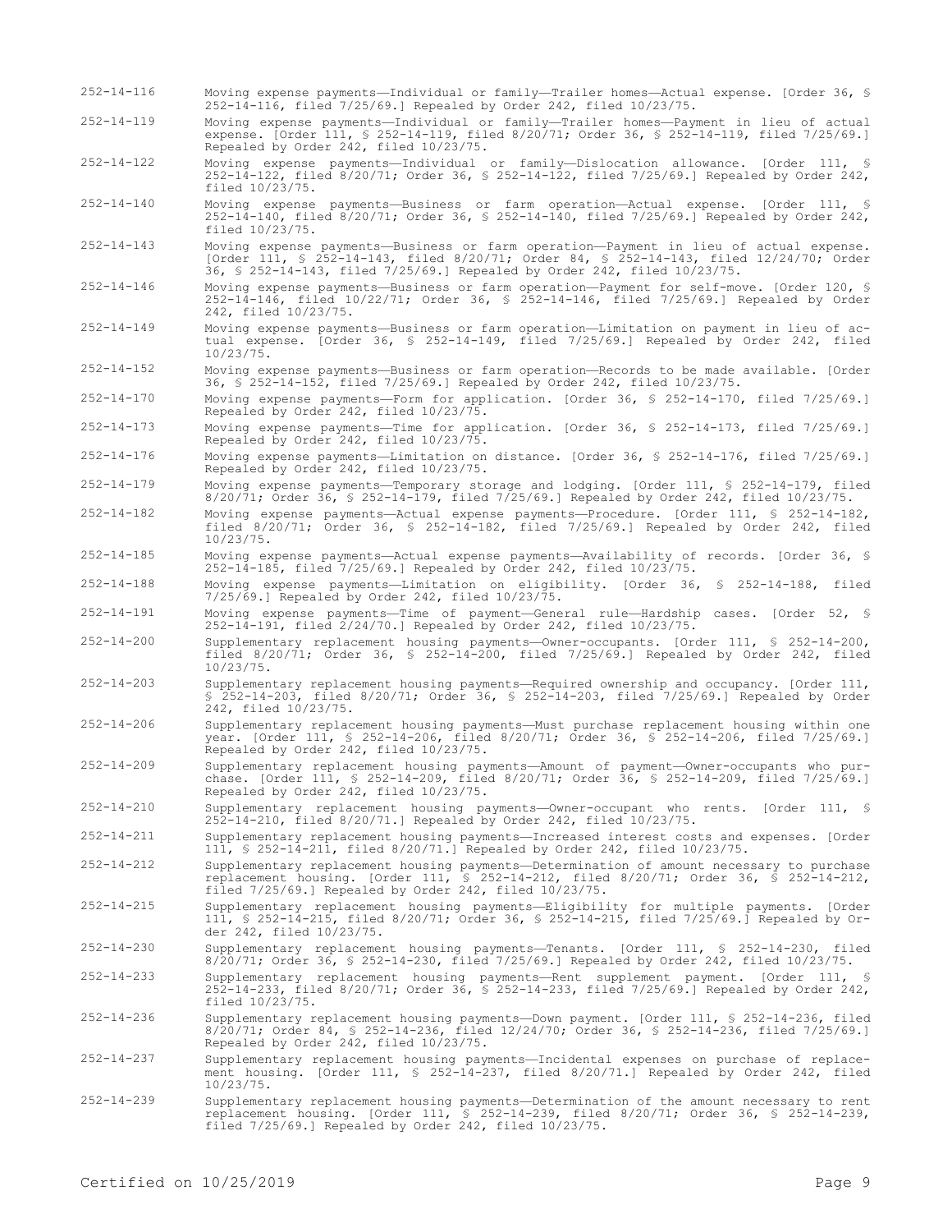expense. [Order 111, § 252-14-119, filed 8/20/71; Order 36, § 252-14-119, filed 7/25/69.] Repealed by Order 242, filed 10/23/75. 252-14-122 Moving expense payments—Individual or family—Dislocation allowance. [Order 111, § 252-14-122, filed 8/20/71; Order 36, § 252-14-122, filed 7/25/69.] Repealed by Order 242, filed 10/23/75. 252-14-140 Moving expense payments—Business or farm operation—Actual expense. [Order 111, § 252-14-140, filed 8/20/71; Order 36, § 252-14-140, filed 7/25/69.] Repealed by Order 242, filed 10/23/75. 252-14-143 Moving expense payments—Business or farm operation—Payment in lieu of actual expense. [Order 111, § 252-14-143, filed 8/20/71; Order 84, § 252-14-143, filed 12/24/70; Order 36, § 252-14-143, filed 7/25/69.] Repealed by Order 242, filed 10/23/75. 252-14-146 Moving expense payments—Business or farm operation—Payment for self-move. [Order 120, § 252-14-146, filed 10/22/71; Order 36, § 252-14-146, filed 7/25/69.] Repealed by Order 242, filed 10/23/75. 252-14-149 Moving expense payments—Business or farm operation—Limitation on payment in lieu of actual expense. [Order 36, § 252-14-149, filed 7/25/69.] Repealed by Order 242, filed 10/23/75. 252-14-152 Moving expense payments—Business or farm operation—Records to be made available. [Order 36, § 252-14-152, filed 7/25/69.] Repealed by Order 242, filed 10/23/75. 252-14-170 Moving expense payments—Form for application. [Order 36, § 252-14-170, filed 7/25/69.] Repealed by Order 242, filed 10/23/75. 252-14-173 Moving expense payments—Time for application. [Order 36, § 252-14-173, filed 7/25/69.] Repealed by Order 242, filed 10/23/75. 252-14-176 Moving expense payments—Limitation on distance. [Order 36, § 252-14-176, filed 7/25/69.] Repealed by Order 242, filed 10/23/75. 252-14-179 Moving expense payments—Temporary storage and lodging. [Order 111, § 252-14-179, filed 8/20/71; Order 36, § 252-14-179, filed 7/25/69.] Repealed by Order 242, filed 10/23/75. 252-14-182 Moving expense payments—Actual expense payments—Procedure. [Order 111, § 252-14-182, filed 8/20/71; Order 36, § 252-14-182, filed 7/25/69.] Repealed by Order 242, filed  $10/23/75.$ 252-14-185 Moving expense payments—Actual expense payments—Availability of records. [Order 36, § 252-14-185, filed 7/25/69.] Repealed by Order 242, filed 10/23/75. 252-14-188 Moving expense payments—Limitation on eligibility. [Order 36, § 252-14-188, filed 7/25/69.] Repealed by Order 242, filed 10/23/75. 252-14-191 Moving expense payments—Time of payment—General rule—Hardship cases. [Order 52, § 252-14-191, filed 2/24/70.] Repealed by Order 242, filed 10/23/75. 252-14-200 Supplementary replacement housing payments—Owner-occupants. [Order 111, § 252-14-200, filed 8/20/71; Order 36, § 252-14-200, filed 7/25/69.] Repealed by Order 242, filed  $10/23/75.$ 252-14-203 Supplementary replacement housing payments—Required ownership and occupancy. [Order 111, § 252-14-203, filed 8/20/71; Order 36, § 252-14-203, filed 7/25/69.] Repealed by Order 242, filed 10/23/75. 252-14-206 Supplementary replacement housing payments—Must purchase replacement housing within one year. [Order 111, § 252-14-206, filed 8/20/71; Order 36, § 252-14-206, filed 7/25/69.] Repealed by Order 242, filed 10/23/75. 252-14-209 Supplementary replacement housing payments—Amount of payment—Owner-occupants who purchase. [Order 111, § 252-14-209, filed 8/20/71; Order 36, § 252-14-209, filed 7/25/69.] Repealed by Order 242, filed 10/23/75. 252-14-210 Supplementary replacement housing payments—Owner-occupant who rents. [Order 111, § 252-14-210, filed 8/20/71.] Repealed by Order 242, filed 10/23/75. 252-14-211 Supplementary replacement housing payments—Increased interest costs and expenses. [Order 111, § 252-14-211, filed 8/20/71.] Repealed by Order 242, filed 10/23/75. 252-14-212 Supplementary replacement housing payments—Determination of amount necessary to purchase replacement housing. [Order 111, § 252-14-212, filed 8/20/71; Order 36, § 252-14-212, filed 7/25/69.] Repealed by Order 242, filed 10/23/75. 252-14-215 Supplementary replacement housing payments—Eligibility for multiple payments. [Order 111, § 252-14-215, filed 8/20/71; Order 36, § 252-14-215, filed 7/25/69.] Repealed by Order 242, filed 10/23/75. 252-14-230 Supplementary replacement housing payments—Tenants. [Order 111, § 252-14-230, filed 8/20/71; Order 36, § 252-14-230, filed 7/25/69.] Repealed by Order 242, filed 10/23/75. 252-14-233 Supplementary replacement housing payments—Rent supplement payment. [Order 111, § 252-14-233, filed 8/20/71; Order 36, § 252-14-233, filed 7/25/69.] Repealed by Order 242, filed 10/23/75. 252-14-236 Supplementary replacement housing payments—Down payment. [Order 111, § 252-14-236, filed 8/20/71; Order 84, § 252-14-236, filed 12/24/70; Order 36, § 252-14-236, filed 7/25/69.] Repealed by Order 242, filed 10/23/75. 252-14-237 Supplementary replacement housing payments—Incidental expenses on purchase of replacement housing. [Order 111, § 252-14-237, filed 8/20/71.] Repealed by Order 242, filed 10/23/75. 252-14-239 Supplementary replacement housing payments—Determination of the amount necessary to rent

252-14-116 Moving expense payments—Individual or family—Trailer homes—Actual expense. [Order 36, § 252-14-116, filed 7/25/69.] Repealed by Order 242, filed 10/23/75.

252-14-119 Moving expense payments—Individual or family—Trailer homes—Payment in lieu of actual

replacement housing. [Order 111, § 252-14-239, filed 8/20/71; Order 36, § 252-14-239, filed 7/25/69.] Repealed by Order 242, filed 10/23/75.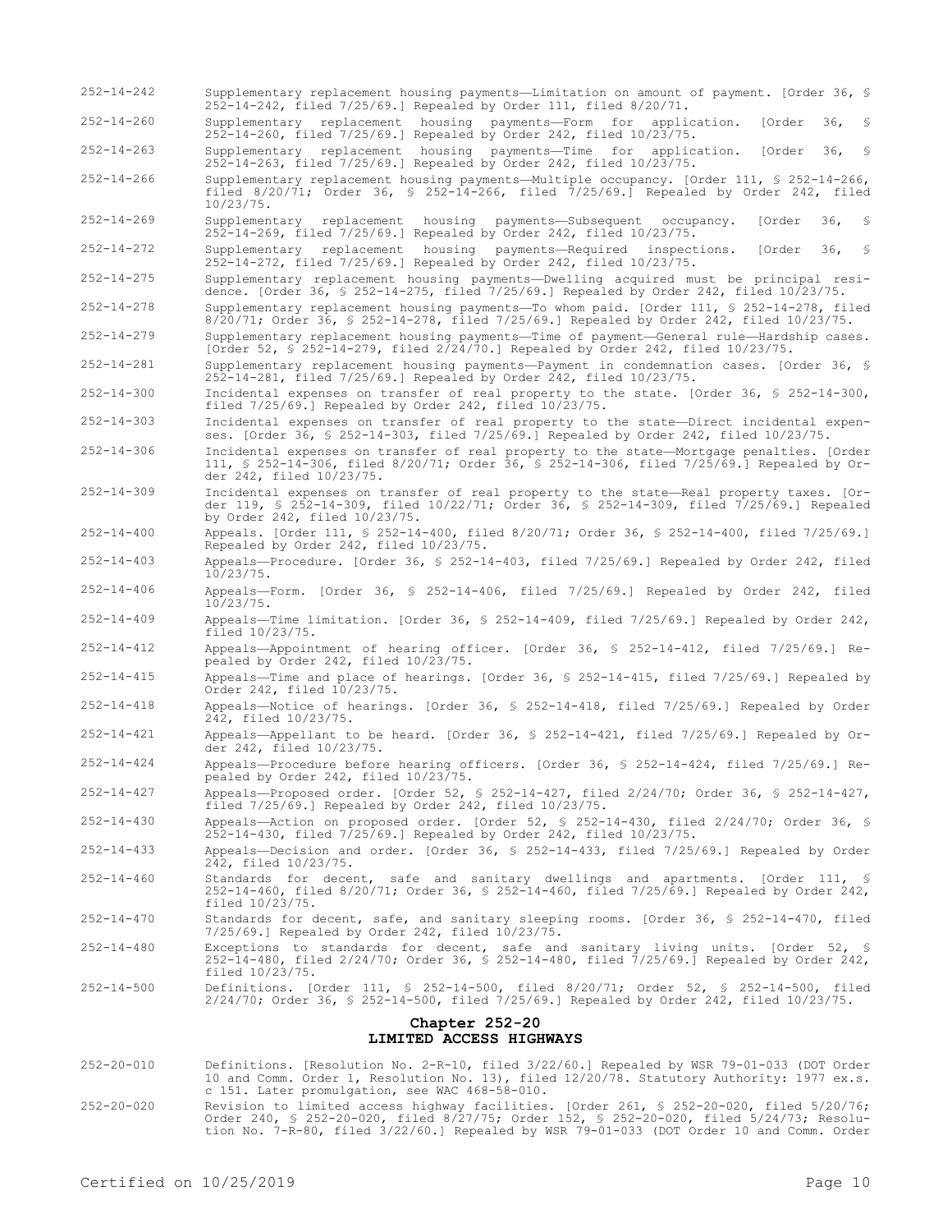252-14-242 Supplementary replacement housing payments—Limitation on amount of payment. [Order 36, § 252-14-242, filed 7/25/69.] Repealed by Order 111, filed 8/20/71.

252-14-260 Supplementary replacement housing payments—Form for application. [Order 36, § 252-14-260, filed 7/25/69.] Repealed by Order 242, filed 10/23/75.

252-14-263 Supplementary replacement housing payments—Time for application. [Order 36, § 252-14-263, filed 7/25/69.] Repealed by Order 242, filed 10/23/75.

252-14-266 Supplementary replacement housing payments—Multiple occupancy. [Order 111, § 252-14-266, filed 8/20/71; Order 36, § 252-14-266, filed 7/25/69.] Repealed by Order 242, filed 10/23/75.

252-14-269 Supplementary replacement housing payments—Subsequent occupancy. [Order 36, § 252-14-269, filed 7/25/69.] Repealed by Order 242, filed 10/23/75.

252-14-272 Supplementary replacement housing payments—Required inspections. [Order 36, § 252-14-272, filed 7/25/69.] Repealed by Order 242, filed 10/23/75.

252-14-275 Supplementary replacement housing payments—Dwelling acquired must be principal residence. [Order 36, § 252-14-275, filed 7/25/69.] Repealed by Order 242, filed 10/23/75.

252-14-278 Supplementary replacement housing payments—To whom paid. [Order 111, § 252-14-278, filed 8/20/71; Order 36, § 252-14-278, filed 7/25/69.] Repealed by Order 242, filed 10/23/75.

252-14-279 Supplementary replacement housing payments—Time of payment—General rule—Hardship cases. [Order 52, § 252-14-279, filed 2/24/70.] Repealed by Order 242, filed 10/23/75.

252-14-281 Supplementary replacement housing payments—Payment in condemnation cases. [Order 36, § 252-14-281, filed 7/25/69.] Repealed by Order 242, filed 10/23/75.

252-14-300 Incidental expenses on transfer of real property to the state. [Order 36, § 252-14-300, filed 7/25/69.] Repealed by Order 242, filed 10/23/75.

252-14-303 Incidental expenses on transfer of real property to the state—Direct incidental expenses. [Order 36, § 252-14-303, filed 7/25/69.] Repealed by Order 242, filed 10/23/75.

- 252-14-306 Incidental expenses on transfer of real property to the state—Mortgage penalties. [Order 111, § 252-14-306, filed 8/20/71; Order 36, § 252-14-306, filed 7/25/69.] Repealed by Order 242, filed 10/23/75.
- 252-14-309 Incidental expenses on transfer of real property to the state—Real property taxes. [Order 119, § 252-14-309, filed 10/22/71; Order 36, § 252-14-309, filed 7/25/69.] Repealed by Order 242, filed 10/23/75.
- 252-14-400 Appeals. [Order 111, § 252-14-400, filed 8/20/71; Order 36, § 252-14-400, filed 7/25/69.] Repealed by Order 242, filed 10/23/75.
- 252-14-403 Appeals—Procedure. [Order 36, § 252-14-403, filed 7/25/69.] Repealed by Order 242, filed 10/23/75.
- 252-14-406 Appeals—Form. [Order 36, § 252-14-406, filed 7/25/69.] Repealed by Order 242, filed 10/23/75.
- 252-14-409 Appeals—Time limitation. [Order 36, § 252-14-409, filed 7/25/69.] Repealed by Order 242, filed 10/23/75.

252-14-412 Appeals—Appointment of hearing officer. [Order 36, § 252-14-412, filed 7/25/69.] Repealed by Order 242, filed 10/23/75.

- 252-14-415 Appeals—Time and place of hearings. [Order 36, § 252-14-415, filed 7/25/69.] Repealed by Order 242, filed 10/23/75.
- 252-14-418 Appeals—Notice of hearings. [Order 36, § 252-14-418, filed 7/25/69.] Repealed by Order 242, filed 10/23/75.
- 252-14-421 Appeals—Appellant to be heard. [Order 36, § 252-14-421, filed 7/25/69.] Repealed by Order 242, filed 10/23/75.
- 252-14-424 Appeals—Procedure before hearing officers. [Order 36, § 252-14-424, filed 7/25/69.] Repealed by Order 242, filed 10/23/75.

252-14-427 Appeals—Proposed order. [Order 52, § 252-14-427, filed 2/24/70; Order 36, § 252-14-427, filed 7/25/69.] Repealed by Order 242, filed 10/23/75.

- 252-14-430 Appeals—Action on proposed order. [Order 52, § 252-14-430, filed 2/24/70; Order 36, § 252-14-430, filed 7/25/69.] Repealed by Order 242, filed 10/23/75.
- 252-14-433 Appeals—Decision and order. [Order 36, § 252-14-433, filed 7/25/69.] Repealed by Order 242, filed 10/23/75.
- 252-14-460 Standards for decent, safe and sanitary dwellings and apartments. [Order 111, § 252-14-460, filed 8/20/71; Order 36, § 252-14-460, filed 7/25/69.] Repealed by Order 242, filed 10/23/75.

252-14-470 Standards for decent, safe, and sanitary sleeping rooms. [Order 36, § 252-14-470, filed 7/25/69.] Repealed by Order 242, filed 10/23/75.

- 252-14-480 Exceptions to standards for decent, safe and sanitary living units. [Order 52, § 252-14-480, filed 2/24/70; Order 36, § 252-14-480, filed 7/25/69.] Repealed by Order 242, filed 10/23/75.
- 252-14-500 Definitions. [Order 111, § 252-14-500, filed 8/20/71; Order 52, § 252-14-500, filed 2/24/70; Order 36, § 252-14-500, filed 7/25/69.] Repealed by Order 242, filed 10/23/75.

#### **Chapter 252-20 LIMITED ACCESS HIGHWAYS**

- 252-20-010 Definitions. [Resolution No. 2-R-10, filed 3/22/60.] Repealed by WSR 79-01-033 (DOT Order 10 and Comm. Order 1, Resolution No. 13), filed 12/20/78. Statutory Authority: 1977 ex.s. c 151. Later promulgation, see WAC 468-58-010.
- 252-20-020 Revision to limited access highway facilities. [Order 261, § 252-20-020, filed 5/20/76; Order 240, § 252-20-020, filed 8/27/75; Order 152, § 252-20-020, filed 5/24/73; Resolution No. 7-R-80, filed 3/22/60.] Repealed by WSR 79-01-033 (DOT Order 10 and Comm. Order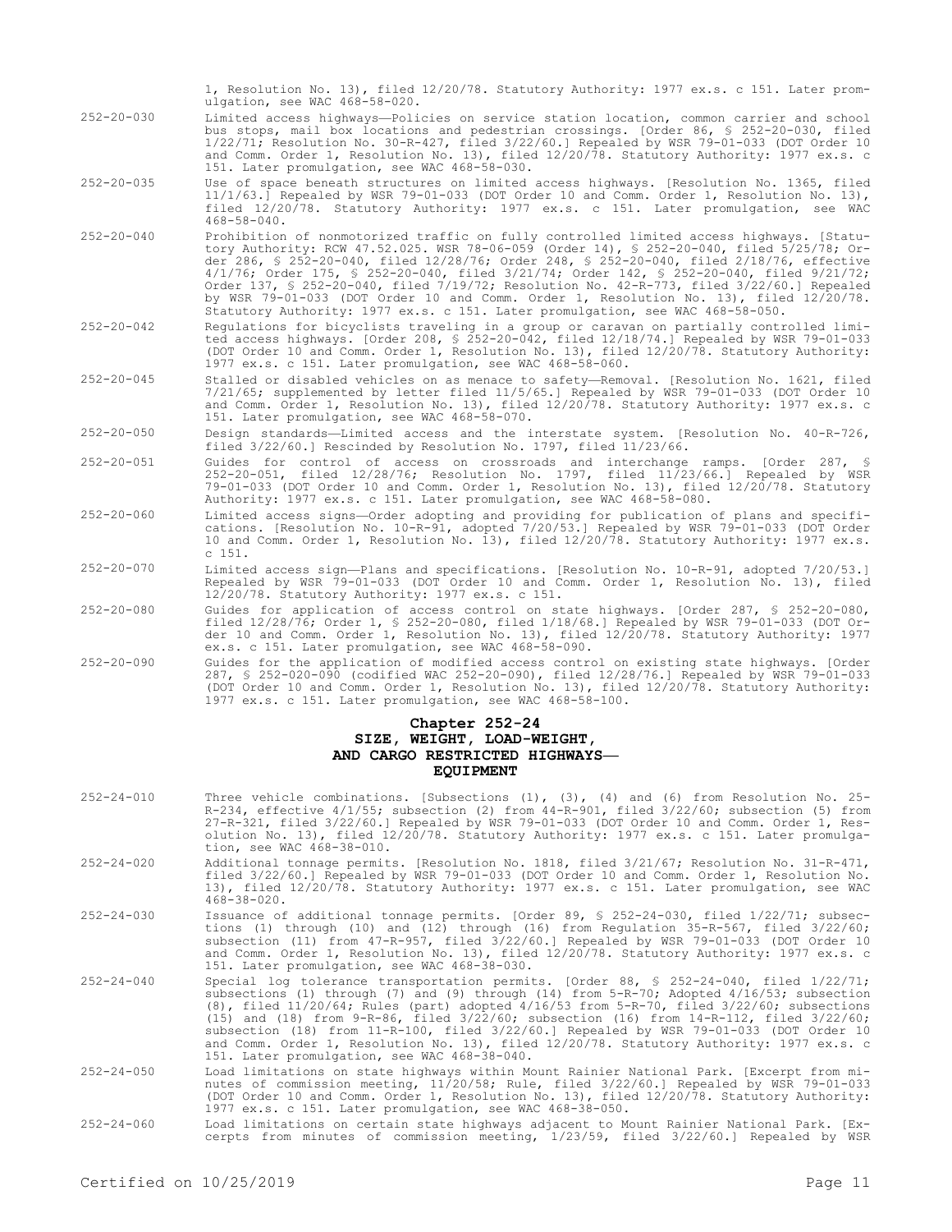|                  | 1, Resolution No. 13), filed 12/20/78. Statutory Authority: 1977 ex.s. c 151. Later prom-<br>ulgation, see WAC 468-58-020.                                                                                                                                                                                                                                                                                                                                                                                                                                                                                                                           |
|------------------|------------------------------------------------------------------------------------------------------------------------------------------------------------------------------------------------------------------------------------------------------------------------------------------------------------------------------------------------------------------------------------------------------------------------------------------------------------------------------------------------------------------------------------------------------------------------------------------------------------------------------------------------------|
| $252 - 20 - 030$ | Limited access highways--Policies on service station location, common carrier and school<br>bus stops, mail box locations and pedestrian crossings. [Order 86, § 252-20-030, filed<br>1/22/71; Resolution No. 30-R-427, filed 3/22/60.] Repealed by WSR 79-01-033 (DOT Order 10<br>and Comm. Order 1, Resolution No. 13), filed 12/20/78. Statutory Authority: 1977 ex.s. c<br>151. Later promulgation, see WAC 468-58-030.                                                                                                                                                                                                                          |
| $252 - 20 - 035$ | Use of space beneath structures on limited access highways. [Resolution No. 1365, filed<br>11/1/63.] Repealed by WSR 79-01-033 (DOT Order 10 and Comm. Order 1, Resolution No. 13),<br>filed 12/20/78. Statutory Authority: 1977 ex.s. c 151. Later promulgation, see WAC<br>$468 - 58 - 040$ .                                                                                                                                                                                                                                                                                                                                                      |
| $252 - 20 - 040$ | Prohibition of nonmotorized traffic on fully controlled limited access highways. [Statu-<br>tory Authority: RCW 47.52.025. WSR 78-06-059 (Order 14), § 252-20-040, filed 5/25/78; Or-<br>der 286, § 252-20-040, filed 12/28/76; Order 248, § 252-20-040, filed 2/18/76, effective<br>4/1/76; Order 175, § 252-20-040, filed 3/21/74; Order 142, § 252-20-040, filed 9/21/72;<br>Order 137, § 252-20-040, filed 7/19/72; Resolution No. 42-R-773, filed 3/22/60.] Repealed<br>by WSR 79-01-033 (DOT Order 10 and Comm. Order 1, Resolution No. 13), filed 12/20/78.<br>Statutory Authority: 1977 ex.s. c 151. Later promulgation, see WAC 468-58-050. |
| $252 - 20 - 042$ | Requlations for bicyclists traveling in a group or caravan on partially controlled limi-<br>ted access highways. [Order 208, § 252-20-042, filed 12/18/74.] Repealed by WSR 79-01-033<br>(DOT Order 10 and Comm. Order 1, Resolution No. 13), filed 12/20/78. Statutory Authority:<br>1977 ex.s. c 151. Later promulgation, see WAC 468-58-060.                                                                                                                                                                                                                                                                                                      |
| $252 - 20 - 045$ | Stalled or disabled vehicles on as menace to safety—Removal. [Resolution No. 1621, filed<br>7/21/65; supplemented by letter filed 11/5/65.] Repealed by WSR 79-01-033 (DOT Order 10<br>and Comm. Order 1, Resolution No. 13), filed 12/20/78. Statutory Authority: 1977 ex.s. c<br>151. Later promulgation, see WAC 468-58-070.                                                                                                                                                                                                                                                                                                                      |
| $252 - 20 - 050$ | Design standards—Limited access and the interstate system. [Resolution No. 40-R-726,<br>filed 3/22/60.] Rescinded by Resolution No. 1797, filed 11/23/66.                                                                                                                                                                                                                                                                                                                                                                                                                                                                                            |
| $252 - 20 - 051$ | Guides for control of access on crossroads and interchange ramps. [Order 287, §<br>252-20-051, filed 12/28/76; Resolution No. 1797, filed 11/23/66.] Repealed by WSR<br>79-01-033 (DOT Order 10 and Comm. Order 1, Resolution No. 13), filed 12/20/78. Statutory<br>Authority: 1977 ex.s. c 151. Later promulgation, see WAC 468-58-080.                                                                                                                                                                                                                                                                                                             |
| $252 - 20 - 060$ | Limited access signs-Order adopting and providing for publication of plans and specifi-<br>cations. [Resolution No. 10-R-91, adopted 7/20/53.] Repealed by WSR 79-01-033 (DOT Order<br>10 and Comm. Order 1, Resolution No. 13), filed 12/20/78. Statutory Authority: 1977 ex.s.<br>c 151.                                                                                                                                                                                                                                                                                                                                                           |
| $252 - 20 - 070$ | Limited access sign-Plans and specifications. [Resolution No. 10-R-91, adopted 7/20/53.]<br>Repealed by WSR 79-01-033 (DOT Order 10 and Comm. Order 1, Resolution No. 13), filed<br>$12/20/78$ . Statutory Authority: 1977 ex.s. c 151.                                                                                                                                                                                                                                                                                                                                                                                                              |
| $252 - 20 - 080$ | Guides for application of access control on state highways. [Order 287, § 252-20-080,<br>filed 12/28/76; Order 1, § 252-20-080, filed 1/18/68.] Repealed by WSR 79-01-033 (DOT Or-<br>der 10 and Comm. Order 1, Resolution No. 13), filed 12/20/78. Statutory Authority: 1977<br>ex.s. c 151. Later promulgation, see WAC 468-58-090.                                                                                                                                                                                                                                                                                                                |
| $252 - 20 - 090$ | Guides for the application of modified access control on existing state highways. [Order<br>287, § 252-020-090 (codified WAC 252-20-090), filed 12/28/76.] Repealed by WSR 79-01-033<br>(DOT Order 10 and Comm. Order 1, Resolution No. 13), filed 12/20/78. Statutory Authority:<br>1977 ex.s. c 151. Later promulgation, see WAC 468-58-100.                                                                                                                                                                                                                                                                                                       |
|                  | Chapter 252-24                                                                                                                                                                                                                                                                                                                                                                                                                                                                                                                                                                                                                                       |

# **SIZE, WEIGHT, LOAD-WEIGHT, AND CARGO RESTRICTED HIGHWAYS— EQUIPMENT**

| $252 - 24 - 010$ | Three vehicle combinations. [Subsections $(1)$ , $(3)$ , $(4)$ and $(6)$ from Resolution No. 25-<br>R-234, effective $4/1/55$ ; subsection (2) from $44-R-901$ , filed $3/22/60$ ; subsection (5) from<br>27-R-321, filed 3/22/60.] Repealed by WSR 79-01-033 (DOT Order 10 and Comm. Order 1, Res-<br>olution No. 13), filed 12/20/78. Statutory Authority: 1977 ex.s. c 151. Later promulga-<br>tion, see WAC 468-38-010.                                                                                                                                                                                                                               |
|------------------|-----------------------------------------------------------------------------------------------------------------------------------------------------------------------------------------------------------------------------------------------------------------------------------------------------------------------------------------------------------------------------------------------------------------------------------------------------------------------------------------------------------------------------------------------------------------------------------------------------------------------------------------------------------|
| $252 - 24 - 020$ | Additional tonnage permits. [Resolution No. 1818, filed 3/21/67; Resolution No. 31-R-471,<br>filed 3/22/60.] Repealed by WSR 79-01-033 (DOT Order 10 and Comm. Order 1, Resolution No.<br>13), filed 12/20/78. Statutory Authority: 1977 ex.s. c 151. Later promulgation, see WAC<br>$468 - 38 - 020$ .                                                                                                                                                                                                                                                                                                                                                   |
| $252 - 24 - 030$ | Issuance of additional tonnage permits. [Order 89, § 252-24-030, filed 1/22/71; subsec-<br>tions (1) through (10) and (12) through (16) from Regulation $35-R-567$ , filed $3/22/60$ ;<br>subsection (11) from 47-R-957, filed 3/22/60.] Repealed by WSR 79-01-033 (DOT Order 10<br>and Comm. Order 1, Resolution No. 13), filed 12/20/78. Statutory Authority: 1977 ex.s. c<br>151. Later promulgation, see WAC 468-38-030.                                                                                                                                                                                                                              |
| $252 - 24 - 040$ | Special log tolerance transportation permits. [Order 88, $\frac{1}{5}$ 252-24-040, filed 1/22/71;<br>subsections (1) through (7) and (9) through (14) from $5-R-70$ ; Adopted $4/16/53$ ; subsection<br>$(8)$ , filed $11/20/64$ ; Rules (part) adopted $4/16/53$ from 5-R-70, filed $3/22/60$ ; subsections<br>(15) and (18) from $9-R-86$ , filed $3/22/60$ ; subsection (16) from $14-R-112$ , filed $3/22/60$ ;<br>subsection (18) from 11-R-100, filed 3/22/60.] Repealed by WSR 79-01-033 (DOT Order 10<br>and Comm. Order 1, Resolution No. 13), filed 12/20/78. Statutory Authority: 1977 ex.s. c<br>151. Later promulgation, see WAC 468-38-040. |
| $252 - 24 - 050$ | Load limitations on state highways within Mount Rainier National Park. [Excerpt from mi-<br>nutes of commission meeting, 11/20/58; Rule, filed 3/22/60.] Repealed by WSR 79-01-033<br>(DOT Order 10 and Comm. Order 1, Resolution No. 13), filed 12/20/78. Statutory Authority:<br>1977 ex.s. c 151. Later promulgation, see WAC 468-38-050.                                                                                                                                                                                                                                                                                                              |
| $252 - 24 - 060$ | Load limitations on certain state highways adjacent to Mount Rainier National Park. [Ex-<br>cerpts from minutes of commission meeting, 1/23/59, filed 3/22/60.] Repealed by WSR                                                                                                                                                                                                                                                                                                                                                                                                                                                                           |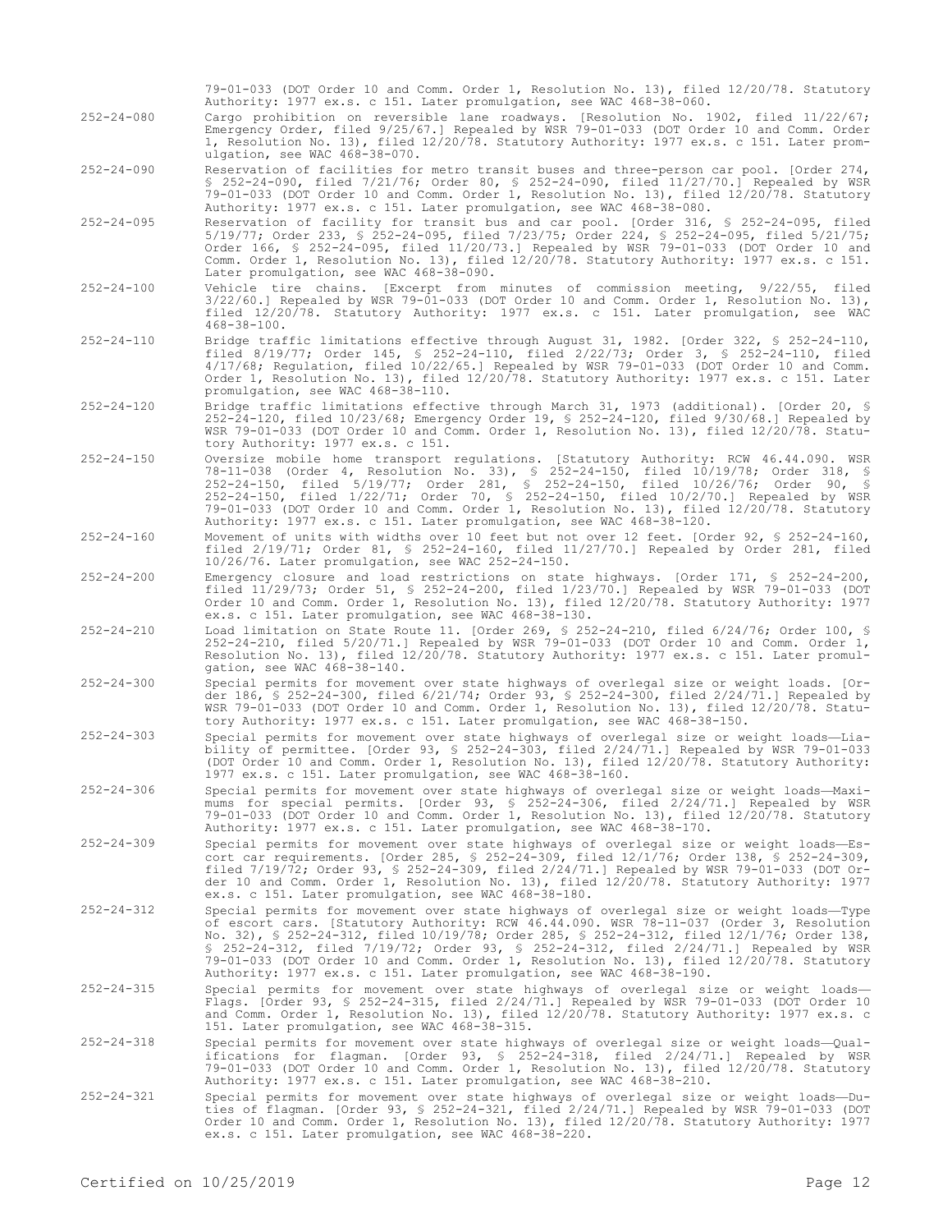|                  | 79-01-033 (DOT Order 10 and Comm. Order 1, Resolution No. 13), filed 12/20/78. Statutory<br>Authority: 1977 ex.s. c 151. Later promulgation, see WAC 468-38-060.                                                                                                                                                                                                                                                                                                                                                                              |
|------------------|-----------------------------------------------------------------------------------------------------------------------------------------------------------------------------------------------------------------------------------------------------------------------------------------------------------------------------------------------------------------------------------------------------------------------------------------------------------------------------------------------------------------------------------------------|
| $252 - 24 - 080$ | Cargo prohibition on reversible lane roadways. [Resolution No. 1902, filed 11/22/67;<br>Emergency Order, filed 9/25/67.] Repealed by WSR 79-01-033 (DOT Order 10 and Comm. Order<br>1, Resolution No. 13), filed 12/20/78. Statutory Authority: 1977 ex.s. c 151. Later prom-<br>ulgation, see WAC 468-38-070.                                                                                                                                                                                                                                |
| $252 - 24 - 090$ | Reservation of facilities for metro transit buses and three-person car pool. [Order 274,<br>\$ 252-24-090, filed $7/21/76$ ; Order 80, \$ 252-24-090, filed 11/27/70.] Repealed by WSR<br>79-01-033 (DOT Order 10 and Comm. Order 1, Resolution No. 13), filed 12/20/78. Statutory<br>Authority: 1977 ex.s. c 151. Later promulgation, see WAC 468-38-080.                                                                                                                                                                                    |
| $252 - 24 - 095$ | Reservation of facility for transit bus and car pool. [Order 316, § 252-24-095, filed<br>$5/19/77$ ; Order 233, § 252-24-095, filed 7/23/75; Order 224, § 252-24-095, filed 5/21/75;<br>Order 166, § 252-24-095, filed 11/20/73.] Repealed by WSR 79-01-033 (DOT Order 10 and<br>Comm. Order 1, Resolution No. 13), filed 12/20/78. Statutory Authority: 1977 ex.s. c 151.<br>Later promulgation, see WAC 468-38-090.                                                                                                                         |
| $252 - 24 - 100$ | Vehicle tire chains. [Excerpt from minutes of commission meeting, 9/22/55, filed<br>$3/22/60.$ ] Repealed by WSR 79-01-033 (DOT Order 10 and Comm. Order 1, Resolution No. 13),<br>filed 12/20/78. Statutory Authority: 1977 ex.s. c 151. Later promulgation, see WAC<br>$468 - 38 - 100$ .                                                                                                                                                                                                                                                   |
| $252 - 24 - 110$ | Bridge traffic limitations effective through August 31, 1982. [Order 322, § 252-24-110,<br>filed $8/19/77$ ; Order 145, § 252-24-110, filed $2/22/73$ ; Order 3, § 252-24-110, filed<br>4/17/68; Regulation, filed 10/22/65.] Repealed by WSR 79-01-033 (DOT Order 10 and Comm.<br>Order 1, Resolution No. 13), filed 12/20/78. Statutory Authority: 1977 ex.s. c 151. Later<br>promulgation, see WAC 468-38-110.                                                                                                                             |
| $252 - 24 - 120$ | Bridge traffic limitations effective through March 31, 1973 (additional). [Order 20, §<br>252-24-120, filed 10/23/68; Emergency Order 19, § 252-24-120, filed 9/30/68.] Repealed by<br>WSR 79-01-033 (DOT Order 10 and Comm. Order 1, Resolution No. 13), filed 12/20/78. Statu-<br>tory Authority: 1977 ex.s. c 151.                                                                                                                                                                                                                         |
| $252 - 24 - 150$ | Oversize mobile home transport regulations. [Statutory Authority: RCW 46.44.090. WSR<br>78-11-038 (Order 4, Resolution No. 33), § 252-24-150, filed 10/19/78; Order 318, §<br>252-24-150, filed 5/19/77; Order 281, § 252-24-150, filed 10/26/76; Order 90, §<br>252-24-150, filed 1/22/71; Order 70, \$ 252-24-150, filed 10/2/70.] Repealed by WSR<br>79-01-033 (DOT Order 10 and Comm. Order 1, Resolution No. 13), filed 12/20/78. Statutory<br>Authority: 1977 ex.s. c 151. Later promulgation, see WAC 468-38-120.                      |
| $252 - 24 - 160$ | Movement of units with widths over 10 feet but not over 12 feet. [Order 92, § 252-24-160,<br>filed $2/19/71$ ; Order 81, § 252-24-160, filed $11/27/70$ .] Repealed by Order 281, filed<br>10/26/76. Later promulgation, see WAC 252-24-150.                                                                                                                                                                                                                                                                                                  |
| $252 - 24 - 200$ | Emergency closure and load restrictions on state highways. [Order 171, § 252-24-200,<br>filed 11/29/73; Order 51, § 252-24-200, filed 1/23/70.] Repealed by WSR 79-01-033 (DOT<br>Order 10 and Comm. Order 1, Resolution No. 13), filed 12/20/78. Statutory Authority: 1977<br>ex.s. c 151. Later promulgation, see WAC 468-38-130.                                                                                                                                                                                                           |
| $252 - 24 - 210$ | Load limitation on State Route 11. [Order 269, § 252-24-210, filed 6/24/76; Order 100, §<br>$252 - 24 - 210$ , filed $5/20/71$ . Repealed by WSR 79-01-033 (DOT Order 10 and Comm. Order 1,<br>Resolution No. 13), filed 12/20/78. Statutory Authority: 1977 ex.s. c 151. Later promul-<br>qation, see WAC 468-38-140.                                                                                                                                                                                                                        |
| $252 - 24 - 300$ | Special permits for movement over state highways of overlegal size or weight loads. [Or-<br>der 186, § 252-24-300, filed 6/21/74; Order 93, § 252-24-300, filed 2/24/71.] Repealed by<br>WSR 79-01-033 (DOT Order 10 and Comm. Order 1, Resolution No. 13), filed 12/20/78. Statu-<br>tory Authority: 1977 ex.s. c 151. Later promulgation, see WAC 468-38-150.                                                                                                                                                                               |
| $252 - 24 - 303$ | Special permits for movement over state highways of overlegal size or weight loads-Lia-<br>bility of permittee. [Order 93, $\frac{1}{2}$ 252-24-303, filed 2/24/71.] Repealed by WSR 79-01-033<br>(DOT Order 10 and Comm. Order 1, Resolution No. 13), filed 12/20/78. Statutory Authority:<br>1977 ex.s. c 151. Later promulgation, see WAC 468-38-160.                                                                                                                                                                                      |
| $252 - 24 - 306$ | Special permits for movement over state highways of overlegal size or weight loads—Maxi-<br>mums for special permits. [Order 93, § 252-24-306, filed 2/24/71.] Repealed by WSR<br>79-01-033 (DOT Order 10 and Comm. Order 1, Resolution No. 13), filed 12/20/78. Statutory<br>Authority: 1977 ex.s. c 151. Later promulgation, see WAC 468-38-170.                                                                                                                                                                                            |
| $252 - 24 - 309$ | Special permits for movement over state highways of overlegal size or weight loads—Es-<br>cort car requirements. [Order 285, § 252-24-309, filed $12/1/76$ ; Order 138, § 252-24-309,<br>filed $7/19/72$ ; Order 93, § 252-24-309, filed $2/24/71$ .] Repealed by WSR 79-01-033 (DOT Or-<br>der 10 and Comm. Order 1, Resolution No. 13), filed 12/20/78. Statutory Authority: 1977<br>ex.s. c 151. Later promulgation, see WAC 468-38-180.                                                                                                   |
| $252 - 24 - 312$ | Special permits for movement over state highways of overlegal size or weight loads—Type<br>of escort cars. [Statutory Authority: RCW 46.44.090. WSR 78-11-037 (Order 3, Resolution<br>No. 32), § 252-24-312, filed 10/19/78; Order 285, § 252-24-312, filed 12/1/76; Order 138,<br>\$ 252-24-312, filed 7/19/72; Order 93, \$ 252-24-312, filed 2/24/71.] Repealed by WSR<br>79-01-033 (DOT Order 10 and Comm. Order 1, Resolution No. 13), filed 12/20/78. Statutory<br>Authority: 1977 ex.s. c 151. Later promulgation, see WAC 468-38-190. |
| $252 - 24 - 315$ | Special permits for movement over state highways of overlegal size or weight loads-<br>Flags. [Order 93, § 252-24-315, filed $2/24/71$ .] Repealed by WSR 79-01-033 (DOT Order 10<br>and Comm. Order 1, Resolution No. 13), filed 12/20/78. Statutory Authority: 1977 ex.s. c<br>151. Later promulgation, see WAC 468-38-315.                                                                                                                                                                                                                 |
| $252 - 24 - 318$ | Special permits for movement over state highways of overlegal size or weight loads—Qual-<br>ifications for flagman. [Order 93, § 252-24-318, filed 2/24/71.] Repealed by WSR<br>79-01-033 (DOT Order 10 and Comm. Order 1, Resolution No. 13), filed 12/20/78. Statutory<br>Authority: 1977 ex.s. c 151. Later promulgation, see WAC 468-38-210.                                                                                                                                                                                              |
| $252 - 24 - 321$ | Special permits for movement over state highways of overlegal size or weight loads-Du-<br>ties of flagman. [Order 93, § 252-24-321, filed $2/24/71$ .] Repealed by WSR 79-01-033 (DOT<br>Order 10 and Comm. Order 1, Resolution No. 13), filed 12/20/78. Statutory Authority: 1977<br>ex.s. c 151. Later promulgation, see WAC 468-38-220.                                                                                                                                                                                                    |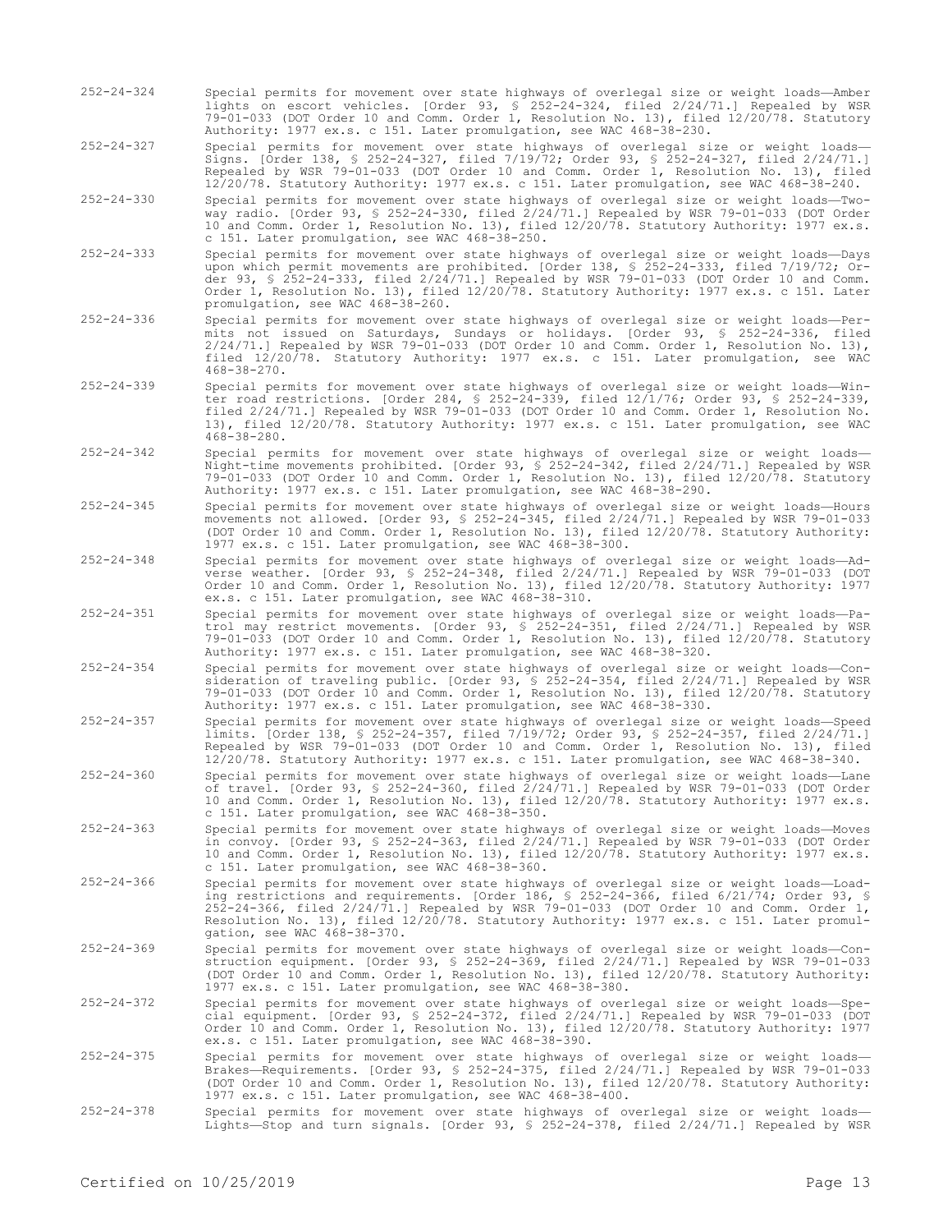- 252-24-324 Special permits for movement over state highways of overlegal size or weight loads—Amber lights on escort vehicles. [Order 93, § 252-24-324, filed 2/24/71.] Repealed by WSR 79-01-033 (DOT Order 10 and Comm. Order 1, Resolution No. 13), filed 12/20/78. Statutory Authority: 1977 ex.s. c 151. Later promulgation, see WAC 468-38-230.
- 252-24-327 Special permits for movement over state highways of overlegal size or weight loads— Signs. [Order 138, § 252-24-327, filed 7/19/72; Order 93, § 252-24-327, filed 2/24/71.] Repealed by WSR 79-01-033 (DOT Order 10 and Comm. Order 1, Resolution No. 13), filed 12/20/78. Statutory Authority: 1977 ex.s. c 151. Later promulgation, see WAC 468-38-240.
- 252-24-330 Special permits for movement over state highways of overlegal size or weight loads—Twoway radio. [Order 93, § 252-24-330, filed 2/24/71.] Repealed by WSR 79-01-033 (DOT Order 10 and Comm. Order 1, Resolution No. 13), filed 12/20/78. Statutory Authority: 1977 ex.s. c 151. Later promulgation, see WAC 468-38-250.
- 252-24-333 Special permits for movement over state highways of overlegal size or weight loads—Days upon which permit movements are prohibited. [Order 138, § 252-24-333, filed 7/19/72; Order 93, § 252-24-333, filed 2/24/71.] Repealed by WSR 79-01-033 (DOT Order 10 and Comm. Order 1, Resolution No. 13), filed 12/20/78. Statutory Authority: 1977 ex.s. c 151. Later promulgation, see WAC 468-38-260.
- 252-24-336 Special permits for movement over state highways of overlegal size or weight loads—Permits not issued on Saturdays, Sundays or holidays. [Order 93, § 252-24-336, filed 2/24/71.] Repealed by WSR 79-01-033 (DOT Order 10 and Comm. Order 1, Resolution No. 13), filed 12/20/78. Statutory Authority: 1977 ex.s. c 151. Later promulgation, see WAC 468-38-270.
- 252-24-339 Special permits for movement over state highways of overlegal size or weight loads—Winter road restrictions. [Order 284, § 252-24-339, filed 12/1/76; Order 93, § 252-24-339, filed 2/24/71.] Repealed by WSR 79-01-033 (DOT Order 10 and Comm. Order 1, Resolution No. 13), filed 12/20/78. Statutory Authority: 1977 ex.s. c 151. Later promulgation, see WAC 468-38-280.
- 252-24-342 Special permits for movement over state highways of overlegal size or weight loads— Night-time movements prohibited. [Order 93, § 252-24-342, filed 2/24/71.] Repealed by WSR 79-01-033 (DOT Order 10 and Comm. Order 1, Resolution No. 13), filed 12/20/78. Statutory Authority: 1977 ex.s. c 151. Later promulgation, see WAC 468-38-290.
- 252-24-345 Special permits for movement over state highways of overlegal size or weight loads—Hours movements not allowed. [Order 93, § 252-24-345, filed 2/24/71.] Repealed by WSR 79-01-033 (DOT Order 10 and Comm. Order 1, Resolution No. 13), filed 12/20/78. Statutory Authority: 1977 ex.s. c 151. Later promulgation, see WAC 468-38-300.
- 252-24-348 Special permits for movement over state highways of overlegal size or weight loads—Adverse weather. [Order 93, § 252-24-348, filed 2/24/71.] Repealed by WSR 79-01-033 (DOT Order 10 and Comm. Order 1, Resolution No. 13), filed 12/20/78. Statutory Authority: 1977 ex.s. c 151. Later promulgation, see WAC 468-38-310.
- 252-24-351 Special permits for movement over state highways of overlegal size or weight loads—Patrol may restrict movements. [Order 93, § 252-24-351, filed 2/24/71.] Repealed by WSR 79-01-033 (DOT Order 10 and Comm. Order 1, Resolution No. 13), filed 12/20/78. Statutory Authority: 1977 ex.s. c 151. Later promulgation, see WAC 468-38-320.
- 252-24-354 Special permits for movement over state highways of overlegal size or weight loads—Consideration of traveling public. [Order 93, § 252-24-354, filed 2/24/71.] Repealed by WSR 79-01-033 (DOT Order 10 and Comm. Order 1, Resolution No. 13), filed 12/20/78. Statutory Authority: 1977 ex.s. c 151. Later promulgation, see WAC 468-38-330.
- 252-24-357 Special permits for movement over state highways of overlegal size or weight loads—Speed limits. [Order 138, § 252-24-357, filed 7/19/72; Order 93, § 252-24-357, filed 2/24/71.] Repealed by WSR 79-01-033 (DOT Order 10 and Comm. Order 1, Resolution No. 13), filed 12/20/78. Statutory Authority: 1977 ex.s. c 151. Later promulgation, see WAC 468-38-340.
- 252-24-360 Special permits for movement over state highways of overlegal size or weight loads—Lane of travel. [Order 93, § 252-24-360, filed 2/24/71.] Repealed by WSR 79-01-033 (DOT Order 10 and Comm. Order 1, Resolution No. 13), filed 12/20/78. Statutory Authority: 1977 ex.s. c 151. Later promulgation, see WAC 468-38-350.
- 252-24-363 Special permits for movement over state highways of overlegal size or weight loads—Moves in convoy. [Order 93, § 252-24-363, filed 2/24/71.] Repealed by WSR 79-01-033 (DOT Order 10 and Comm. Order 1, Resolution No. 13), filed 12/20/78. Statutory Authority: 1977 ex.s. c 151. Later promulgation, see WAC 468-38-360.
- 252-24-366 Special permits for movement over state highways of overlegal size or weight loads—Loading restrictions and requirements. [Order 186, § 252-24-366, filed 6/21/74; Order 93, § 252-24-366, filed 2/24/71.] Repealed by WSR 79-01-033 (DOT Order 10 and Comm. Order 1, Resolution No. 13), filed 12/20/78. Statutory Authority: 1977 ex.s. c 151. Later promulgation, see WAC 468-38-370.
- 252-24-369 Special permits for movement over state highways of overlegal size or weight loads—Construction equipment. [Order 93, § 252-24-369, filed 2/24/71.] Repealed by WSR 79-01-033 (DOT Order 10 and Comm. Order 1, Resolution No. 13), filed 12/20/78. Statutory Authority: 1977 ex.s. c 151. Later promulgation, see WAC 468-38-380.

252-24-372 Special permits for movement over state highways of overlegal size or weight loads—Special equipment. [Order 93, § 252-24-372, filed 2/24/71.] Repealed by WSR 79-01-033 (DOT<br>Order 10 and Comm. Order 1, Resolution No. 13), filed 12/20/78. Statutory Authority: 1977<br>ex.s. c 151. Later promulgation, see WAC 468

- 252-24-375 Special permits for movement over state highways of overlegal size or weight loads— Brakes—Requirements. [Order 93, § 252-24-375, filed 2/24/71.] Repealed by WSR 79-01-033 (DOT Order 10 and Comm. Order 1, Resolution No. 13), filed 12/20/78. Statutory Authority: 1977 ex.s. c 151. Later promulgation, see WAC 468-38-400.
- 252-24-378 Special permits for movement over state highways of overlegal size or weight loads— Lights—Stop and turn signals. [Order 93, § 252-24-378, filed 2/24/71.] Repealed by WSR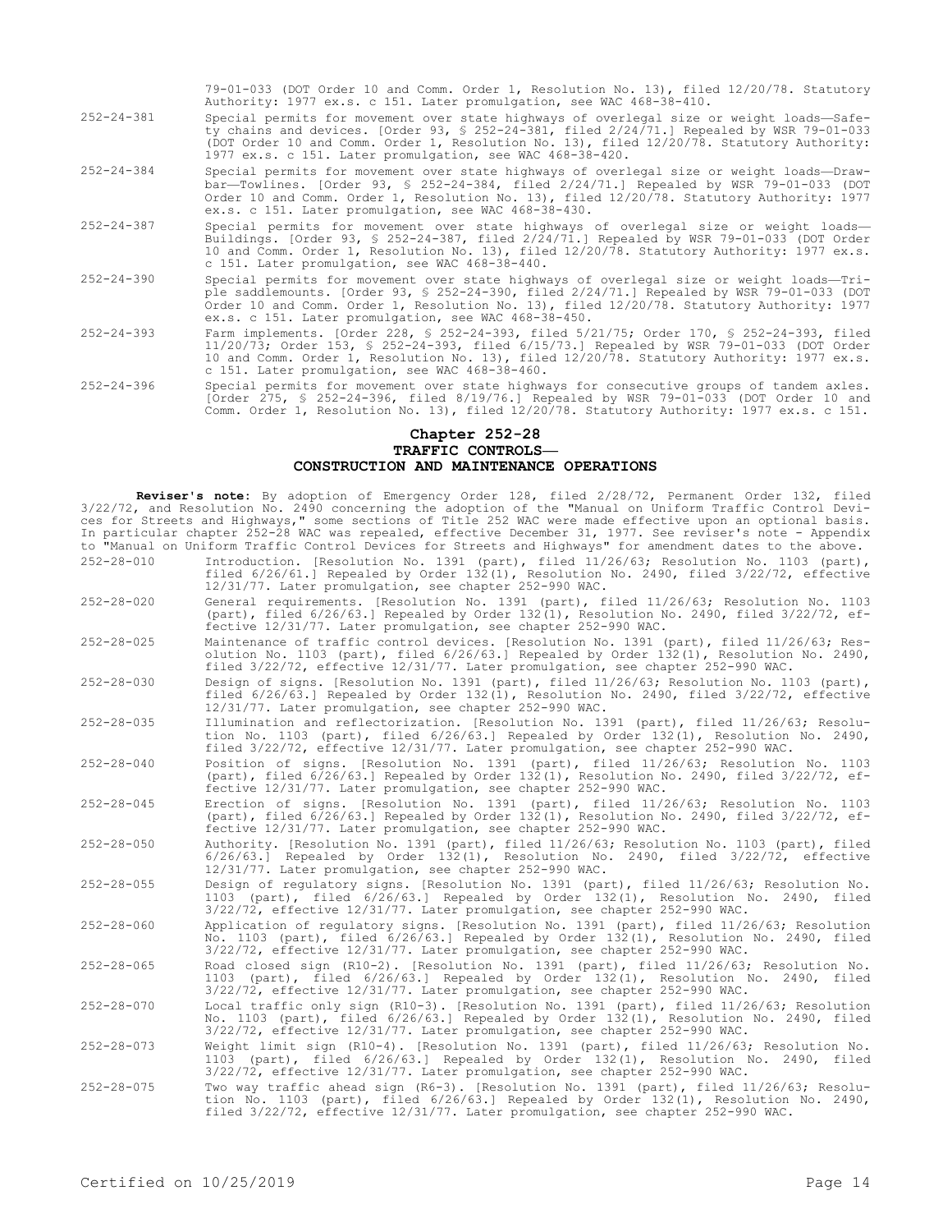|                  | 79-01-033 (DOT Order 10 and Comm. Order 1, Resolution No. 13), filed 12/20/78. Statutory<br>Authority: 1977 ex.s. c 151. Later promulgation, see WAC 468-38-410.                                                                                                                                                                                |
|------------------|-------------------------------------------------------------------------------------------------------------------------------------------------------------------------------------------------------------------------------------------------------------------------------------------------------------------------------------------------|
| $252 - 24 - 381$ | Special permits for movement over state highways of overlegal size or weight loads-Safe-<br>ty chains and devices. [Order 93, § 252-24-381, filed 2/24/71.] Repealed by WSR 79-01-033<br>(DOT Order 10 and Comm. Order 1, Resolution No. 13), filed 12/20/78. Statutory Authority:<br>1977 ex.s. c 151. Later promulgation, see WAC 468-38-420. |
| $252 - 24 - 384$ | Special permits for movement over state highways of overlegal size or weight loads-Draw-<br>bar-Towlines. [Order 93, § 252-24-384, filed $2/24/71$ .] Repealed by WSR 79-01-033 (DOT<br>Order 10 and Comm. Order 1, Resolution No. 13), filed 12/20/78. Statutory Authority: 1977<br>ex.s. c 151. Later promulgation, see WAC 468-38-430.       |
| $252 - 24 - 387$ | Special permits for movement over state highways of overlegal size or weight loads-<br>Buildings. [Order 93, § 252-24-387, filed 2/24/71.] Repealed by WSR 79-01-033 (DOT Order<br>10 and Comm. Order 1, Resolution No. 13), filed 12/20/78. Statutory Authority: 1977 ex.s.<br>c 151. Later promulgation, see WAC 468-38-440.                  |
| $252 - 24 - 390$ | Special permits for movement over state highways of overlegal size or weight loads-Tri-<br>ple saddlemounts. [Order 93, § 252-24-390, filed $2/24/71$ .] Repealed by WSR 79-01-033 (DOT<br>Order 10 and Comm. Order 1, Resolution No. 13), filed 12/20/78. Statutory Authority: 1977<br>ex.s. c 151. Later promulgation, see WAC 468-38-450.    |
| $252 - 24 - 393$ | Farm implements. [Order 228, § 252-24-393, filed 5/21/75; Order 170, § 252-24-393, filed<br>11/20/73; Order 153, § 252-24-393, filed 6/15/73.] Repealed by WSR 79-01-033 (DOT Order<br>10 and Comm. Order 1, Resolution No. 13), filed 12/20/78. Statutory Authority: 1977 ex.s.<br>c 151. Later promulgation, see WAC 468-38-460.              |
| $252 - 24 - 396$ | Special permits for movement over state highways for consecutive groups of tandem axles.<br>[Order 275, § 252-24-396, filed 8/19/76.] Repealed by WSR 79-01-033 (DOT Order 10 and<br>Comm. Order 1, Resolution No. 13), filed 12/20/78. Statutory Authority: 1977 ex.s. c 151.                                                                  |

#### **Chapter 252-28 TRAFFIC CONTROLS— CONSTRUCTION AND MAINTENANCE OPERATIONS**

**Reviser's note:** By adoption of Emergency Order 128, filed 2/28/72, Permanent Order 132, filed 3/22/72, and Resolution No. 2490 concerning the adoption of the "Manual on Uniform Traffic Control Devices for Streets and Highways," some sections of Title 252 WAC were made effective upon an optional basis. In particular chapter 252-28 WAC was repealed, effective December 31, 1977. See reviser's note - Appendix to "Manual on Uniform Traffic Control Devices for Streets and Highways" for amendment dates to the above.

- 252-28-010 Introduction. [Resolution No. 1391 (part), filed 11/26/63; Resolution No. 1103 (part), filed 6/26/61.] Repealed by Order 132(1), Resolution No. 2490, filed 3/22/72, effective 12/31/77. Later promulgation, see chapter 252-990 WAC.
- 252-28-020 General requirements. [Resolution No. 1391 (part), filed 11/26/63; Resolution No. 1103 (part), filed 6/26/63.] Repealed by Order 132(1), Resolution No. 2490, filed 3/22/72, effective 12/31/77. Later promulgation, see chapter 252-990 WAC.
- 252-28-025 Maintenance of traffic control devices. [Resolution No. 1391 (part), filed 11/26/63; Resolution No. 1103 (part), filed 6/26/63.] Repealed by Order 132(1), Resolution No. 2490, filed 3/22/72, effective 12/31/77. Later promulgation, see chapter 252-990 WAC.
- 252-28-030 Design of signs. [Resolution No. 1391 (part), filed 11/26/63; Resolution No. 1103 (part), filed 6/26/63.] Repealed by Order 132(1), Resolution No. 2490, filed 3/22/72, effective 12/31/77. Later promulgation, see chapter 252-990 WAC.
- 252-28-035 Illumination and reflectorization. [Resolution No. 1391 (part), filed 11/26/63; Resolution No. 1103 (part), filed 6/26/63.] Repealed by Order 132(1), Resolution No. 2490, filed 3/22/72, effective 12/31/77. Later promulgation, see chapter 252-990 WAC.
- 252-28-040 Position of signs. [Resolution No. 1391 (part), filed 11/26/63; Resolution No. 1103 (part), filed 6/26/63.] Repealed by Order 132(1), Resolution No. 2490, filed 3/22/72, effective 12/31/77. Later promulgation, see chapter 252-990 WAC.
- 252-28-045 Erection of signs. [Resolution No. 1391 (part), filed 11/26/63; Resolution No. 1103 (part), filed 6/26/63.] Repealed by Order 132(1), Resolution No. 2490, filed 3/22/72, effective 12/31/77. Later promulgation, see chapter 252-990 WAC.
- 252-28-050 Authority. [Resolution No. 1391 (part), filed 11/26/63; Resolution No. 1103 (part), filed 6/26/63.] Repealed by Order 132(1), Resolution No. 2490, filed 3/22/72, effective 12/31/77. Later promulgation, see chapter 252-990 WAC.
- 252-28-055 Design of regulatory signs. [Resolution No. 1391 (part), filed 11/26/63; Resolution No. 1103 (part), filed 6/26/63.] Repealed by Order 132(1), Resolution No. 2490, filed 3/22/72, effective 12/31/77. Later promulgation, see chapter 252-990 WAC.
- 252-28-060 Application of regulatory signs. [Resolution No. 1391 (part), filed 11/26/63; Resolution No. 1103 (part), filed 6/26/63.] Repealed by Order 132(1), Resolution No. 2490, filed 3/22/72, effective 12/31/77. Later promulgation, see chapter 252-990 WAC.
- 252-28-065 Road closed sign (R10-2). [Resolution No. 1391 (part), filed 11/26/63; Resolution No. 1103 (part), filed 6/26/63.] Repealed by Order 132(1), Resolution No. 2490, filed 3/22/72, effective 12/31/77. Later promulgation, see chapter 252-990 WAC.
- 252-28-070 Local traffic only sign (R10-3). [Resolution No. 1391 (part), filed 11/26/63; Resolution No. 1103 (part), filed 6/26/63.] Repealed by Order 132(1), Resolution No. 2490, filed 3/22/72, effective 12/31/77. Later promulgation, see chapter 252-990 WAC.
- 252-28-073 Weight limit sign (R10-4). [Resolution No. 1391 (part), filed 11/26/63; Resolution No. 1103 (part), filed 6/26/63.] Repealed by Order 132(1), Resolution No. 2490, filed 3/22/72, effective 12/31/77. Later promulgation, see chapter 252-990 WAC.
- 252-28-075 Two way traffic ahead sign (R6-3). [Resolution No. 1391 (part), filed 11/26/63; Resolution No. 1103 (part), filed 6/26/63.] Repealed by Order 132(1), Resolution No. 2490, filed 3/22/72, effective 12/31/77. Later promulgation, see chapter 252-990 WAC.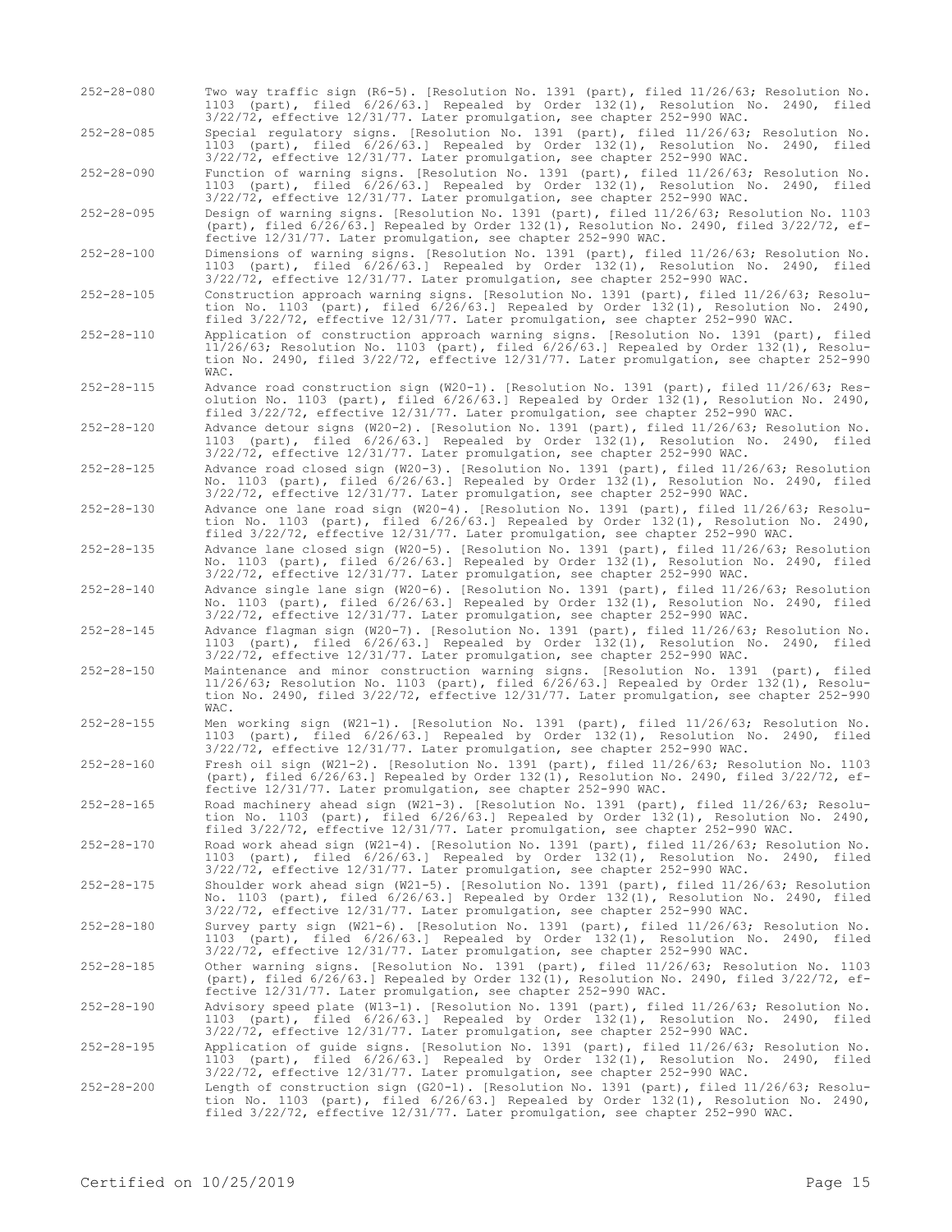252-28-080 Two way traffic sign (R6-5). [Resolution No. 1391 (part), filed 11/26/63; Resolution No. 1103 (part), filed 6/26/63.] Repealed by Order 132(1), Resolution No. 2490, filed 3/22/72, effective 12/31/77. Later promulgation, see chapter 252-990 WAC.

252-28-085 Special regulatory signs. [Resolution No. 1391 (part), filed 11/26/63; Resolution No. 1103 (part), filed 6/26/63.] Repealed by Order 132(1), Resolution No. 2490, filed 3/22/72, effective 12/31/77. Later promulgation, see chapter 252-990 WAC.

252-28-090 Function of warning signs. [Resolution No. 1391 (part), filed 11/26/63; Resolution No. 1103 (part), filed 6/26/63.] Repealed by Order 132(1), Resolution No. 2490, filed 3/22/72, effective 12/31/77. Later promulgation, see chapter 252-990 WAC.

252-28-095 Design of warning signs. [Resolution No. 1391 (part), filed 11/26/63; Resolution No. 1103 (part), filed 6/26/63.] Repealed by Order 132(1), Resolution No. 2490, filed 3/22/72, effective 12/31/77. Later promulgation, see chapter 252-990 WAC.

252-28-100 Dimensions of warning signs. [Resolution No. 1391 (part), filed 11/26/63; Resolution No. 1103 (part), filed 6/26/63.] Repealed by Order 132(1), Resolution No. 2490, filed 3/22/72, effective 12/31/77. Later promulgation, see chapter 252-990 WAC.

252-28-105 Construction approach warning signs. [Resolution No. 1391 (part), filed 11/26/63; Resolution No. 1103 (part), filed 6/26/63.] Repealed by Order 132(1), Resolution No. 2490, filed 3/22/72, effective 12/31/77. Later promulgation, see chapter 252-990 WAC.

- 252-28-110 Application of construction approach warning signs. [Resolution No. 1391 (part), filed 11/26/63; Resolution No. 1103 (part), filed 6/26/63.] Repealed by Order 132(1), Resolution No. 2490, filed 3/22/72, effective 12/31/77. Later promulgation, see chapter 252-990 WAC.
- 252-28-115 Advance road construction sign (W20-1). [Resolution No. 1391 (part), filed 11/26/63; Resolution No. 1103 (part), filed 6/26/63.] Repealed by Order 132(1), Resolution No. 2490, filed 3/22/72, effective 12/31/77. Later promulgation, see chapter 252-990 WAC.

252-28-120 Advance detour signs (W20-2). [Resolution No. 1391 (part), filed 11/26/63; Resolution No. 1103 (part), filed 6/26/63.] Repealed by Order 132(1), Resolution No. 2490, filed 3/22/72, effective 12/31/77. Later promulgation, see chapter 252-990 WAC.

252-28-125 Advance road closed sign (W20-3). [Resolution No. 1391 (part), filed 11/26/63; Resolution No. 1103 (part), filed 6/26/63.] Repealed by Order 132(1), Resolution No. 2490, filed 3/22/72, effective 12/31/77. Later promulgation, see chapter 252-990 WAC.

252-28-130 Advance one lane road sign (W20-4). [Resolution No. 1391 (part), filed 11/26/63; Resolution No. 1103 (part), filed 6/26/63.] Repealed by Order 132(1), Resolution No. 2490, filed 3/22/72, effective 12/31/77. Later promulgation, see chapter 252-990 WAC.

252-28-135 Advance lane closed sign (W20-5). [Resolution No. 1391 (part), filed 11/26/63; Resolution No. 1103 (part), filed 6/26/63.] Repealed by Order 132(1), Resolution No. 2490, filed 3/22/72, effective 12/31/77. Later promulgation, see chapter 252-990 WAC.

252-28-140 Advance single lane sign (W20-6). [Resolution No. 1391 (part), filed 11/26/63; Resolution No. 1103 (part), filed 6/26/63.] Repealed by Order 132(1), Resolution No. 2490, filed 3/22/72, effective 12/31/77. Later promulgation, see chapter 252-990 WAC.

252-28-145 Advance flagman sign (W20-7). [Resolution No. 1391 (part), filed 11/26/63; Resolution No. 1103 (part), filed 6/26/63.] Repealed by Order 132(1), Resolution No. 2490, filed 3/22/72, effective 12/31/77. Later promulgation, see chapter 252-990 WAC.

- 252-28-150 Maintenance and minor construction warning signs. [Resolution No. 1391 (part), filed 11/26/63; Resolution No. 1103 (part), filed 6/26/63.] Repealed by Order 132(1), Resolution No. 2490, filed 3/22/72, effective 12/31/77. Later promulgation, see chapter 252-990  $WAP$
- 252-28-155 Men working sign (W21-1). [Resolution No. 1391 (part), filed 11/26/63; Resolution No. 1103 (part), filed 6/26/63.] Repealed by Order 132(1), Resolution No. 2490, filed 3/22/72, effective 12/31/77. Later promulgation, see chapter 252-990 WAC.

252-28-160 Fresh oil sign (W21-2). [Resolution No. 1391 (part), filed 11/26/63; Resolution No. 1103 (part), filed 6/26/63.] Repealed by Order 132(1), Resolution No. 2490, filed 3/22/72, effective 12/31/77. Later promulgation, see chapter 252-990 WAC.

252-28-165 Road machinery ahead sign (W21-3). [Resolution No. 1391 (part), filed 11/26/63; Resolution No. 1103 (part), filed 6/26/63.] Repealed by Order 132(1), Resolution No. 2490, filed 3/22/72, effective 12/31/77. Later promulgation, see chapter 252-990 WAC.

252-28-170 Road work ahead sign (W21-4). [Resolution No. 1391 (part), filed 11/26/63; Resolution No. 1103 (part), filed 6/26/63.] Repealed by Order 132(1), Resolution No. 2490, filed 3/22/72, effective 12/31/77. Later promulgation, see chapter 252-990 WAC.

252-28-175 Shoulder work ahead sign (W21-5). [Resolution No. 1391 (part), filed 11/26/63; Resolution No. 1103 (part), filed 6/26/63.] Repealed by Order 132(1), Resolution No. 2490, filed 3/22/72, effective 12/31/77. Later promulgation, see chapter 252-990 WAC.

252-28-180 Survey party sign (W21-6). [Resolution No. 1391 (part), filed 11/26/63; Resolution No. 1103 (part), filed 6/26/63.] Repealed by Order 132(1), Resolution No. 2490, filed 3/22/72, effective 12/31/77. Later promulgation, see chapter 252-990 WAC.

252-28-185 Other warning signs. [Resolution No. 1391 (part), filed 11/26/63; Resolution No. 1103 (part), filed 6/26/63.] Repealed by Order 132(1), Resolution No. 2490, filed 3/22/72, effective 12/31/77. Later promulgation, see chapter 252-990 WAC.

252-28-190 Advisory speed plate (W13-1). [Resolution No. 1391 (part), filed 11/26/63; Resolution No. 1103 (part), filed 6/26/63.] Repealed by Order 132(1), Resolution No. 2490, filed 3/22/72, effective 12/31/77. Later promulgation, see chapter 252-990 WAC.

252-28-195 Application of guide signs. [Resolution No. 1391 (part), filed 11/26/63; Resolution No. 1103 (part), filed 6/26/63.] Repealed by Order 132(1), Resolution No. 2490, filed 3/22/72, effective 12/31/77. Later promulgation, see chapter 252-990 WAC.

252-28-200 Length of construction sign (G20-1). [Resolution No. 1391 (part), filed 11/26/63; Resolu-tion No. 1103 (part), filed 6/26/63.] Repealed by Order 132(1), Resolution No. 2490, filed 3/22/72, effective 12/31/77. Later promulgation, see chapter 252-990 WAC.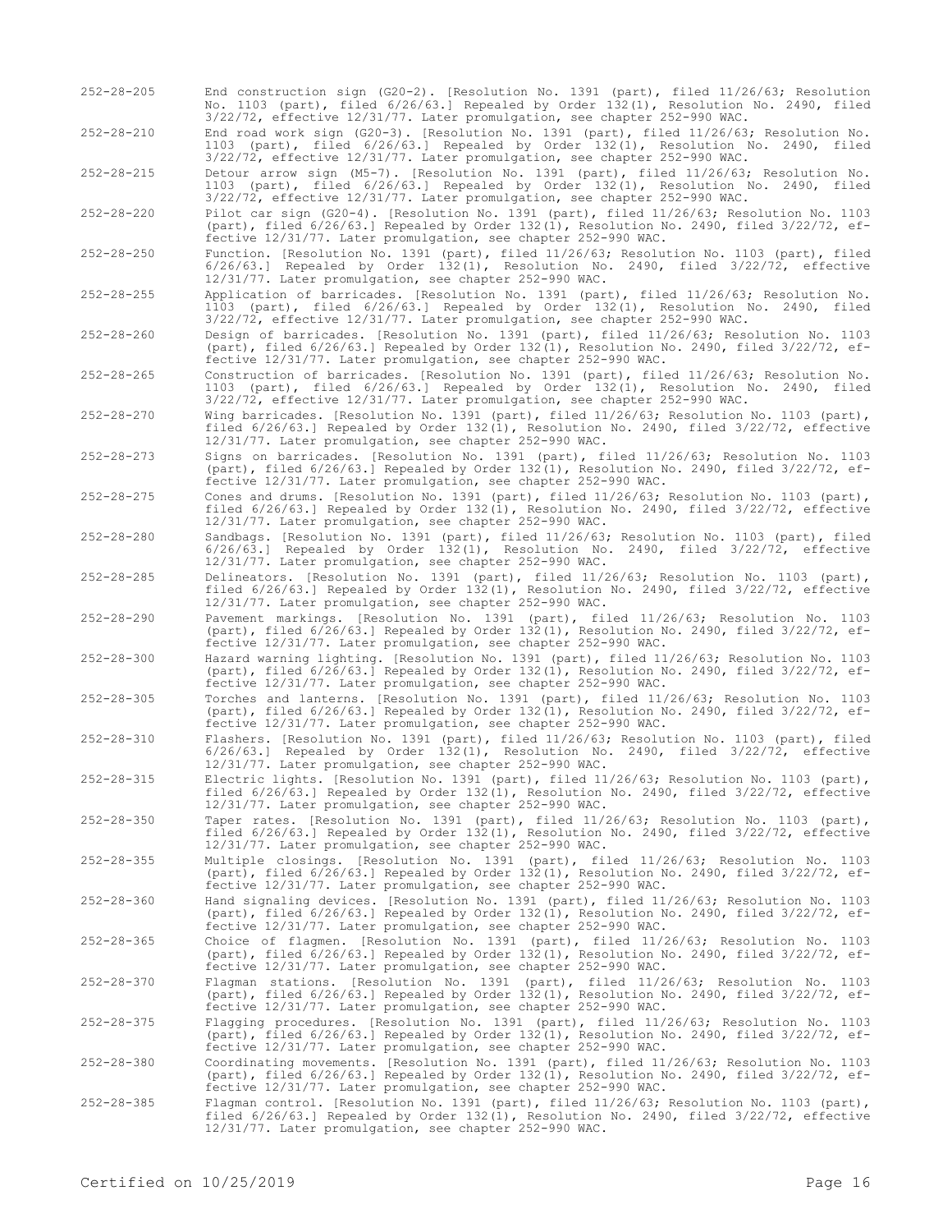252-28-205 End construction sign (G20-2). [Resolution No. 1391 (part), filed 11/26/63; Resolution No. 1103 (part), filed 6/26/63.] Repealed by Order 132(1), Resolution No. 2490, filed 3/22/72, effective 12/31/77. Later promulgation, see chapter 252-990 WAC. 252-28-210 End road work sign (G20-3). [Resolution No. 1391 (part), filed 11/26/63; Resolution No. 1103 (part), filed 6/26/63.] Repealed by Order 132(1), Resolution No. 2490, filed 3/22/72, effective 12/31/77. Later promulgation, see chapter 252-990 WAC. 252-28-215 Detour arrow sign (M5-7). [Resolution No. 1391 (part), filed 11/26/63; Resolution No. 1103 (part), filed 6/26/63.] Repealed by Order 132(1), Resolution No. 2490, filed 3/22/72, effective 12/31/77. Later promulgation, see chapter 252-990 WAC. 252-28-220 Pilot car sign (G20-4). [Resolution No. 1391 (part), filed 11/26/63; Resolution No. 1103 (part), filed 6/26/63.] Repealed by Order 132(1), Resolution No. 2490, filed 3/22/72, effective 12/31/77. Later promulgation, see chapter 252-990 WAC. 252-28-250 Function. [Resolution No. 1391 (part), filed 11/26/63; Resolution No. 1103 (part), filed 6/26/63.] Repealed by Order 132(1), Resolution No. 2490, filed 3/22/72, effective 12/31/77. Later promulgation, see chapter 252-990 WAC. 252-28-255 Application of barricades. [Resolution No. 1391 (part), filed 11/26/63; Resolution No. 1103 (part), filed 6/26/63.] Repealed by Order 132(1), Resolution No. 2490, filed 3/22/72, effective 12/31/77. Later promulgation, see chapter 252-990 WAC. 252-28-260 Design of barricades. [Resolution No. 1391 (part), filed 11/26/63; Resolution No. 1103 (part), filed 6/26/63.] Repealed by Order 132(1), Resolution No. 2490, filed 3/22/72, effective 12/31/77. Later promulgation, see chapter 252-990 WAC. 252-28-265 Construction of barricades. [Resolution No. 1391 (part), filed 11/26/63; Resolution No. 1103 (part), filed 6/26/63.] Repealed by Order 132(1), Resolution No. 2490, filed 3/22/72, effective 12/31/77. Later promulgation, see chapter 252-990 WAC. 252-28-270 Wing barricades. [Resolution No. 1391 (part), filed 11/26/63; Resolution No. 1103 (part), filed 6/26/63.] Repealed by Order 132(1), Resolution No. 2490, filed 3/22/72, effective 12/31/77. Later promulgation, see chapter 252-990 WAC. 252-28-273 Signs on barricades. [Resolution No. 1391 (part), filed 11/26/63; Resolution No. 1103 (part), filed 6/26/63.] Repealed by Order 132(1), Resolution No. 2490, filed 3/22/72, effective 12/31/77. Later promulgation, see chapter 252-990 WAC. 252-28-275 Cones and drums. [Resolution No. 1391 (part), filed 11/26/63; Resolution No. 1103 (part), filed 6/26/63.] Repealed by Order 132(1), Resolution No. 2490, filed 3/22/72, effective 12/31/77. Later promulgation, see chapter 252-990 WAC. 252-28-280 Sandbags. [Resolution No. 1391 (part), filed 11/26/63; Resolution No. 1103 (part), filed 6/26/63.] Repealed by Order 132(1), Resolution No. 2490, filed 3/22/72, effective 12/31/77. Later promulgation, see chapter 252-990 WAC. 252-28-285 Delineators. [Resolution No. 1391 (part), filed 11/26/63; Resolution No. 1103 (part), filed 6/26/63.] Repealed by Order 132(1), Resolution No. 2490, filed 3/22/72, effective 12/31/77. Later promulgation, see chapter 252-990 WAC. 252-28-290 Pavement markings. [Resolution No. 1391 (part), filed 11/26/63; Resolution No. 1103 (part), filed 6/26/63.] Repealed by Order 132(1), Resolution No. 2490, filed 3/22/72, effective 12/31/77. Later promulgation, see chapter 252-990 WAC. 252-28-300 Hazard warning lighting. [Resolution No. 1391 (part), filed 11/26/63; Resolution No. 1103 (part), filed 6/26/63.] Repealed by Order 132(1), Resolution No. 2490, filed 3/22/72, effective 12/31/77. Later promulgation, see chapter 252-990 WAC. 252-28-305 Torches and lanterns. [Resolution No. 1391 (part), filed 11/26/63; Resolution No. 1103 (part), filed 6/26/63.] Repealed by Order 132(1), Resolution No. 2490, filed 3/22/72, effective 12/31/77. Later promulgation, see chapter 252-990 WAC. 252-28-310 Flashers. [Resolution No. 1391 (part), filed 11/26/63; Resolution No. 1103 (part), filed 6/26/63.] Repealed by Order 132(1), Resolution No. 2490, filed 3/22/72, effective 12/31/77. Later promulgation, see chapter 252-990 WAC. 252-28-315 Electric lights. [Resolution No. 1391 (part), filed 11/26/63; Resolution No. 1103 (part), filed 6/26/63.] Repealed by Order 132(1), Resolution No. 2490, filed 3/22/72, effective 12/31/77. Later promulgation, see chapter 252-990 WAC. 252-28-350 Taper rates. [Resolution No. 1391 (part), filed 11/26/63; Resolution No. 1103 (part), filed 6/26/63.] Repealed by Order 132(1), Resolution No. 2490, filed 3/22/72, effective 12/31/77. Later promulgation, see chapter 252-990 WAC. 252-28-355 Multiple closings. [Resolution No. 1391 (part), filed 11/26/63; Resolution No. 1103 (part), filed 6/26/63.] Repealed by Order 132(1), Resolution No. 2490, filed 3/22/72, effective 12/31/77. Later promulgation, see chapter 252-990 WAC. 252-28-360 Hand signaling devices. [Resolution No. 1391 (part), filed 11/26/63; Resolution No. 1103 (part), filed 6/26/63.] Repealed by Order 132(1), Resolution No. 2490, filed 3/22/72, effective 12/31/77. Later promulgation, see chapter 252-990 WAC. 252-28-365 Choice of flagmen. [Resolution No. 1391 (part), filed 11/26/63; Resolution No. 1103 (part), filed 6/26/63.] Repealed by Order 132(1), Resolution No. 2490, filed 3/22/72, effective 12/31/77. Later promulgation, see chapter 252-990 WAC. 252-28-370 Flagman stations. [Resolution No. 1391 (part), filed 11/26/63; Resolution No. 1103 (part), filed 6/26/63.] Repealed by Order 132(1), Resolution No. 2490, filed 3/22/72, effective 12/31/77. Later promulgation, see chapter 252-990 WAC. 252-28-375 Flagging procedures. [Resolution No. 1391 (part), filed 11/26/63; Resolution No. 1103 (part), filed 6/26/63.] Repealed by Order 132(1), Resolution No. 2490, filed 3/22/72, ef-fective 12/31/77. Later promulgation, see chapter 252-990 WAC. 252-28-380 Coordinating movements. [Resolution No. 1391 (part), filed 11/26/63; Resolution No. 1103 (part), filed 6/26/63.] Repealed by Order 132(1), Resolution No. 2490, filed 3/22/72, effective 12/31/77. Later promulgation, see chapter 252-990 WAC. 252-28-385 Flagman control. [Resolution No. 1391 (part), filed 11/26/63; Resolution No. 1103 (part), filed 6/26/63.] Repealed by Order 132(1), Resolution No. 2490, filed 3/22/72, effective 12/31/77. Later promulgation, see chapter 252-990 WAC.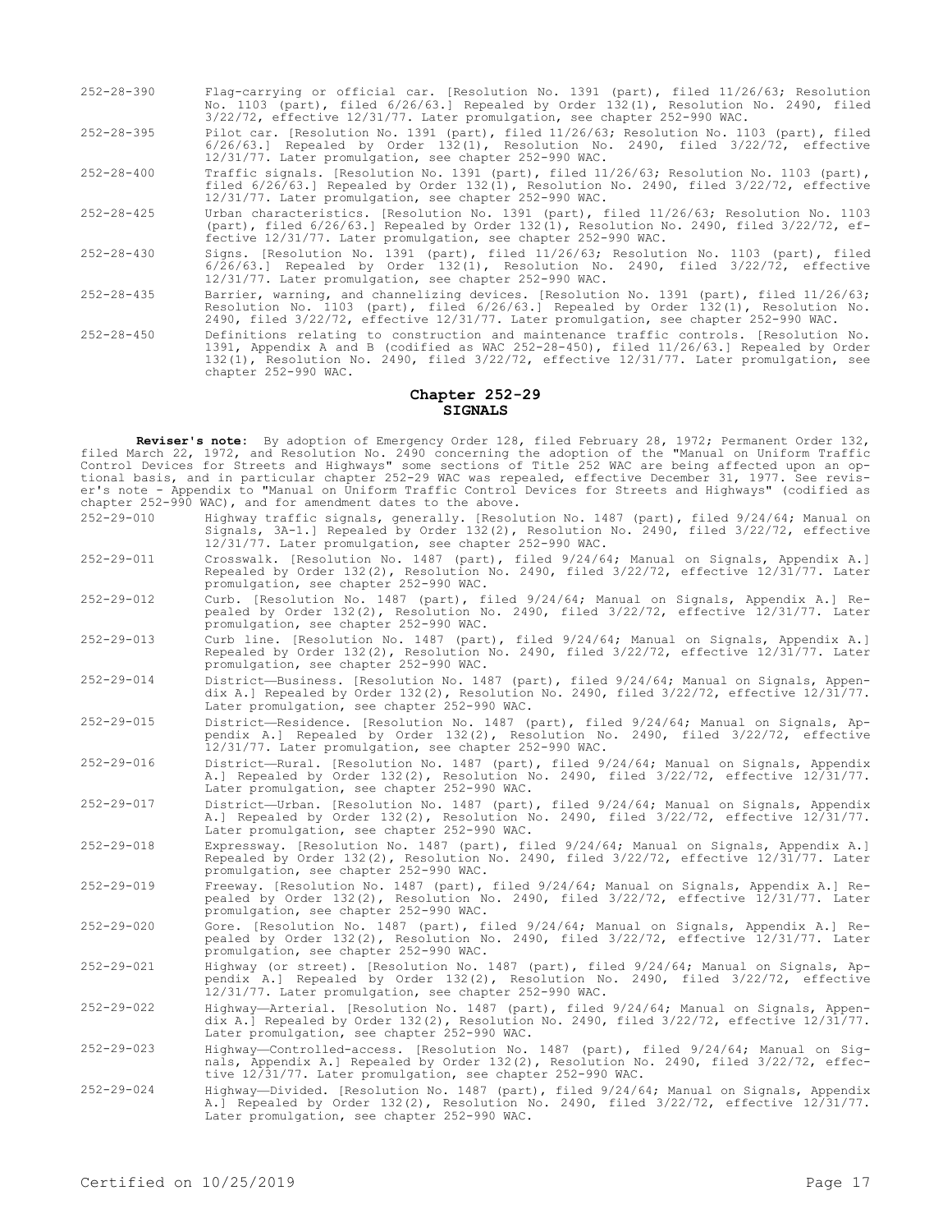- 252-28-390 Flag-carrying or official car. [Resolution No. 1391 (part), filed 11/26/63; Resolution No. 1103 (part), filed 6/26/63.] Repealed by Order 132(1), Resolution No. 2490, filed 3/22/72, effective 12/31/77. Later promulgation, see chapter 252-990 WAC.
- 252-28-395 Pilot car. [Resolution No. 1391 (part), filed 11/26/63; Resolution No. 1103 (part), filed 6/26/63.] Repealed by Order 132(1), Resolution No. 2490, filed 3/22/72, effective 12/31/77. Later promulgation, see chapter 252-990 WAC.
- 252-28-400 Traffic signals. [Resolution No. 1391 (part), filed 11/26/63; Resolution No. 1103 (part), filed 6/26/63.] Repealed by Order 132(1), Resolution No. 2490, filed 3/22/72, effective 12/31/77. Later promulgation, see chapter 252-990 WAC.
- 252-28-425 Urban characteristics. [Resolution No. 1391 (part), filed 11/26/63; Resolution No. 1103 (part), filed 6/26/63.] Repealed by Order 132(1), Resolution No. 2490, filed 3/22/72, effective 12/31/77. Later promulgation, see chapter 252-990 WAC.
- 252-28-430 Signs. [Resolution No. 1391 (part), filed 11/26/63; Resolution No. 1103 (part), filed 6/26/63.] Repealed by Order 132(1), Resolution No. 2490, filed 3/22/72, effective 12/31/77. Later promulgation, see chapter 252-990 WAC.
- 252-28-435 Barrier, warning, and channelizing devices. [Resolution No. 1391 (part), filed 11/26/63; Resolution No. 1103 (part), filed 6/26/63.] Repealed by Order 132(1), Resolution No. 2490, filed 3/22/72, effective 12/31/77. Later promulgation, see chapter 252-990 WAC.
- 252-28-450 Definitions relating to construction and maintenance traffic controls. [Resolution No. 1391, Appendix A and B (codified as WAC 252-28-450), filed 11/26/63.] Repealed by Order 132(1), Resolution No. 2490, filed 3/22/72, effective 12/31/77. Later promulgation, see chapter 252-990 WAC.

## **Chapter 252-29 SIGNALS**

**Reviser's note:** By adoption of Emergency Order 128, filed February 28, 1972; Permanent Order 132, filed March 22, 1972, and Resolution No. 2490 concerning the adoption of the "Manual on Uniform Traffic Control Devices for Streets and Highways" some sections of Title 252 WAC are being affected upon an optional basis, and in particular chapter 252-29 WAC was repealed, effective December 31, 1977. See reviser's note - Appendix to "Manual on Uniform Traffic Control Devices for Streets and Highways" (codified as chapter 252-990 WAC), and for amendment dates to the above.

- 252-29-010 Highway traffic signals, generally. [Resolution No. 1487 (part), filed 9/24/64; Manual on Signals, 3A-1.] Repealed by Order 132(2), Resolution No. 2490, filed 3/22/72, effective 12/31/77. Later promulgation, see chapter 252-990 WAC.
- 252-29-011 Crosswalk. [Resolution No. 1487 (part), filed 9/24/64; Manual on Signals, Appendix A.] Repealed by Order 132(2), Resolution No. 2490, filed 3/22/72, effective 12/31/77. Later promulgation, see chapter 252-990 WAC.
- 252-29-012 Curb. [Resolution No. 1487 (part), filed 9/24/64; Manual on Signals, Appendix A.] Repealed by Order 132(2), Resolution No. 2490, filed 3/22/72, effective 12/31/77. Later promulgation, see chapter 252-990 WAC.
- 252-29-013 Curb line. [Resolution No. 1487 (part), filed 9/24/64; Manual on Signals, Appendix A.] Repealed by Order 132(2), Resolution No. 2490, filed 3/22/72, effective 12/31/77. Later promulgation, see chapter 252-990 WAC.
- 252-29-014 District—Business. [Resolution No. 1487 (part), filed 9/24/64; Manual on Signals, Appendix A.] Repealed by Order 132(2), Resolution No. 2490, filed 3/22/72, effective 12/31/77. Later promulgation, see chapter 252-990 WAC.
- 252-29-015 District—Residence. [Resolution No. 1487 (part), filed 9/24/64; Manual on Signals, Appendix A.] Repealed by Order 132(2), Resolution No. 2490, filed 3/22/72, effective 12/31/77. Later promulgation, see chapter 252-990 WAC.
- 252-29-016 District—Rural. [Resolution No. 1487 (part), filed 9/24/64; Manual on Signals, Appendix A.] Repealed by Order 132(2), Resolution No. 2490, filed 3/22/72, effective 12/31/77. Later promulgation, see chapter 252-990 WAC.
- 252-29-017 District—Urban. [Resolution No. 1487 (part), filed 9/24/64; Manual on Signals, Appendix A.] Repealed by Order 132(2), Resolution No. 2490, filed 3/22/72, effective 12/31/77. Later promulgation, see chapter 252-990 WAC.
- 252-29-018 Expressway. [Resolution No. 1487 (part), filed 9/24/64; Manual on Signals, Appendix A.] Repealed by Order 132(2), Resolution No. 2490, filed 3/22/72, effective 12/31/77. Later promulgation, see chapter 252-990 WAC.
- 252-29-019 Freeway. [Resolution No. 1487 (part), filed 9/24/64; Manual on Signals, Appendix A.] Repealed by Order 132(2), Resolution No. 2490, filed 3/22/72, effective 12/31/77. Later promulgation, see chapter 252-990 WAC.
- 252-29-020 Gore. [Resolution No. 1487 (part), filed 9/24/64; Manual on Signals, Appendix A.] Repealed by Order 132(2), Resolution No. 2490, filed 3/22/72, effective 12/31/77. Later promulgation, see chapter 252-990 WAC.
- 252-29-021 Highway (or street). [Resolution No. 1487 (part), filed 9/24/64; Manual on Signals, Appendix A.] Repealed by Order 132(2), Resolution No. 2490, filed 3/22/72, effective 12/31/77. Later promulgation, see chapter 252-990 WAC.
- 252-29-022 Highway—Arterial. [Resolution No. 1487 (part), filed 9/24/64; Manual on Signals, Appendix A.] Repealed by Order 132(2), Resolution No. 2490, filed 3/22/72, effective 12/31/77. Later promulgation, see chapter 252-990 WAC.
- 252-29-023 Highway—Controlled-access. [Resolution No. 1487 (part), filed 9/24/64; Manual on Signals, Appendix A.] Repealed by Order 132(2), Resolution No. 2490, filed 3/22/72, effective 12/31/77. Later promulgation, see chapter 252-990 WAC.
- 252-29-024 Highway—Divided. [Resolution No. 1487 (part), filed 9/24/64; Manual on Signals, Appendix A.] Repealed by Order 132(2), Resolution No. 2490, filed 3/22/72, effective 12/31/77. Later promulgation, see chapter 252-990 WAC.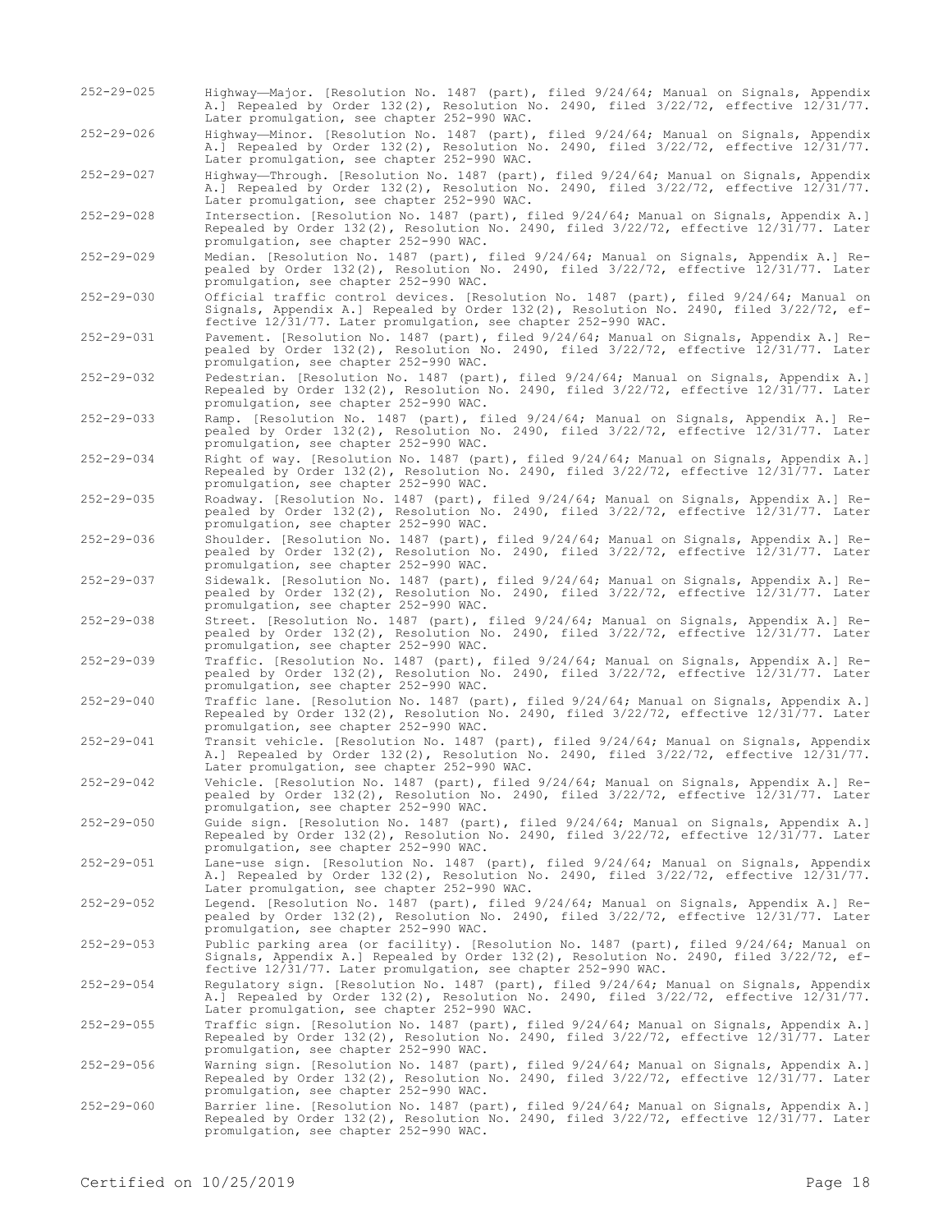- 252-29-025 Highway—Major. [Resolution No. 1487 (part), filed 9/24/64; Manual on Signals, Appendix A.] Repealed by Order 132(2), Resolution No. 2490, filed 3/22/72, effective 12/31/77. Later promulgation, see chapter 252-990 WAC.
- 252-29-026 Highway—Minor. [Resolution No. 1487 (part), filed 9/24/64; Manual on Signals, Appendix A.] Repealed by Order 132(2), Resolution No. 2490, filed 3/22/72, effective 12/31/77. Later promulgation, see chapter 252-990 WAC.
- 252-29-027 Highway—Through. [Resolution No. 1487 (part), filed 9/24/64; Manual on Signals, Appendix A.] Repealed by Order 132(2), Resolution No. 2490, filed 3/22/72, effective 12/31/77. Later promulgation, see chapter 252-990 WAC.
- 252-29-028 Intersection. [Resolution No. 1487 (part), filed 9/24/64; Manual on Signals, Appendix A.] Repealed by Order 132(2), Resolution No. 2490, filed 3/22/72, effective 12/31/77. Later promulgation, see chapter 252-990 WAC.
- 252-29-029 Median. [Resolution No. 1487 (part), filed 9/24/64; Manual on Signals, Appendix A.] Repealed by Order 132(2), Resolution No. 2490, filed 3/22/72, effective 12/31/77. Later promulgation, see chapter 252-990 WAC.
- 252-29-030 Official traffic control devices. [Resolution No. 1487 (part), filed 9/24/64; Manual on Signals, Appendix A.] Repealed by Order 132(2), Resolution No. 2490, filed 3/22/72, effective 12/31/77. Later promulgation, see chapter 252-990 WAC.
- 252-29-031 Pavement. [Resolution No. 1487 (part), filed 9/24/64; Manual on Signals, Appendix A.] Repealed by Order 132(2), Resolution No. 2490, filed 3/22/72, effective 12/31/77. Later promulgation, see chapter 252-990 WAC.
- 252-29-032 Pedestrian. [Resolution No. 1487 (part), filed 9/24/64; Manual on Signals, Appendix A.] Repealed by Order 132(2), Resolution No. 2490, filed 3/22/72, effective 12/31/77. Later promulgation, see chapter 252-990 WAC.
- 252-29-033 Ramp. [Resolution No. 1487 (part), filed 9/24/64; Manual on Signals, Appendix A.] Repealed by Order 132(2), Resolution No. 2490, filed 3/22/72, effective 12/31/77. Later promulgation, see chapter 252-990 WAC.
- 252-29-034 Right of way. [Resolution No. 1487 (part), filed 9/24/64; Manual on Signals, Appendix A.] Repealed by Order 132(2), Resolution No. 2490, filed 3/22/72, effective 12/31/77. Later promulgation, see chapter 252-990 WAC.
- 252-29-035 Roadway. [Resolution No. 1487 (part), filed 9/24/64; Manual on Signals, Appendix A.] Repealed by Order 132(2), Resolution No. 2490, filed 3/22/72, effective 12/31/77. Later promulgation, see chapter 252-990 WAC.
- 252-29-036 Shoulder. [Resolution No. 1487 (part), filed 9/24/64; Manual on Signals, Appendix A.] Repealed by Order 132(2), Resolution No. 2490, filed 3/22/72, effective 12/31/77. Later promulgation, see chapter 252-990 WAC.
- 252-29-037 Sidewalk. [Resolution No. 1487 (part), filed 9/24/64; Manual on Signals, Appendix A.] Repealed by Order 132(2), Resolution No. 2490, filed 3/22/72, effective 12/31/77. Later promulgation, see chapter 252-990 WAC.
- 252-29-038 Street. [Resolution No. 1487 (part), filed 9/24/64; Manual on Signals, Appendix A.] Repealed by Order 132(2), Resolution No. 2490, filed 3/22/72, effective 12/31/77. Later promulgation, see chapter 252-990 WAC.
- 252-29-039 Traffic. [Resolution No. 1487 (part), filed 9/24/64; Manual on Signals, Appendix A.] Repealed by Order 132(2), Resolution No. 2490, filed 3/22/72, effective 12/31/77. Later promulgation, see chapter 252-990 WAC.
- 252-29-040 Traffic lane. [Resolution No. 1487 (part), filed 9/24/64; Manual on Signals, Appendix A.] Repealed by Order 132(2), Resolution No. 2490, filed 3/22/72, effective 12/31/77. Later promulgation, see chapter 252-990 WAC.
- 252-29-041 Transit vehicle. [Resolution No. 1487 (part), filed 9/24/64; Manual on Signals, Appendix A.] Repealed by Order 132(2), Resolution No. 2490, filed 3/22/72, effective 12/31/77. Later promulgation, see chapter 252-990 WAC.
- 252-29-042 Vehicle. [Resolution No. 1487 (part), filed 9/24/64; Manual on Signals, Appendix A.] Repealed by Order 132(2), Resolution No. 2490, filed 3/22/72, effective 12/31/77. Later promulgation, see chapter 252-990 WAC.
- 252-29-050 Guide sign. [Resolution No. 1487 (part), filed 9/24/64; Manual on Signals, Appendix A.] Repealed by Order 132(2), Resolution No. 2490, filed 3/22/72, effective 12/31/77. Later promulgation, see chapter 252-990 WAC.
- 252-29-051 Lane-use sign. [Resolution No. 1487 (part), filed 9/24/64; Manual on Signals, Appendix A.] Repealed by Order 132(2), Resolution No. 2490, filed 3/22/72, effective 12/31/77. Later promulgation, see chapter 252-990 WAC.
- 252-29-052 Legend. [Resolution No. 1487 (part), filed 9/24/64; Manual on Signals, Appendix A.] Repealed by Order 132(2), Resolution No. 2490, filed 3/22/72, effective 12/31/77. Later promulgation, see chapter 252-990 WAC.
- 252-29-053 Public parking area (or facility). [Resolution No. 1487 (part), filed 9/24/64; Manual on Signals, Appendix A.] Repealed by Order 132(2), Resolution No. 2490, filed 3/22/72, effective 12/31/77. Later promulgation, see chapter 252-990 WAC.
- 252-29-054 Regulatory sign. [Resolution No. 1487 (part), filed 9/24/64; Manual on Signals, Appendix A.] Repealed by Order 132(2), Resolution No. 2490, filed 3/22/72, effective 12/31/77. Later promulgation, see chapter 252-990 WAC.
- 252-29-055 Traffic sign. [Resolution No. 1487 (part), filed 9/24/64; Manual on Signals, Appendix A.] Repealed by Order 132(2), Resolution No. 2490, filed 3/22/72, effective 12/31/77. Later promulgation, see chapter 252-990 WAC.
- 252-29-056 Warning sign. [Resolution No. 1487 (part), filed 9/24/64; Manual on Signals, Appendix A.]<br>Repealed by Order 132(2), Resolution No. 2490, filed 3/22/72, effective 12/31/77. Later<br>promulgation, see chapter 252
- 252-29-060 Barrier line. [Resolution No. 1487 (part), filed 9/24/64; Manual on Signals, Appendix A.]<br>Repealed by Order 132(2), Resolution No. 2490, filed 3/22/72, effective 12/31/77. Later<br>promulgation, see chapter 252-990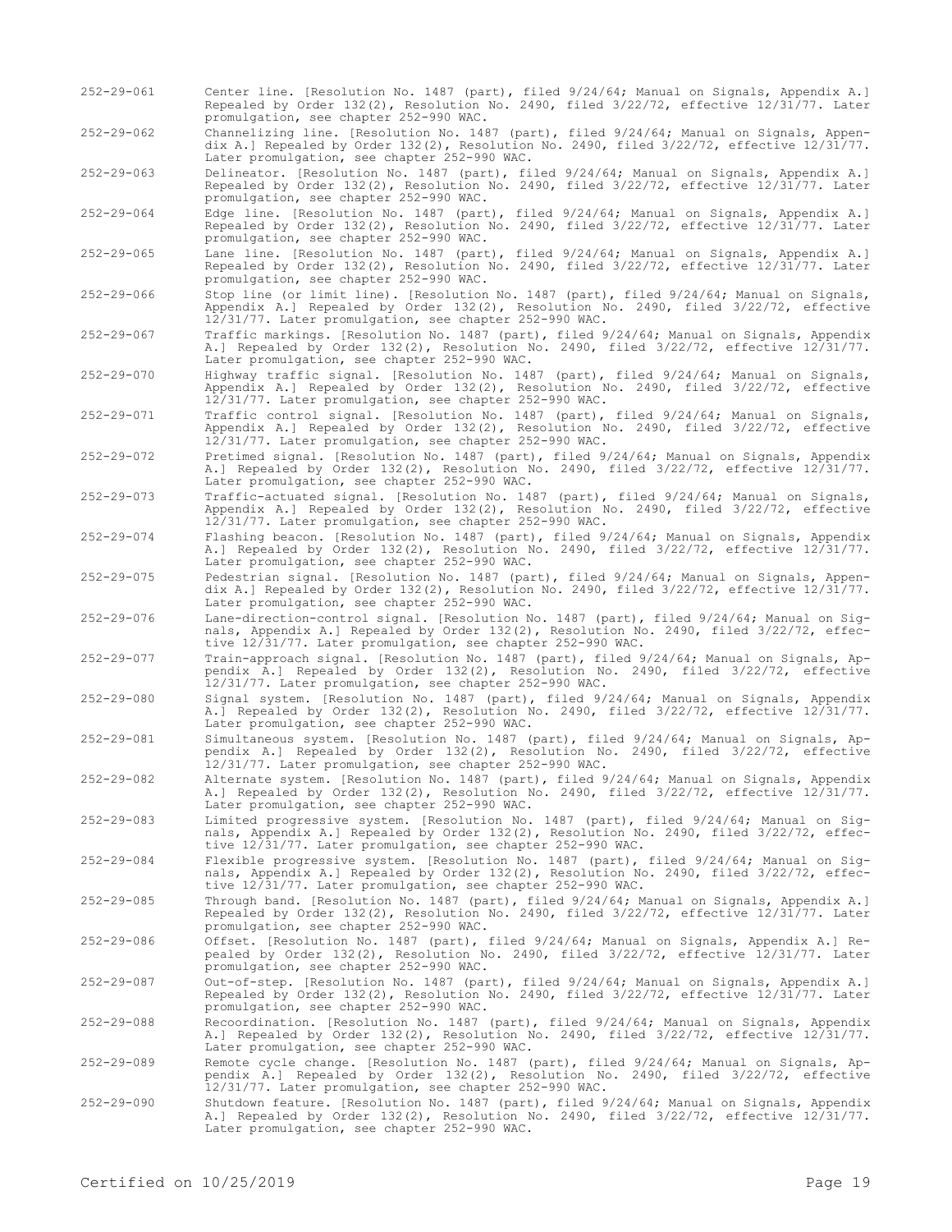- 252-29-061 Center line. [Resolution No. 1487 (part), filed 9/24/64; Manual on Signals, Appendix A.] Repealed by Order 132(2), Resolution No. 2490, filed 3/22/72, effective 12/31/77. Later promulgation, see chapter 252-990 WAC.
- 252-29-062 Channelizing line. [Resolution No. 1487 (part), filed 9/24/64; Manual on Signals, Appendix A.] Repealed by Order 132(2), Resolution No. 2490, filed 3/22/72, effective 12/31/77. Later promulgation, see chapter 252-990 WAC.
- 252-29-063 Delineator. [Resolution No. 1487 (part), filed 9/24/64; Manual on Signals, Appendix A.] Repealed by Order 132(2), Resolution No. 2490, filed 3/22/72, effective 12/31/77. Later promulgation, see chapter 252-990 WAC.

252-29-064 Edge line. [Resolution No. 1487 (part), filed 9/24/64; Manual on Signals, Appendix A.] Repealed by Order 132(2), Resolution No. 2490, filed 3/22/72, effective 12/31/77. Later promulgation, see chapter 252-990 WAC.

- 252-29-065 Lane line. [Resolution No. 1487 (part), filed 9/24/64; Manual on Signals, Appendix A.] Repealed by Order 132(2), Resolution No. 2490, filed 3/22/72, effective 12/31/77. Later promulgation, see chapter 252-990 WAC.
- 252-29-066 Stop line (or limit line). [Resolution No. 1487 (part), filed 9/24/64; Manual on Signals, Appendix A.] Repealed by Order 132(2), Resolution No. 2490, filed 3/22/72, effective 12/31/77. Later promulgation, see chapter 252-990 WAC.
- 252-29-067 Traffic markings. [Resolution No. 1487 (part), filed 9/24/64; Manual on Signals, Appendix A.] Repealed by Order 132(2), Resolution No. 2490, filed 3/22/72, effective 12/31/77. Later promulgation, see chapter 252-990 WAC.

252-29-070 Highway traffic signal. [Resolution No. 1487 (part), filed 9/24/64; Manual on Signals, Appendix A.] Repealed by Order 132(2), Resolution No. 2490, filed 3/22/72, effective 12/31/77. Later promulgation, see chapter 252-990 WAC.

252-29-071 Traffic control signal. [Resolution No. 1487 (part), filed 9/24/64; Manual on Signals, Appendix A.] Repealed by Order 132(2), Resolution No. 2490, filed 3/22/72, effective 12/31/77. Later promulgation, see chapter 252-990 WAC.

252-29-072 Pretimed signal. [Resolution No. 1487 (part), filed 9/24/64; Manual on Signals, Appendix A.] Repealed by Order 132(2), Resolution No. 2490, filed 3/22/72, effective 12/31/77. Later promulgation, see chapter 252-990 WAC.

252-29-073 Traffic-actuated signal. [Resolution No. 1487 (part), filed 9/24/64; Manual on Signals, Appendix A.] Repealed by Order 132(2), Resolution No. 2490, filed 3/22/72, effective 12/31/77. Later promulgation, see chapter 252-990 WAC.

252-29-074 Flashing beacon. [Resolution No. 1487 (part), filed 9/24/64; Manual on Signals, Appendix A.] Repealed by Order 132(2), Resolution No. 2490, filed 3/22/72, effective 12/31/77. Later promulgation, see chapter 252-990 WAC.

252-29-075 Pedestrian signal. [Resolution No. 1487 (part), filed 9/24/64; Manual on Signals, Appendix A.] Repealed by Order 132(2), Resolution No. 2490, filed 3/22/72, effective 12/31/77. Later promulgation, see chapter 252-990 WAC.

252-29-076 Lane-direction-control signal. [Resolution No. 1487 (part), filed 9/24/64; Manual on Signals, Appendix A.] Repealed by Order 132(2), Resolution No. 2490, filed 3/22/72, effective 12/31/77. Later promulgation, see chapter 252-990 WAC.

252-29-077 Train-approach signal. [Resolution No. 1487 (part), filed 9/24/64; Manual on Signals, Appendix A.] Repealed by Order 132(2), Resolution No. 2490, filed 3/22/72, effective 12/31/77. Later promulgation, see chapter 252-990 WAC.

252-29-080 Signal system. [Resolution No. 1487 (part), filed 9/24/64; Manual on Signals, Appendix A.] Repealed by Order 132(2), Resolution No. 2490, filed 3/22/72, effective 12/31/77. Later promulgation, see chapter 252-990 WAC.

252-29-081 Simultaneous system. [Resolution No. 1487 (part), filed 9/24/64; Manual on Signals, Appendix A.] Repealed by Order 132(2), Resolution No. 2490, filed 3/22/72, effective 12/31/77. Later promulgation, see chapter 252-990 WAC.

252-29-082 Alternate system. [Resolution No. 1487 (part), filed 9/24/64; Manual on Signals, Appendix A.] Repealed by Order 132(2), Resolution No. 2490, filed 3/22/72, effective 12/31/77. Later promulgation, see chapter 252-990 WAC.

252-29-083 Limited progressive system. [Resolution No. 1487 (part), filed 9/24/64; Manual on Signals, Appendix A.] Repealed by Order 132(2), Resolution No. 2490, filed 3/22/72, effective 12/31/77. Later promulgation, see chapter 252-990 WAC.

252-29-084 Flexible progressive system. [Resolution No. 1487 (part), filed 9/24/64; Manual on Signals, Appendix A.] Repealed by Order 132(2), Resolution No. 2490, filed 3/22/72, effective 12/31/77. Later promulgation, see chapter 252-990 WAC.

252-29-085 Through band. [Resolution No. 1487 (part), filed 9/24/64; Manual on Signals, Appendix A.] Repealed by Order 132(2), Resolution No. 2490, filed 3/22/72, effective 12/31/77. Later promulgation, see chapter 252-990 WAC.

252-29-086 Offset. [Resolution No. 1487 (part), filed 9/24/64; Manual on Signals, Appendix A.] Repealed by Order 132(2), Resolution No. 2490, filed 3/22/72, effective 12/31/77. Later promulgation, see chapter 252-990 WAC.

252-29-087 Out-of-step. [Resolution No. 1487 (part), filed 9/24/64; Manual on Signals, Appendix A.] Repealed by Order 132(2), Resolution No. 2490, filed 3/22/72, effective 12/31/77. Later promulgation, see chapter 252-990 WAC.

252-29-088 Recoordination. [Resolution No. 1487 (part), filed 9/24/64; Manual on Signals, Appendix A.] Repealed by Order 132(2), Resolution No. 2490, filed 3/22/72, effective 12/31/77. Later promulgation, see chapter 252-990 WAC.

252-29-089 Remote cycle change. [Resolution No. 1487 (part), filed 9/24/64; Manual on Signals, Ap-pendix A.] Repealed by Order 132(2), Resolution No. 2490, filed 3/22/72, effective 12/31/77. Later promulgation, see chapter 252-990 WAC.

252-29-090 Shutdown feature. [Resolution No. 1487 (part), filed 9/24/64; Manual on Signals, Appendix<br>A.] Repealed by Order 132(2), Resolution No. 2490, filed 3/22/72, effective 12/31/77.<br>Later promulgation, see chapter 252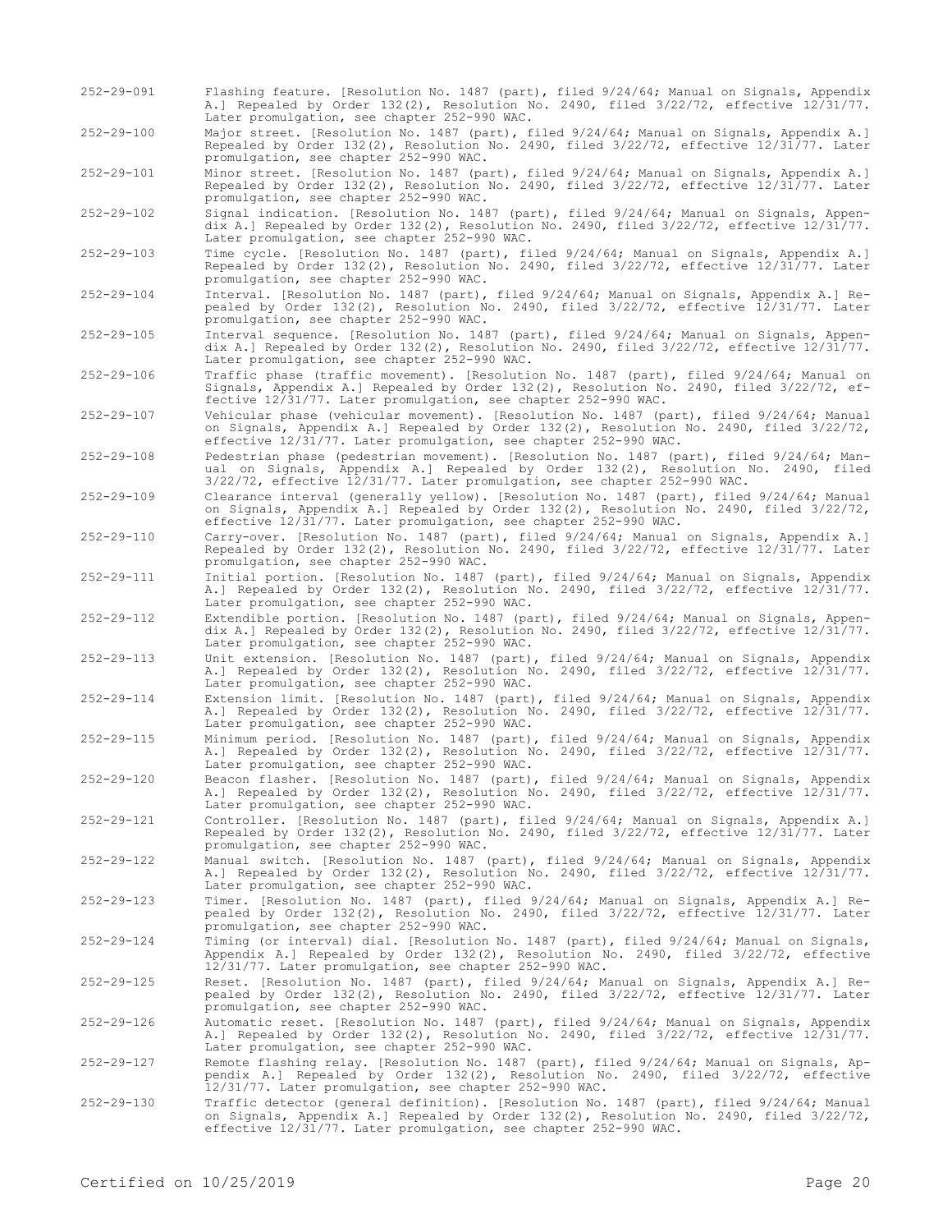- 252-29-091 Flashing feature. [Resolution No. 1487 (part), filed 9/24/64; Manual on Signals, Appendix A.] Repealed by Order 132(2), Resolution No. 2490, filed 3/22/72, effective 12/31/77. Later promulgation, see chapter 252-990 WAC.
- 252-29-100 Major street. [Resolution No. 1487 (part), filed 9/24/64; Manual on Signals, Appendix A.] Repealed by Order 132(2), Resolution No. 2490, filed 3/22/72, effective 12/31/77. Later promulgation, see chapter 252-990 WAC.

252-29-101 Minor street. [Resolution No. 1487 (part), filed 9/24/64; Manual on Signals, Appendix A.] Repealed by Order 132(2), Resolution No. 2490, filed 3/22/72, effective 12/31/77. Later promulgation, see chapter 252-990 WAC.

252-29-102 Signal indication. [Resolution No. 1487 (part), filed 9/24/64; Manual on Signals, Appendix A.] Repealed by Order 132(2), Resolution No. 2490, filed 3/22/72, effective 12/31/77. Later promulgation, see chapter 252-990 WAC.

252-29-103 Time cycle. [Resolution No. 1487 (part), filed 9/24/64; Manual on Signals, Appendix A.] Repealed by Order 132(2), Resolution No. 2490, filed 3/22/72, effective 12/31/77. Later promulgation, see chapter 252-990 WAC.

252-29-104 Interval. [Resolution No. 1487 (part), filed 9/24/64; Manual on Signals, Appendix A.] Repealed by Order 132(2), Resolution No. 2490, filed 3/22/72, effective 12/31/77. Later promulgation, see chapter 252-990 WAC.

- 252-29-105 Interval sequence. [Resolution No. 1487 (part), filed 9/24/64; Manual on Signals, Appendix A.] Repealed by Order 132(2), Resolution No. 2490, filed 3/22/72, effective 12/31/77. Later promulgation, see chapter 252-990 WAC.
- 252-29-106 Traffic phase (traffic movement). [Resolution No. 1487 (part), filed 9/24/64; Manual on Signals, Appendix A.] Repealed by Order 132(2), Resolution No. 2490, filed 3/22/72, effective 12/31/77. Later promulgation, see chapter 252-990 WAC.

252-29-107 Vehicular phase (vehicular movement). [Resolution No. 1487 (part), filed 9/24/64; Manual on Signals, Appendix A.] Repealed by Order 132(2), Resolution No. 2490, filed 3/22/72, effective 12/31/77. Later promulgation, see chapter 252-990 WAC.

252-29-108 Pedestrian phase (pedestrian movement). [Resolution No. 1487 (part), filed 9/24/64; Manual on Signals, Appendix A.] Repealed by Order 132(2), Resolution No. 2490, filed 3/22/72, effective 12/31/77. Later promulgation, see chapter 252-990 WAC.

252-29-109 Clearance interval (generally yellow). [Resolution No. 1487 (part), filed 9/24/64; Manual on Signals, Appendix A.] Repealed by Order 132(2), Resolution No. 2490, filed 3/22/72, effective 12/31/77. Later promulgation, see chapter 252-990 WAC.

252-29-110 Carry-over. [Resolution No. 1487 (part), filed 9/24/64; Manual on Signals, Appendix A.] Repealed by Order 132(2), Resolution No. 2490, filed 3/22/72, effective 12/31/77. Later promulgation, see chapter 252-990 WAC.

252-29-111 Initial portion. [Resolution No. 1487 (part), filed 9/24/64; Manual on Signals, Appendix A.] Repealed by Order 132(2), Resolution No. 2490, filed 3/22/72, effective 12/31/77. Later promulgation, see chapter 252-990 WAC.

- 252-29-112 Extendible portion. [Resolution No. 1487 (part), filed 9/24/64; Manual on Signals, Appendix A.] Repealed by Order 132(2), Resolution No. 2490, filed 3/22/72, effective 12/31/77. Later promulgation, see chapter 252-990 WAC.
- 252-29-113 Unit extension. [Resolution No. 1487 (part), filed 9/24/64; Manual on Signals, Appendix A.] Repealed by Order 132(2), Resolution No. 2490, filed 3/22/72, effective 12/31/77. Later promulgation, see chapter 252-990 WAC.

252-29-114 Extension limit. [Resolution No. 1487 (part), filed 9/24/64; Manual on Signals, Appendix A.] Repealed by Order 132(2), Resolution No. 2490, filed 3/22/72, effective 12/31/77. Later promulgation, see chapter 252-990 WAC.

252-29-115 Minimum period. [Resolution No. 1487 (part), filed 9/24/64; Manual on Signals, Appendix A.] Repealed by Order 132(2), Resolution No. 2490, filed 3/22/72, effective 12/31/77. Later promulgation, see chapter 252-990 WAC.

252-29-120 Beacon flasher. [Resolution No. 1487 (part), filed 9/24/64; Manual on Signals, Appendix A.] Repealed by Order 132(2), Resolution No. 2490, filed 3/22/72, effective 12/31/77. Later promulgation, see chapter 252-990 WAC.

252-29-121 Controller. [Resolution No. 1487 (part), filed 9/24/64; Manual on Signals, Appendix A.] Repealed by Order 132(2), Resolution No. 2490, filed 3/22/72, effective 12/31/77. Later promulgation, see chapter 252-990 WAC.

252-29-122 Manual switch. [Resolution No. 1487 (part), filed 9/24/64; Manual on Signals, Appendix A.] Repealed by Order 132(2), Resolution No. 2490, filed 3/22/72, effective 12/31/77. Later promulgation, see chapter 252-990 WAC.

252-29-123 Timer. [Resolution No. 1487 (part), filed 9/24/64; Manual on Signals, Appendix A.] Repealed by Order 132(2), Resolution No. 2490, filed 3/22/72, effective 12/31/77. Later promulgation, see chapter 252-990 WAC.

252-29-124 Timing (or interval) dial. [Resolution No. 1487 (part), filed 9/24/64; Manual on Signals, Appendix A.] Repealed by Order 132(2), Resolution No. 2490, filed 3/22/72, effective 12/31/77. Later promulgation, see chapter 252-990 WAC.

252-29-125 Reset. [Resolution No. 1487 (part), filed 9/24/64; Manual on Signals, Appendix A.] Repealed by Order 132(2), Resolution No. 2490, filed 3/22/72, effective 12/31/77. Later promulgation, see chapter 252-990 WAC.

252-29-126 Automatic reset. [Resolution No. 1487 (part), filed 9/24/64; Manual on Signals, Appendix A.] Repealed by Order 132(2), Resolution No. 2490, filed 3/22/72, effective 12/31/77. Later promulgation, see chapter 252-990 WAC.

252-29-127 Remote flashing relay. [Resolution No. 1487 (part), filed 9/24/64; Manual on Signals, Ap-pendix A.] Repealed by Order 132(2), Resolution No. 2490, filed 3/22/72, effective 12/31/77. Later promulgation, see chapter 252-990 WAC.

252-29-130 Traffic detector (general definition). [Resolution No. 1487 (part), filed 9/24/64; Manual<br>on Signals, Appendix A.] Repealed by Order 132(2), Resolution No. 2490, filed 3/22/72,<br>effective 12/31/77. Later promulga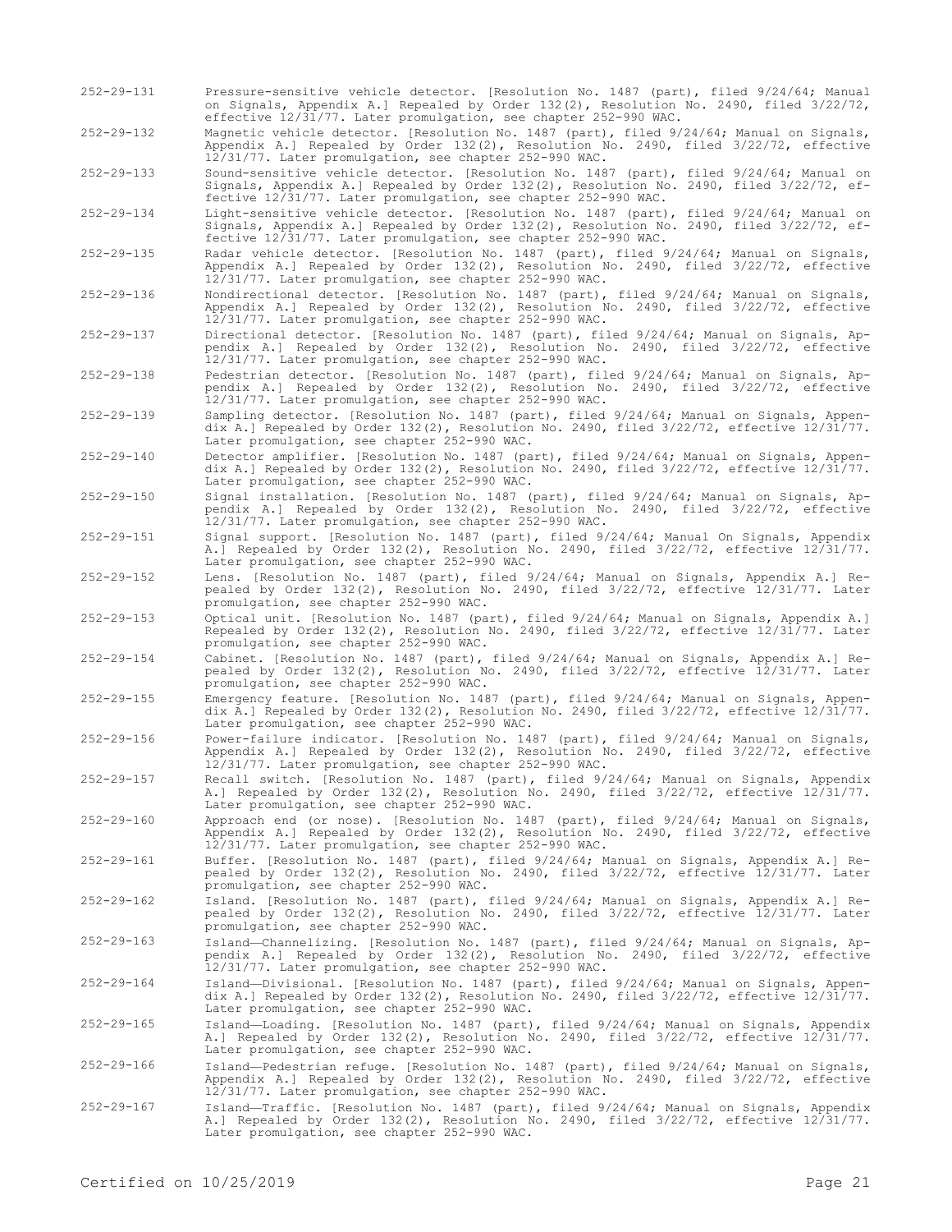- 252-29-131 Pressure-sensitive vehicle detector. [Resolution No. 1487 (part), filed 9/24/64; Manual on Signals, Appendix A.] Repealed by Order 132(2), Resolution No. 2490, filed 3/22/72, effective 12/31/77. Later promulgation, see chapter 252-990 WAC.
- 252-29-132 Magnetic vehicle detector. [Resolution No. 1487 (part), filed 9/24/64; Manual on Signals, Appendix A.] Repealed by Order 132(2), Resolution No. 2490, filed 3/22/72, effective 12/31/77. Later promulgation, see chapter 252-990 WAC.
- 252-29-133 Sound-sensitive vehicle detector. [Resolution No. 1487 (part), filed 9/24/64; Manual on Signals, Appendix A.] Repealed by Order 132(2), Resolution No. 2490, filed 3/22/72, effective 12/31/77. Later promulgation, see chapter 252-990 WAC.

252-29-134 Light-sensitive vehicle detector. [Resolution No. 1487 (part), filed 9/24/64; Manual on Signals, Appendix A.] Repealed by Order 132(2), Resolution No. 2490, filed 3/22/72, effective 12/31/77. Later promulgation, see chapter 252-990 WAC.

- 252-29-135 Radar vehicle detector. [Resolution No. 1487 (part), filed 9/24/64; Manual on Signals, Appendix A.] Repealed by Order 132(2), Resolution No. 2490, filed 3/22/72, effective 12/31/77. Later promulgation, see chapter 252-990 WAC.
- 252-29-136 Nondirectional detector. [Resolution No. 1487 (part), filed 9/24/64; Manual on Signals, Appendix A.] Repealed by Order 132(2), Resolution No. 2490, filed 3/22/72, effective 12/31/77. Later promulgation, see chapter 252-990 WAC.
- 252-29-137 Directional detector. [Resolution No. 1487 (part), filed 9/24/64; Manual on Signals, Appendix A.] Repealed by Order 132(2), Resolution No. 2490, filed 3/22/72, effective 12/31/77. Later promulgation, see chapter 252-990 WAC.
- 252-29-138 Pedestrian detector. [Resolution No. 1487 (part), filed 9/24/64; Manual on Signals, Appendix A.] Repealed by Order 132(2), Resolution No. 2490, filed 3/22/72, effective 12/31/77. Later promulgation, see chapter 252-990 WAC.
- 252-29-139 Sampling detector. [Resolution No. 1487 (part), filed 9/24/64; Manual on Signals, Appendix A.] Repealed by Order 132(2), Resolution No. 2490, filed 3/22/72, effective 12/31/77. Later promulgation, see chapter 252-990 WAC.
- 252-29-140 Detector amplifier. [Resolution No. 1487 (part), filed 9/24/64; Manual on Signals, Appendix A.] Repealed by Order 132(2), Resolution No. 2490, filed 3/22/72, effective 12/31/77. Later promulgation, see chapter 252-990 WAC.
- 252-29-150 Signal installation. [Resolution No. 1487 (part), filed 9/24/64; Manual on Signals, Appendix A.] Repealed by Order 132(2), Resolution No. 2490, filed 3/22/72, effective 12/31/77. Later promulgation, see chapter 252-990 WAC.
- 252-29-151 Signal support. [Resolution No. 1487 (part), filed 9/24/64; Manual On Signals, Appendix A.] Repealed by Order 132(2), Resolution No. 2490, filed 3/22/72, effective 12/31/77. Later promulgation, see chapter 252-990 WAC.
- 252-29-152 Lens. [Resolution No. 1487 (part), filed 9/24/64; Manual on Signals, Appendix A.] Repealed by Order 132(2), Resolution No. 2490, filed 3/22/72, effective 12/31/77. Later promulgation, see chapter 252-990 WAC.
- 252-29-153 Optical unit. [Resolution No. 1487 (part), filed 9/24/64; Manual on Signals, Appendix A.] Repealed by Order 132(2), Resolution No. 2490, filed 3/22/72, effective 12/31/77. Later promulgation, see chapter 252-990 WAC.
- 252-29-154 Cabinet. [Resolution No. 1487 (part), filed 9/24/64; Manual on Signals, Appendix A.] Repealed by Order 132(2), Resolution No. 2490, filed 3/22/72, effective 12/31/77. Later promulgation, see chapter 252-990 WAC.
- 252-29-155 Emergency feature. [Resolution No. 1487 (part), filed 9/24/64; Manual on Signals, Appendix A.] Repealed by Order 132(2), Resolution No. 2490, filed 3/22/72, effective 12/31/77. Later promulgation, see chapter 252-990 WAC.
- 252-29-156 Power-failure indicator. [Resolution No. 1487 (part), filed 9/24/64; Manual on Signals, Appendix A.] Repealed by Order 132(2), Resolution No. 2490, filed 3/22/72, effective 12/31/77. Later promulgation, see chapter 252-990 WAC.

252-29-157 Recall switch. [Resolution No. 1487 (part), filed 9/24/64; Manual on Signals, Appendix A.] Repealed by Order 132(2), Resolution No. 2490, filed 3/22/72, effective 12/31/77. Later promulgation, see chapter 252-990 WAC.

- 252-29-160 Approach end (or nose). [Resolution No. 1487 (part), filed 9/24/64; Manual on Signals, Appendix A.] Repealed by Order 132(2), Resolution No. 2490, filed 3/22/72, effective 12/31/77. Later promulgation, see chapter 252-990 WAC.
- 252-29-161 Buffer. [Resolution No. 1487 (part), filed 9/24/64; Manual on Signals, Appendix A.] Repealed by Order 132(2), Resolution No. 2490, filed 3/22/72, effective 12/31/77. Later promulgation, see chapter 252-990 WAC.
- 252-29-162 Island. [Resolution No. 1487 (part), filed 9/24/64; Manual on Signals, Appendix A.] Repealed by Order 132(2), Resolution No. 2490, filed 3/22/72, effective 12/31/77. Later promulgation, see chapter 252-990 WAC.
- 252-29-163 Island—Channelizing. [Resolution No. 1487 (part), filed 9/24/64; Manual on Signals, Appendix A.] Repealed by Order 132(2), Resolution No. 2490, filed 3/22/72, effective 12/31/77. Later promulgation, see chapter 252-990 WAC.
- 252-29-164 Island—Divisional. [Resolution No. 1487 (part), filed 9/24/64; Manual on Signals, Appendix A.] Repealed by Order 132(2), Resolution No. 2490, filed 3/22/72, effective 12/31/77. Later promulgation, see chapter 252-990 WAC.
- 252-29-165 Island—Loading. [Resolution No. 1487 (part), filed 9/24/64; Manual on Signals, Appendix A.] Repealed by Order 132(2), Resolution No. 2490, filed 3/22/72, effective 12/31/77. Later promulgation, see chapter 252-990 WAC.
- 252-29-166 Island—Pedestrian refuge. [Resolution No. 1487 (part), filed 9/24/64; Manual on Signals, Appendix A.] Repealed by Order 132(2), Resolution No. 2490, filed 3/22/72, effective 12/31/77. Later promulgation, see chapter 252-990 WAC.
- 252-29-167 Island—Traffic. [Resolution No. 1487 (part), filed 9/24/64; Manual on Signals, Appendix A.] Repealed by Order 132(2), Resolution No. 2490, filed 3/22/72, effective 12/31/77. Later promulgation, see chapter 252-990 WAC.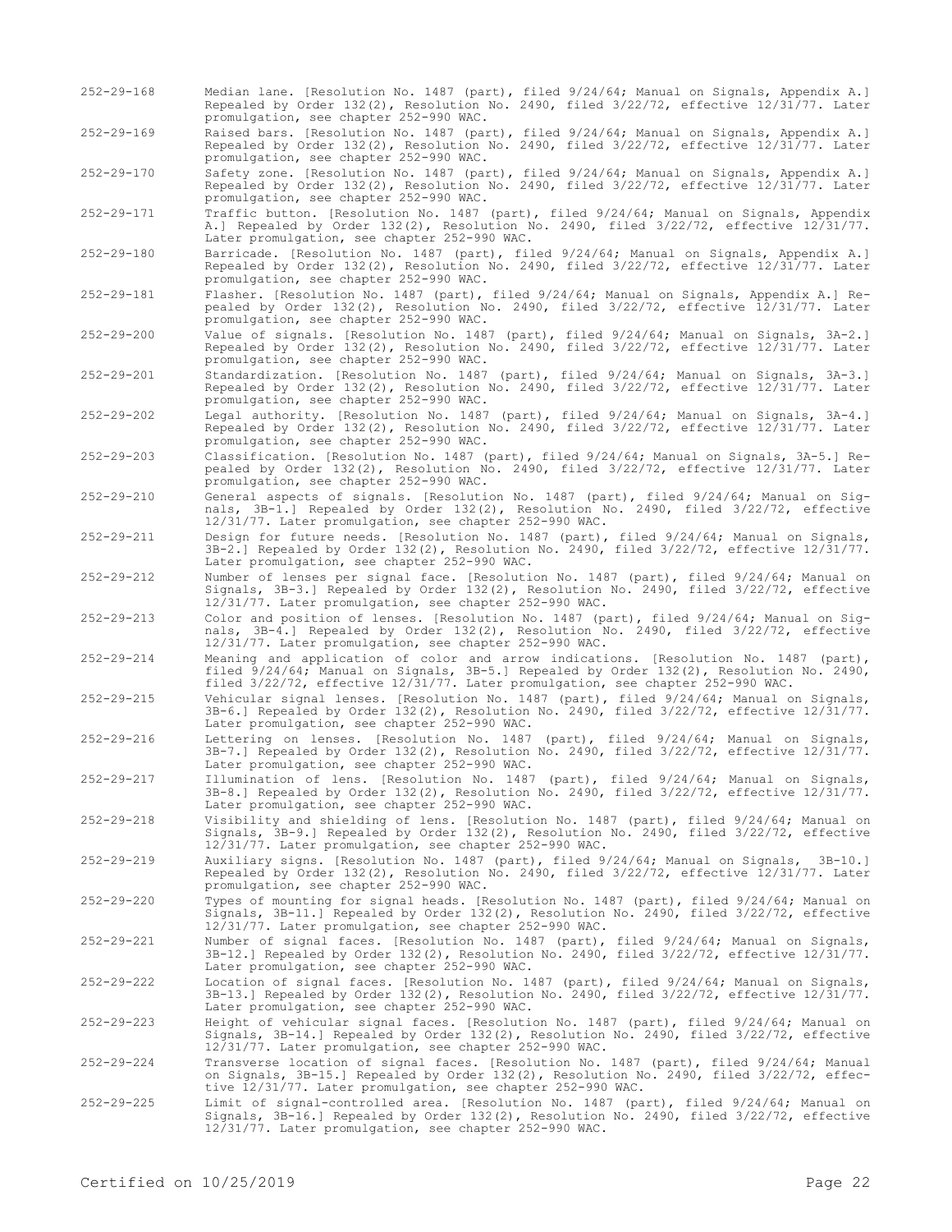- 252-29-168 Median lane. [Resolution No. 1487 (part), filed 9/24/64; Manual on Signals, Appendix A.] Repealed by Order 132(2), Resolution No. 2490, filed 3/22/72, effective 12/31/77. Later promulgation, see chapter 252-990 WAC.
- 252-29-169 Raised bars. [Resolution No. 1487 (part), filed 9/24/64; Manual on Signals, Appendix A.] Repealed by Order 132(2), Resolution No. 2490, filed 3/22/72, effective 12/31/77. Later promulgation, see chapter 252-990 WAC.

252-29-170 Safety zone. [Resolution No. 1487 (part), filed 9/24/64; Manual on Signals, Appendix A.] Repealed by Order 132(2), Resolution No. 2490, filed 3/22/72, effective 12/31/77. Later promulgation, see chapter 252-990 WAC.

252-29-171 Traffic button. [Resolution No. 1487 (part), filed 9/24/64; Manual on Signals, Appendix A.] Repealed by Order 132(2), Resolution No. 2490, filed 3/22/72, effective 12/31/77. Later promulgation, see chapter 252-990 WAC.

252-29-180 Barricade. [Resolution No. 1487 (part), filed 9/24/64; Manual on Signals, Appendix A.] Repealed by Order 132(2), Resolution No. 2490, filed 3/22/72, effective 12/31/77. Later promulgation, see chapter 252-990 WAC.

252-29-181 Flasher. [Resolution No. 1487 (part), filed 9/24/64; Manual on Signals, Appendix A.] Repealed by Order 132(2), Resolution No. 2490, filed 3/22/72, effective 12/31/77. Later promulgation, see chapter 252-990 WAC.

- 252-29-200 Value of signals. [Resolution No. 1487 (part), filed 9/24/64; Manual on Signals, 3A-2.] Repealed by Order 132(2), Resolution No. 2490, filed 3/22/72, effective 12/31/77. Later promulgation, see chapter 252-990 WAC.
- 252-29-201 Standardization. [Resolution No. 1487 (part), filed 9/24/64; Manual on Signals, 3A-3.] Repealed by Order 132(2), Resolution No. 2490, filed 3/22/72, effective 12/31/77. Later promulgation, see chapter 252-990 WAC.

252-29-202 Legal authority. [Resolution No. 1487 (part), filed 9/24/64; Manual on Signals, 3A-4.] Repealed by Order 132(2), Resolution No. 2490, filed 3/22/72, effective 12/31/77. Later promulgation, see chapter 252-990 WAC.

252-29-203 Classification. [Resolution No. 1487 (part), filed 9/24/64; Manual on Signals, 3A-5.] Repealed by Order 132(2), Resolution No. 2490, filed 3/22/72, effective 12/31/77. Later promulgation, see chapter 252-990 WAC.

252-29-210 General aspects of signals. [Resolution No. 1487 (part), filed 9/24/64; Manual on Signals, 3B-1.] Repealed by Order 132(2), Resolution No. 2490, filed 3/22/72, effective 12/31/77. Later promulgation, see chapter 252-990 WAC.

252-29-211 Design for future needs. [Resolution No. 1487 (part), filed 9/24/64; Manual on Signals, 3B-2.] Repealed by Order 132(2), Resolution No. 2490, filed 3/22/72, effective 12/31/77. Later promulgation, see chapter 252-990 WAC.

252-29-212 Number of lenses per signal face. [Resolution No. 1487 (part), filed 9/24/64; Manual on Signals, 3B-3.] Repealed by Order 132(2), Resolution No. 2490, filed 3/22/72, effective 12/31/77. Later promulgation, see chapter 252-990 WAC.

- 252-29-213 Color and position of lenses. [Resolution No. 1487 (part), filed 9/24/64; Manual on Signals, 3B-4.] Repealed by Order 132(2), Resolution No. 2490, filed 3/22/72, effective 12/31/77. Later promulgation, see chapter 252-990 WAC.
- 252-29-214 Meaning and application of color and arrow indications. [Resolution No. 1487 (part), filed 9/24/64; Manual on Signals, 3B-5.] Repealed by Order 132(2), Resolution No. 2490, filed 3/22/72, effective 12/31/77. Later promulgation, see chapter 252-990 WAC.
- 252-29-215 Vehicular signal lenses. [Resolution No. 1487 (part), filed 9/24/64; Manual on Signals, 3B-6.] Repealed by Order 132(2), Resolution No. 2490, filed 3/22/72, effective 12/31/77. Later promulgation, see chapter 252-990 WAC.
- 252-29-216 Lettering on lenses. [Resolution No. 1487 (part), filed 9/24/64; Manual on Signals, 3B-7.] Repealed by Order 132(2), Resolution No. 2490, filed 3/22/72, effective 12/31/77. Later promulgation, see chapter 252-990 WAC.

252-29-217 Illumination of lens. [Resolution No. 1487 (part), filed 9/24/64; Manual on Signals, 3B-8.] Repealed by Order 132(2), Resolution No. 2490, filed 3/22/72, effective 12/31/77. Later promulgation, see chapter 252-990 WAC.

- 252-29-218 Visibility and shielding of lens. [Resolution No. 1487 (part), filed 9/24/64; Manual on Signals, 3B-9.] Repealed by Order 132(2), Resolution No. 2490, filed 3/22/72, effective 12/31/77. Later promulgation, see chapter 252-990 WAC.
- 252-29-219 Auxiliary signs. [Resolution No. 1487 (part), filed 9/24/64; Manual on Signals, 3B-10.] Repealed by Order 132(2), Resolution No. 2490, filed 3/22/72, effective 12/31/77. Later promulgation, see chapter 252-990 WAC.
- 252-29-220 Types of mounting for signal heads. [Resolution No. 1487 (part), filed 9/24/64; Manual on Signals, 3B-11.] Repealed by Order 132(2), Resolution No. 2490, filed 3/22/72, effective 12/31/77. Later promulgation, see chapter 252-990 WAC.

252-29-221 Number of signal faces. [Resolution No. 1487 (part), filed 9/24/64; Manual on Signals, 3B-12.] Repealed by Order 132(2), Resolution No. 2490, filed 3/22/72, effective 12/31/77. Later promulgation, see chapter 252-990 WAC.

- 252-29-222 Location of signal faces. [Resolution No. 1487 (part), filed 9/24/64; Manual on Signals, 3B-13.] Repealed by Order 132(2), Resolution No. 2490, filed 3/22/72, effective 12/31/77. Later promulgation, see chapter 252-990 WAC.
- 252-29-223 Height of vehicular signal faces. [Resolution No. 1487 (part), filed 9/24/64; Manual on Signals, 3B-14.] Repealed by Order 132(2), Resolution No. 2490, filed 3/22/72, effective 12/31/77. Later promulgation, see chapter 252-990 WAC.
- 252-29-224 Transverse location of signal faces. [Resolution No. 1487 (part), filed 9/24/64; Manual on Signals, 3B-15.] Repealed by Order 132(2), Resolution No. 2490, filed 3/22/72, effec-tive 12/31/77. Later promulgation, see chapter 252-990 WAC.
- 252-29-225 Limit of signal-controlled area. [Resolution No. 1487 (part), filed 9/24/64; Manual on<br>Signals, 3B-16.] Repealed by Order 132(2), Resolution No. 2490, filed 3/22/72, effective<br>12/31/77. Later promulgation, see c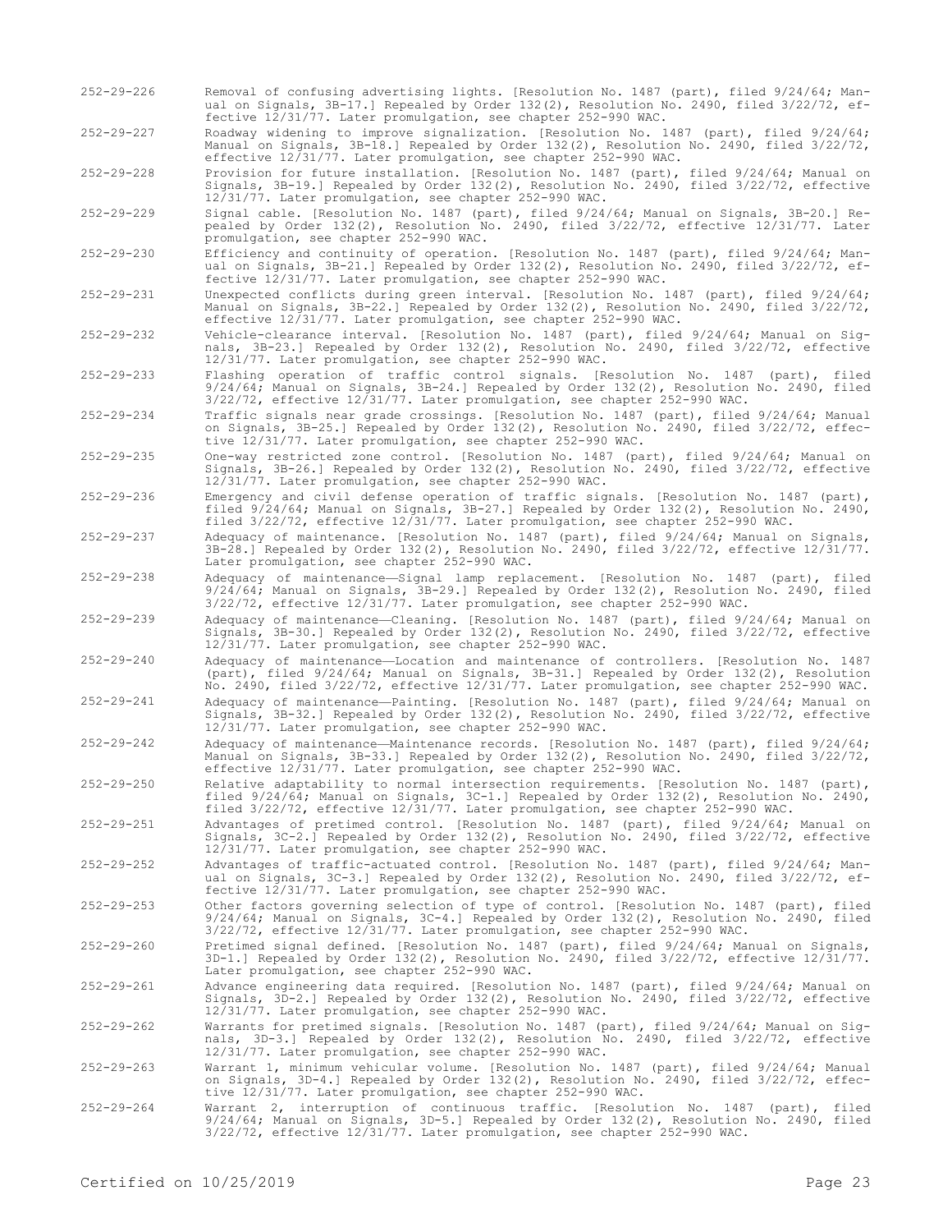- 252-29-226 Removal of confusing advertising lights. [Resolution No. 1487 (part), filed 9/24/64; Manual on Signals, 3B-17.] Repealed by Order 132(2), Resolution No. 2490, filed 3/22/72, effective 12/31/77. Later promulgation, see chapter 252-990 WAC.
- 252-29-227 Roadway widening to improve signalization. [Resolution No. 1487 (part), filed 9/24/64; Manual on Signals, 3B-18.] Repealed by Order 132(2), Resolution No. 2490, filed 3/22/72, effective 12/31/77. Later promulgation, see chapter 252-990 WAC.

252-29-228 Provision for future installation. [Resolution No. 1487 (part), filed 9/24/64; Manual on Signals, 3B-19.] Repealed by Order 132(2), Resolution No. 2490, filed 3/22/72, effective 12/31/77. Later promulgation, see chapter 252-990 WAC.

252-29-229 Signal cable. [Resolution No. 1487 (part), filed 9/24/64; Manual on Signals, 3B-20.] Repealed by Order 132(2), Resolution No. 2490, filed 3/22/72, effective 12/31/77. Later promulgation, see chapter 252-990 WAC.

252-29-230 Efficiency and continuity of operation. [Resolution No. 1487 (part), filed 9/24/64; Manual on Signals, 3B-21.] Repealed by Order 132(2), Resolution No. 2490, filed 3/22/72, effective 12/31/77. Later promulgation, see chapter 252-990 WAC.

252-29-231 Unexpected conflicts during green interval. [Resolution No. 1487 (part), filed 9/24/64; Manual on Signals, 3B-22.] Repealed by Order 132(2), Resolution No. 2490, filed 3/22/72, effective 12/31/77. Later promulgation, see chapter 252-990 WAC.

- 252-29-232 Vehicle-clearance interval. [Resolution No. 1487 (part), filed 9/24/64; Manual on Signals, 3B-23.] Repealed by Order 132(2), Resolution No. 2490, filed 3/22/72, effective 12/31/77. Later promulgation, see chapter 252-990 WAC.
- 252-29-233 Flashing operation of traffic control signals. [Resolution No. 1487 (part), filed 9/24/64; Manual on Signals, 3B-24.] Repealed by Order 132(2), Resolution No. 2490, filed 3/22/72, effective 12/31/77. Later promulgation, see chapter 252-990 WAC.
- 252-29-234 Traffic signals near grade crossings. [Resolution No. 1487 (part), filed 9/24/64; Manual on Signals, 3B-25.] Repealed by Order 132(2), Resolution No. 2490, filed 3/22/72, effective 12/31/77. Later promulgation, see chapter 252-990 WAC.
- 252-29-235 One-way restricted zone control. [Resolution No. 1487 (part), filed 9/24/64; Manual on Signals, 3B-26.] Repealed by Order 132(2), Resolution No. 2490, filed 3/22/72, effective 12/31/77. Later promulgation, see chapter 252-990 WAC.
- 252-29-236 Emergency and civil defense operation of traffic signals. [Resolution No. 1487 (part), filed 9/24/64; Manual on Signals, 3B-27.] Repealed by Order 132(2), Resolution No. 2490, filed 3/22/72, effective 12/31/77. Later promulgation, see chapter 252-990 WAC.
- 252-29-237 Adequacy of maintenance. [Resolution No. 1487 (part), filed 9/24/64; Manual on Signals, 3B-28.] Repealed by Order 132(2), Resolution No. 2490, filed 3/22/72, effective 12/31/77. Later promulgation, see chapter 252-990 WAC.
- 252-29-238 Adequacy of maintenance—Signal lamp replacement. [Resolution No. 1487 (part), filed 9/24/64; Manual on Signals, 3B-29.] Repealed by Order 132(2), Resolution No. 2490, filed 3/22/72, effective 12/31/77. Later promulgation, see chapter 252-990 WAC.
- 252-29-239 Adequacy of maintenance—Cleaning. [Resolution No. 1487 (part), filed 9/24/64; Manual on Signals, 3B-30.] Repealed by Order 132(2), Resolution No. 2490, filed 3/22/72, effective 12/31/77. Later promulgation, see chapter 252-990 WAC.
- 252-29-240 Adequacy of maintenance—Location and maintenance of controllers. [Resolution No. 1487 (part), filed 9/24/64; Manual on Signals, 3B-31.] Repealed by Order 132(2), Resolution No. 2490, filed 3/22/72, effective 12/31/77. Later promulgation, see chapter 252-990 WAC.
- 252-29-241 Adequacy of maintenance—Painting. [Resolution No. 1487 (part), filed 9/24/64; Manual on Signals, 3B-32.] Repealed by Order 132(2), Resolution No. 2490, filed 3/22/72, effective 12/31/77. Later promulgation, see chapter 252-990 WAC.
- 252-29-242 Adequacy of maintenance—Maintenance records. [Resolution No. 1487 (part), filed 9/24/64; Manual on Signals, 3B-33.] Repealed by Order 132(2), Resolution No. 2490, filed 3/22/72, effective 12/31/77. Later promulgation, see chapter 252-990 WAC.
- 252-29-250 Relative adaptability to normal intersection requirements. [Resolution No. 1487 (part), filed 9/24/64; Manual on Signals, 3C-1.] Repealed by Order 132(2), Resolution No. 2490, filed 3/22/72, effective 12/31/77. Later promulgation, see chapter 252-990 WAC.
- 252-29-251 Advantages of pretimed control. [Resolution No. 1487 (part), filed 9/24/64; Manual on Signals, 3C-2.] Repealed by Order 132(2), Resolution No. 2490, filed 3/22/72, effective 12/31/77. Later promulgation, see chapter 252-990 WAC.
- 252-29-252 Advantages of traffic-actuated control. [Resolution No. 1487 (part), filed 9/24/64; Manual on Signals, 3C-3.] Repealed by Order 132(2), Resolution No. 2490, filed 3/22/72, effective 12/31/77. Later promulgation, see chapter 252-990 WAC.
- 252-29-253 Other factors governing selection of type of control. [Resolution No. 1487 (part), filed 9/24/64; Manual on Signals, 3C-4.] Repealed by Order 132(2), Resolution No. 2490, filed 3/22/72, effective 12/31/77. Later promulgation, see chapter 252-990 WAC.
- 252-29-260 Pretimed signal defined. [Resolution No. 1487 (part), filed 9/24/64; Manual on Signals, 3D-1.] Repealed by Order 132(2), Resolution No. 2490, filed 3/22/72, effective 12/31/77. Later promulgation, see chapter 252-990 WAC.

252-29-261 Advance engineering data required. [Resolution No. 1487 (part), filed 9/24/64; Manual on Signals, 3D-2.] Repealed by Order 132(2), Resolution No. 2490, filed 3/22/72, effective 12/31/77. Later promulgation, see chapter 252-990 WAC.

- 252-29-262 Warrants for pretimed signals. [Resolution No. 1487 (part), filed 9/24/64; Manual on Signals, 3D-3.] Repealed by Order 132(2), Resolution No. 2490, filed 3/22/72, effective 12/31/77. Later promulgation, see chapter 252-990 WAC.
- 252-29-263 Warrant 1, minimum vehicular volume. [Resolution No. 1487 (part), filed 9/24/64; Manual on Signals, 3D-4.] Repealed by Order 132(2), Resolution No. 2490, filed 3/22/72, effective 12/31/77. Later promulgation, see chapter 252-990 WAC.
- 252-29-264 Warrant 2, interruption of continuous traffic. [Resolution No. 1487 (part), filed<br>9/24/64; Manual on Signals, 3D-5.] Repealed by Order 132(2), Resolution No. 2490, filed<br>3/22/72, effective 12/31/77. Later promul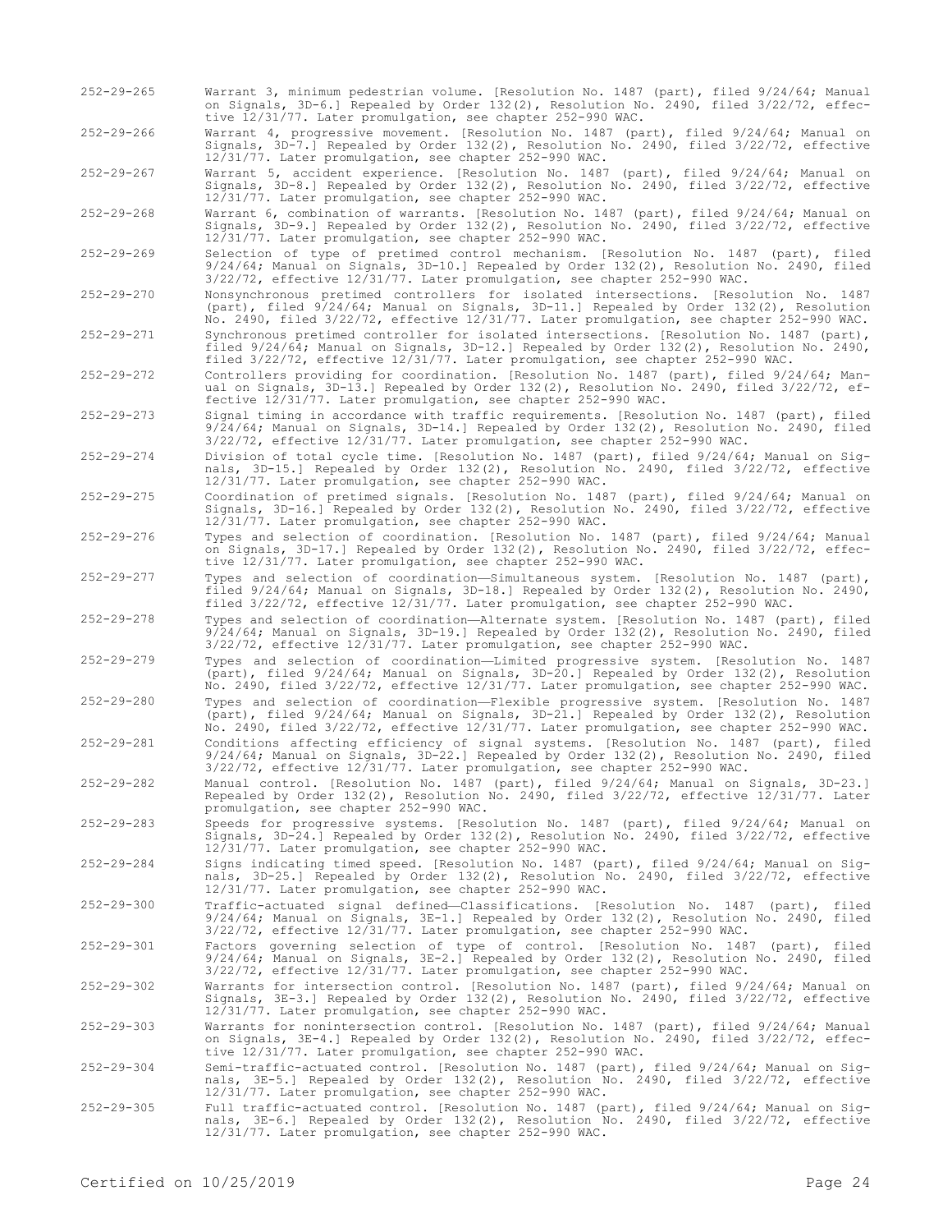252-29-265 Warrant 3, minimum pedestrian volume. [Resolution No. 1487 (part), filed 9/24/64; Manual on Signals, 3D-6.] Repealed by Order 132(2), Resolution No. 2490, filed 3/22/72, effective 12/31/77. Later promulgation, see chapter 252-990 WAC.

252-29-266 Warrant 4, progressive movement. [Resolution No. 1487 (part), filed 9/24/64; Manual on Signals, 3D-7.] Repealed by Order 132(2), Resolution No. 2490, filed 3/22/72, effective 12/31/77. Later promulgation, see chapter 252-990 WAC.

252-29-267 Warrant 5, accident experience. [Resolution No. 1487 (part), filed 9/24/64; Manual on Signals, 3D-8.] Repealed by Order 132(2), Resolution No. 2490, filed 3/22/72, effective 12/31/77. Later promulgation, see chapter 252-990 WAC.

252-29-268 Warrant 6, combination of warrants. [Resolution No. 1487 (part), filed 9/24/64; Manual on Signals, 3D-9.] Repealed by Order 132(2), Resolution No. 2490, filed 3/22/72, effective 12/31/77. Later promulgation, see chapter 252-990 WAC.

- 252-29-269 Selection of type of pretimed control mechanism. [Resolution No. 1487 (part), filed 9/24/64; Manual on Signals, 3D-10.] Repealed by Order 132(2), Resolution No. 2490, filed 3/22/72, effective 12/31/77. Later promulgation, see chapter 252-990 WAC.
- 252-29-270 Nonsynchronous pretimed controllers for isolated intersections. [Resolution No. 1487 (part), filed 9/24/64; Manual on Signals, 3D-11.] Repealed by Order 132(2), Resolution No. 2490, filed 3/22/72, effective 12/31/77. Later promulgation, see chapter 252-990 WAC.
- 252-29-271 Synchronous pretimed controller for isolated intersections. [Resolution No. 1487 (part), filed 9/24/64; Manual on Signals, 3D-12.] Repealed by Order 132(2), Resolution No. 2490, filed 3/22/72, effective 12/31/77. Later promulgation, see chapter 252-990 WAC.
- 252-29-272 Controllers providing for coordination. [Resolution No. 1487 (part), filed 9/24/64; Manual on Signals, 3D-13.] Repealed by Order 132(2), Resolution No. 2490, filed 3/22/72, effective 12/31/77. Later promulgation, see chapter 252-990 WAC.
- 252-29-273 Signal timing in accordance with traffic requirements. [Resolution No. 1487 (part), filed 9/24/64; Manual on Signals, 3D-14.] Repealed by Order 132(2), Resolution No. 2490, filed 3/22/72, effective 12/31/77. Later promulgation, see chapter 252-990 WAC.
- 252-29-274 Division of total cycle time. [Resolution No. 1487 (part), filed 9/24/64; Manual on Signals, 3D-15.] Repealed by Order 132(2), Resolution No. 2490, filed 3/22/72, effective 12/31/77. Later promulgation, see chapter 252-990 WAC.
- 252-29-275 Coordination of pretimed signals. [Resolution No. 1487 (part), filed 9/24/64; Manual on Signals, 3D-16.] Repealed by Order 132(2), Resolution No. 2490, filed 3/22/72, effective 12/31/77. Later promulgation, see chapter 252-990 WAC.
- 252-29-276 Types and selection of coordination. [Resolution No. 1487 (part), filed 9/24/64; Manual on Signals, 3D-17.] Repealed by Order 132(2), Resolution No. 2490, filed 3/22/72, effective 12/31/77. Later promulgation, see chapter 252-990 WAC.
- 252-29-277 Types and selection of coordination—Simultaneous system. [Resolution No. 1487 (part), filed 9/24/64; Manual on Signals, 3D-18.] Repealed by Order 132(2), Resolution No. 2490, filed 3/22/72, effective 12/31/77. Later promulgation, see chapter 252-990 WAC.
- 252-29-278 Types and selection of coordination—Alternate system. [Resolution No. 1487 (part), filed 9/24/64; Manual on Signals, 3D-19.] Repealed by Order 132(2), Resolution No. 2490, filed 3/22/72, effective 12/31/77. Later promulgation, see chapter 252-990 WAC.
- 252-29-279 Types and selection of coordination—Limited progressive system. [Resolution No. 1487 (part), filed 9/24/64; Manual on Signals, 3D-20.] Repealed by Order 132(2), Resolution No. 2490, filed 3/22/72, effective 12/31/77. Later promulgation, see chapter 252-990 WAC.

252-29-280 Types and selection of coordination—Flexible progressive system. [Resolution No. 1487 (part), filed 9/24/64; Manual on Signals, 3D-21.] Repealed by Order 132(2), Resolution No. 2490, filed 3/22/72, effective 12/31/77. Later promulgation, see chapter 252-990 WAC.

252-29-281 Conditions affecting efficiency of signal systems. [Resolution No. 1487 (part), filed 9/24/64; Manual on Signals, 3D-22.] Repealed by Order 132(2), Resolution No. 2490, filed 3/22/72, effective 12/31/77. Later promulgation, see chapter 252-990 WAC.

252-29-282 Manual control. [Resolution No. 1487 (part), filed 9/24/64; Manual on Signals, 3D-23.] Repealed by Order 132(2), Resolution No. 2490, filed 3/22/72, effective 12/31/77. Later promulgation, see chapter 252-990 WAC.

252-29-283 Speeds for progressive systems. [Resolution No. 1487 (part), filed 9/24/64; Manual on Signals, 3D-24.] Repealed by Order 132(2), Resolution No. 2490, filed 3/22/72, effective 12/31/77. Later promulgation, see chapter 252-990 WAC.

252-29-284 Signs indicating timed speed. [Resolution No. 1487 (part), filed 9/24/64; Manual on Signals, 3D-25.] Repealed by Order 132(2), Resolution No. 2490, filed 3/22/72, effective 12/31/77. Later promulgation, see chapter 252-990 WAC.

252-29-300 Traffic-actuated signal defined—Classifications. [Resolution No. 1487 (part), filed 9/24/64; Manual on Signals, 3E-1.] Repealed by Order 132(2), Resolution No. 2490, filed 3/22/72, effective 12/31/77. Later promulgation, see chapter 252-990 WAC.

252-29-301 Factors governing selection of type of control. [Resolution No. 1487 (part), filed 9/24/64; Manual on Signals, 3E-2.] Repealed by Order 132(2), Resolution No. 2490, filed 3/22/72, effective 12/31/77. Later promulgation, see chapter 252-990 WAC.

252-29-302 Warrants for intersection control. [Resolution No. 1487 (part), filed 9/24/64; Manual on Signals, 3E-3.] Repealed by Order 132(2), Resolution No. 2490, filed 3/22/72, effective 12/31/77. Later promulgation, see chapter 252-990 WAC.

252-29-303 Warrants for nonintersection control. [Resolution No. 1487 (part), filed 9/24/64; Manual on Signals, 3E-4.] Repealed by Order 132(2), Resolution No. 2490, filed 3/22/72, effective 12/31/77. Later promulgation, see chapter 252-990 WAC.

Semi-traffic-actuated control. [Resolution No. 1487 (part), filed 9/24/64; Manual on Sig-<br>nals, 3E-5.] Repealed by Order 132(2), Resolution No. 2490, filed 3/22/72, effective<br>12/31/77. Later promulgation, see chapter 252-9

252-29-305 Full traffic-actuated control. [Resolution No. 1487 (part), filed 9/24/64; Manual on Sig-nals, 3E-6.] Repealed by Order 132(2), Resolution No. 2490, filed 3/22/72, effective 12/31/77. Later promulgation, see chapter 252-990 WAC.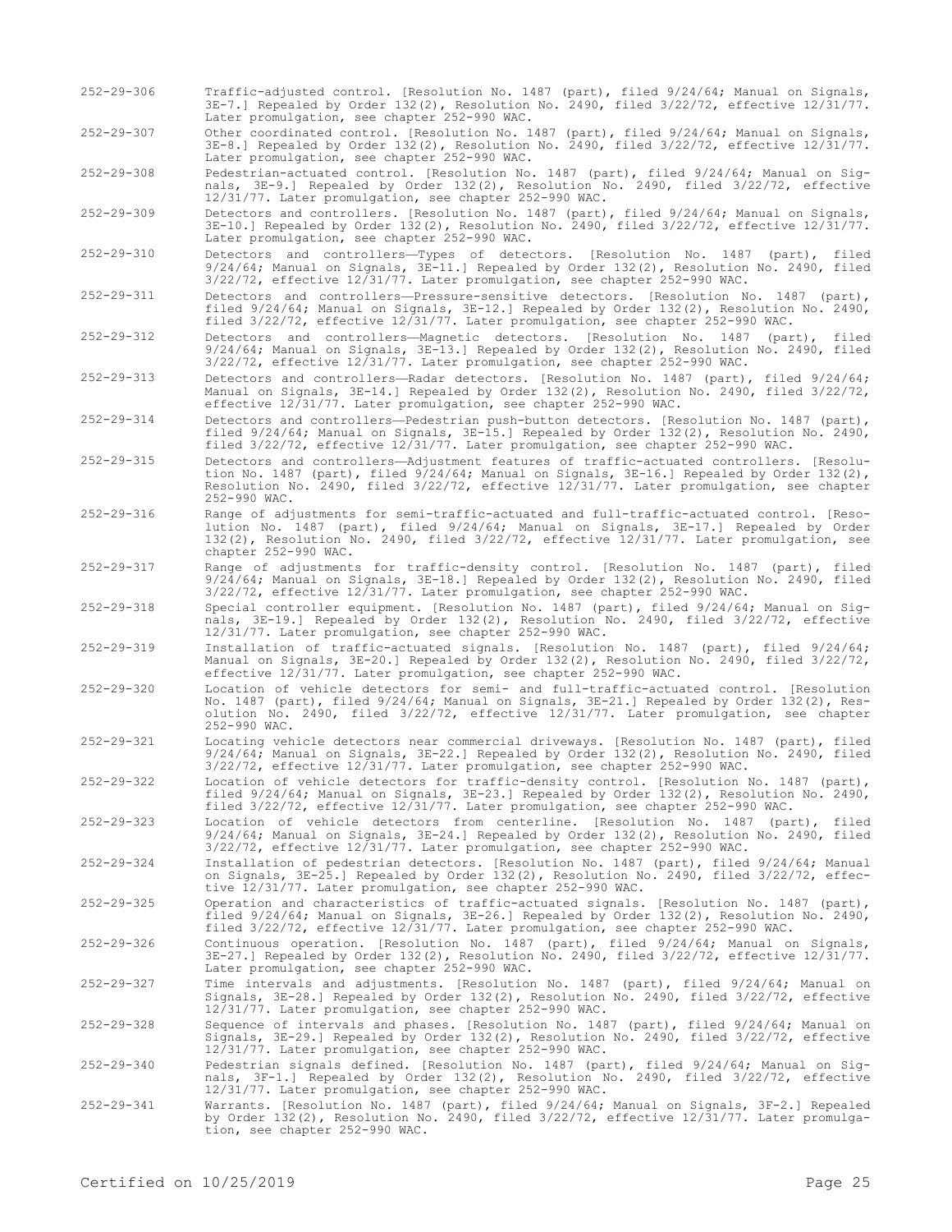- 252-29-306 Traffic-adjusted control. [Resolution No. 1487 (part), filed 9/24/64; Manual on Signals, 3E-7.] Repealed by Order 132(2), Resolution No. 2490, filed 3/22/72, effective 12/31/77. Later promulgation, see chapter 252-990 WAC.
- 252-29-307 Other coordinated control. [Resolution No. 1487 (part), filed 9/24/64; Manual on Signals, 3E-8.] Repealed by Order 132(2), Resolution No. 2490, filed 3/22/72, effective 12/31/77. Later promulgation, see chapter 252-990 WAC.

252-29-308 Pedestrian-actuated control. [Resolution No. 1487 (part), filed 9/24/64; Manual on Signals, 3E-9.] Repealed by Order 132(2), Resolution No. 2490, filed 3/22/72, effective 12/31/77. Later promulgation, see chapter 252-990 WAC.

252-29-309 Detectors and controllers. [Resolution No. 1487 (part), filed 9/24/64; Manual on Signals, 3E-10.] Repealed by Order 132(2), Resolution No. 2490, filed 3/22/72, effective 12/31/77. Later promulgation, see chapter 252-990 WAC.

- 252-29-310 Detectors and controllers—Types of detectors. [Resolution No. 1487 (part), filed 9/24/64; Manual on Signals, 3E-11.] Repealed by Order 132(2), Resolution No. 2490, filed 3/22/72, effective 12/31/77. Later promulgation, see chapter 252-990 WAC.
- 252-29-311 Detectors and controllers—Pressure-sensitive detectors. [Resolution No. 1487 (part), filed 9/24/64; Manual on Signals, 3E-12.] Repealed by Order 132(2), Resolution No. 2490, filed 3/22/72, effective 12/31/77. Later promulgation, see chapter 252-990 WAC.
- 252-29-312 Detectors and controllers—Magnetic detectors. [Resolution No. 1487 (part), filed 9/24/64; Manual on Signals, 3E-13.] Repealed by Order 132(2), Resolution No. 2490, filed 3/22/72, effective 12/31/77. Later promulgation, see chapter 252-990 WAC.
- 252-29-313 Detectors and controllers—Radar detectors. [Resolution No. 1487 (part), filed 9/24/64; Manual on Signals, 3E-14.] Repealed by Order 132(2), Resolution No. 2490, filed 3/22/72, effective 12/31/77. Later promulgation, see chapter 252-990 WAC.
- 252-29-314 Detectors and controllers—Pedestrian push-button detectors. [Resolution No. 1487 (part), filed 9/24/64; Manual on Signals, 3E-15.] Repealed by Order 132(2), Resolution No. 2490, filed 3/22/72, effective 12/31/77. Later promulgation, see chapter 252-990 WAC.
- 252-29-315 Detectors and controllers—Adjustment features of traffic-actuated controllers. [Resolution No. 1487 (part), filed 9/24/64; Manual on Signals, 3E-16.] Repealed by Order 132(2), Resolution No. 2490, filed 3/22/72, effective 12/31/77. Later promulgation, see chapter 252-990 WAC.
- 252-29-316 Range of adjustments for semi-traffic-actuated and full-traffic-actuated control. [Resolution No. 1487 (part), filed 9/24/64; Manual on Signals, 3E-17.] Repealed by Order 132(2), Resolution No. 2490, filed 3/22/72, effective 12/31/77. Later promulgation, see chapter 252-990 WAC.
- 252-29-317 Range of adjustments for traffic-density control. [Resolution No. 1487 (part), filed 9/24/64; Manual on Signals, 3E-18.] Repealed by Order 132(2), Resolution No. 2490, filed 3/22/72, effective 12/31/77. Later promulgation, see chapter 252-990 WAC.
- 252-29-318 Special controller equipment. [Resolution No. 1487 (part), filed 9/24/64; Manual on Signals, 3E-19.] Repealed by Order 132(2), Resolution No. 2490, filed 3/22/72, effective 12/31/77. Later promulgation, see chapter 252-990 WAC.
- 252-29-319 Installation of traffic-actuated signals. [Resolution No. 1487 (part), filed 9/24/64; Manual on Signals, 3E-20.] Repealed by Order 132(2), Resolution No. 2490, filed 3/22/72, effective 12/31/77. Later promulgation, see chapter 252-990 WAC.
- 252-29-320 Location of vehicle detectors for semi- and full-traffic-actuated control. [Resolution No. 1487 (part), filed 9/24/64; Manual on Signals, 3E-21.] Repealed by Order 132(2), Resolution No. 2490, filed 3/22/72, effective 12/31/77. Later promulgation, see chapter 252-990 WAC.
- 252-29-321 Locating vehicle detectors near commercial driveways. [Resolution No. 1487 (part), filed 9/24/64; Manual on Signals, 3E-22.] Repealed by Order 132(2), Resolution No. 2490, filed 3/22/72, effective 12/31/77. Later promulgation, see chapter 252-990 WAC.
- 252-29-322 Location of vehicle detectors for traffic-density control. [Resolution No. 1487 (part), filed 9/24/64; Manual on Signals, 3E-23.] Repealed by Order 132(2), Resolution No. 2490, filed 3/22/72, effective 12/31/77. Later promulgation, see chapter 252-990 WAC.
- 252-29-323 Location of vehicle detectors from centerline. [Resolution No. 1487 (part), filed 9/24/64; Manual on Signals, 3E-24.] Repealed by Order 132(2), Resolution No. 2490, filed 3/22/72, effective 12/31/77. Later promulgation, see chapter 252-990 WAC.
- 252-29-324 Installation of pedestrian detectors. [Resolution No. 1487 (part), filed 9/24/64; Manual on Signals, 3E-25.] Repealed by Order 132(2), Resolution No. 2490, filed 3/22/72, effective 12/31/77. Later promulgation, see chapter 252-990 WAC.
- 252-29-325 Operation and characteristics of traffic-actuated signals. [Resolution No. 1487 (part), filed 9/24/64; Manual on Signals, 3E-26.] Repealed by Order 132(2), Resolution No. 2490, filed 3/22/72, effective 12/31/77. Later promulgation, see chapter 252-990 WAC.
- 252-29-326 Continuous operation. [Resolution No. 1487 (part), filed 9/24/64; Manual on Signals, 3E-27.] Repealed by Order 132(2), Resolution No. 2490, filed 3/22/72, effective 12/31/77. Later promulgation, see chapter 252-990 WAC.
- 252-29-327 Time intervals and adjustments. [Resolution No. 1487 (part), filed 9/24/64; Manual on Signals, 3E-28.] Repealed by Order 132(2), Resolution No. 2490, filed 3/22/72, effective 12/31/77. Later promulgation, see chapter 252-990 WAC.
- 252-29-328 Sequence of intervals and phases. [Resolution No. 1487 (part), filed 9/24/64; Manual on Signals, 3E-29.] Repealed by Order 132(2), Resolution No. 2490, filed 3/22/72, effective 12/31/77. Later promulgation, see chapter 252-990 WAC.
- 252-29-340 Pedestrian signals defined. [Resolution No. 1487 (part), filed 9/24/64; Manual on Sig-<br>nals, 3F-1.] Repealed by Order 132(2), Resolution No. 2490, filed 3/22/72, effective<br>12/31/77. Later promulgation, see chapt
- 252-29-341 Warrants. [Resolution No. 1487 (part), filed 9/24/64; Manual on Signals, 3F-2.] Repealed by Order 132(2), Resolution No. 2490, filed 3/22/72, effective 12/31/77. Later promulga-tion, see chapter 252-990 WAC.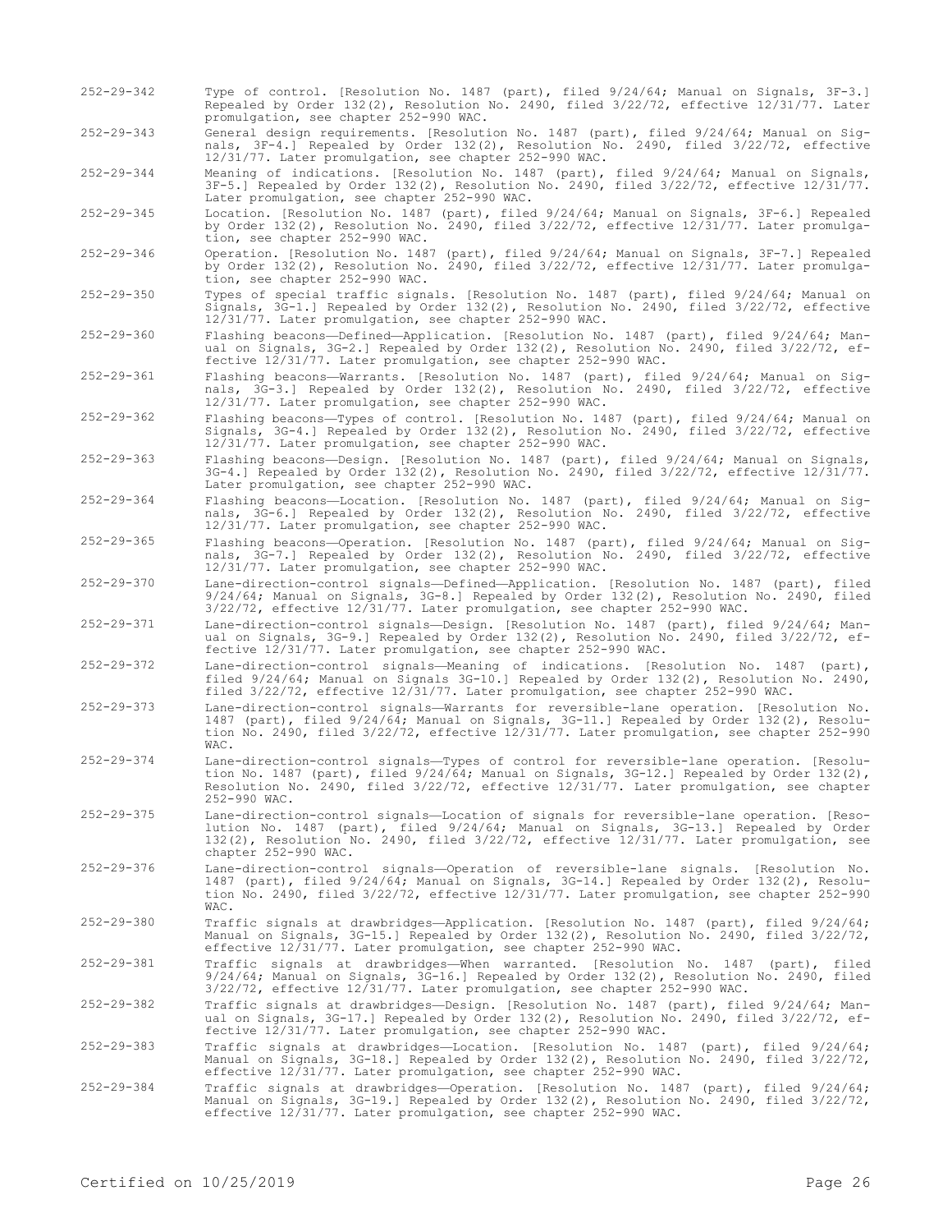- 252-29-342 Type of control. [Resolution No. 1487 (part), filed 9/24/64; Manual on Signals, 3F-3.] Repealed by Order 132(2), Resolution No. 2490, filed 3/22/72, effective 12/31/77. Later promulgation, see chapter 252-990 WAC.
- 252-29-343 General design requirements. [Resolution No. 1487 (part), filed 9/24/64; Manual on Signals, 3F-4.] Repealed by Order 132(2), Resolution No. 2490, filed 3/22/72, effective 12/31/77. Later promulgation, see chapter 252-990 WAC.
- 252-29-344 Meaning of indications. [Resolution No. 1487 (part), filed 9/24/64; Manual on Signals, 3F-5.] Repealed by Order 132(2), Resolution No. 2490, filed 3/22/72, effective 12/31/77. Later promulgation, see chapter 252-990 WAC.

252-29-345 Location. [Resolution No. 1487 (part), filed 9/24/64; Manual on Signals, 3F-6.] Repealed by Order 132(2), Resolution No. 2490, filed 3/22/72, effective 12/31/77. Later promulgation, see chapter 252-990 WAC.

- 252-29-346 Operation. [Resolution No. 1487 (part), filed 9/24/64; Manual on Signals, 3F-7.] Repealed by Order 132(2), Resolution No. 2490, filed 3/22/72, effective 12/31/77. Later promulgation, see chapter 252-990 WAC.
- 252-29-350 Types of special traffic signals. [Resolution No. 1487 (part), filed 9/24/64; Manual on Signals, 3G-1.] Repealed by Order 132(2), Resolution No. 2490, filed 3/22/72, effective 12/31/77. Later promulgation, see chapter 252-990 WAC.
- 252-29-360 Flashing beacons—Defined—Application. [Resolution No. 1487 (part), filed 9/24/64; Manual on Signals, 3G-2.] Repealed by Order 132(2), Resolution No. 2490, filed 3/22/72, effective 12/31/77. Later promulgation, see chapter 252-990 WAC.
- 252-29-361 Flashing beacons—Warrants. [Resolution No. 1487 (part), filed 9/24/64; Manual on Signals, 3G-3.] Repealed by Order 132(2), Resolution No. 2490, filed 3/22/72, effective 12/31/77. Later promulgation, see chapter 252-990 WAC.
- 252-29-362 Flashing beacons—Types of control. [Resolution No. 1487 (part), filed 9/24/64; Manual on Signals, 3G-4.] Repealed by Order 132(2), Resolution No. 2490, filed 3/22/72, effective 12/31/77. Later promulgation, see chapter 252-990 WAC.
- 252-29-363 Flashing beacons—Design. [Resolution No. 1487 (part), filed 9/24/64; Manual on Signals, 3G-4.] Repealed by Order 132(2), Resolution No. 2490, filed 3/22/72, effective 12/31/77. Later promulgation, see chapter 252-990 WAC.
- 252-29-364 Flashing beacons—Location. [Resolution No. 1487 (part), filed 9/24/64; Manual on Signals, 3G-6.] Repealed by Order 132(2), Resolution No. 2490, filed 3/22/72, effective 12/31/77. Later promulgation, see chapter 252-990 WAC.
- 252-29-365 Flashing beacons—Operation. [Resolution No. 1487 (part), filed 9/24/64; Manual on Signals, 3G-7.] Repealed by Order 132(2), Resolution No. 2490, filed 3/22/72, effective 12/31/77. Later promulgation, see chapter 252-990 WAC.
- 252-29-370 Lane-direction-control signals—Defined—Application. [Resolution No. 1487 (part), filed 9/24/64; Manual on Signals, 3G-8.] Repealed by Order 132(2), Resolution No. 2490, filed 3/22/72, effective 12/31/77. Later promulgation, see chapter 252-990 WAC.
- 252-29-371 Lane-direction-control signals—Design. [Resolution No. 1487 (part), filed 9/24/64; Manual on Signals, 3G-9.] Repealed by Order 132(2), Resolution No. 2490, filed 3/22/72, effective 12/31/77. Later promulgation, see chapter 252-990 WAC.
- 252-29-372 Lane-direction-control signals—Meaning of indications. [Resolution No. 1487 (part), filed 9/24/64; Manual on Signals 3G-10.] Repealed by Order 132(2), Resolution No. 2490, filed 3/22/72, effective 12/31/77. Later promulgation, see chapter 252-990 WAC.
- 252-29-373 Lane-direction-control signals—Warrants for reversible-lane operation. [Resolution No. 1487 (part), filed 9/24/64; Manual on Signals, 3G-11.] Repealed by Order 132(2), Resolution No. 2490, filed 3/22/72, effective 12/31/77. Later promulgation, see chapter 252-990 WAC.
- 252-29-374 Lane-direction-control signals—Types of control for reversible-lane operation. [Resolution No. 1487 (part), filed 9/24/64; Manual on Signals, 3G-12.] Repealed by Order 132(2), Resolution No. 2490, filed 3/22/72, effective 12/31/77. Later promulgation, see chapter 252-990 WAC.
- 252-29-375 Lane-direction-control signals—Location of signals for reversible-lane operation. [Resolution No. 1487 (part), filed 9/24/64; Manual on Signals, 3G-13.] Repealed by Order 132(2), Resolution No. 2490, filed 3/22/72, effective 12/31/77. Later promulgation, see chapter 252-990 WAC.
- 252-29-376 Lane-direction-control signals—Operation of reversible-lane signals. [Resolution No. 1487 (part), filed 9/24/64; Manual on Signals, 3G-14.] Repealed by Order 132(2), Resolution No. 2490, filed 3/22/72, effective 12/31/77. Later promulgation, see chapter 252-990 WAC.
- 252-29-380 Traffic signals at drawbridges—Application. [Resolution No. 1487 (part), filed 9/24/64; Manual on Signals, 3G-15.] Repealed by Order 132(2), Resolution No. 2490, filed 3/22/72, effective 12/31/77. Later promulgation, see chapter 252-990 WAC.

252-29-381 Traffic signals at drawbridges—When warranted. [Resolution No. 1487 (part), filed 9/24/64; Manual on Signals, 3G-16.] Repealed by Order 132(2), Resolution No. 2490, filed 3/22/72, effective 12/31/77. Later promulgation, see chapter 252-990 WAC.

252-29-382 Traffic signals at drawbridges—Design. [Resolution No. 1487 (part), filed 9/24/64; Manual on Signals, 3G-17.] Repealed by Order 132(2), Resolution No. 2490, filed 3/22/72, ef-fective 12/31/77. Later promulgation, see chapter 252-990 WAC.

- 252-29-383 Traffic signals at drawbridges—Location. [Resolution No. 1487 (part), filed 9/24/64; Manual on Signals, 3G-18.] Repealed by Order 132(2), Resolution No. 2490, filed 3/22/72, effective 12/31/77. Later promulgation, see chapter 252-990 WAC.
- 252-29-384 Traffic signals at drawbridges—Operation. [Resolution No. 1487 (part), filed 9/24/64; Manual on Signals, 3G-19.] Repealed by Order 132(2), Resolution No. 2490, filed 3/22/72, effective 12/31/77. Later promulgation, see chapter 252-990 WAC.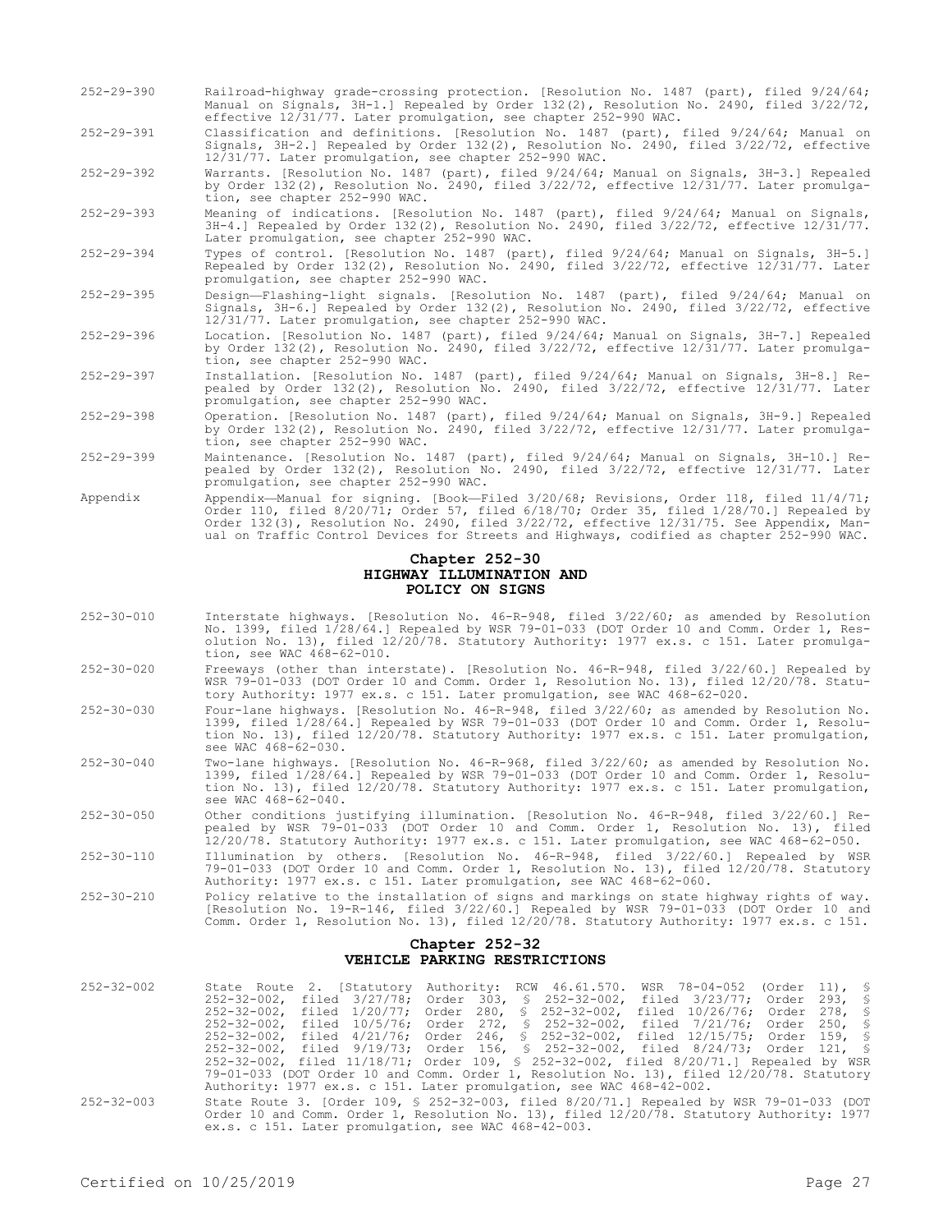- 252-29-390 Railroad-highway grade-crossing protection. [Resolution No. 1487 (part), filed 9/24/64; Manual on Signals, 3H-1.] Repealed by Order 132(2), Resolution No. 2490, filed 3/22/72, effective 12/31/77. Later promulgation, see chapter 252-990 WAC.
- 252-29-391 Classification and definitions. [Resolution No. 1487 (part), filed 9/24/64; Manual on Signals, 3H-2.] Repealed by Order 132(2), Resolution No. 2490, filed 3/22/72, effective 12/31/77. Later promulgation, see chapter 252-990 WAC.
- 252-29-392 Warrants. [Resolution No. 1487 (part), filed 9/24/64; Manual on Signals, 3H-3.] Repealed by Order 132(2), Resolution No. 2490, filed 3/22/72, effective 12/31/77. Later promulgation, see chapter 252-990 WAC.

252-29-393 Meaning of indications. [Resolution No. 1487 (part), filed 9/24/64; Manual on Signals, 3H-4.] Repealed by Order 132(2), Resolution No. 2490, filed 3/22/72, effective 12/31/77. Later promulgation, see chapter 252-990 WAC.

- 252-29-394 Types of control. [Resolution No. 1487 (part), filed 9/24/64; Manual on Signals, 3H-5.] Repealed by Order 132(2), Resolution No. 2490, filed 3/22/72, effective 12/31/77. Later promulgation, see chapter 252-990 WAC.
- 252-29-395 Design—Flashing-light signals. [Resolution No. 1487 (part), filed 9/24/64; Manual on Signals, 3H-6.] Repealed by Order 132(2), Resolution No. 2490, filed 3/22/72, effective 12/31/77. Later promulgation, see chapter 252-990 WAC.
- 252-29-396 Location. [Resolution No. 1487 (part), filed 9/24/64; Manual on Signals, 3H-7.] Repealed by Order 132(2), Resolution No. 2490, filed 3/22/72, effective 12/31/77. Later promulgation, see chapter 252-990 WAC.
- 252-29-397 Installation. [Resolution No. 1487 (part), filed 9/24/64; Manual on Signals, 3H-8.] Repealed by Order 132(2), Resolution No. 2490, filed 3/22/72, effective 12/31/77. Later promulgation, see chapter 252-990 WAC.
- 252-29-398 Operation. [Resolution No. 1487 (part), filed 9/24/64; Manual on Signals, 3H-9.] Repealed by Order 132(2), Resolution No. 2490, filed 3/22/72, effective 12/31/77. Later promulgation, see chapter 252-990 WAC.
- 252-29-399 Maintenance. [Resolution No. 1487 (part), filed 9/24/64; Manual on Signals, 3H-10.] Repealed by Order 132(2), Resolution No. 2490, filed 3/22/72, effective 12/31/77. Later promulgation, see chapter 252-990 WAC.
- Appendix Appendix—Manual for signing. [Book—Filed 3/20/68; Revisions, Order 118, filed 11/4/71; Order 110, filed 8/20/71; Order 57, filed 6/18/70; Order 35, filed 1/28/70.] Repealed by Order 132(3), Resolution No. 2490, filed 3/22/72, effective 12/31/75. See Appendix, Manual on Traffic Control Devices for Streets and Highways, codified as chapter 252-990 WAC.

#### **Chapter 252-30 HIGHWAY ILLUMINATION AND POLICY ON SIGNS**

- 252-30-010 Interstate highways. [Resolution No. 46-R-948, filed 3/22/60; as amended by Resolution No. 1399, filed 1/28/64.] Repealed by WSR 79-01-033 (DOT Order 10 and Comm. Order 1, Resolution No. 13), filed 12/20/78. Statutory Authority: 1977 ex.s. c 151. Later promulgation, see WAC 468-62-010.
- 252-30-020 Freeways (other than interstate). [Resolution No. 46-R-948, filed 3/22/60.] Repealed by WSR 79-01-033 (DOT Order 10 and Comm. Order 1, Resolution No. 13), filed 12/20/78. Statutory Authority: 1977 ex.s. c 151. Later promulgation, see WAC 468-62-020.
- 252-30-030 Four-lane highways. [Resolution No. 46-R-948, filed 3/22/60; as amended by Resolution No. 1399, filed 1/28/64.] Repealed by WSR 79-01-033 (DOT Order 10 and Comm. Order 1, Resolution No. 13), filed 12/20/78. Statutory Authority: 1977 ex.s. c 151. Later promulgation, see WAC 468-62-030.
- 252-30-040 Two-lane highways. [Resolution No. 46-R-968, filed 3/22/60; as amended by Resolution No. 1399, filed 1/28/64.] Repealed by WSR 79-01-033 (DOT Order 10 and Comm. Order 1, Resolution No. 13), filed 12/20/78. Statutory Authority: 1977 ex.s. c 151. Later promulgation, see WAC 468-62-040.
- 252-30-050 Other conditions justifying illumination. [Resolution No. 46-R-948, filed 3/22/60.] Repealed by WSR 79-01-033 (DOT Order 10 and Comm. Order 1, Resolution No. 13), filed 12/20/78. Statutory Authority: 1977 ex.s. c 151. Later promulgation, see WAC 468-62-050.
- 252-30-110 Illumination by others. [Resolution No. 46-R-948, filed 3/22/60.] Repealed by WSR 79-01-033 (DOT Order 10 and Comm. Order 1, Resolution No. 13), filed 12/20/78. Statutory Authority: 1977 ex.s. c 151. Later promulgation, see WAC 468-62-060.
- 252-30-210 Policy relative to the installation of signs and markings on state highway rights of way. [Resolution No. 19-R-146, filed 3/22/60.] Repealed by WSR 79-01-033 (DOT Order 10 and Comm. Order 1, Resolution No. 13), filed 12/20/78. Statutory Authority: 1977 ex.s. c 151.

#### **Chapter 252-32 VEHICLE PARKING RESTRICTIONS**

| $252 - 32 - 002$ |  |                                                                      | State Route 2. [Statutory Authority: RCW 46.61.570. WSR 78-04-052 (Order 11), §                                                                                                         |  |
|------------------|--|----------------------------------------------------------------------|-----------------------------------------------------------------------------------------------------------------------------------------------------------------------------------------|--|
|                  |  |                                                                      | 252-32-002, filed 3/27/78; Order 303, § 252-32-002, filed 3/23/77; Order 293, §                                                                                                         |  |
|                  |  |                                                                      | 252-32-002, filed 1/20/77; Order 280, § 252-32-002, filed 10/26/76; Order 278, §                                                                                                        |  |
|                  |  |                                                                      | 252-32-002, filed 10/5/76; Order 272, § 252-32-002, filed 7/21/76; Order 250, §                                                                                                         |  |
|                  |  |                                                                      | 252-32-002, filed 4/21/76; Order 246, § 252-32-002, filed 12/15/75; Order 159, §                                                                                                        |  |
|                  |  |                                                                      | 252-32-002, filed 9/19/73; Order 156, § 252-32-002, filed 8/24/73; Order 121, §                                                                                                         |  |
|                  |  |                                                                      | 252-32-002, filed 11/18/71; Order 109, § 252-32-002, filed 8/20/71.] Repealed by WSR                                                                                                    |  |
|                  |  |                                                                      | 79-01-033 (DOT Order 10 and Comm. Order 1, Resolution No. 13), filed 12/20/78. Statutory                                                                                                |  |
|                  |  | Authority: 1977 ex.s. c 151. Later promulgation, see WAC 468-42-002. |                                                                                                                                                                                         |  |
| $252 - 32 - 003$ |  |                                                                      | State Route 3. [Order 109, § 252-32-003, filed $8/20/71$ .] Repealed by WSR 79-01-033 (DOT<br>Order 10 and Comm. Order 1, Resolution No. 13), filed 12/20/78. Statutory Authority: 1977 |  |

ex.s. c 151. Later promulgation, see WAC 468-42-003.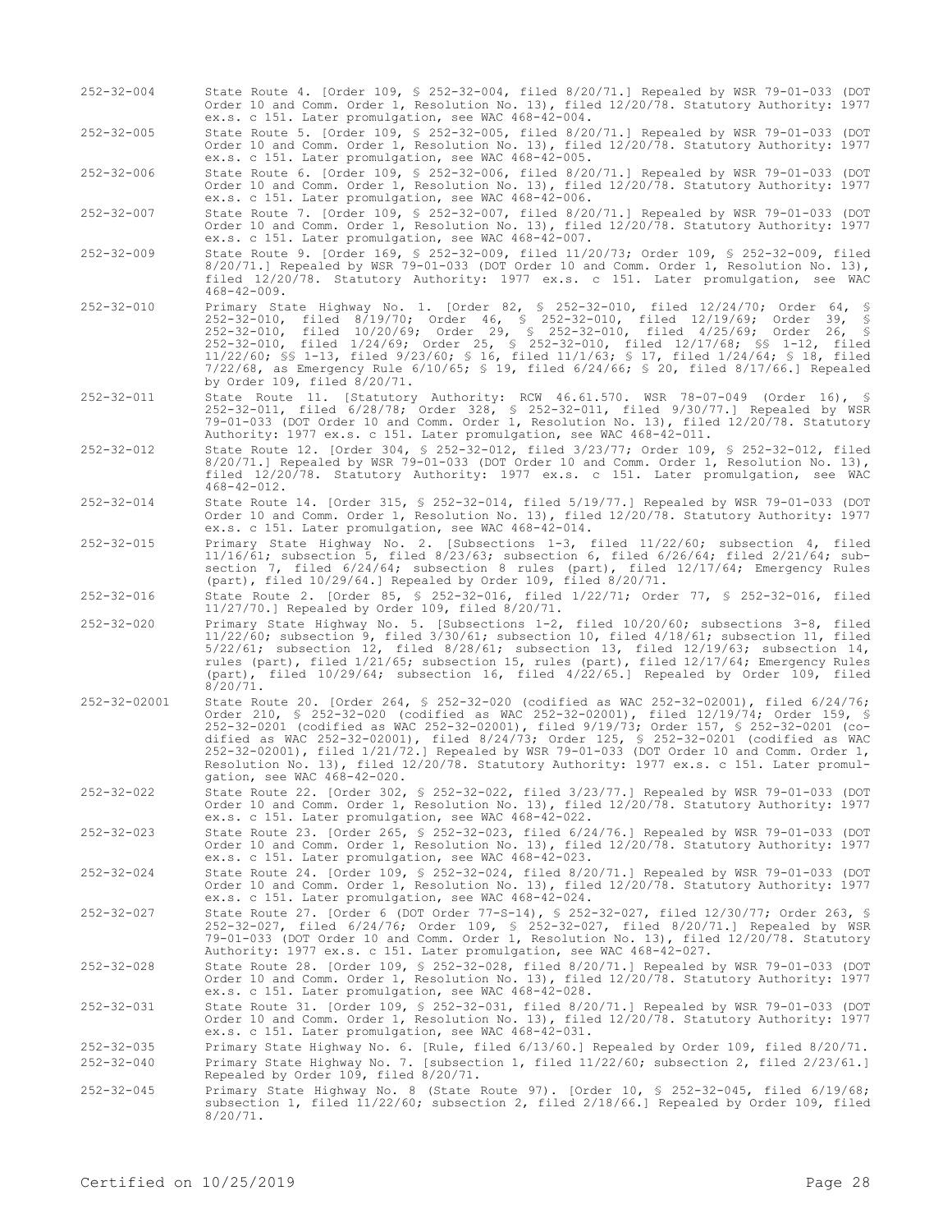- 252-32-004 State Route 4. [Order 109, § 252-32-004, filed 8/20/71.] Repealed by WSR 79-01-033 (DOT Order 10 and Comm. Order 1, Resolution No. 13), filed 12/20/78. Statutory Authority: 1977 ex.s. c 151. Later promulgation, see WAC 468-42-004.
- 252-32-005 State Route 5. [Order 109, § 252-32-005, filed 8/20/71.] Repealed by WSR 79-01-033 (DOT Order 10 and Comm. Order 1, Resolution No. 13), filed 12/20/78. Statutory Authority: 1977 ex.s. c 151. Later promulgation, see WAC 468-42-005.

252-32-006 State Route 6. [Order 109, § 252-32-006, filed 8/20/71.] Repealed by WSR 79-01-033 (DOT Order 10 and Comm. Order 1, Resolution No. 13), filed 12/20/78. Statutory Authority: 1977 ex.s. c 151. Later promulgation, see WAC 468-42-006.

252-32-007 State Route 7. [Order 109, § 252-32-007, filed 8/20/71.] Repealed by WSR 79-01-033 (DOT Order 10 and Comm. Order 1, Resolution No. 13), filed 12/20/78. Statutory Authority: 1977 ex.s. c 151. Later promulgation, see WAC 468-42-007.

- 252-32-009 State Route 9. [Order 169, § 252-32-009, filed 11/20/73; Order 109, § 252-32-009, filed 8/20/71.] Repealed by WSR 79-01-033 (DOT Order 10 and Comm. Order 1, Resolution No. 13), filed 12/20/78. Statutory Authority: 1977 ex.s. c 151. Later promulgation, see WAC 468-42-009.
- 252-32-010 Primary State Highway No. 1. [Order 82, § 252-32-010, filed 12/24/70; Order 64, § 252-32-010, filed 8/19/70; Order 46, § 252-32-010, filed 12/19/69; Order 39, § 252-32-010, filed 10/20/69; Order 29, § 252-32-010, filed 4/25/69; Order 26, § 252-32-010, filed 1/24/69; Order 25, § 252-32-010, filed 12/17/68; §§ 1-12, filed 11/22/60; §§ 1-13, filed 9/23/60; § 16, filed 11/1/63; § 17, filed 1/24/64; § 18, filed 7/22/68, as Emergency Rule 6/10/65; § 19, filed 6/24/66; § 20, filed 8/17/66.] Repealed by Order 109, filed 8/20/71.
- 252-32-011 State Route 11. [Statutory Authority: RCW 46.61.570. WSR 78-07-049 (Order 16), § 252-32-011, filed 6/28/78; Order 328, § 252-32-011, filed 9/30/77.] Repealed by WSR 79-01-033 (DOT Order 10 and Comm. Order 1, Resolution No. 13), filed 12/20/78. Statutory Authority: 1977 ex.s. c 151. Later promulgation, see WAC 468-42-011.
- 252-32-012 State Route 12. [Order 304, § 252-32-012, filed 3/23/77; Order 109, § 252-32-012, filed 8/20/71.] Repealed by WSR 79-01-033 (DOT Order 10 and Comm. Order 1, Resolution No. 13), filed 12/20/78. Statutory Authority: 1977 ex.s. c 151. Later promulgation, see WAC 468-42-012.
- 252-32-014 State Route 14. [Order 315, § 252-32-014, filed 5/19/77.] Repealed by WSR 79-01-033 (DOT Order 10 and Comm. Order 1, Resolution No. 13), filed 12/20/78. Statutory Authority: 1977 ex.s. c 151. Later promulgation, see WAC 468-42-014.
- 252-32-015 Primary State Highway No. 2. [Subsections 1-3, filed 11/22/60; subsection 4, filed 11/16/61; subsection 5, filed 8/23/63; subsection 6, filed 6/26/64; filed 2/21/64; subsection 7, filed 6/24/64; subsection 8 rules (part), filed 12/17/64; Emergency Rules (part), filed 10/29/64.] Repealed by Order 109, filed 8/20/71.

252-32-016 State Route 2. [Order 85, § 252-32-016, filed 1/22/71; Order 77, § 252-32-016, filed 11/27/70.] Repealed by Order 109, filed 8/20/71.

- 252-32-020 Primary State Highway No. 5. [Subsections 1-2, filed 10/20/60; subsections 3-8, filed 11/22/60; subsection 9, filed 3/30/61; subsection 10, filed 4/18/61; subsection 11, filed 5/22/61; subsection 12, filed 8/28/61; subsection 13, filed 12/19/63; subsection 14, rules (part), filed 1/21/65; subsection 15, rules (part), filed 12/17/64; Emergency Rules (part), filed 10/29/64; subsection 16, filed 4/22/65.] Repealed by Order 109, filed  $8/20/71$ .
- 252-32-02001 State Route 20. [Order 264, § 252-32-020 (codified as WAC 252-32-02001), filed 6/24/76; Order 210, § 252-32-020 (codified as WAC 252-32-02001), filed 12/19/74; Order 159, § 252-32-0201 (codified as WAC 252-32-02001), filed 9/19/73; Order 157, § 252-32-0201 (codified as WAC 252-32-02001), filed 8/24/73; Order 125, § 252-32-0201 (codified as WAC 252-32-02001), filed 1/21/72.] Repealed by WSR 79-01-033 (DOT Order 10 and Comm. Order 1, Resolution No. 13), filed 12/20/78. Statutory Authority: 1977 ex.s. c 151. Later promulgation, see WAC 468-42-020.
- 252-32-022 State Route 22. [Order 302, § 252-32-022, filed 3/23/77.] Repealed by WSR 79-01-033 (DOT Order 10 and Comm. Order 1, Resolution No. 13), filed 12/20/78. Statutory Authority: 1977 ex.s. c 151. Later promulgation, see WAC 468-42-022.
- 252-32-023 State Route 23. [Order 265, § 252-32-023, filed 6/24/76.] Repealed by WSR 79-01-033 (DOT Order 10 and Comm. Order 1, Resolution No. 13), filed 12/20/78. Statutory Authority: 1977 ex.s. c 151. Later promulgation, see WAC 468-42-023.
- 252-32-024 State Route 24. [Order 109, § 252-32-024, filed 8/20/71.] Repealed by WSR 79-01-033 (DOT Order 10 and Comm. Order 1, Resolution No. 13), filed 12/20/78. Statutory Authority: 1977 ex.s. c 151. Later promulgation, see WAC 468-42-024.
- 252-32-027 State Route 27. [Order 6 (DOT Order 77-S-14), § 252-32-027, filed 12/30/77; Order 263, § 252-32-027, filed 6/24/76; Order 109, § 252-32-027, filed 8/20/71.] Repealed by WSR 79-01-033 (DOT Order 10 and Comm. Order 1, Resolution No. 13), filed 12/20/78. Statutory Authority: 1977 ex.s. c 151. Later promulgation, see WAC 468-42-027.

252-32-028 State Route 28. [Order 109, § 252-32-028, filed 8/20/71.] Repealed by WSR 79-01-033 (DOT Order 10 and Comm. Order 1, Resolution No. 13), filed 12/20/78. Statutory Authority: 1977 ex.s. c 151. Later promulgation, see WAC 468-42-028.

252-32-031 State Route 31. [Order 109, § 252-32-031, filed 8/20/71.] Repealed by WSR 79-01-033 (DOT Order 10 and Comm. Order 1, Resolution No. 13), filed 12/20/78. Statutory Authority: 1977 ex.s. c 151. Later promulgation, see WAC 468-42-031.

252-32-035 Primary State Highway No. 6. [Rule, filed 6/13/60.] Repealed by Order 109, filed 8/20/71. 252-32-040 Primary State Highway No. 7. [subsection 1, filed 11/22/60; subsection 2, filed 2/23/61.] Repealed by Order 109, filed 8/20/71.

252-32-045 Primary State Highway No. 8 (State Route 97). [Order 10, § 252-32-045, filed 6/19/68; subsection 1, filed 11/22/60; subsection 2, filed 2/18/66.] Repealed by Order 109, filed 8/20/71.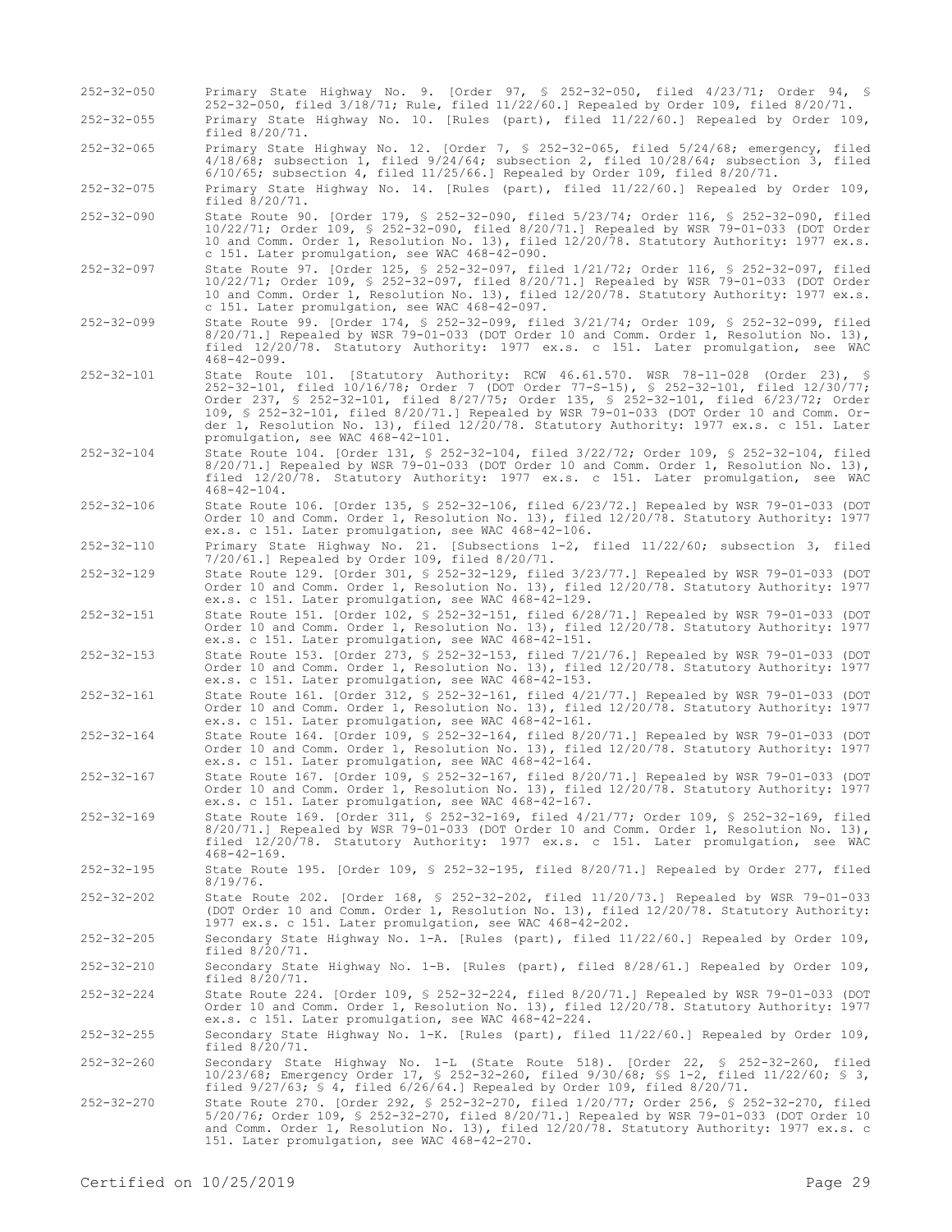252-32-050 Primary State Highway No. 9. [Order 97, § 252-32-050, filed 4/23/71; Order 94, § 252-32-050, filed 3/18/71; Rule, filed 11/22/60.] Repealed by Order 109, filed 8/20/71. 252-32-055 Primary State Highway No. 10. [Rules (part), filed 11/22/60.] Repealed by Order 109, filed 8/20/71. 252-32-065 Primary State Highway No. 12. [Order 7, § 252-32-065, filed 5/24/68; emergency, filed 4/18/68; subsection 1, filed 9/24/64; subsection 2, filed 10/28/64; subsection 3, filed 6/10/65; subsection 4, filed 11/25/66.] Repealed by Order 109, filed 8/20/71. 252-32-075 Primary State Highway No. 14. [Rules (part), filed 11/22/60.] Repealed by Order 109, filed 8/20/71. 252-32-090 State Route 90. [Order 179, § 252-32-090, filed 5/23/74; Order 116, § 252-32-090, filed 10/22/71; Order 109, § 252-32-090, filed 8/20/71.] Repealed by WSR 79-01-033 (DOT Order 10 and Comm. Order 1, Resolution No. 13), filed 12/20/78. Statutory Authority: 1977 ex.s. c 151. Later promulgation, see WAC 468-42-090. 252-32-097 State Route 97. [Order 125, § 252-32-097, filed 1/21/72; Order 116, § 252-32-097, filed 10/22/71; Order 109, § 252-32-097, filed 8/20/71.] Repealed by WSR 79-01-033 (DOT Order 10 and Comm. Order 1, Resolution No. 13), filed 12/20/78. Statutory Authority: 1977 ex.s. c 151. Later promulgation, see WAC 468-42-097. 252-32-099 State Route 99. [Order 174, § 252-32-099, filed 3/21/74; Order 109, § 252-32-099, filed 8/20/71.] Repealed by WSR 79-01-033 (DOT Order 10 and Comm. Order 1, Resolution No. 13), filed 12/20/78. Statutory Authority: 1977 ex.s. c 151. Later promulgation, see WAC 468-42-099. 252-32-101 State Route 101. [Statutory Authority: RCW 46.61.570. WSR 78-11-028 (Order 23), § 252-32-101, filed 10/16/78; Order 7 (DOT Order 77-S-15), § 252-32-101, filed 12/30/77; Order 237, § 252-32-101, filed 8/27/75; Order 135, § 252-32-101, filed 6/23/72; Order 109, § 252-32-101, filed 8/20/71.] Repealed by WSR 79-01-033 (DOT Order 10 and Comm. Order 1, Resolution No. 13), filed 12/20/78. Statutory Authority: 1977 ex.s. c 151. Later promulgation, see WAC 468-42-101. 252-32-104 State Route 104. [Order 131, § 252-32-104, filed 3/22/72; Order 109, § 252-32-104, filed 8/20/71.] Repealed by WSR 79-01-033 (DOT Order 10 and Comm. Order 1, Resolution No. 13), filed 12/20/78. Statutory Authority: 1977 ex.s. c 151. Later promulgation, see WAC  $468 - 42 - 104$ . 252-32-106 State Route 106. [Order 135, § 252-32-106, filed 6/23/72.] Repealed by WSR 79-01-033 (DOT Order 10 and Comm. Order 1, Resolution No. 13), filed 12/20/78. Statutory Authority: 1977 ex.s. c 151. Later promulgation, see WAC 468-42-106. 252-32-110 Primary State Highway No. 21. [Subsections 1-2, filed 11/22/60; subsection 3, filed 7/20/61.] Repealed by Order 109, filed 8/20/71. 252-32-129 State Route 129. [Order 301, § 252-32-129, filed 3/23/77.] Repealed by WSR 79-01-033 (DOT Order 10 and Comm. Order 1, Resolution No. 13), filed 12/20/78. Statutory Authority: 1977 ex.s. c 151. Later promulgation, see WAC 468-42-129. 252-32-151 State Route 151. [Order 102, § 252-32-151, filed 6/28/71.] Repealed by WSR 79-01-033 (DOT Order 10 and Comm. Order 1, Resolution No. 13), filed 12/20/78. Statutory Authority: 1977 ex.s. c 151. Later promulgation, see WAC 468-42-151. 252-32-153 State Route 153. [Order 273, § 252-32-153, filed 7/21/76.] Repealed by WSR 79-01-033 (DOT Order 10 and Comm. Order 1, Resolution No. 13), filed 12/20/78. Statutory Authority: 1977 ex.s. c 151. Later promulgation, see WAC 468-42-153. 252-32-161 State Route 161. [Order 312, § 252-32-161, filed 4/21/77.] Repealed by WSR 79-01-033 (DOT Order 10 and Comm. Order 1, Resolution No. 13), filed 12/20/78. Statutory Authority: 1977 ex.s. c 151. Later promulgation, see WAC 468-42-161. 252-32-164 State Route 164. [Order 109, § 252-32-164, filed 8/20/71.] Repealed by WSR 79-01-033 (DOT Order 10 and Comm. Order 1, Resolution No. 13), filed 12/20/78. Statutory Authority: 1977 ex.s. c 151. Later promulgation, see WAC 468-42-164. 252-32-167 State Route 167. [Order 109, § 252-32-167, filed 8/20/71.] Repealed by WSR 79-01-033 (DOT Order 10 and Comm. Order 1, Resolution No. 13), filed 12/20/78. Statutory Authority: 1977 ex.s. c 151. Later promulgation, see WAC 468-42-167. 252-32-169 State Route 169. [Order 311, § 252-32-169, filed 4/21/77; Order 109, § 252-32-169, filed 8/20/71.] Repealed by WSR 79-01-033 (DOT Order 10 and Comm. Order 1, Resolution No. 13), filed 12/20/78. Statutory Authority: 1977 ex.s. c 151. Later promulgation, see WAC 468-42-169. 252-32-195 State Route 195. [Order 109, § 252-32-195, filed 8/20/71.] Repealed by Order 277, filed 8/19/76. 252-32-202 State Route 202. [Order 168, § 252-32-202, filed 11/20/73.] Repealed by WSR 79-01-033 (DOT Order 10 and Comm. Order 1, Resolution No. 13), filed 12/20/78. Statutory Authority: 1977 ex.s. c 151. Later promulgation, see WAC 468-42-202. 252-32-205 Secondary State Highway No. 1-A. [Rules (part), filed 11/22/60.] Repealed by Order 109, filed 8/20/71. 252-32-210 Secondary State Highway No. 1-B. [Rules (part), filed 8/28/61.] Repealed by Order 109, filed 8/20/71. 252-32-224 State Route 224. [Order 109, § 252-32-224, filed 8/20/71.] Repealed by WSR 79-01-033 (DOT Order 10 and Comm. Order 1, Resolution No. 13), filed 12/20/78. Statutory Authority: 1977 ex.s. c 151. Later promulgation, see WAC 468-42-224. 252-32-255 Secondary State Highway No. 1-K. [Rules (part), filed 11/22/60.] Repealed by Order 109, filed  $8/\frac{20}{71}$ . 252-32-260 Secondary State Highway No. 1-L (State Route 518). [Order 22, § 252-32-260, filed 10/23/68; Emergency Order 17, § 252-32-260, filed 9/30/68; §§ 1-2, filed 11/22/60; § 3, filed 9/27/63; § 4, filed 6/26/64.] Repealed by Order 109, filed 8/20/71. 252-32-270 State Route 270. [Order 292, § 252-32-270, filed 1/20/77; Order 256, § 252-32-270, filed 5/20/76; Order 109, § 252-32-270, filed 8/20/71.] Repealed by WSR 79-01-033 (DOT Order 10 and Comm. Order 1, Resolution No. 13), filed 12/20/78. Statutory Authority: 1977 ex.s. c 151. Later promulgation, see WAC 468-42-270.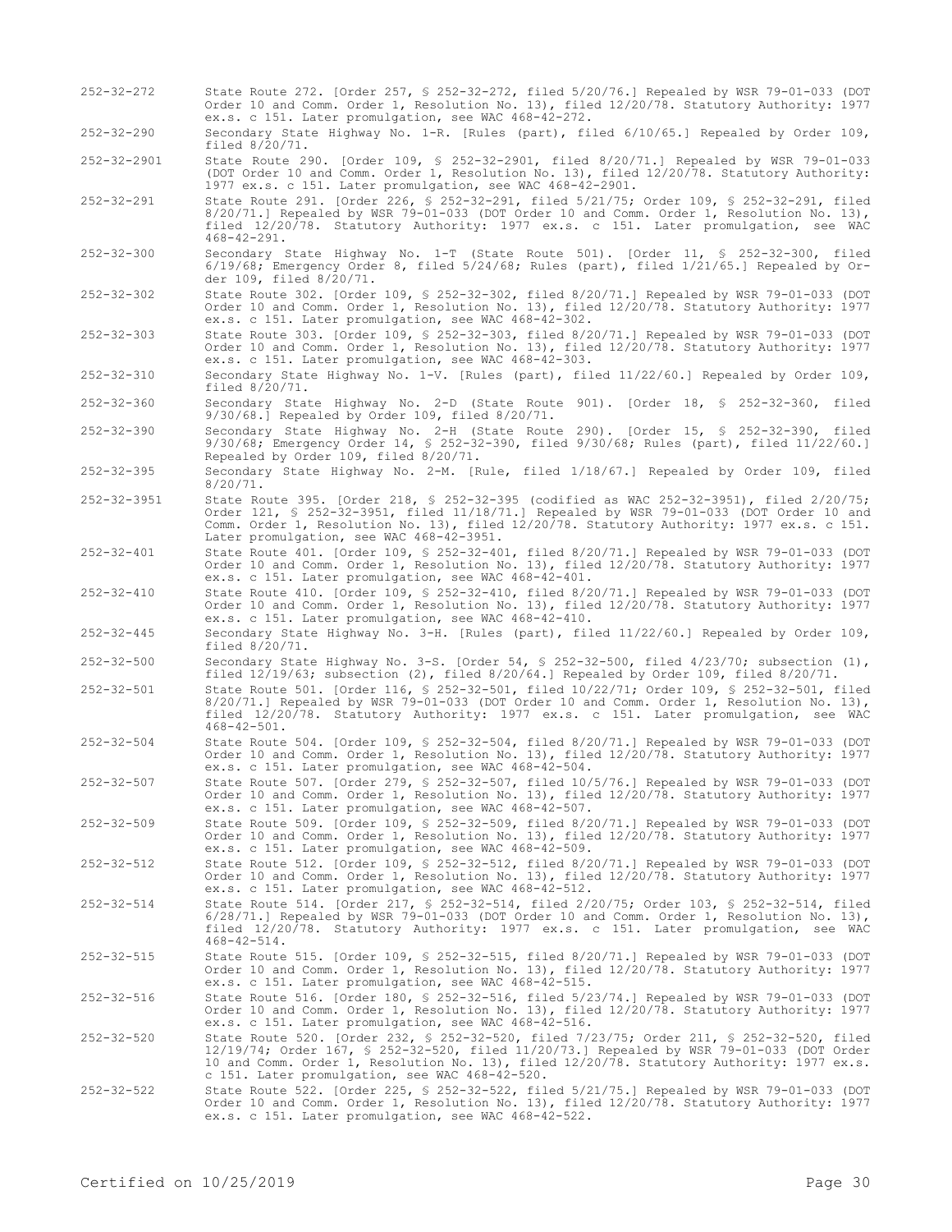- 252-32-272 State Route 272. [Order 257, § 252-32-272, filed 5/20/76.] Repealed by WSR 79-01-033 (DOT Order 10 and Comm. Order 1, Resolution No. 13), filed 12/20/78. Statutory Authority: 1977 ex.s. c 151. Later promulgation, see WAC 468-42-272.
- 252-32-290 Secondary State Highway No. 1-R. [Rules (part), filed 6/10/65.] Repealed by Order 109, filed 8/20/71.

252-32-2901 State Route 290. [Order 109, § 252-32-2901, filed 8/20/71.] Repealed by WSR 79-01-033 (DOT Order 10 and Comm. Order 1, Resolution No. 13), filed 12/20/78. Statutory Authority: 1977 ex.s. c 151. Later promulgation, see WAC 468-42-2901.

- 252-32-291 State Route 291. [Order 226, § 252-32-291, filed 5/21/75; Order 109, § 252-32-291, filed 8/20/71.] Repealed by WSR 79-01-033 (DOT Order 10 and Comm. Order 1, Resolution No. 13), filed 12/20/78. Statutory Authority: 1977 ex.s. c 151. Later promulgation, see WAC 468-42-291.
- 252-32-300 Secondary State Highway No. 1-T (State Route 501). [Order 11, § 252-32-300, filed 6/19/68; Emergency Order 8, filed 5/24/68; Rules (part), filed 1/21/65.] Repealed by Order 109, filed 8/20/71.
- 252-32-302 State Route 302. [Order 109, § 252-32-302, filed 8/20/71.] Repealed by WSR 79-01-033 (DOT Order 10 and Comm. Order 1, Resolution No. 13), filed 12/20/78. Statutory Authority: 1977 ex.s. c 151. Later promulgation, see WAC 468-42-302.
- 252-32-303 State Route 303. [Order 109, § 252-32-303, filed 8/20/71.] Repealed by WSR 79-01-033 (DOT Order 10 and Comm. Order 1, Resolution No. 13), filed 12/20/78. Statutory Authority: 1977 ex.s. c 151. Later promulgation, see WAC 468-42-303.

252-32-310 Secondary State Highway No. 1-V. [Rules (part), filed 11/22/60.] Repealed by Order 109, filed 8/20/71.

252-32-360 Secondary State Highway No. 2-D (State Route 901). [Order 18, § 252-32-360, filed 9/30/68.] Repealed by Order 109, filed 8/20/71.

- 252-32-390 Secondary State Highway No. 2-H (State Route 290). [Order 15, § 252-32-390, filed 9/30/68; Emergency Order 14, § 252-32-390, filed 9/30/68; Rules (part), filed 11/22/60.] Repealed by Order 109, filed 8/20/71.
- 252-32-395 Secondary State Highway No. 2-M. [Rule, filed 1/18/67.] Repealed by Order 109, filed 8/20/71.
- 252-32-3951 State Route 395. [Order 218, § 252-32-395 (codified as WAC 252-32-3951), filed 2/20/75; Order 121, § 252-32-3951, filed 11/18/71.] Repealed by WSR 79-01-033 (DOT Order 10 and Comm. Order 1, Resolution No. 13), filed 12/20/78. Statutory Authority: 1977 ex.s. c 151. Later promulgation, see WAC 468-42-3951.

252-32-401 State Route 401. [Order 109, § 252-32-401, filed 8/20/71.] Repealed by WSR 79-01-033 (DOT Order 10 and Comm. Order 1, Resolution No. 13), filed 12/20/78. Statutory Authority: 1977 ex.s. c 151. Later promulgation, see WAC 468-42-401.

- 252-32-410 State Route 410. [Order 109, § 252-32-410, filed 8/20/71.] Repealed by WSR 79-01-033 (DOT Order 10 and Comm. Order 1, Resolution No. 13), filed 12/20/78. Statutory Authority: 1977 ex.s. c 151. Later promulgation, see WAC 468-42-410.
- 252-32-445 Secondary State Highway No. 3-H. [Rules (part), filed 11/22/60.] Repealed by Order 109, filed  $8/\overline{2}0/71$ .
- 252-32-500 Secondary State Highway No. 3-S. [Order 54, § 252-32-500, filed 4/23/70; subsection (1), filed 12/19/63; subsection (2), filed 8/20/64.] Repealed by Order 109, filed 8/20/71.
- 252-32-501 State Route 501. [Order 116, § 252-32-501, filed 10/22/71; Order 109, § 252-32-501, filed 8/20/71.] Repealed by WSR 79-01-033 (DOT Order 10 and Comm. Order 1, Resolution No. 13), filed 12/20/78. Statutory Authority: 1977 ex.s. c 151. Later promulgation, see WAC 468-42-501.
- 252-32-504 State Route 504. [Order 109, § 252-32-504, filed 8/20/71.] Repealed by WSR 79-01-033 (DOT Order 10 and Comm. Order 1, Resolution No. 13), filed 12/20/78. Statutory Authority: 1977 ex.s. c 151. Later promulgation, see WAC 468-42-504.

252-32-507 State Route 507. [Order 279, § 252-32-507, filed 10/5/76.] Repealed by WSR 79-01-033 (DOT Order 10 and Comm. Order 1, Resolution No. 13), filed 12/20/78. Statutory Authority: 1977 ex.s. c 151. Later promulgation, see WAC 468-42-507.

252-32-509 State Route 509. [Order 109, § 252-32-509, filed 8/20/71.] Repealed by WSR 79-01-033 (DOT Order 10 and Comm. Order 1, Resolution No. 13), filed 12/20/78. Statutory Authority: 1977 ex.s. c 151. Later promulgation, see WAC 468-42-509.

252-32-512 State Route 512. [Order 109, § 252-32-512, filed 8/20/71.] Repealed by WSR 79-01-033 (DOT Order 10 and Comm. Order 1, Resolution No. 13), filed 12/20/78. Statutory Authority: 1977 ex.s. c 151. Later promulgation, see WAC 468-42-512.

- 252-32-514 State Route 514. [Order 217, § 252-32-514, filed 2/20/75; Order 103, § 252-32-514, filed 6/28/71.] Repealed by WSR 79-01-033 (DOT Order 10 and Comm. Order 1, Resolution No. 13), filed 12/20/78. Statutory Authority: 1977 ex.s. c 151. Later promulgation, see WAC 468-42-514.
- 252-32-515 State Route 515. [Order 109, § 252-32-515, filed 8/20/71.] Repealed by WSR 79-01-033 (DOT Order 10 and Comm. Order 1, Resolution No. 13), filed 12/20/78. Statutory Authority: 1977 ex.s. c 151. Later promulgation, see WAC 468-42-515.

252-32-516 State Route 516. [Order 180, § 252-32-516, filed 5/23/74.] Repealed by WSR 79-01-033 (DOT Order 10 and Comm. Order 1, Resolution No. 13), filed 12/20/78. Statutory Authority: 1977 ex.s. c 151. Later promulgation, see WAC 468-42-516.

- 252-32-520 State Route 520. [Order 232, § 252-32-520, filed 7/23/75; Order 211, § 252-32-520, filed 12/19/74; Order 167, § 252-32-520, filed 11/20/73.] Repealed by WSR 79-01-033 (DOT Order 10 and Comm. Order 1, Resolution No. 13), filed 12/20/78. Statutory Authority: 1977 ex.s. c 151. Later promulgation, see WAC 468-42-520.
- 252-32-522 State Route 522. [Order 225, § 252-32-522, filed 5/21/75.] Repealed by WSR 79-01-033 (DOT Order 10 and Comm. Order 1, Resolution No. 13), filed 12/20/78. Statutory Authority: 1977 ex.s. c 151. Later promulgation, see WAC 468-42-522.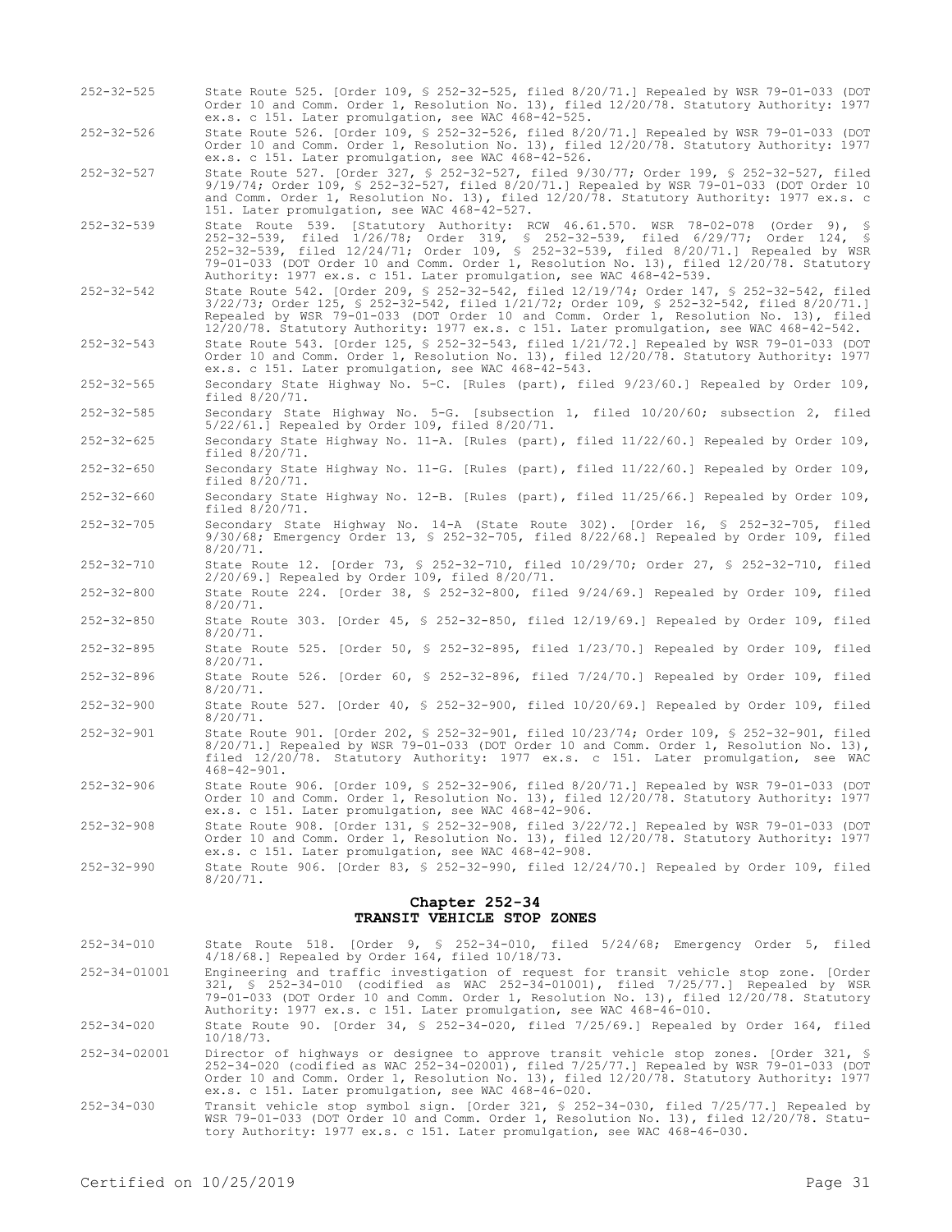| $252 - 32 - 525$                                    | State Route 525. [Order 109, § 252-32-525, filed 8/20/71.] Repealed by WSR 79-01-033 (DOT<br>Order 10 and Comm. Order 1, Resolution No. 13), filed 12/20/78. Statutory Authority: 1977<br>ex.s. c 151. Later promulgation, see WAC 468-42-525.                                                                                                                                                                                  |  |  |
|-----------------------------------------------------|---------------------------------------------------------------------------------------------------------------------------------------------------------------------------------------------------------------------------------------------------------------------------------------------------------------------------------------------------------------------------------------------------------------------------------|--|--|
| $252 - 32 - 526$                                    | State Route 526. [Order 109, § 252-32-526, filed 8/20/71.] Repealed by WSR 79-01-033 (DOT<br>Order 10 and Comm. Order 1, Resolution No. 13), filed 12/20/78. Statutory Authority: 1977<br>ex.s. c 151. Later promulgation, see WAC 468-42-526.                                                                                                                                                                                  |  |  |
| $252 - 32 - 527$                                    | State Route 527. [Order 327, § 252-32-527, filed 9/30/77; Order 199, § 252-32-527, filed<br>9/19/74; Order 109, § 252-32-527, filed 8/20/71.] Repealed by WSR 79-01-033 (DOT Order 10<br>and Comm. Order 1, Resolution No. 13), filed 12/20/78. Statutory Authority: 1977 ex.s. c<br>151. Later promulgation, see WAC 468-42-527.                                                                                               |  |  |
| $252 - 32 - 539$                                    | State Route 539. [Statutory Authority: RCW 46.61.570. WSR 78-02-078 (Order 9), §<br>252-32-539, filed 1/26/78; Order 319, § 252-32-539, filed 6/29/77; Order 124, §<br>252-32-539, filed 12/24/71; Order 109, § 252-32-539, filed 8/20/71.] Repealed by WSR<br>79-01-033 (DOT Order 10 and Comm. Order 1, Resolution No. 13), filed 12/20/78. Statutory<br>Authority: 1977 ex.s. c 151. Later promulgation, see WAC 468-42-539. |  |  |
| $252 - 32 - 542$                                    | State Route 542. [Order 209, § 252-32-542, filed 12/19/74; Order 147, § 252-32-542, filed<br>$3/22/73$ ; Order 125, § 252-32-542, filed $1/21/72$ ; Order 109, § 252-32-542, filed 8/20/71.]<br>Repealed by WSR 79-01-033 (DOT Order 10 and Comm. Order 1, Resolution No. 13), filed<br>12/20/78. Statutory Authority: 1977 ex.s. c 151. Later promulgation, see WAC 468-42-542.                                                |  |  |
| $252 - 32 - 543$                                    | State Route 543. [Order 125, § 252-32-543, filed 1/21/72.] Repealed by WSR 79-01-033 (DOT<br>Order 10 and Comm. Order 1, Resolution No. 13), filed 12/20/78. Statutory Authority: 1977<br>ex.s. c 151. Later promulgation, see WAC 468-42-543.                                                                                                                                                                                  |  |  |
| 252-32-565                                          | Secondary State Highway No. 5-C. [Rules (part), filed 9/23/60.] Repealed by Order 109,<br>filed $8/20/71$ .                                                                                                                                                                                                                                                                                                                     |  |  |
| $252 - 32 - 585$                                    | Secondary State Highway No. 5-G. [subsection 1, filed 10/20/60; subsection 2, filed<br>5/22/61.] Repealed by Order 109, filed 8/20/71.                                                                                                                                                                                                                                                                                          |  |  |
| $252 - 32 - 625$                                    | Secondary State Highway No. 11-A. [Rules (part), filed 11/22/60.] Repealed by Order 109,<br>filed $8/20/71$ .                                                                                                                                                                                                                                                                                                                   |  |  |
| $252 - 32 - 650$                                    | Secondary State Highway No. 11-G. [Rules (part), filed 11/22/60.] Repealed by Order 109,<br>filed 8/20/71.                                                                                                                                                                                                                                                                                                                      |  |  |
| $252 - 32 - 660$                                    | Secondary State Highway No. 12-B. [Rules (part), filed 11/25/66.] Repealed by Order 109,<br>filed $8/20/71$ .                                                                                                                                                                                                                                                                                                                   |  |  |
| $252 - 32 - 705$                                    | Secondary State Highway No. 14-A (State Route 302). [Order 16, § 252-32-705, filed<br>$9/30/68$ ; Emergency Order 13, § 252-32-705, filed $8/22/68$ .] Repealed by Order 109, filed<br>$8/20/71$ .                                                                                                                                                                                                                              |  |  |
| $252 - 32 - 710$                                    | State Route 12. [Order 73, § 252-32-710, filed 10/29/70; Order 27, § 252-32-710, filed<br>$2/20/69$ . Repealed by Order 109, filed $8/20/71$ .                                                                                                                                                                                                                                                                                  |  |  |
| $252 - 32 - 800$                                    | State Route 224. [Order 38, § 252-32-800, filed $9/24/69$ .] Repealed by Order 109, filed<br>$8/20/71$ .                                                                                                                                                                                                                                                                                                                        |  |  |
| $252 - 32 - 850$                                    | State Route 303. [Order 45, § 252-32-850, filed 12/19/69.] Repealed by Order 109, filed<br>$8/20/71$ .                                                                                                                                                                                                                                                                                                                          |  |  |
| $252 - 32 - 895$                                    | State Route 525. [Order 50, § 252-32-895, filed $1/23/70$ .] Repealed by Order 109, filed<br>$8/20/71$ .                                                                                                                                                                                                                                                                                                                        |  |  |
| $252 - 32 - 896$                                    | State Route 526. [Order 60, § 252-32-896, filed $7/24/70$ .] Repealed by Order 109, filed<br>$8/20/71$ .                                                                                                                                                                                                                                                                                                                        |  |  |
| $252 - 32 - 900$                                    | State Route 527. [Order 40, § 252-32-900, filed 10/20/69.] Repealed by Order 109, filed<br>$8/20/71$ .                                                                                                                                                                                                                                                                                                                          |  |  |
| $252 - 32 - 901$                                    | State Route 901. [Order 202, § 252-32-901, filed 10/23/74; Order 109, § 252-32-901, filed<br>$8/20/71$ .] Repealed by WSR 79-01-033 (DOT Order 10 and Comm. Order 1, Resolution No. 13),<br>filed 12/20/78. Statutory Authority: 1977 ex.s. c 151. Later promulgation, see WAC<br>$468 - 42 - 901$ .                                                                                                                            |  |  |
| $252 - 32 - 906$                                    | State Route 906. [Order 109, \$ 252-32-906, filed 8/20/71.] Repealed by WSR 79-01-033 (DOT<br>Order 10 and Comm. Order 1, Resolution No. 13), filed 12/20/78. Statutory Authority: 1977<br>ex.s. c 151. Later promulgation, see WAC 468-42-906.                                                                                                                                                                                 |  |  |
| $252 - 32 - 908$                                    | State Route 908. [Order 131, \$ 252-32-908, filed 3/22/72.] Repealed by WSR 79-01-033 (DOT<br>Order 10 and Comm. Order 1, Resolution No. 13), filed 12/20/78. Statutory Authority: 1977<br>ex.s. c 151. Later promulgation, see WAC 468-42-908.                                                                                                                                                                                 |  |  |
| $252 - 32 - 990$                                    | State Route 906. [Order 83, § 252-32-990, filed $12/24/70$ .] Repealed by Order 109, filed<br>$8/20/71$ .                                                                                                                                                                                                                                                                                                                       |  |  |
| Chapter 252-34<br><b>TRANSIT VEHICLE STOP ZONES</b> |                                                                                                                                                                                                                                                                                                                                                                                                                                 |  |  |
| $252 - 34 - 010$                                    | State Route 518. [Order 9, § 252-34-010, filed 5/24/68; Emergency Order 5, filed<br>$4/18/68$ . Repealed by Order 164, filed $10/18/73$ .                                                                                                                                                                                                                                                                                       |  |  |
| 252-34-01001                                        | Engineering and traffic investigation of request for transit vehicle stop zone. [Order<br>321, \$ 252-34-010 (codified as WAC 252-34-01001), filed 7/25/77.] Repealed by WSR<br>79-01-033 (DOT Order 10 and Comm. Order 1, Resolution No. 13), filed 12/20/78. Statutory<br>Authority: 1977 ex.s. c 151. Later promulgation, see WAC 468-46-010.                                                                                |  |  |
| $252 - 34 - 020$                                    | State Route 90. [Order 34, § 252-34-020, filed $7/25/69$ .] Repealed by Order 164, filed<br>$10/18/73$ .                                                                                                                                                                                                                                                                                                                        |  |  |
| 252-34-02001                                        | Director of highways or designee to approve transit vehicle stop zones. [Order 321, §<br>252-34-020 (codified as WAC 252-34-02001), filed 7/25/77.] Repealed by WSR 79-01-033 (DOT<br>Order 10 and Comm. Order 1, Resolution No. 13), filed 12/20/78. Statutory Authority: 1977<br>ex.s. c 151. Later promulgation, see WAC 468-46-020.                                                                                         |  |  |

252-34-030 Transit vehicle stop symbol sign. [Order 321, § 252-34-030, filed 7/25/77.] Repealed by WSR 79-01-033 (DOT Order 10 and Comm. Order 1, Resolution No. 13), filed 12/20/78. Statutory Authority: 1977 ex.s. c 151. Later promulgation, see WAC 468-46-030.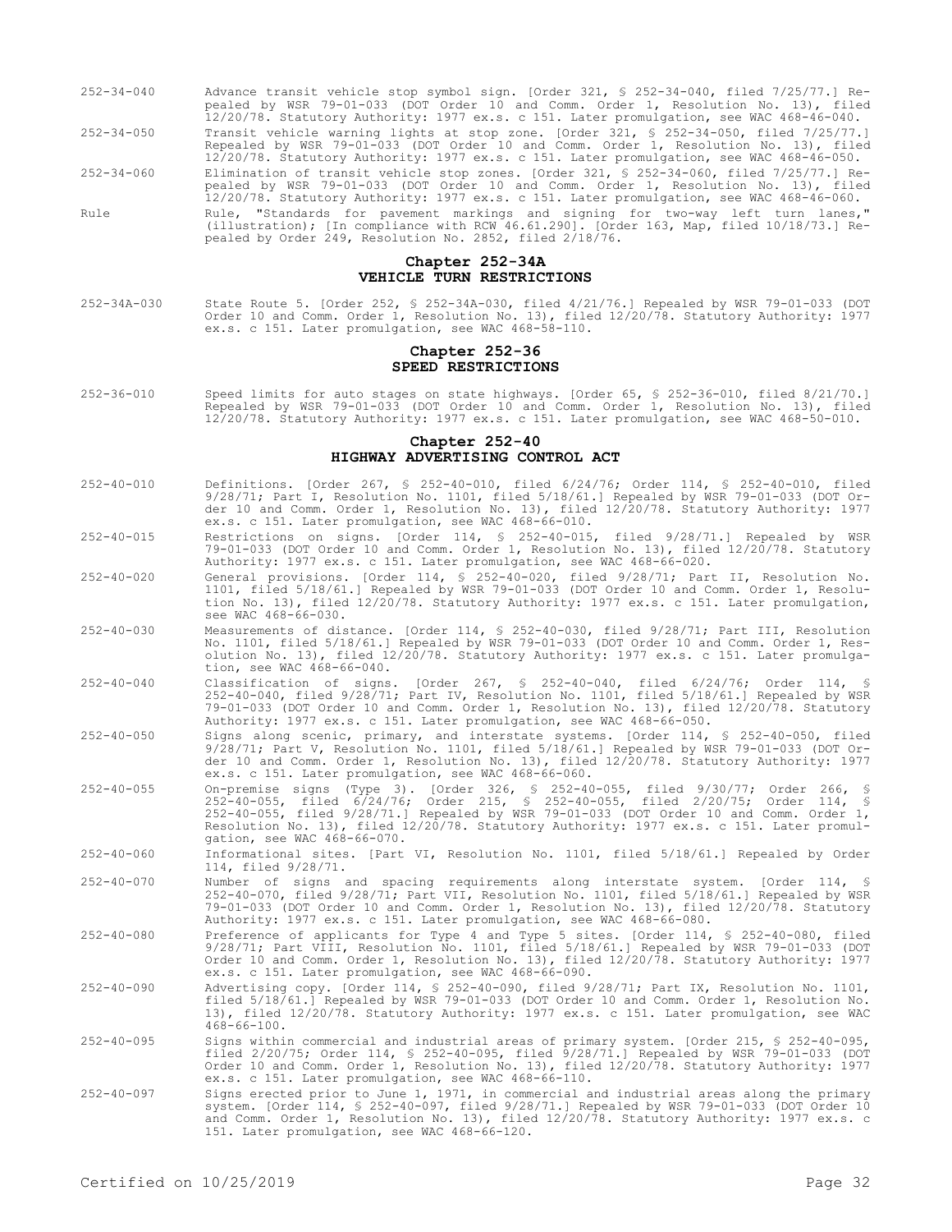252-34-040 Advance transit vehicle stop symbol sign. [Order 321, § 252-34-040, filed 7/25/77.] Repealed by WSR 79-01-033 (DOT Order 10 and Comm. Order 1, Resolution No. 13), filed 12/20/78. Statutory Authority: 1977 ex.s. c 151. Later promulgation, see WAC 468-46-040. 252-34-050 Transit vehicle warning lights at stop zone. [Order 321, § 252-34-050, filed 7/25/77.] Repealed by WSR 79-01-033 (DOT Order 10 and Comm. Order 1, Resolution No. 13), filed 12/20/78. Statutory Authority: 1977 ex.s. c 151. Later promulgation, see WAC 468-46-050. 252-34-060 Elimination of transit vehicle stop zones. [Order 321, § 252-34-060, filed 7/25/77.] Repealed by WSR 79-01-033 (DOT Order 10 and Comm. Order 1, Resolution No. 13), filed 12/20/78. Statutory Authority: 1977 ex.s. c 151. Later promulgation, see WAC 468-46-060. Rule Rule, "Standards for pavement markings and signing for two-way left turn lanes," (illustration); [In compliance with RCW 46.61.290]. [Order 163, Map, filed 10/18/73.] Repealed by Order 249, Resolution No. 2852, filed 2/18/76.

#### **Chapter 252-34A VEHICLE TURN RESTRICTIONS**

252-34A-030 State Route 5. [Order 252, § 252-34A-030, filed 4/21/76.] Repealed by WSR 79-01-033 (DOT Order 10 and Comm. Order 1, Resolution No. 13), filed 12/20/78. Statutory Authority: 1977 ex.s. c 151. Later promulgation, see WAC 468-58-110.

#### **Chapter 252-36 SPEED RESTRICTIONS**

252-36-010 Speed limits for auto stages on state highways. [Order 65, § 252-36-010, filed 8/21/70.] Repealed by WSR 79-01-033 (DOT Order 10 and Comm. Order 1, Resolution No. 13), filed 12/20/78. Statutory Authority: 1977 ex.s. c 151. Later promulgation, see WAC 468-50-010.

#### **Chapter 252-40 HIGHWAY ADVERTISING CONTROL ACT**

- 252-40-010 Definitions. [Order 267, § 252-40-010, filed 6/24/76; Order 114, § 252-40-010, filed 9/28/71; Part I, Resolution No. 1101, filed 5/18/61.] Repealed by WSR 79-01-033 (DOT Order 10 and Comm. Order 1, Resolution No. 13), filed 12/20/78. Statutory Authority: 1977 ex.s. c 151. Later promulgation, see WAC 468-66-010.
- 252-40-015 Restrictions on signs. [Order 114, § 252-40-015, filed 9/28/71.] Repealed by WSR 79-01-033 (DOT Order 10 and Comm. Order 1, Resolution No. 13), filed 12/20/78. Statutory Authority: 1977 ex.s. c 151. Later promulgation, see WAC 468-66-020.
- 252-40-020 General provisions. [Order 114, § 252-40-020, filed 9/28/71; Part II, Resolution No. 1101, filed 5/18/61.] Repealed by WSR 79-01-033 (DOT Order 10 and Comm. Order 1, Resolution No. 13), filed 12/20/78. Statutory Authority: 1977 ex.s. c 151. Later promulgation, see WAC 468-66-030.
- 252-40-030 Measurements of distance. [Order 114, § 252-40-030, filed 9/28/71; Part III, Resolution No. 1101, filed 5/18/61.] Repealed by WSR 79-01-033 (DOT Order 10 and Comm. Order 1, Resolution No. 13), filed 12/20/78. Statutory Authority: 1977 ex.s. c 151. Later promulgation, see WAC 468-66-040.
- 252-40-040 Classification of signs. [Order 267, § 252-40-040, filed 6/24/76; Order 114, § 252-40-040, filed 9/28/71; Part IV, Resolution No. 1101, filed 5/18/61.] Repealed by WSR 79-01-033 (DOT Order 10 and Comm. Order 1, Resolution No. 13), filed 12/20/78. Statutory Authority: 1977 ex.s. c 151. Later promulgation, see WAC 468-66-050.
- 252-40-050 Signs along scenic, primary, and interstate systems. [Order 114, § 252-40-050, filed 9/28/71; Part V, Resolution No. 1101, filed 5/18/61.] Repealed by WSR 79-01-033 (DOT Order 10 and Comm. Order 1, Resolution No. 13), filed 12/20/78. Statutory Authority: 1977 ex.s. c 151. Later promulgation, see WAC 468-66-060.
- 252-40-055 On-premise signs (Type 3). [Order 326, § 252-40-055, filed 9/30/77; Order 266, § 252-40-055, filed 6/24/76; Order 215, § 252-40-055, filed 2/20/75; Order 114, § 252-40-055, filed 9/28/71.] Repealed by WSR 79-01-033 (DOT Order 10 and Comm. Order 1, Resolution No. 13), filed 12/20/78. Statutory Authority: 1977 ex.s. c 151. Later promulgation, see WAC 468-66-070.
- 252-40-060 Informational sites. [Part VI, Resolution No. 1101, filed 5/18/61.] Repealed by Order 114, filed 9/28/71.
- 252-40-070 Number of signs and spacing requirements along interstate system. [Order 114, § 252-40-070, filed 9/28/71; Part VII, Resolution No. 1101, filed 5/18/61.] Repealed by WSR 79-01-033 (DOT Order 10 and Comm. Order 1, Resolution No. 13), filed 12/20/78. Statutory Authority: 1977 ex.s. c 151. Later promulgation, see WAC 468-66-080.
- 252-40-080 Preference of applicants for Type 4 and Type 5 sites. [Order 114, § 252-40-080, filed 9/28/71; Part VIII, Resolution No. 1101, filed 5/18/61.] Repealed by WSR 79-01-033 (DOT Order 10 and Comm. Order 1, Resolution No. 13), filed 12/20/78. Statutory Authority: 1977 ex.s. c 151. Later promulgation, see WAC 468-66-090.
- 252-40-090 Advertising copy. [Order 114, § 252-40-090, filed 9/28/71; Part IX, Resolution No. 1101, filed 5/18/61.] Repealed by WSR 79-01-033 (DOT Order 10 and Comm. Order 1, Resolution No. 13), filed 12/20/78. Statutory Authority: 1977 ex.s. c 151. Later promulgation, see WAC 468-66-100.
- 252-40-095 Signs within commercial and industrial areas of primary system. [Order 215, § 252-40-095, filed 2/20/75; Order 114, § 252-40-095, filed 9/28/71.] Repealed by WSR 79-01-033 (DOT Order 10 and Comm. Order 1, Resolution No. 13), filed 12/20/78. Statutory Authority: 1977 ex.s. c 151. Later promulgation, see WAC 468-66-110.
- 252-40-097 Signs erected prior to June 1, 1971, in commercial and industrial areas along the primary system. [Order 114, § 252-40-097, filed 9/28/71.] Repealed by WSR 79-01-033 (DOT Order 10 and Comm. Order 1, Resolution No. 13), filed 12/20/78. Statutory Authority: 1977 ex.s. c 151. Later promulgation, see WAC 468-66-120.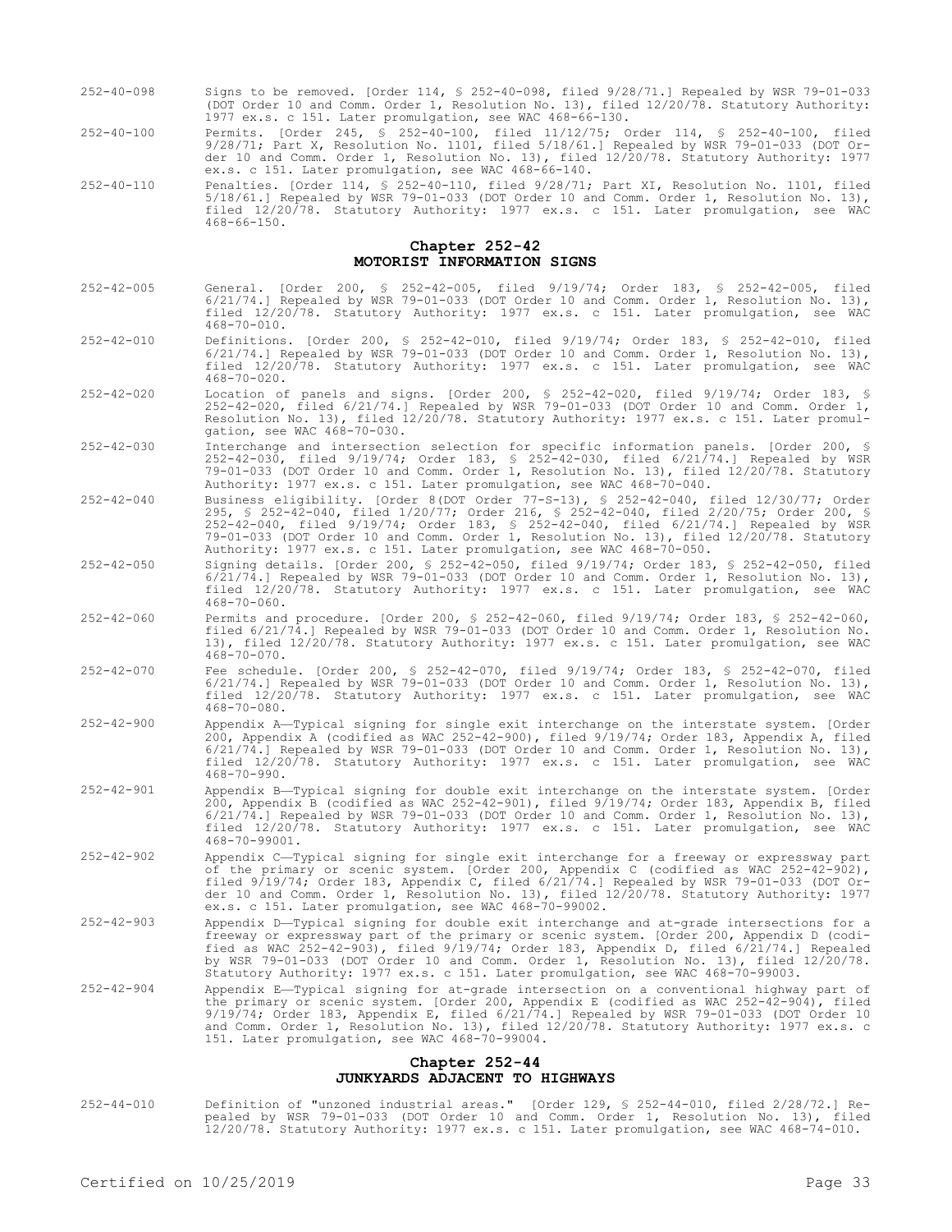- 252-40-098 Signs to be removed. [Order 114, § 252-40-098, filed 9/28/71.] Repealed by WSR 79-01-033 (DOT Order 10 and Comm. Order 1, Resolution No. 13), filed 12/20/78. Statutory Authority: 1977 ex.s. c 151. Later promulgation, see WAC 468-66-130.
- 252-40-100 Permits. [Order 245, § 252-40-100, filed 11/12/75; Order 114, § 252-40-100, filed 9/28/71; Part X, Resolution No. 1101, filed 5/18/61.] Repealed by WSR 79-01-033 (DOT Order 10 and Comm. Order 1, Resolution No. 13), filed 12/20/78. Statutory Authority: 1977 ex.s. c 151. Later promulgation, see WAC 468-66-140.
- 252-40-110 Penalties. [Order 114, § 252-40-110, filed 9/28/71; Part XI, Resolution No. 1101, filed 5/18/61.] Repealed by WSR 79-01-033 (DOT Order 10 and Comm. Order 1, Resolution No. 13), filed 12/20/78. Statutory Authority: 1977 ex.s. c 151. Later promulgation, see WAC  $468 - 66 - 150$

#### **Chapter 252-42 MOTORIST INFORMATION SIGNS**

- 252-42-005 General. [Order 200, § 252-42-005, filed 9/19/74; Order 183, § 252-42-005, filed 6/21/74.] Repealed by WSR 79-01-033 (DOT Order 10 and Comm. Order 1, Resolution No. 13), filed 12/20/78. Statutory Authority: 1977 ex.s. c 151. Later promulgation, see WAC  $468 - 70 - 010$
- 252-42-010 Definitions. [Order 200, § 252-42-010, filed 9/19/74; Order 183, § 252-42-010, filed 6/21/74.] Repealed by WSR 79-01-033 (DOT Order 10 and Comm. Order 1, Resolution No. 13), filed 12/20/78. Statutory Authority: 1977 ex.s. c 151. Later promulgation, see WAC 468-70-020.
- 252-42-020 Location of panels and signs. [Order 200, § 252-42-020, filed 9/19/74; Order 183, § 252-42-020, filed 6/21/74.] Repealed by WSR 79-01-033 (DOT Order 10 and Comm. Order 1, Resolution No. 13), filed 12/20/78. Statutory Authority: 1977 ex.s. c 151. Later promulgation, see WAC 468-70-030.
- 252-42-030 Interchange and intersection selection for specific information panels. [Order 200, § 252-42-030, filed 9/19/74; Order 183, § 252-42-030, filed 6/21/74.] Repealed by WSR 79-01-033 (DOT Order 10 and Comm. Order 1, Resolution No. 13), filed 12/20/78. Statutory Authority: 1977 ex.s. c 151. Later promulgation, see WAC 468-70-040.
- 252-42-040 Business eligibility. [Order 8(DOT Order 77-S-13), § 252-42-040, filed 12/30/77; Order 295, § 252-42-040, filed 1/20/77; Order 216, § 252-42-040, filed 2/20/75; Order 200, § 252-42-040, filed 9/19/74; Order 183, § 252-42-040, filed 6/21/74.] Repealed by WSR 79-01-033 (DOT Order 10 and Comm. Order 1, Resolution No. 13), filed 12/20/78. Statutory Authority: 1977 ex.s. c 151. Later promulgation, see WAC 468-70-050.
- 252-42-050 Signing details. [Order 200, § 252-42-050, filed 9/19/74; Order 183, § 252-42-050, filed 6/21/74.] Repealed by WSR 79-01-033 (DOT Order 10 and Comm. Order 1, Resolution No. 13), filed 12/20/78. Statutory Authority: 1977 ex.s. c 151. Later promulgation, see WAC 468-70-060.
- 252-42-060 Permits and procedure. [Order 200, § 252-42-060, filed 9/19/74; Order 183, § 252-42-060, filed 6/21/74.] Repealed by WSR 79-01-033 (DOT Order 10 and Comm. Order 1, Resolution No. 13), filed 12/20/78. Statutory Authority: 1977 ex.s. c 151. Later promulgation, see WAC  $468 - 70 - 070$ .
- 252-42-070 Fee schedule. [Order 200, § 252-42-070, filed 9/19/74; Order 183, § 252-42-070, filed 6/21/74.] Repealed by WSR 79-01-033 (DOT Order 10 and Comm. Order 1, Resolution No. 13), filed 12/20/78. Statutory Authority: 1977 ex.s. c 151. Later promulgation, see WAC 468-70-080.
- 252-42-900 Appendix A—Typical signing for single exit interchange on the interstate system. [Order 200, Appendix A (codified as WAC 252-42-900), filed 9/19/74; Order 183, Appendix A, filed 6/21/74.] Repealed by WSR 79-01-033 (DOT Order 10 and Comm. Order 1, Resolution No. 13), filed 12/20/78. Statutory Authority: 1977 ex.s. c 151. Later promulgation, see WAC  $468 - 70 - 990$ .
- 252-42-901 Appendix B—Typical signing for double exit interchange on the interstate system. [Order 200, Appendix B (codified as WAC 252-42-901), filed 9/19/74; Order 183, Appendix B, filed 6/21/74.] Repealed by WSR 79-01-033 (DOT Order 10 and Comm. Order 1, Resolution No. 13), filed 12/20/78. Statutory Authority: 1977 ex.s. c 151. Later promulgation, see WAC 468-70-99001.
- 252-42-902 Appendix C—Typical signing for single exit interchange for a freeway or expressway part of the primary or scenic system. [Order 200, Appendix C (codified as WAC 252-42-902), filed 9/19/74; Order 183, Appendix C, filed 6/21/74.] Repealed by WSR 79-01-033 (DOT Order 10 and Comm. Order 1, Resolution No. 13), filed 12/20/78. Statutory Authority: 1977 ex.s. c 151. Later promulgation, see WAC 468-70-99002.
- 252-42-903 Appendix D—Typical signing for double exit interchange and at-grade intersections for a freeway or expressway part of the primary or scenic system. [Order 200, Appendix D (codified as WAC 252-42-903), filed 9/19/74; Order 183, Appendix D, filed 6/21/74.] Repealed by WSR 79-01-033 (DOT Order 10 and Comm. Order 1, Resolution No. 13), filed 12/20/78. Statutory Authority: 1977 ex.s. c 151. Later promulgation, see WAC 468-70-99003.
- 252-42-904 Appendix E—Typical signing for at-grade intersection on a conventional highway part of the primary or scenic system. [Order 200, Appendix E (codified as WAC 252-42-904), filed 9/19/74; Order 183, Appendix E, filed 6/21/74.] Repealed by WSR 79-01-033 (DOT Order 10<br>and Comm. Order 1, Resolution No. 13), filed 12/20/78. Statutory Authority: 1977 ex.s. c<br>151. Later promulgation, see WAC 468-70-99004

#### **Chapter 252-44 JUNKYARDS ADJACENT TO HIGHWAYS**

252-44-010 Definition of "unzoned industrial areas." [Order 129, § 252-44-010, filed 2/28/72.] Repealed by WSR 79-01-033 (DOT Order 10 and Comm. Order 1, Resolution No. 13), filed 12/20/78. Statutory Authority: 1977 ex.s. c 151. Later promulgation, see WAC 468-74-010.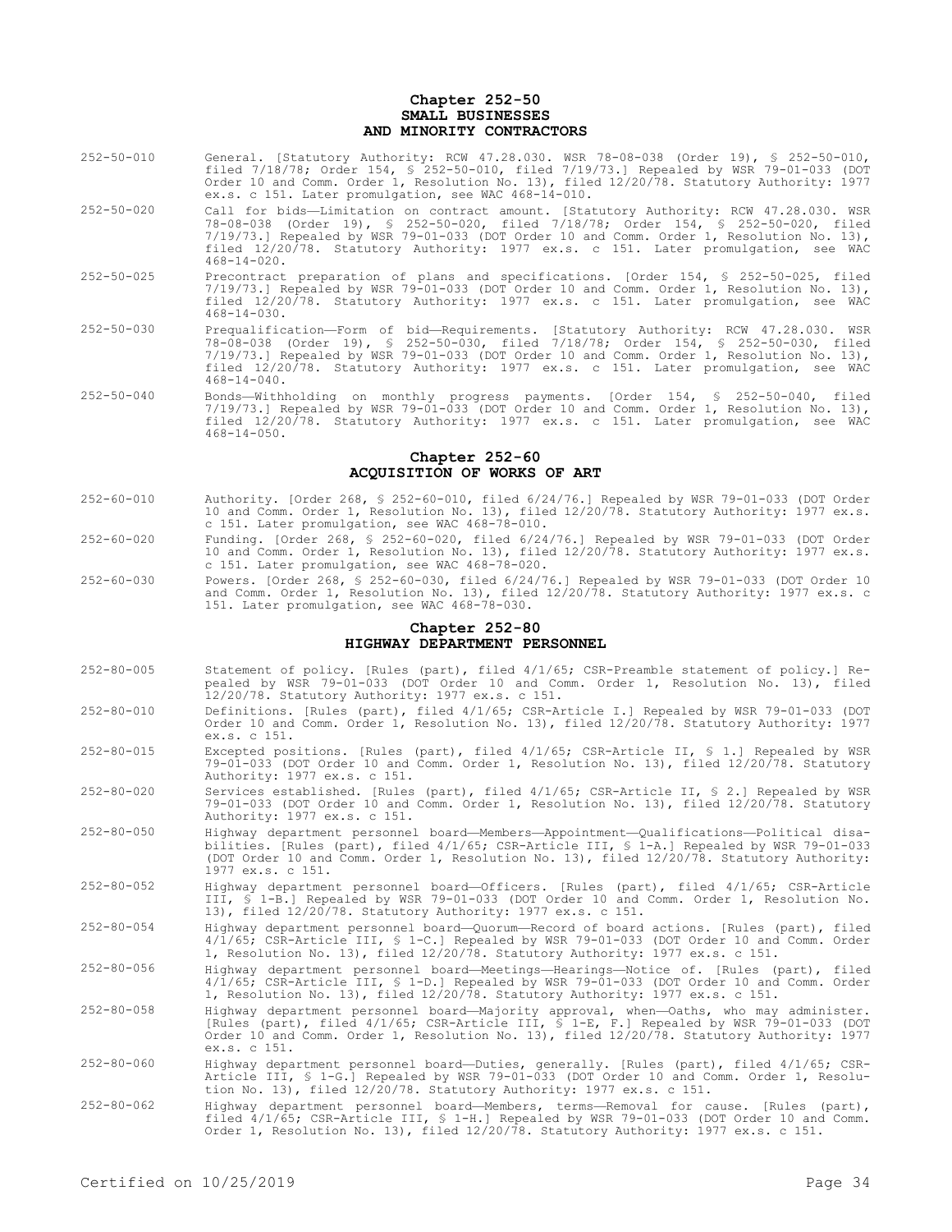#### **Chapter 252-50 SMALL BUSINESSES AND MINORITY CONTRACTORS**

- 252-50-010 General. [Statutory Authority: RCW 47.28.030. WSR 78-08-038 (Order 19), § 252-50-010, filed 7/18/78; Order 154, § 252-50-010, filed 7/19/73.] Repealed by WSR 79-01-033 (DOT Order 10 and Comm. Order 1, Resolution No. 13), filed 12/20/78. Statutory Authority: 1977 ex.s. c 151. Later promulgation, see WAC 468-14-010.
- 252-50-020 Call for bids—Limitation on contract amount. [Statutory Authority: RCW 47.28.030. WSR 78-08-038 (Order 19), § 252-50-020, filed 7/18/78; Order 154, § 252-50-020, filed 7/19/73.] Repealed by WSR 79-01-033 (DOT Order 10 and Comm. Order 1, Resolution No. 13), filed 12/20/78. Statutory Authority: 1977 ex.s. c 151. Later promulgation, see WAC  $468 - 14 - 020$ .
- 252-50-025 Precontract preparation of plans and specifications. [Order 154, § 252-50-025, filed 7/19/73.] Repealed by WSR 79-01-033 (DOT Order 10 and Comm. Order 1, Resolution No. 13), filed 12/20/78. Statutory Authority: 1977 ex.s. c 151. Later promulgation, see WAC 468-14-030.
- 252-50-030 Prequalification—Form of bid—Requirements. [Statutory Authority: RCW 47.28.030. WSR 78-08-038 (Order 19), § 252-50-030, filed 7/18/78; Order 154, § 252-50-030, filed 7/19/73.] Repealed by WSR 79-01-033 (DOT Order 10 and Comm. Order 1, Resolution No. 13), filed 12/20/78. Statutory Authority: 1977 ex.s. c 151. Later promulgation, see WAC  $468 - 14 - 040$ .
- 252-50-040 Bonds—Withholding on monthly progress payments. [Order 154, § 252-50-040, filed 7/19/73.] Repealed by WSR 79-01-033 (DOT Order 10 and Comm. Order 1, Resolution No. 13), filed 12/20/78. Statutory Authority: 1977 ex.s. c 151. Later promulgation, see WAC  $468 - 14 - 050$ .

#### **Chapter 252-60 ACQUISITION OF WORKS OF ART**

- 252-60-010 Authority. [Order 268, § 252-60-010, filed 6/24/76.] Repealed by WSR 79-01-033 (DOT Order 10 and Comm. Order 1, Resolution No. 13), filed 12/20/78. Statutory Authority: 1977 ex.s. c 151. Later promulgation, see WAC 468-78-010.
- 252-60-020 Funding. [Order 268, § 252-60-020, filed 6/24/76.] Repealed by WSR 79-01-033 (DOT Order 10 and Comm. Order 1, Resolution No. 13), filed 12/20/78. Statutory Authority: 1977 ex.s. c 151. Later promulgation, see WAC 468-78-020.
- 252-60-030 Powers. [Order 268, § 252-60-030, filed 6/24/76.] Repealed by WSR 79-01-033 (DOT Order 10 and Comm. Order 1, Resolution No. 13), filed 12/20/78. Statutory Authority: 1977 ex.s. c 151. Later promulgation, see WAC 468-78-030.

### **Chapter 252-80 HIGHWAY DEPARTMENT PERSONNEL**

- 252-80-005 Statement of policy. [Rules (part), filed 4/1/65; CSR-Preamble statement of policy.] Repealed by WSR 79-01-033 (DOT Order 10 and Comm. Order 1, Resolution No. 13), filed 12/20/78. Statutory Authority: 1977 ex.s. c 151.
- 252-80-010 Definitions. [Rules (part), filed 4/1/65; CSR-Article I.] Repealed by WSR 79-01-033 (DOT Order 10 and Comm. Order 1, Resolution No. 13), filed 12/20/78. Statutory Authority: 1977 ex.s. c 151.
- 252-80-015 Excepted positions. [Rules (part), filed 4/1/65; CSR-Article II, § 1.] Repealed by WSR 79-01-033 (DOT Order 10 and Comm. Order 1, Resolution No. 13), filed 12/20/78. Statutory Authority: 1977 ex.s. c 151.
- 252-80-020 Services established. [Rules (part), filed 4/1/65; CSR-Article II, § 2.] Repealed by WSR 79-01-033 (DOT Order 10 and Comm. Order 1, Resolution No. 13), filed 12/20/78. Statutory Authority: 1977 ex.s. c 151.
- 252-80-050 Highway department personnel board—Members—Appointment—Qualifications—Political disabilities. [Rules (part), filed 4/1/65; CSR-Article III, § 1-A.] Repealed by WSR 79-01-033 (DOT Order 10 and Comm. Order 1, Resolution No. 13), filed 12/20/78. Statutory Authority: 1977 ex.s. c 151.
- 252-80-052 Highway department personnel board—Officers. [Rules (part), filed 4/1/65; CSR-Article III, § 1-B.] Repealed by WSR 79-01-033 (DOT Order 10 and Comm. Order 1, Resolution No. 13), filed 12/20/78. Statutory Authority: 1977 ex.s. c 151.
- 252-80-054 Highway department personnel board—Quorum—Record of board actions. [Rules (part), filed 4/1/65; CSR-Article III, § 1-C.] Repealed by WSR 79-01-033 (DOT Order 10 and Comm. Order 1, Resolution No. 13), filed 12/20/78. Statutory Authority: 1977 ex.s. c 151.
- 252-80-056 Highway department personnel board—Meetings—Hearings—Notice of. [Rules (part), filed 4/1/65; CSR-Article III, § 1-D.] Repealed by WSR 79-01-033 (DOT Order 10 and Comm. Order 1, Resolution No. 13), filed 12/20/78. Statutory Authority: 1977 ex.s. c 151.
- 252-80-058 Highway department personnel board—Majority approval, when—Oaths, who may administer. [Rules (part), filed 4/1/65; CSR-Article III, § 1-E, F.] Repealed by WSR 79-01-033 (DOT Order 10 and Comm. Order 1, Resolution No. 13), filed 12/20/78. Statutory Authority: 1977 ex.s. c 151.
- 252-80-060 Highway department personnel board—Duties, generally. [Rules (part), filed 4/1/65; CSR-Article III, § 1-G.] Repealed by WSR 79-01-033 (DOT Order 10 and Comm. Order 1, Resolution No. 13), filed 12/20/78. Statutory Authority: 1977 ex.s. c 151.
- 252-80-062 Highway department personnel board—Members, terms—Removal for cause. [Rules (part), filed 4/1/65; CSR-Article III, § 1-H.] Repealed by WSR 79-01-033 (DOT Order 10 and Comm. Order 1, Resolution No. 13), filed 12/20/78. Statutory Authority: 1977 ex.s. c 151.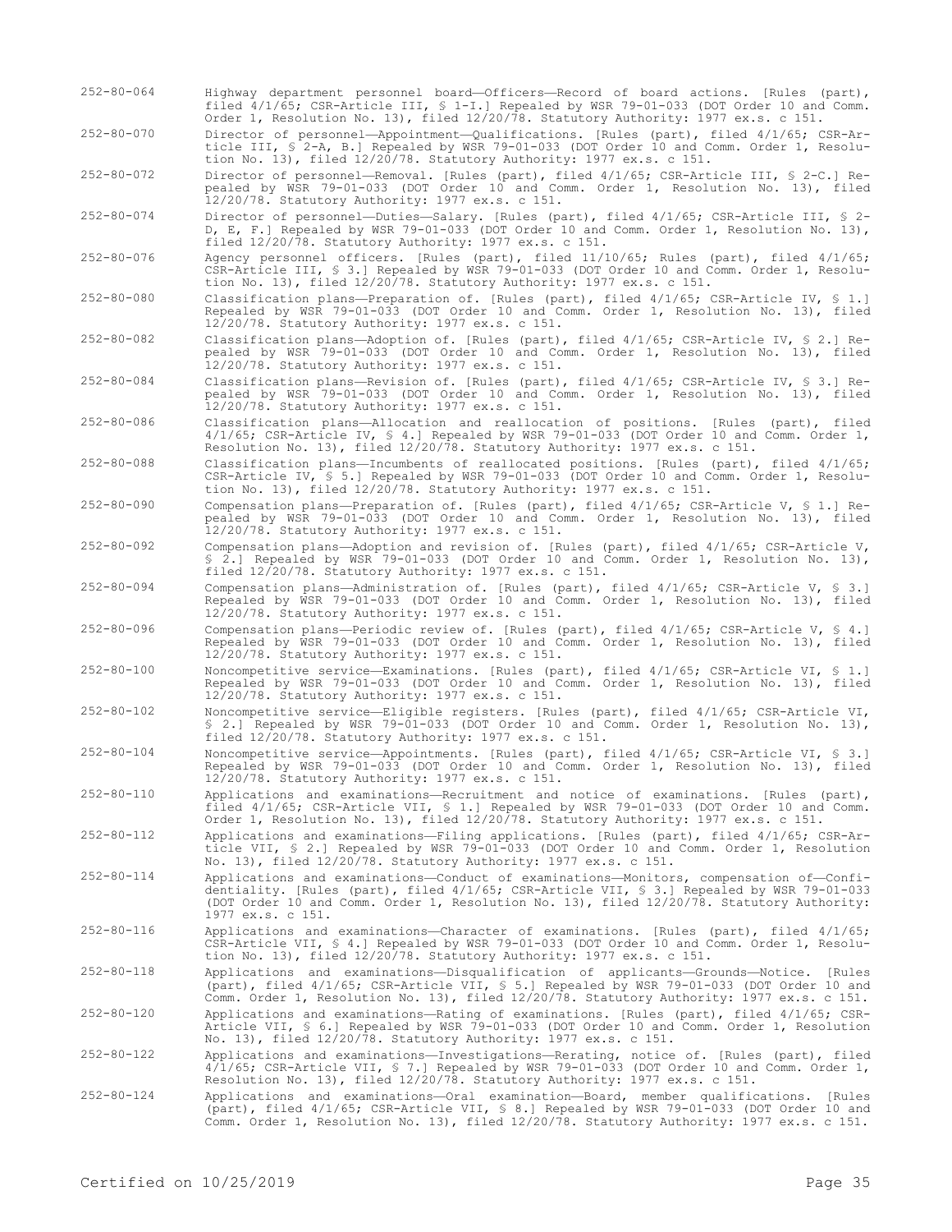- 252-80-064 Highway department personnel board—Officers—Record of board actions. [Rules (part), filed 4/1/65; CSR-Article III, § 1-I.] Repealed by WSR 79-01-033 (DOT Order 10 and Comm. Order 1, Resolution No. 13), filed 12/20/78. Statutory Authority: 1977 ex.s. c 151.
- 252-80-070 Director of personnel—Appointment—Qualifications. [Rules (part), filed 4/1/65; CSR-Article III, § 2-A, B.] Repealed by WSR 79-01-033 (DOT Order 10 and Comm. Order 1, Resolution No. 13), filed 12/20/78. Statutory Authority: 1977 ex.s. c 151.

252-80-072 Director of personnel—Removal. [Rules (part), filed 4/1/65; CSR-Article III, § 2-C.] Repealed by WSR 79-01-033 (DOT Order 10 and Comm. Order 1, Resolution No. 13), filed 12/20/78. Statutory Authority: 1977 ex.s. c 151.

252-80-074 Director of personnel—Duties—Salary. [Rules (part), filed 4/1/65; CSR-Article III, § 2- D, E, F.] Repealed by WSR 79-01-033 (DOT Order 10 and Comm. Order 1, Resolution No. 13), filed 12/20/78. Statutory Authority: 1977 ex.s. c 151.

- 252-80-076 Agency personnel officers. [Rules (part), filed 11/10/65; Rules (part), filed 4/1/65; CSR-Article III, § 3.] Repealed by WSR 79-01-033 (DOT Order 10 and Comm. Order 1, Resolution No. 13), filed 12/20/78. Statutory Authority: 1977 ex.s. c 151.
- 252-80-080 Classification plans—Preparation of. [Rules (part), filed 4/1/65; CSR-Article IV, § 1.] Repealed by WSR 79-01-033 (DOT Order 10 and Comm. Order 1, Resolution No. 13), filed 12/20/78. Statutory Authority: 1977 ex.s. c 151.
- 252-80-082 Classification plans—Adoption of. [Rules (part), filed 4/1/65; CSR-Article IV, § 2.] Repealed by WSR 79-01-033 (DOT Order 10 and Comm. Order 1, Resolution No. 13), filed 12/20/78. Statutory Authority: 1977 ex.s. c 151.
- 252-80-084 Classification plans—Revision of. [Rules (part), filed 4/1/65; CSR-Article IV, § 3.] Repealed by WSR 79-01-033 (DOT Order 10 and Comm. Order 1, Resolution No. 13), filed 12/20/78. Statutory Authority: 1977 ex.s. c 151.
- 252-80-086 Classification plans—Allocation and reallocation of positions. [Rules (part), filed 4/1/65; CSR-Article IV, § 4.] Repealed by WSR 79-01-033 (DOT Order 10 and Comm. Order 1, Resolution No. 13), filed 12/20/78. Statutory Authority: 1977 ex.s. c 151.
- 252-80-088 Classification plans—Incumbents of reallocated positions. [Rules (part), filed 4/1/65; CSR-Article IV, § 5.] Repealed by WSR 79-01-033 (DOT Order 10 and Comm. Order 1, Resolution No. 13), filed 12/20/78. Statutory Authority: 1977 ex.s. c 151.
- 252-80-090 Compensation plans—Preparation of. [Rules (part), filed 4/1/65; CSR-Article V, § 1.] Repealed by WSR 79-01-033 (DOT Order 10 and Comm. Order 1, Resolution No. 13), filed 12/20/78. Statutory Authority: 1977 ex.s. c 151.
- 252-80-092 Compensation plans—Adoption and revision of. [Rules (part), filed 4/1/65; CSR-Article V, § 2.] Repealed by WSR 79-01-033 (DOT Order 10 and Comm. Order 1, Resolution No. 13), filed 12/20/78. Statutory Authority: 1977 ex.s. c 151.
- 252-80-094 Compensation plans—Administration of. [Rules (part), filed 4/1/65; CSR-Article V, § 3.] Repealed by WSR 79-01-033 (DOT Order 10 and Comm. Order 1, Resolution No. 13), filed 12/20/78. Statutory Authority: 1977 ex.s. c 151.
- 252-80-096 Compensation plans—Periodic review of. [Rules (part), filed 4/1/65; CSR-Article V, § 4.] Repealed by WSR 79-01-033 (DOT Order 10 and Comm. Order 1, Resolution No. 13), filed 12/20/78. Statutory Authority: 1977 ex.s. c 151.
- 252-80-100 Noncompetitive service—Examinations. [Rules (part), filed 4/1/65; CSR-Article VI, § 1.] Repealed by WSR 79-01-033 (DOT Order 10 and Comm. Order 1, Resolution No. 13), filed 12/20/78. Statutory Authority: 1977 ex.s. c 151.
- 252-80-102 Noncompetitive service—Eligible registers. [Rules (part), filed 4/1/65; CSR-Article VI, § 2.] Repealed by WSR 79-01-033 (DOT Order 10 and Comm. Order 1, Resolution No. 13), filed 12/20/78. Statutory Authority: 1977 ex.s. c 151.
- 252-80-104 Noncompetitive service—Appointments. [Rules (part), filed 4/1/65; CSR-Article VI, § 3.] Repealed by WSR 79-01-033 (DOT Order 10 and Comm. Order 1, Resolution No. 13), filed 12/20/78. Statutory Authority: 1977 ex.s. c 151.
- 252-80-110 Applications and examinations—Recruitment and notice of examinations. [Rules (part), filed 4/1/65; CSR-Article VII, § 1.] Repealed by WSR 79-01-033 (DOT Order 10 and Comm. Order 1, Resolution No. 13), filed 12/20/78. Statutory Authority: 1977 ex.s. c 151.
- 252-80-112 Applications and examinations—Filing applications. [Rules (part), filed 4/1/65; CSR-Article VII, § 2.] Repealed by WSR 79-01-033 (DOT Order 10 and Comm. Order 1, Resolution No. 13), filed 12/20/78. Statutory Authority: 1977 ex.s. c 151.
- 252-80-114 Applications and examinations—Conduct of examinations—Monitors, compensation of—Confidentiality. [Rules (part), filed 4/1/65; CSR-Article VII, § 3.] Repealed by WSR 79-01-033 (DOT Order 10 and Comm. Order 1, Resolution No. 13), filed 12/20/78. Statutory Authority: 1977 ex.s. c 151.
- 252-80-116 Applications and examinations—Character of examinations. [Rules (part), filed 4/1/65; CSR-Article VII, § 4.] Repealed by WSR 79-01-033 (DOT Order 10 and Comm. Order 1, Resolution No. 13), filed 12/20/78. Statutory Authority: 1977 ex.s. c 151.
- 252-80-118 Applications and examinations—Disqualification of applicants—Grounds—Notice. [Rules (part), filed 4/1/65; CSR-Article VII, § 5.] Repealed by WSR 79-01-033 (DOT Order 10 and Comm. Order 1, Resolution No. 13), filed 12/20/78. Statutory Authority: 1977 ex.s. c 151.
- 252-80-120 Applications and examinations—Rating of examinations. [Rules (part), filed 4/1/65; CSR-Article VII, § 6.] Repealed by WSR 79-01-033 (DOT Order 10 and Comm. Order 1, Resolution No. 13), filed 12/20/78. Statutory Authority: 1977 ex.s. c 151.
- 252-80-122 Applications and examinations—Investigations—Rerating, notice of. [Rules (part), filed 4/1/65; CSR-Article VII, § 7.] Repealed by WSR 79-01-033 (DOT Order 10 and Comm. Order 1, Resolution No. 13), filed 12/20/78. Statutory Authority: 1977 ex.s. c 151.
- 252-80-124 Applications and examinations—Oral examination—Board, member qualifications. [Rules (part), filed 4/1/65; CSR-Article VII, § 8.] Repealed by WSR 79-01-033 (DOT Order 10 and Comm. Order 1, Resolution No. 13), filed 12/20/78. Statutory Authority: 1977 ex.s. c 151.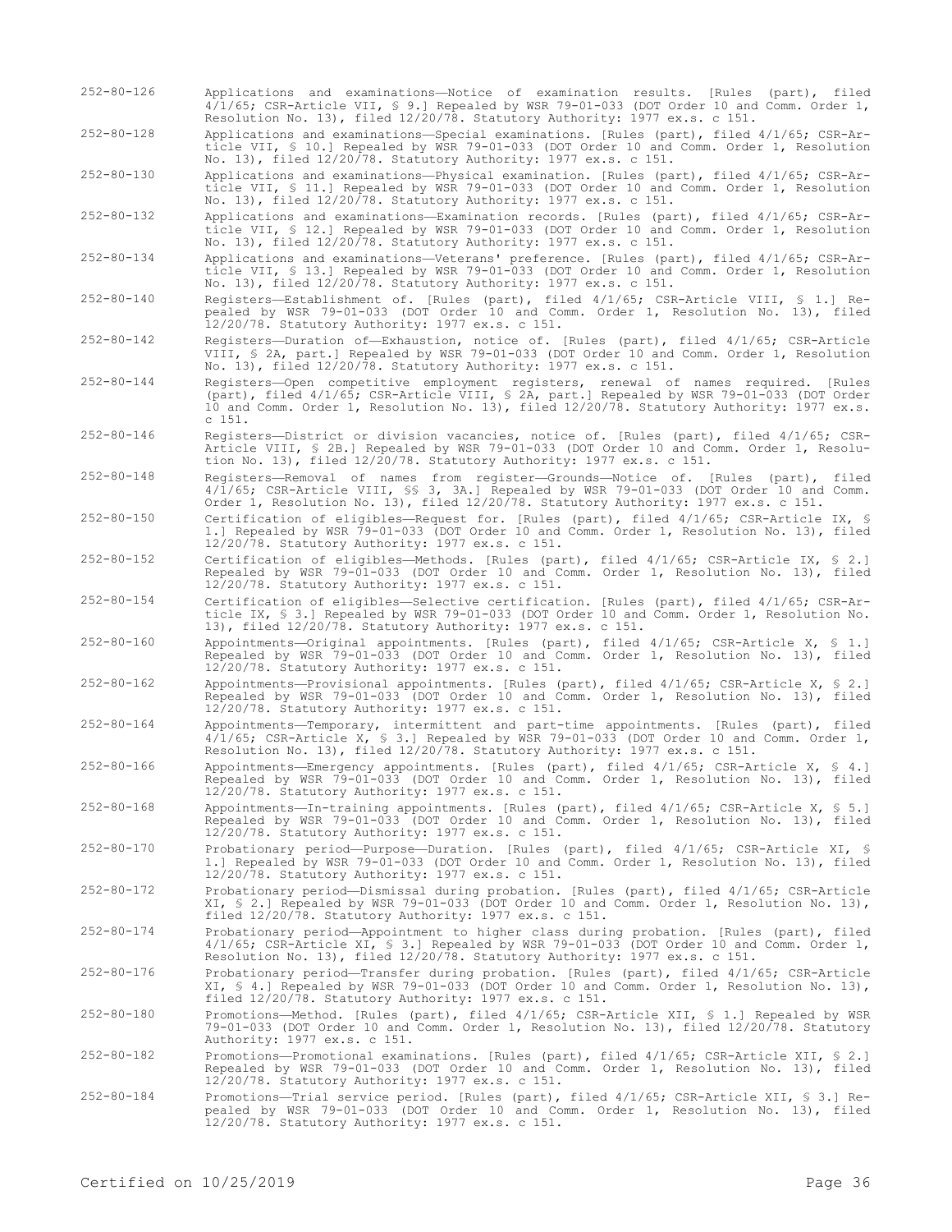252-80-126 Applications and examinations—Notice of examination results. [Rules (part), filed 4/1/65; CSR-Article VII, § 9.] Repealed by WSR 79-01-033 (DOT Order 10 and Comm. Order 1, Resolution No. 13), filed 12/20/78. Statutory Authority: 1977 ex.s. c 151.

252-80-128 Applications and examinations—Special examinations. [Rules (part), filed 4/1/65; CSR-Article VII, § 10.] Repealed by WSR 79-01-033 (DOT Order 10 and Comm. Order 1, Resolution No. 13), filed 12/20/78. Statutory Authority: 1977 ex.s. c 151.

252-80-130 Applications and examinations—Physical examination. [Rules (part), filed 4/1/65; CSR-Article VII, § 11.] Repealed by WSR 79-01-033 (DOT Order 10 and Comm. Order 1, Resolution No. 13), filed 12/20/78. Statutory Authority: 1977 ex.s. c 151.

252-80-132 Applications and examinations—Examination records. [Rules (part), filed 4/1/65; CSR-Article VII, § 12.] Repealed by WSR 79-01-033 (DOT Order 10 and Comm. Order 1, Resolution No. 13), filed 12/20/78. Statutory Authority: 1977 ex.s. c 151.

252-80-134 Applications and examinations—Veterans' preference. [Rules (part), filed 4/1/65; CSR-Article VII, § 13.] Repealed by WSR 79-01-033 (DOT Order 10 and Comm. Order 1, Resolution No. 13), filed 12/20/78. Statutory Authority: 1977 ex.s. c 151.

252-80-140 Registers—Establishment of. [Rules (part), filed 4/1/65; CSR-Article VIII, § 1.] Repealed by WSR 79-01-033 (DOT Order 10 and Comm. Order 1, Resolution No. 13), filed 12/20/78. Statutory Authority: 1977 ex.s. c 151.

252-80-142 Registers—Duration of—Exhaustion, notice of. [Rules (part), filed 4/1/65; CSR-Article VIII, § 2A, part.] Repealed by WSR 79-01-033 (DOT Order 10 and Comm. Order 1, Resolution No. 13), filed 12/20/78. Statutory Authority: 1977 ex.s. c 151.

- 252-80-144 Registers—Open competitive employment registers, renewal of names required. [Rules (part), filed 4/1/65; CSR-Article VIII, § 2A, part.] Repealed by WSR 79-01-033 (DOT Order 10 and Comm. Order 1, Resolution No. 13), filed 12/20/78. Statutory Authority: 1977 ex.s. c 151.
- 252-80-146 Registers—District or division vacancies, notice of. [Rules (part), filed 4/1/65; CSR-Article VIII, § 2B.] Repealed by WSR 79-01-033 (DOT Order 10 and Comm. Order 1, Resolution No. 13), filed 12/20/78. Statutory Authority: 1977 ex.s. c 151.

252-80-148 Registers—Removal of names from register—Grounds—Notice of. [Rules (part), filed 4/1/65; CSR-Article VIII, §§ 3, 3A.] Repealed by WSR 79-01-033 (DOT Order 10 and Comm. Order 1, Resolution No. 13), filed 12/20/78. Statutory Authority: 1977 ex.s. c 151.

252-80-150 Certification of eligibles—Request for. [Rules (part), filed 4/1/65; CSR-Article IX, § 1.] Repealed by WSR 79-01-033 (DOT Order 10 and Comm. Order 1, Resolution No. 13), filed 12/20/78. Statutory Authority: 1977 ex.s. c 151.

252-80-152 Certification of eligibles—Methods. [Rules (part), filed 4/1/65; CSR-Article IX, § 2.] Repealed by WSR 79-01-033 (DOT Order 10 and Comm. Order 1, Resolution No. 13), filed 12/20/78. Statutory Authority: 1977 ex.s. c 151.

252-80-154 Certification of eligibles—Selective certification. [Rules (part), filed 4/1/65; CSR-Article IX, § 3.] Repealed by WSR 79-01-033 (DOT Order 10 and Comm. Order 1, Resolution No. 13), filed 12/20/78. Statutory Authority: 1977 ex.s. c 151.

252-80-160 Appointments—Original appointments. [Rules (part), filed 4/1/65; CSR-Article X, § 1.] Repealed by WSR 79-01-033 (DOT Order 10 and Comm. Order 1, Resolution No. 13), filed 12/20/78. Statutory Authority: 1977 ex.s. c 151.

252-80-162 Appointments—Provisional appointments. [Rules (part), filed 4/1/65; CSR-Article X, § 2.] Repealed by WSR 79-01-033 (DOT Order 10 and Comm. Order 1, Resolution No. 13), filed 12/20/78. Statutory Authority: 1977 ex.s. c 151.

252-80-164 Appointments—Temporary, intermittent and part-time appointments. [Rules (part), filed 4/1/65; CSR-Article X, § 3.] Repealed by WSR 79-01-033 (DOT Order 10 and Comm. Order 1, Resolution No. 13), filed 12/20/78. Statutory Authority: 1977 ex.s. c 151.

252-80-166 Appointments—Emergency appointments. [Rules (part), filed 4/1/65; CSR-Article X, § 4.] Repealed by WSR 79-01-033 (DOT Order 10 and Comm. Order 1, Resolution No. 13), filed 12/20/78. Statutory Authority: 1977 ex.s. c 151.

252-80-168 Appointments—In-training appointments. [Rules (part), filed 4/1/65; CSR-Article X, § 5.] Repealed by WSR 79-01-033 (DOT Order 10 and Comm. Order 1, Resolution No. 13), filed 12/20/78. Statutory Authority: 1977 ex.s. c 151.

252-80-170 Probationary period—Purpose—Duration. [Rules (part), filed 4/1/65; CSR-Article XI, § 1.] Repealed by WSR 79-01-033 (DOT Order 10 and Comm. Order 1, Resolution No. 13), filed 12/20/78. Statutory Authority: 1977 ex.s. c 151.

252-80-172 Probationary period—Dismissal during probation. [Rules (part), filed 4/1/65; CSR-Article XI, § 2.] Repealed by WSR 79-01-033 (DOT Order 10 and Comm. Order 1, Resolution No. 13), filed 12/20/78. Statutory Authority: 1977 ex.s. c 151.

252-80-174 Probationary period—Appointment to higher class during probation. [Rules (part), filed 4/1/65; CSR-Article XI, § 3.] Repealed by WSR 79-01-033 (DOT Order 10 and Comm. Order 1, Resolution No. 13), filed 12/20/78. Statutory Authority: 1977 ex.s. c 151.

252-80-176 Probationary period—Transfer during probation. [Rules (part), filed 4/1/65; CSR-Article XI, § 4.] Repealed by WSR 79-01-033 (DOT Order 10 and Comm. Order 1, Resolution No. 13), filed 12/20/78. Statutory Authority: 1977 ex.s. c 151.

252-80-180 Promotions—Method. [Rules (part), filed 4/1/65; CSR-Article XII, § 1.] Repealed by WSR 79-01-033 (DOT Order 10 and Comm. Order 1, Resolution No. 13), filed 12/20/78. Statutory Authority: 1977 ex.s. c 151.

252-80-182 Promotions—Promotional examinations. [Rules (part), filed 4/1/65; CSR-Article XII, § 2.] Repealed by WSR 79-01-033 (DOT Order 10 and Comm. Order 1, Resolution No. 13), filed 12/20/78. Statutory Authority: 1977 ex.s. c 151.

252-80-184 Promotions—Trial service period. [Rules (part), filed 4/1/65; CSR-Article XII, § 3.] Repealed by WSR 79-01-033 (DOT Order 10 and Comm. Order 1, Resolution No. 13), filed 12/20/78. Statutory Authority: 1977 ex.s. c 151.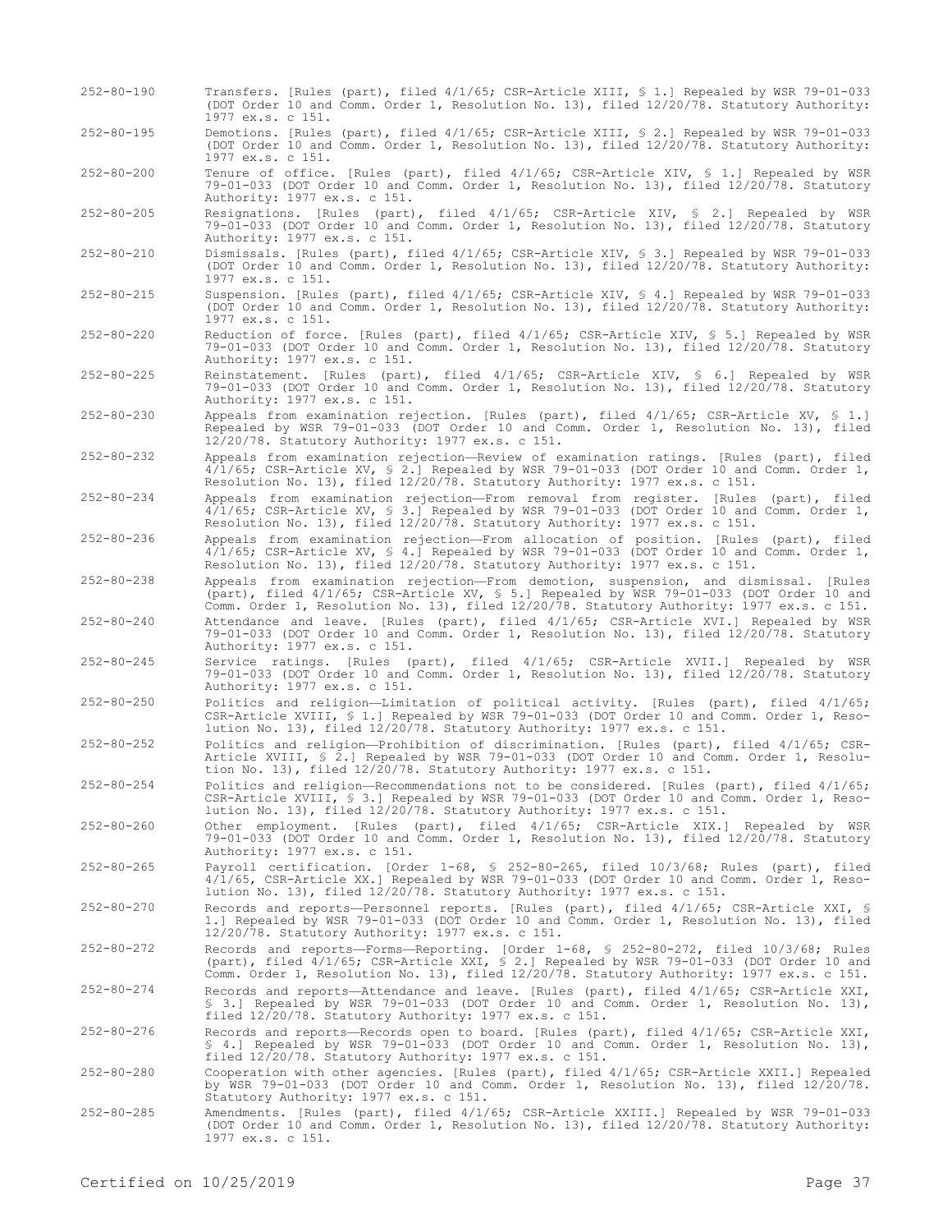(DOT Order 10 and Comm. Order 1, Resolution No. 13), filed 12/20/78. Statutory Authority: 1977 ex.s. c 151. 252-80-195 Demotions. [Rules (part), filed 4/1/65; CSR-Article XIII, § 2.] Repealed by WSR 79-01-033 (DOT Order 10 and Comm. Order 1, Resolution No. 13), filed 12/20/78. Statutory Authority: 1977 ex.s. c 151. 252-80-200 Tenure of office. [Rules (part), filed 4/1/65; CSR-Article XIV, § 1.] Repealed by WSR 79-01-033 (DOT Order 10 and Comm. Order 1, Resolution No. 13), filed 12/20/78. Statutory Authority: 1977 ex.s. c 151. 252-80-205 Resignations. [Rules (part), filed 4/1/65; CSR-Article XIV, § 2.] Repealed by WSR 79-01-033 (DOT Order 10 and Comm. Order 1, Resolution No. 13), filed 12/20/78. Statutory Authority: 1977 ex.s. c 151. 252-80-210 Dismissals. [Rules (part), filed 4/1/65; CSR-Article XIV, § 3.] Repealed by WSR 79-01-033 (DOT Order 10 and Comm. Order 1, Resolution No. 13), filed 12/20/78. Statutory Authority: 1977 ex.s. c 151. 252-80-215 Suspension. [Rules (part), filed 4/1/65; CSR-Article XIV, § 4.] Repealed by WSR 79-01-033 (DOT Order 10 and Comm. Order 1, Resolution No. 13), filed 12/20/78. Statutory Authority: 1977 ex.s. c 151. 252-80-220 Reduction of force. [Rules (part), filed 4/1/65; CSR-Article XIV, § 5.] Repealed by WSR 79-01-033 (DOT Order 10 and Comm. Order 1, Resolution No. 13), filed 12/20/78. Statutory Authority: 1977 ex.s. c 151. 252-80-225 Reinstatement. [Rules (part), filed 4/1/65; CSR-Article XIV, § 6.] Repealed by WSR 79-01-033 (DOT Order 10 and Comm. Order 1, Resolution No. 13), filed 12/20/78. Statutory Authority: 1977 ex.s. c 151. 252-80-230 Appeals from examination rejection. [Rules (part), filed 4/1/65; CSR-Article XV, § 1.] Repealed by WSR 79-01-033 (DOT Order 10 and Comm. Order 1, Resolution No. 13), filed 12/20/78. Statutory Authority: 1977 ex.s. c 151. 252-80-232 Appeals from examination rejection—Review of examination ratings. [Rules (part), filed 4/1/65; CSR-Article XV, § 2.] Repealed by WSR 79-01-033 (DOT Order 10 and Comm. Order 1, Resolution No. 13), filed 12/20/78. Statutory Authority: 1977 ex.s. c 151. 252-80-234 Appeals from examination rejection—From removal from register. [Rules (part), filed

252-80-190 Transfers. [Rules (part), filed 4/1/65; CSR-Article XIII, § 1.] Repealed by WSR 79-01-033

4/1/65; CSR-Article XV, § 3.] Repealed by WSR 79-01-033 (DOT Order 10 and Comm. Order 1, Resolution No. 13), filed 12/20/78. Statutory Authority: 1977 ex.s. c 151.

252-80-236 Appeals from examination rejection—From allocation of position. [Rules (part), filed 4/1/65; CSR-Article XV, § 4.] Repealed by WSR 79-01-033 (DOT Order 10 and Comm. Order 1, Resolution No. 13), filed 12/20/78. Statutory Authority: 1977 ex.s. c 151.

252-80-238 Appeals from examination rejection—From demotion, suspension, and dismissal. [Rules (part), filed 4/1/65; CSR-Article XV, § 5.] Repealed by WSR 79-01-033 (DOT Order 10 and Comm. Order 1, Resolution No. 13), filed 12/20/78. Statutory Authority: 1977 ex.s. c 151.

252-80-240 Attendance and leave. [Rules (part), filed 4/1/65; CSR-Article XVI.] Repealed by WSR 79-01-033 (DOT Order 10 and Comm. Order 1, Resolution No. 13), filed 12/20/78. Statutory Authority: 1977 ex.s. c 151.

252-80-245 Service ratings. [Rules (part), filed 4/1/65; CSR-Article XVII.] Repealed by WSR 79-01-033 (DOT Order 10 and Comm. Order 1, Resolution No. 13), filed 12/20/78. Statutory Authority: 1977 ex.s. c 151.

252-80-250 Politics and religion—Limitation of political activity. [Rules (part), filed 4/1/65; CSR-Article XVIII, § 1.] Repealed by WSR 79-01-033 (DOT Order 10 and Comm. Order 1, Resolution No. 13), filed 12/20/78. Statutory Authority: 1977 ex.s. c 151.

252-80-252 Politics and religion—Prohibition of discrimination. [Rules (part), filed 4/1/65; CSR-Article XVIII, § 2.] Repealed by WSR 79-01-033 (DOT Order 10 and Comm. Order 1, Resolution No. 13), filed 12/20/78. Statutory Authority: 1977 ex.s. c 151.

252-80-254 Politics and religion—Recommendations not to be considered. [Rules (part), filed 4/1/65; CSR-Article XVIII, § 3.] Repealed by WSR 79-01-033 (DOT Order 10 and Comm. Order 1, Resolution No. 13), filed 12/20/78. Statutory Authority: 1977 ex.s. c 151.

252-80-260 Other employment. [Rules (part), filed 4/1/65; CSR-Article XIX.] Repealed by WSR 79-01-033 (DOT Order 10 and Comm. Order 1, Resolution No. 13), filed 12/20/78. Statutory Authority: 1977 ex.s. c 151.

252-80-265 Payroll certification. [Order 1-68, § 252-80-265, filed 10/3/68; Rules (part), filed 4/1/65, CSR-Article XX.] Repealed by WSR 79-01-033 (DOT Order 10 and Comm. Order 1, Resolution No. 13), filed 12/20/78. Statutory Authority: 1977 ex.s. c 151.

252-80-270 Records and reports—Personnel reports. [Rules (part), filed 4/1/65; CSR-Article XXI, § 1.] Repealed by WSR 79-01-033 (DOT Order 10 and Comm. Order 1, Resolution No. 13), filed 12/20/78. Statutory Authority: 1977 ex.s. c 151.

252-80-272 Records and reports—Forms—Reporting. [Order 1-68, § 252-80-272, filed 10/3/68; Rules (part), filed 4/1/65; CSR-Article XXI, § 2.] Repealed by WSR 79-01-033 (DOT Order 10 and Comm. Order 1, Resolution No. 13), filed 12/20/78. Statutory Authority: 1977 ex.s. c 151.

252-80-274 Records and reports—Attendance and leave. [Rules (part), filed 4/1/65; CSR-Article XXI, § 3.] Repealed by WSR 79-01-033 (DOT Order 10 and Comm. Order 1, Resolution No. 13), filed 12/20/78. Statutory Authority: 1977 ex.s. c 151.

252-80-276 Records and reports—Records open to board. [Rules (part), filed 4/1/65; CSR-Article XXI, § 4.] Repealed by WSR 79-01-033 (DOT Order 10 and Comm. Order 1, Resolution No. 13), filed 12/20/78. Statutory Authority: 1977 ex.s. c 151.

252-80-280 Cooperation with other agencies. [Rules (part), filed 4/1/65; CSR-Article XXII.] Repealed by WSR 79-01-033 (DOT Order 10 and Comm. Order 1, Resolution No. 13), filed 12/20/78. Statutory Authority: 1977 ex.s. c 151.

252-80-285 Amendments. [Rules (part), filed 4/1/65; CSR-Article XXIII.] Repealed by WSR 79-01-033 (DOT Order 10 and Comm. Order 1, Resolution No. 13), filed 12/20/78. Statutory Authority: 1977 ex.s. c 151.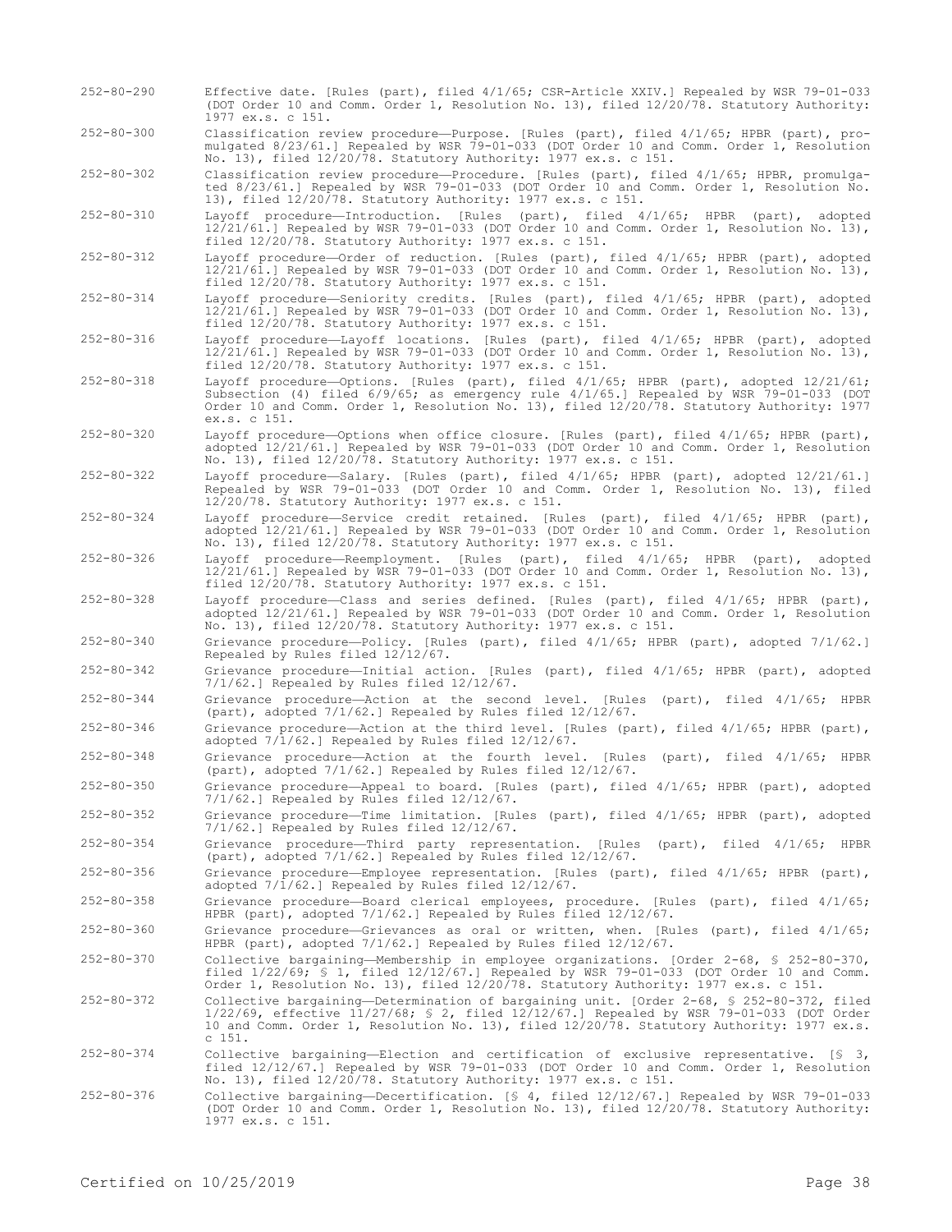252-80-290 Effective date. [Rules (part), filed 4/1/65; CSR-Article XXIV.] Repealed by WSR 79-01-033 (DOT Order 10 and Comm. Order 1, Resolution No. 13), filed 12/20/78. Statutory Authority: 1977 ex.s. c 151. 252-80-300 Classification review procedure—Purpose. [Rules (part), filed 4/1/65; HPBR (part), promulgated 8/23/61.] Repealed by WSR 79-01-033 (DOT Order 10 and Comm. Order 1, Resolution No. 13), filed 12/20/78. Statutory Authority: 1977 ex.s. c 151. 252-80-302 Classification review procedure—Procedure. [Rules (part), filed 4/1/65; HPBR, promulgated 8/23/61.] Repealed by WSR 79-01-033 (DOT Order 10 and Comm. Order 1, Resolution No. 13), filed 12/20/78. Statutory Authority: 1977 ex.s. c 151. 252-80-310 Layoff procedure—Introduction. [Rules (part), filed 4/1/65; HPBR (part), adopted 12/21/61.] Repealed by WSR 79-01-033 (DOT Order 10 and Comm. Order 1, Resolution No. 13), filed 12/20/78. Statutory Authority: 1977 ex.s. c 151. 252-80-312 Layoff procedure—Order of reduction. [Rules (part), filed 4/1/65; HPBR (part), adopted 12/21/61.] Repealed by WSR 79-01-033 (DOT Order 10 and Comm. Order 1, Resolution No. 13), filed 12/20/78. Statutory Authority: 1977 ex.s. c 151. 252-80-314 Layoff procedure—Seniority credits. [Rules (part), filed 4/1/65; HPBR (part), adopted 12/21/61.] Repealed by WSR 79-01-033 (DOT Order 10 and Comm. Order 1, Resolution No. 13), filed 12/20/78. Statutory Authority: 1977 ex.s. c 151. 252-80-316 Layoff procedure—Layoff locations. [Rules (part), filed 4/1/65; HPBR (part), adopted 12/21/61.] Repealed by WSR 79-01-033 (DOT Order 10 and Comm. Order 1, Resolution No. 13), filed 12/20/78. Statutory Authority: 1977 ex.s. c 151. 252-80-318 Layoff procedure—Options. [Rules (part), filed 4/1/65; HPBR (part), adopted 12/21/61; Subsection (4) filed 6/9/65; as emergency rule 4/1/65.] Repealed by WSR 79-01-033 (DOT Order 10 and Comm. Order 1, Resolution No. 13), filed 12/20/78. Statutory Authority: 1977 ex.s. c 151. 252-80-320 Layoff procedure—Options when office closure. [Rules (part), filed 4/1/65; HPBR (part), adopted 12/21/61.] Repealed by WSR 79-01-033 (DOT Order 10 and Comm. Order 1, Resolution No. 13), filed 12/20/78. Statutory Authority: 1977 ex.s. c 151. 252-80-322 Layoff procedure—Salary. [Rules (part), filed 4/1/65; HPBR (part), adopted 12/21/61.] Repealed by WSR 79-01-033 (DOT Order 10 and Comm. Order 1, Resolution No. 13), filed 12/20/78. Statutory Authority: 1977 ex.s. c 151. 252-80-324 Layoff procedure—Service credit retained. [Rules (part), filed 4/1/65; HPBR (part), adopted 12/21/61.] Repealed by WSR 79-01-033 (DOT Order 10 and Comm. Order 1, Resolution No. 13), filed 12/20/78. Statutory Authority: 1977 ex.s. c 151. 252-80-326 Layoff procedure—Reemployment. [Rules (part), filed 4/1/65; HPBR (part), adopted 12/21/61.] Repealed by WSR 79-01-033 (DOT Order 10 and Comm. Order 1, Resolution No. 13), filed 12/20/78. Statutory Authority: 1977 ex.s. c 151.  $252-80-328$  Layoff procedure—Class and series defined. [Rules (part), filed  $4/1/65$ ; HPBR (part), adopted 12/21/61.] Repealed by WSR 79-01-033 (DOT Order 10 and Comm. Order 1, Resolution No. 13), filed 12/20/78. Statutory Authority: 1977 ex.s. c 151. 252-80-340 Grievance procedure—Policy. [Rules (part), filed 4/1/65; HPBR (part), adopted 7/1/62.] Repealed by Rules filed 12/12/67. 252-80-342 Grievance procedure—Initial action. [Rules (part), filed 4/1/65; HPBR (part), adopted 7/1/62.] Repealed by Rules filed 12/12/67. 252-80-344 Grievance procedure—Action at the second level. [Rules (part), filed 4/1/65; HPBR (part), adopted 7/1/62.] Repealed by Rules filed 12/12/67.  $252-80-346$  Grievance procedure—Action at the third level. [Rules (part), filed  $4/1/65$ ; HPBR (part), adopted 7/1/62.] Repealed by Rules filed 12/12/67. 252-80-348 Grievance procedure—Action at the fourth level. [Rules (part), filed 4/1/65; HPBR (part), adopted 7/1/62.] Repealed by Rules filed 12/12/67. 252-80-350 Grievance procedure—Appeal to board. [Rules (part), filed 4/1/65; HPBR (part), adopted 7/1/62.] Repealed by Rules filed 12/12/67. 252-80-352 Grievance procedure—Time limitation. [Rules (part), filed 4/1/65; HPBR (part), adopted 7/1/62.] Repealed by Rules filed 12/12/67. 252-80-354 Grievance procedure—Third party representation. [Rules (part), filed 4/1/65; HPBR (part), adopted 7/1/62.] Repealed by Rules filed 12/12/67. 252-80-356 Grievance procedure—Employee representation. [Rules (part), filed 4/1/65; HPBR (part), adopted 7/1/62.] Repealed by Rules filed 12/12/67. 252-80-358 Grievance procedure—Board clerical employees, procedure. [Rules (part), filed 4/1/65; HPBR (part), adopted 7/1/62.] Repealed by Rules filed 12/12/67. 252-80-360 Grievance procedure—Grievances as oral or written, when. [Rules (part), filed 4/1/65; HPBR (part), adopted 7/1/62.] Repealed by Rules filed 12/12/67. 252-80-370 Collective bargaining—Membership in employee organizations. [Order 2-68, § 252-80-370, filed 1/22/69; § 1, filed 12/12/67.] Repealed by WSR 79-01-033 (DOT Order 10 and Comm. Order 1, Resolution No. 13), filed 12/20/78. Statutory Authority: 1977 ex.s. c 151. 252-80-372 Collective bargaining—Determination of bargaining unit. [Order 2-68, § 252-80-372, filed 1/22/69, effective 11/27/68; § 2, filed 12/12/67.] Repealed by WSR 79-01-033 (DOT Order 10 and Comm. Order 1, Resolution No. 13), filed 12/20/78. Statutory Authority: 1977 ex.s. c 151.  $252-80-374$  Collective bargaining—Election and certification of exclusive representative. [§ 3, filed 12/12/67.] Repealed by WSR 79-01-033 (DOT Order 10 and Comm. Order 1, Resolution No. 13), filed 12/20/78. Statutory Authority: 1977 ex.s. c 151. 252-80-376 Collective bargaining—Decertification. [§ 4, filed 12/12/67.] Repealed by WSR 79-01-033 (DOT Order 10 and Comm. Order 1, Resolution No. 13), filed 12/20/78. Statutory Authority:

1977 ex.s. c 151.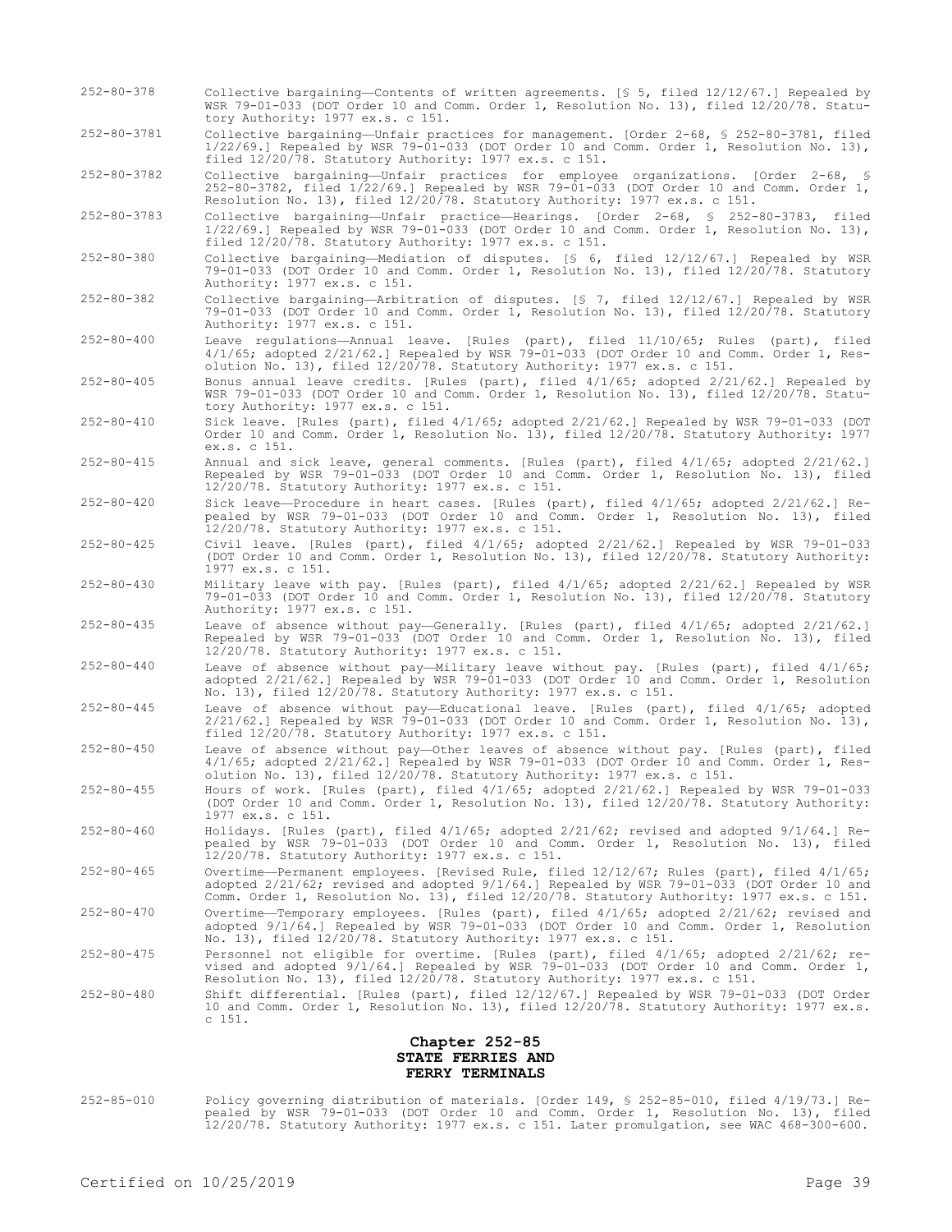- 252-80-378 Collective bargaining—Contents of written agreements. [§ 5, filed 12/12/67.] Repealed by WSR 79-01-033 (DOT Order 10 and Comm. Order 1, Resolution No. 13), filed 12/20/78. Statutory Authority: 1977 ex.s. c 151.
- 252-80-3781 Collective bargaining—Unfair practices for management. [Order 2-68, § 252-80-3781, filed 1/22/69.] Repealed by WSR 79-01-033 (DOT Order 10 and Comm. Order 1, Resolution No. 13), filed 12/20/78. Statutory Authority: 1977 ex.s. c 151.

252-80-3782 Collective bargaining—Unfair practices for employee organizations. [Order 2-68, § 252-80-3782, filed 1/22/69.] Repealed by WSR 79-01-033 (DOT Order 10 and Comm. Order 1, Resolution No. 13), filed 12/20/78. Statutory Authority: 1977 ex.s. c 151.

252-80-3783 Collective bargaining—Unfair practice—Hearings. [Order 2-68, § 252-80-3783, filed 1/22/69.] Repealed by WSR 79-01-033 (DOT Order 10 and Comm. Order 1, Resolution No. 13), filed 12/20/78. Statutory Authority: 1977 ex.s. c 151.

252-80-380 Collective bargaining—Mediation of disputes. [§ 6, filed 12/12/67.] Repealed by WSR 79-01-033 (DOT Order 10 and Comm. Order 1, Resolution No. 13), filed 12/20/78. Statutory Authority: 1977 ex.s. c 151.

252-80-382 Collective bargaining—Arbitration of disputes. [§ 7, filed 12/12/67.] Repealed by WSR 79-01-033 (DOT Order 10 and Comm. Order 1, Resolution No. 13), filed 12/20/78. Statutory Authority: 1977 ex.s. c 151.

252-80-400 Leave regulations—Annual leave. [Rules (part), filed 11/10/65; Rules (part), filed 4/1/65; adopted 2/21/62.] Repealed by WSR 79-01-033 (DOT Order 10 and Comm. Order 1, Resolution No. 13), filed 12/20/78. Statutory Authority: 1977 ex.s. c 151.

252-80-405 Bonus annual leave credits. [Rules (part), filed 4/1/65; adopted 2/21/62.] Repealed by WSR 79-01-033 (DOT Order 10 and Comm. Order 1, Resolution No. 13), filed 12/20/78. Statutory Authority: 1977 ex.s. c 151.

252-80-410 Sick leave. [Rules (part), filed 4/1/65; adopted 2/21/62.] Repealed by WSR 79-01-033 (DOT Order 10 and Comm. Order 1, Resolution No. 13), filed 12/20/78. Statutory Authority: 1977 ex.s. c 151.

252-80-415 Annual and sick leave, general comments. [Rules (part), filed 4/1/65; adopted 2/21/62.] Repealed by WSR 79-01-033 (DOT Order 10 and Comm. Order 1, Resolution No. 13), filed 12/20/78. Statutory Authority: 1977 ex.s. c 151.

252-80-420 Sick leave—Procedure in heart cases. [Rules (part), filed 4/1/65; adopted 2/21/62.] Repealed by WSR 79-01-033 (DOT Order 10 and Comm. Order 1, Resolution No. 13), filed 12/20/78. Statutory Authority: 1977 ex.s. c 151.

- 252-80-425 Civil leave. [Rules (part), filed 4/1/65; adopted 2/21/62.] Repealed by WSR 79-01-033 (DOT Order 10 and Comm. Order 1, Resolution No. 13), filed 12/20/78. Statutory Authority: 1977 ex.s. c 151.
- 252-80-430 Military leave with pay. [Rules (part), filed 4/1/65; adopted 2/21/62.] Repealed by WSR 79-01-033 (DOT Order 10 and Comm. Order 1, Resolution No. 13), filed 12/20/78. Statutory Authority: 1977 ex.s. c 151.

252-80-435 Leave of absence without pay—Generally. [Rules (part), filed 4/1/65; adopted 2/21/62.] Repealed by WSR 79-01-033 (DOT Order 10 and Comm. Order 1, Resolution No. 13), filed 12/20/78. Statutory Authority: 1977 ex.s. c 151.

252-80-440 Leave of absence without pay—Military leave without pay. [Rules (part), filed 4/1/65; adopted 2/21/62.] Repealed by WSR 79-01-033 (DOT Order 10 and Comm. Order 1, Resolution No. 13), filed 12/20/78. Statutory Authority: 1977 ex.s. c 151.

252-80-445 Leave of absence without pay—Educational leave. [Rules (part), filed 4/1/65; adopted 2/21/62.] Repealed by WSR 79-01-033 (DOT Order 10 and Comm. Order 1, Resolution No. 13), filed 12/20/78. Statutory Authority: 1977 ex.s. c 151.

- 252-80-450 Leave of absence without pay—Other leaves of absence without pay. [Rules (part), filed 4/1/65; adopted 2/21/62.] Repealed by WSR 79-01-033 (DOT Order 10 and Comm. Order 1, Resolution No. 13), filed 12/20/78. Statutory Authority: 1977 ex.s. c 151.
- 252-80-455 Hours of work. [Rules (part), filed 4/1/65; adopted 2/21/62.] Repealed by WSR 79-01-033 (DOT Order 10 and Comm. Order 1, Resolution No. 13), filed 12/20/78. Statutory Authority: 1977 ex.s. c 151.
- 252-80-460 Holidays. [Rules (part), filed 4/1/65; adopted 2/21/62; revised and adopted 9/1/64.] Repealed by WSR 79-01-033 (DOT Order 10 and Comm. Order 1, Resolution No. 13), filed 12/20/78. Statutory Authority: 1977 ex.s. c 151.
- 252-80-465 Overtime—Permanent employees. [Revised Rule, filed 12/12/67; Rules (part), filed 4/1/65; adopted 2/21/62; revised and adopted 9/1/64.] Repealed by WSR 79-01-033 (DOT Order 10 and Comm. Order 1, Resolution No. 13), filed 12/20/78. Statutory Authority: 1977 ex.s. c 151.
- 252-80-470 Overtime—Temporary employees. [Rules (part), filed 4/1/65; adopted 2/21/62; revised and adopted 9/1/64.] Repealed by WSR 79-01-033 (DOT Order 10 and Comm. Order 1, Resolution No. 13), filed 12/20/78. Statutory Authority: 1977 ex.s. c 151.
- 252-80-475 Personnel not eligible for overtime. [Rules (part), filed 4/1/65; adopted 2/21/62; revised and adopted 9/1/64.] Repealed by WSR 79-01-033 (DOT Order 10 and Comm. Order 1, Resolution No. 13), filed 12/20/78. Statutory Authority: 1977 ex.s. c 151.
- 252-80-480 Shift differential. [Rules (part), filed 12/12/67.] Repealed by WSR 79-01-033 (DOT Order 10 and Comm. Order 1, Resolution No. 13), filed 12/20/78. Statutory Authority: 1977 ex.s. c 151.

#### **Chapter 252-85 STATE FERRIES AND FERRY TERMINALS**

252-85-010 Policy governing distribution of materials. [Order 149, § 252-85-010, filed 4/19/73.] Repealed by WSR 79-01-033 (DOT Order 10 and Comm. Order 1, Resolution No. 13), filed 12/20/78. Statutory Authority: 1977 ex.s. c 151. Later promulgation, see WAC 468-300-600.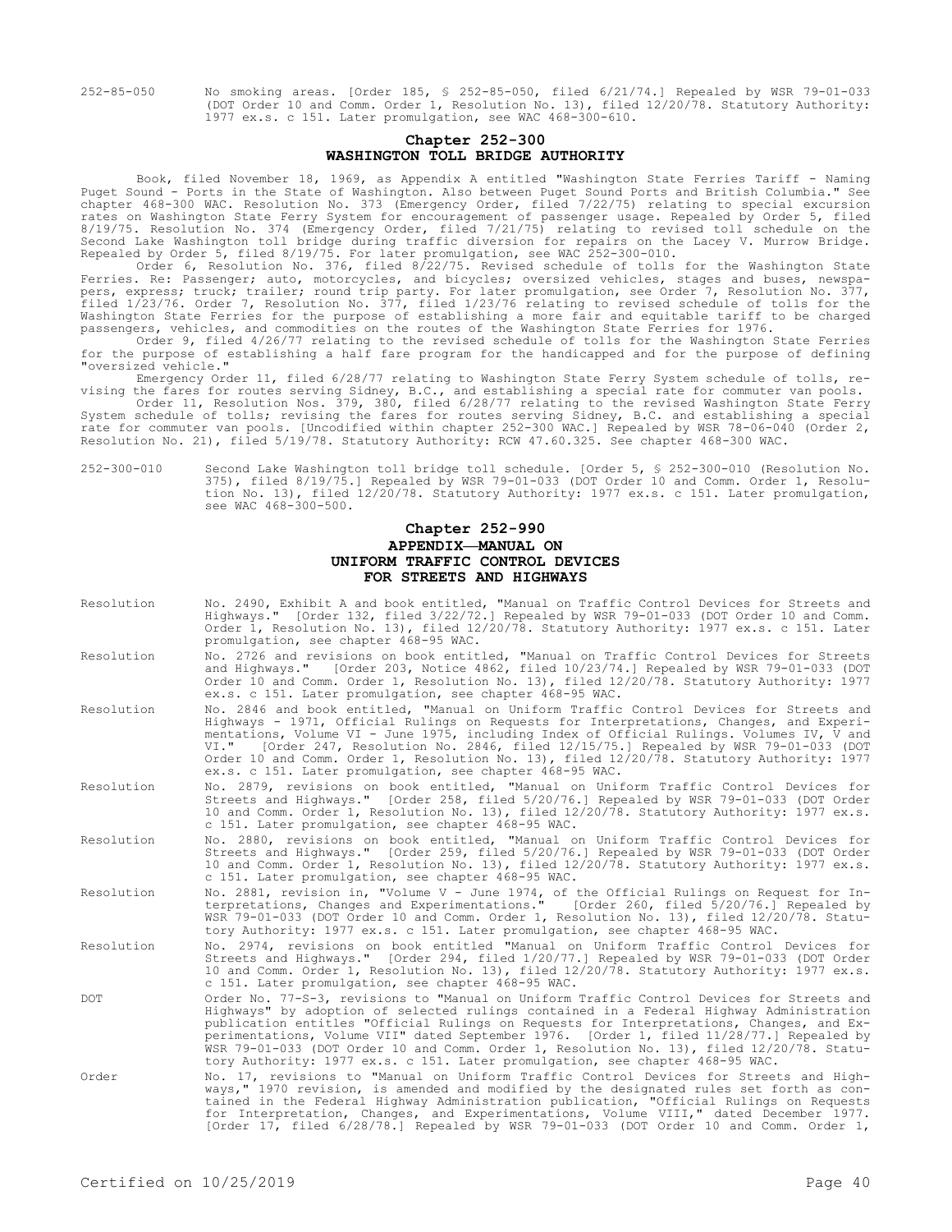252-85-050 No smoking areas. [Order 185, § 252-85-050, filed 6/21/74.] Repealed by WSR 79-01-033 (DOT Order 10 and Comm. Order 1, Resolution No. 13), filed 12/20/78. Statutory Authority: 1977 ex.s. c 151. Later promulgation, see WAC 468-300-610.

## **Chapter 252-300 WASHINGTON TOLL BRIDGE AUTHORITY**

Book, filed November 18, 1969, as Appendix A entitled "Washington State Ferries Tariff - Naming Puget Sound - Ports in the State of Washington. Also between Puget Sound Ports and British Columbia." See chapter 468-300 WAC. Resolution No. 373 (Emergency Order, filed 7/22/75) relating to special excursion rates on Washington State Ferry System for encouragement of passenger usage. Repealed by Order 5, filed 8/19/75. Resolution No. 374 (Emergency Order, filed 7/21/75) relating to revised toll schedule on the Second Lake Washington toll bridge during traffic diversion for repairs on the Lacey V. Murrow Bridge. Repealed by Order 5, filed 8/19/75. For later promulgation, see WAC 252-300-010.

Order 6, Resolution No. 376, filed 8/22/75. Revised schedule of tolls for the Washington State Ferries. Re: Passenger; auto, motorcycles, and bicycles; oversized vehicles, stages and buses, newspapers, express; truck; trailer; round trip party. For later promulgation, see Order 7, Resolution No. 377, filed 1/23/76. Order 7, Resolution No. 377, filed 1/23/76 relating to revised schedule of tolls for the Washington State Ferries for the purpose of establishing a more fair and equitable tariff to be charged passengers, vehicles, and commodities on the routes of the Washington State Ferries for 1976.

Order 9, filed 4/26/77 relating to the revised schedule of tolls for the Washington State Ferries for the purpose of establishing a half fare program for the handicapped and for the purpose of defining "oversized vehicle."

Emergency Order 11, filed 6/28/77 relating to Washington State Ferry System schedule of tolls, revising the fares for routes serving Sidney, B.C., and establishing a special rate for commuter van pools.

Order 11, Resolution Nos. 379, 380, filed 6/28/77 relating to the revised Washington State Ferry System schedule of tolls; revising the fares for routes serving Sidney, B.C. and establishing a special rate for commuter van pools. [Uncodified within chapter 252-300 WAC.] Repealed by WSR 78-06-040 (Order 2, Resolution No. 21), filed 5/19/78. Statutory Authority: RCW 47.60.325. See chapter 468-300 WAC.

#### 252-300-010 Second Lake Washington toll bridge toll schedule. [Order 5, § 252-300-010 (Resolution No. 375), filed 8/19/75.] Repealed by WSR 79-01-033 (DOT Order 10 and Comm. Order 1, Resolution No. 13), filed 12/20/78. Statutory Authority: 1977 ex.s. c 151. Later promulgation, see WAC 468-300-500.

## **Chapter 252-990 APPENDIX—MANUAL ON UNIFORM TRAFFIC CONTROL DEVICES FOR STREETS AND HIGHWAYS**

| Resolution | No. 2490, Exhibit A and book entitled, "Manual on Traffic Control Devices for Streets and<br>Highways." [Order 132, filed 3/22/72.] Repealed by WSR 79-01-033 (DOT Order 10 and Comm.<br>Order 1, Resolution No. 13), filed 12/20/78. Statutory Authority: 1977 ex.s. c 151. Later<br>promulgation, see chapter 468-95 WAC.                                                                                                                                                                                                                                |
|------------|------------------------------------------------------------------------------------------------------------------------------------------------------------------------------------------------------------------------------------------------------------------------------------------------------------------------------------------------------------------------------------------------------------------------------------------------------------------------------------------------------------------------------------------------------------|
| Resolution | No. 2726 and revisions on book entitled, "Manual on Traffic Control Devices for Streets<br>and Highways." [Order 203, Notice 4862, filed 10/23/74.] Repealed by WSR 79-01-033 (DOT<br>Order 10 and Comm. Order 1, Resolution No. 13), filed 12/20/78. Statutory Authority: 1977<br>ex.s. c 151. Later promulgation, see chapter 468-95 WAC.                                                                                                                                                                                                                |
| Resolution | No. 2846 and book entitled, "Manual on Uniform Traffic Control Devices for Streets and<br>Highways - 1971, Official Rulings on Requests for Interpretations, Changes, and Experi-<br>mentations, Volume VI - June 1975, including Index of Official Rulings. Volumes IV, V and<br>VI." [Order 247, Resolution No. 2846, filed 12/15/75.] Repealed by WSR 79-01-033 (DOT<br>Order 10 and Comm. Order 1, Resolution No. 13), filed 12/20/78. Statutory Authority: 1977<br>ex.s. c 151. Later promulgation, see chapter 468-95 WAC.                           |
| Resolution | No. 2879, revisions on book entitled, "Manual on Uniform Traffic Control Devices for<br>Streets and Highways." [Order 258, filed 5/20/76.] Repealed by WSR 79-01-033 (DOT Order<br>10 and Comm. Order 1, Resolution No. 13), filed 12/20/78. Statutory Authority: 1977 ex.s.<br>c 151. Later promulgation, see chapter 468-95 WAC.                                                                                                                                                                                                                         |
| Resolution | No. 2880, revisions on book entitled, "Manual on Uniform Traffic Control Devices for<br>Streets and Highways." [Order 259, filed 5/20/76.] Repealed by WSR 79-01-033 (DOT Order<br>10 and Comm. Order 1, Resolution No. 13), filed 12/20/78. Statutory Authority: 1977 ex.s.<br>c 151. Later promulgation, see chapter 468-95 WAC.                                                                                                                                                                                                                         |
| Resolution | No. 2881, revision in, "Volume V - June 1974, of the Official Rulings on Request for In-<br>terpretations, Changes and Experimentations." [Order 260, filed 5/20/76.] Repealed by<br>WSR 79-01-033 (DOT Order 10 and Comm. Order 1, Resolution No. 13), filed 12/20/78. Statu-<br>tory Authority: 1977 ex.s. c 151. Later promulgation, see chapter 468-95 WAC.                                                                                                                                                                                            |
| Resolution | No. 2974, revisions on book entitled "Manual on Uniform Traffic Control Devices for<br>Streets and Highways." [Order 294, filed 1/20/77.] Repealed by WSR 79-01-033 (DOT Order<br>10 and Comm. Order 1, Resolution No. 13), filed 12/20/78. Statutory Authority: 1977 ex.s.<br>c 151. Later promulgation, see chapter 468-95 WAC.                                                                                                                                                                                                                          |
| DOT        | Order No. 77-S-3, revisions to "Manual on Uniform Traffic Control Devices for Streets and<br>Highways" by adoption of selected rulings contained in a Federal Highway Administration<br>publication entitles "Official Rulings on Requests for Interpretations, Changes, and Ex-<br>perimentations, Volume VII" dated September 1976. [Order 1, filed 11/28/77.] Repealed by<br>WSR 79-01-033 (DOT Order 10 and Comm. Order 1, Resolution No. 13), filed 12/20/78. Statu-<br>tory Authority: 1977 ex.s. c 151. Later promulgation, see chapter 468-95 WAC. |
| Order      | No. 17, revisions to "Manual on Uniform Traffic Control Devices for Streets and High-<br>ways," 1970 revision, is amended and modified by the designated rules set forth as con-<br>tained in the Federal Highway Administration publication, "Official Rulings on Requests<br>for Interpretation, Changes, and Experimentations, Volume VIII," dated December 1977.<br>[Order 17, filed 6/28/78.] Repealed by WSR 79-01-033 (DOT Order 10 and Comm. Order 1,                                                                                              |